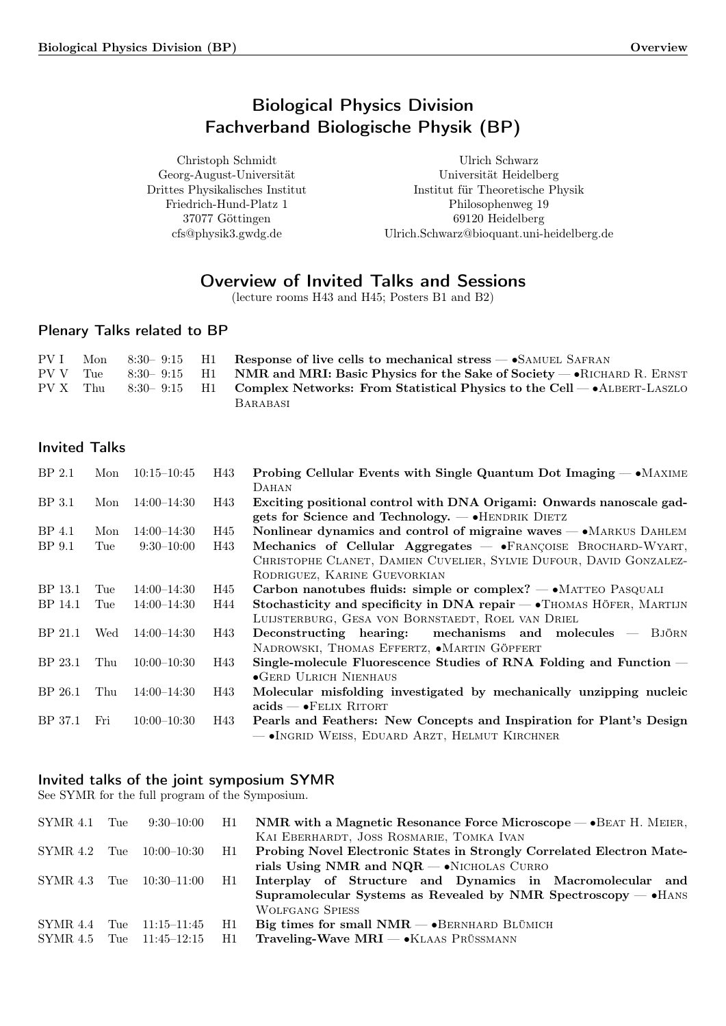# Biological Physics Division Fachverband Biologische Physik (BP)

<span id="page-0-0"></span>Christoph Schmidt Georg-August-Universität Drittes Physikalisches Institut Friedrich-Hund-Platz 1 37077 Göttingen cfs@physik3.gwdg.de

Ulrich Schwarz Universität Heidelberg Institut für Theoretische Physik Philosophenweg 19 69120 Heidelberg Ulrich.Schwarz@bioquant.uni-heidelberg.de

# Overview of Invited Talks and Sessions

(lecture rooms H43 and H45; Posters B1 and B2)

## Plenary Talks related to BP

| PV I | Mon 8:30-9:15 H1 | Response of live cells to mechanical stress $-$ SAMUEL SAFRAN                                  |
|------|------------------|------------------------------------------------------------------------------------------------|
|      |                  | PV V Tue 8:30–9:15 H1 NMR and MRI: Basic Physics for the Sake of Society — RICHARD R. ERNST    |
|      |                  | PV X Thu 8:30-9:15 H1 Complex Networks: From Statistical Physics to the Cell $-$ ALBERT-LASZLO |
|      |                  | <b>BARABASI</b>                                                                                |

## Invited Talks

| BP <sub>2.1</sub> | Mon | $10:15 - 10:45$ | H43 | <b>Probing Cellular Events with Single Quantum Dot Imaging — •</b> MAXIME<br>DAHAN                                           |
|-------------------|-----|-----------------|-----|------------------------------------------------------------------------------------------------------------------------------|
| BP 3.1            | Mon | $14:00 - 14:30$ | H43 | Exciting positional control with DNA Origami: Onwards nanoscale gad-<br>gets for Science and Technology. $-$ • HENDRIK DIETZ |
|                   |     |                 |     |                                                                                                                              |
| BP 4.1            | Mon | $14:00 - 14:30$ | H45 | Nonlinear dynamics and control of migraine waves - MARKUS DAHLEM                                                             |
| BP 9.1            | Tue | $9:30-10:00$    | H43 | Mechanics of Cellular Aggregates $-$ • FRANÇOISE BROCHARD-WYART,                                                             |
|                   |     |                 |     | CHRISTOPHE CLANET, DAMIEN CUVELIER, SYLVIE DUFOUR, DAVID GONZALEZ-                                                           |
|                   |     |                 |     | RODRIGUEZ, KARINE GUEVORKIAN                                                                                                 |
| BP 13.1           | Tue | $14:00 - 14:30$ | H45 | Carbon nanotubes fluids: simple or complex? - • MATTEO PASQUALI                                                              |
| BP 14.1           | Tue | $14:00 - 14:30$ | H44 | Stochasticity and specificity in DNA repair $\rightarrow$ THOMAS HÖFER, MARTIJN                                              |
|                   |     |                 |     | LUIJSTERBURG, GESA VON BORNSTAEDT, ROEL VAN DRIEL                                                                            |
| BP 21.1           | Wed | $14:00 - 14:30$ | H43 | Deconstructing hearing:<br>mechanisms and molecules $-$ BJÖRN                                                                |
|                   |     |                 |     | NADROWSKI, THOMAS EFFERTZ, $\bullet$ MARTIN GÖPFERT                                                                          |
| BP 23.1           | Thu | $10:00 - 10:30$ | H43 | Single-molecule Fluorescence Studies of RNA Folding and Function —                                                           |
|                   |     |                 |     | $\bullet$ GERD ULRICH NIENHAUS                                                                                               |
| BP 26.1           | Thu | $14:00 - 14:30$ | H43 | Molecular misfolding investigated by mechanically unzipping nucleic                                                          |
|                   |     |                 |     | $acids - FELIX RITORT$                                                                                                       |
| BP 37.1           | Fri | $10:00 - 10:30$ | H43 | Pearls and Feathers: New Concepts and Inspiration for Plant's Design                                                         |
|                   |     |                 |     | - INGRID WEISS, EDUARD ARZT, HELMUT KIRCHNER                                                                                 |

## Invited talks of the joint symposium SYMR

See SYMR for the full program of the Symposium.

| SYMR 4.1 | Tue | $9:30-10:00$ H1 |    | NMR with a Magnetic Resonance Force Microscope $-\bullet$ BEAT H. MEIER, |
|----------|-----|-----------------|----|--------------------------------------------------------------------------|
|          |     |                 |    | KAI EBERHARDT, JOSS ROSMARIE, TOMKA IVAN                                 |
| SYMR 4.2 | Tue | 10:00–10:30     | H1 | Probing Novel Electronic States in Strongly Correlated Electron Mate-    |
|          |     |                 |    | rials Using NMR and $NQR - \cdot$ NICHOLAS CURRO                         |
| SYMR 4.3 | Tue | 10:30–11:00     | H1 | Interplay of Structure and Dynamics in Macromolecular and                |
|          |     |                 |    | Supramolecular Systems as Revealed by NMR Spectroscopy $-\bullet$ HANS   |
|          |     |                 |    | <b>WOLFGANG SPIESS</b>                                                   |
| SYMR 4.4 | Tue | 11:15–11:45     | H1 | Big times for small $NMR - \bullet$ BERNHARD BLÜMICH                     |
| SYMR 4.5 | Tue | $11:45 - 12:15$ | H1 | <b>Traveling-Wave MRI</b> — $\bullet$ KLAAS PRÜSSMANN                    |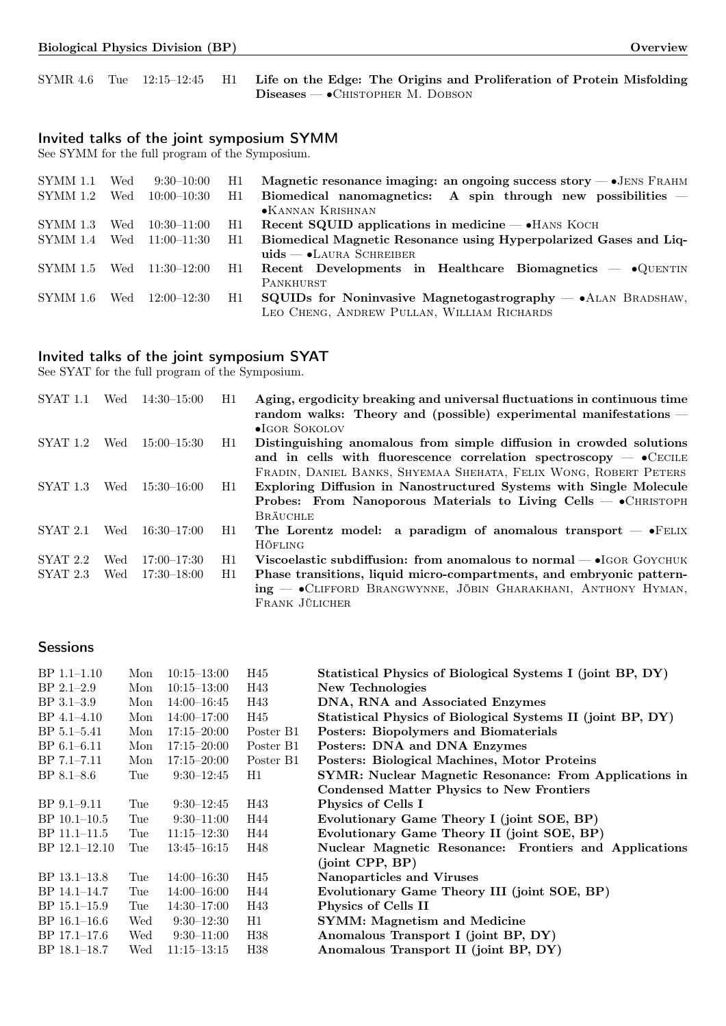|  |  | SYMR 4.6 Tue 12:15-12:45 H1 Life on the Edge: The Origins and Proliferation of Protein Misfolding |
|--|--|---------------------------------------------------------------------------------------------------|
|  |  | $\text{Diseases}$ $\rightarrow$ Chistopher M. Dobson                                              |

## Invited talks of the joint symposium SYMM

See SYMM for the full program of the Symposium.

| SYMM 1.1   | Wed | $9:30-10:00$    | H1 | Magnetic resonance imaging: an ongoing success story $-\bullet$ JENS FRAHM |
|------------|-----|-----------------|----|----------------------------------------------------------------------------|
| $SYMM$ 1.2 | Wed | $10:00 - 10:30$ | H1 | Biomedical nanomagnetics: A spin through new possibilities $-$             |
|            |     |                 |    | •KANNAN KRISHNAN                                                           |
| SYMM 1.3   | Wed | $10:30-11:00$   | H1 | Recent SQUID applications in medicine $-$ • HANS KOCH                      |
| SYMM 1.4   | Wed | $11:00-11:30$   | H1 | Biomedical Magnetic Resonance using Hyperpolarized Gases and Liq-          |
|            |     |                 |    | $uids$ $\bullet$ LAURA SCHREIBER                                           |
| SYMM 1.5   |     | Wed 11:30–12:00 | H1 | Recent Developments in Healthcare Biomagnetics $-\bullet$ QUENTIN          |
|            |     |                 |    | PANKHURST                                                                  |
| SYMM 1.6   | Wed | $12:00 - 12:30$ | H1 | $SQUIDs$ for Noninvasive Magnetogastrography $- \cdot A$ LAN BRADSHAW,     |
|            |     |                 |    | LEO CHENG, ANDREW PULLAN, WILLIAM RICHARDS                                 |

## Invited talks of the joint symposium SYAT

See SYAT for the full program of the Symposium.

| <b>SYAT 1.1</b> | Wed | $14:30 - 15:00$ | H1 | Aging, ergodicity breaking and universal fluctuations in continuous time<br>random walks: Theory and (possible) experimental manifestations -<br>$\bullet$ IGOR SOKOLOV |
|-----------------|-----|-----------------|----|-------------------------------------------------------------------------------------------------------------------------------------------------------------------------|
| SYAT 1.2        | Wed | $15:00 - 15:30$ | H1 | Distinguishing anomalous from simple diffusion in crowded solutions                                                                                                     |
|                 |     |                 |    | and in cells with fluorescence correlation spectroscopy $ \bullet$ CECILE                                                                                               |
|                 |     |                 |    | FRADIN, DANIEL BANKS, SHYEMAA SHEHATA, FELIX WONG, ROBERT PETERS                                                                                                        |
| $SYAT$ 1.3      | Wed | $15:30 - 16:00$ | H1 | Exploring Diffusion in Nanostructured Systems with Single Molecule                                                                                                      |
|                 |     |                 |    | <b>Probes:</b> From Nanoporous Materials to Living Cells $\rightarrow$ CHRISTOPH                                                                                        |
|                 |     |                 |    | <b>BRÄUCHLE</b>                                                                                                                                                         |
| <b>SYAT 2.1</b> | Wed | $16:30-17:00$   | H1 | The Lorentz model: a paradigm of anomalous transport $-$ • FELIX                                                                                                        |
|                 |     |                 |    | <b>HÖFLING</b>                                                                                                                                                          |
| $SYAT$ 2.2      | Wed | $17:00 - 17:30$ | H1 | Viscoelastic subdiffusion: from anomalous to normal $-$ • IGOR GOYCHUK                                                                                                  |
| $SYAT$ 2.3      | Wed | $17:30 - 18:00$ | H1 | Phase transitions, liquid micro-compartments, and embryonic pattern-                                                                                                    |
|                 |     |                 |    | ing - Clifford Brangwynne, JÖBIN GHARAKHANI, ANTHONY HYMAN,                                                                                                             |
|                 |     |                 |    | FRANK JÜLICHER                                                                                                                                                          |

## **Sessions**

| $BP$ 1.1–1.10   | Mon | $10:15 - 13:00$ | H45       | Statistical Physics of Biological Systems I (joint BP, DY)  |
|-----------------|-----|-----------------|-----------|-------------------------------------------------------------|
| $BP$ 2.1-2.9    | Mon | $10:15 - 13:00$ | H43       | New Technologies                                            |
| $BP$ 3.1-3.9    | Mon | $14:00 - 16:45$ | H43       | DNA, RNA and Associated Enzymes                             |
| $BP\ 4.1-4.10$  | Mon | $14:00-17:00$   | H45       | Statistical Physics of Biological Systems II (joint BP, DY) |
| BP 5.1-5.41     | Mon | $17:15 - 20:00$ | Poster B1 | <b>Posters: Biopolymers and Biomaterials</b>                |
| $BP 6.1 - 6.11$ | Mon | $17:15 - 20:00$ | Poster B1 | Posters: DNA and DNA Enzymes                                |
| $BP 7.1 - 7.11$ | Mon | $17:15 - 20:00$ | Poster B1 | Posters: Biological Machines, Motor Proteins                |
| $BP 8.1 - 8.6$  | Tue | $9:30-12:45$    | H1        | SYMR: Nuclear Magnetic Resonance: From Applications in      |
|                 |     |                 |           | <b>Condensed Matter Physics to New Frontiers</b>            |
| $BP$ 9.1–9.11   | Tue | $9:30-12:45$    | H43       | Physics of Cells I                                          |
| $BP$ 10.1–10.5  | Tue | $9:30-11:00$    | H44       | Evolutionary Game Theory I (joint SOE, BP)                  |
| BP 11.1-11.5    | Tue | $11:15 - 12:30$ | H44       | Evolutionary Game Theory II (joint SOE, BP)                 |
| $BP$ 12.1-12.10 | Tue | $13:45 - 16:15$ | H48       | Nuclear Magnetic Resonance: Frontiers and Applications      |
|                 |     |                 |           | (joint CP, BP)                                              |
| $BP$ 13.1–13.8  | Tue | $14:00 - 16:30$ | H45       | Nanoparticles and Viruses                                   |
| BP 14.1-14.7    | Tue | $14:00 - 16:00$ | H44       | Evolutionary Game Theory III (joint SOE, BP)                |
| $BP$ 15.1–15.9  | Tue | $14:30 - 17:00$ | H43       | Physics of Cells II                                         |
| $BP$ 16.1–16.6  | Wed | $9:30-12:30$    | H1        | <b>SYMM:</b> Magnetism and Medicine                         |
| $BP$ 17.1–17.6  | Wed | $9:30-11:00$    | H38       | Anomalous Transport I (joint BP, DY)                        |
| BP 18.1-18.7    | Wed | $11:15 - 13:15$ | H38       | Anomalous Transport II (joint BP, DY)                       |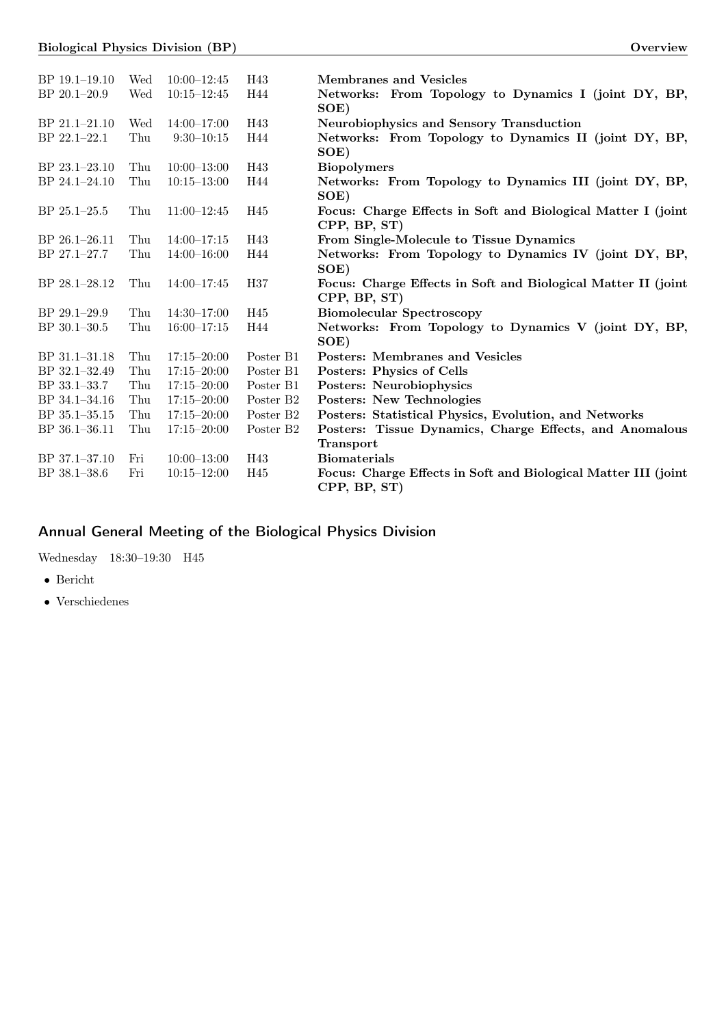| BP 19.1-19.10     | Wed | $10:00 - 12:45$ | H43                   | <b>Membranes and Vesicles</b>                                                  |
|-------------------|-----|-----------------|-----------------------|--------------------------------------------------------------------------------|
| $BP 20.1 - 20.9$  | Wed | $10:15 - 12:45$ | H44                   | Networks: From Topology to Dynamics I (joint DY, BP,<br>SOE)                   |
| BP 21.1-21.10     | Wed | $14:00 - 17:00$ | H43                   | Neurobiophysics and Sensory Transduction                                       |
| BP 22.1-22.1      | Thu | $9:30 - 10:15$  | H44                   | Networks: From Topology to Dynamics II (joint DY, BP,<br>SOE)                  |
| BP 23.1-23.10     | Thu | $10:00 - 13:00$ | H43                   | <b>Biopolymers</b>                                                             |
| $BP 24.1 - 24.10$ | Thu | $10:15 - 13:00$ | H44                   | Networks: From Topology to Dynamics III (joint DY, BP,<br>SOE)                 |
| $BP 25.1 - 25.5$  | Thu | $11:00-12:45$   | H45                   | Focus: Charge Effects in Soft and Biological Matter I (joint<br>CPP, BP, ST)   |
| BP 26.1-26.11     | Thu | $14:00-17:15$   | H43                   | From Single-Molecule to Tissue Dynamics                                        |
| BP 27.1-27.7      | Thu | $14:00 - 16:00$ | H44                   | Networks: From Topology to Dynamics IV (joint DY, BP,<br>SOE)                  |
| BP 28.1-28.12     | Thu | $14:00 - 17:45$ | H37                   | Focus: Charge Effects in Soft and Biological Matter II (joint<br>CPP, BP, ST)  |
| $BP$ 29.1-29.9    | Thu | $14:30 - 17:00$ | H45                   | <b>Biomolecular Spectroscopy</b>                                               |
| $BP$ 30.1-30.5    | Thu | $16:00 - 17:15$ | H44                   | Networks: From Topology to Dynamics V (joint DY, BP,<br>SOE)                   |
| BP 31.1-31.18     | Thu | $17:15 - 20:00$ | Poster B1             | <b>Posters:</b> Membranes and Vesicles                                         |
| BP 32.1-32.49     | Thu | $17:15 - 20:00$ | Poster B1             | Posters: Physics of Cells                                                      |
| BP 33.1-33.7      | Thu | $17:15 - 20:00$ | Poster B1             | <b>Posters:</b> Neurobiophysics                                                |
| BP 34.1-34.16     | Thu | $17:15 - 20:00$ | Poster B <sub>2</sub> | Posters: New Technologies                                                      |
| BP 35.1-35.15     | Thu | $17:15 - 20:00$ | Poster B <sub>2</sub> | Posters: Statistical Physics, Evolution, and Networks                          |
| BP 36.1-36.11     | Thu | $17:15 - 20:00$ | Poster B <sub>2</sub> | Posters: Tissue Dynamics, Charge Effects, and Anomalous<br>Transport           |
| BP 37.1-37.10     | Fri | $10:00 - 13:00$ | H43                   | <b>Biomaterials</b>                                                            |
| BP 38.1-38.6      | Fri | $10:15 - 12:00$ | H45                   | Focus: Charge Effects in Soft and Biological Matter III (joint<br>CPP, BP, ST) |

# Annual General Meeting of the Biological Physics Division

Wednesday 18:30–19:30 H45

∙ Bericht

∙ Verschiedenes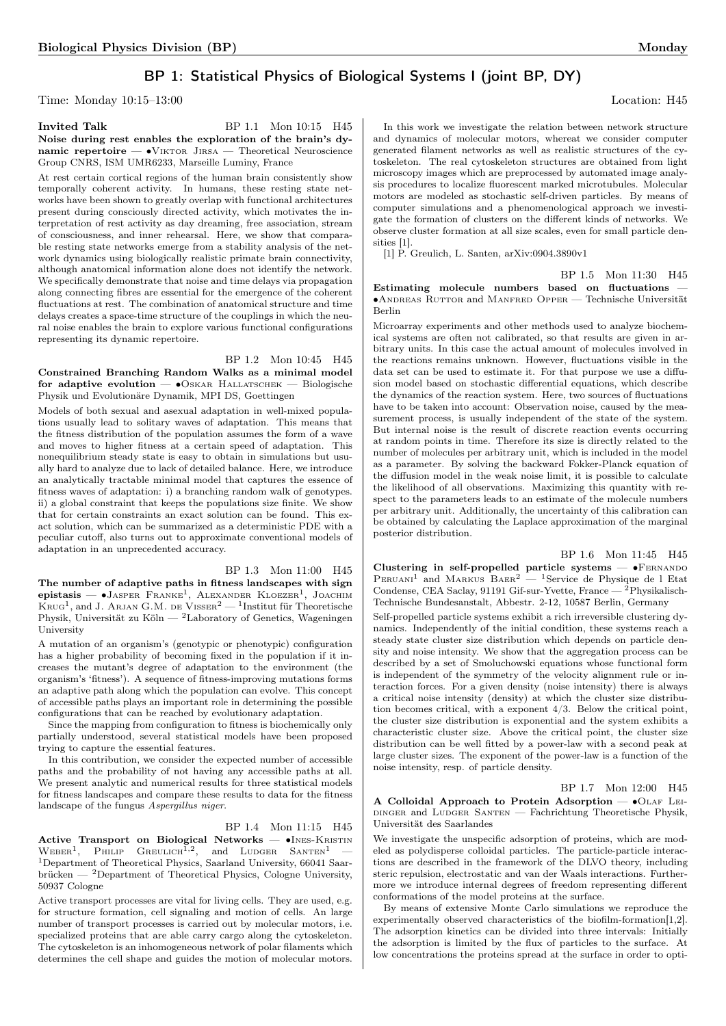## BP 1: Statistical Physics of Biological Systems I (joint BP, DY)

Time: Monday 10:15–13:00 Location: H45

**Invited Talk** BP 1.1 Mon 10:15 H45 Noise during rest enables the exploration of the brain's dynamic repertoire — ∙Viktor Jirsa — Theoretical Neuroscience Group CNRS, ISM UMR6233, Marseille Luminy, France

At rest certain cortical regions of the human brain consistently show temporally coherent activity. In humans, these resting state networks have been shown to greatly overlap with functional architectures present during consciously directed activity, which motivates the interpretation of rest activity as day dreaming, free association, stream of consciousness, and inner rehearsal. Here, we show that comparable resting state networks emerge from a stability analysis of the network dynamics using biologically realistic primate brain connectivity, although anatomical information alone does not identify the network. We specifically demonstrate that noise and time delays via propagation along connecting fibres are essential for the emergence of the coherent fluctuations at rest. The combination of anatomical structure and time delays creates a space-time structure of the couplings in which the neural noise enables the brain to explore various functional configurations representing its dynamic repertoire.

BP 1.2 Mon 10:45 H45 Constrained Branching Random Walks as a minimal model for adaptive evolution —  $\bullet$ Oskar Hallatschek — Biologische Physik und Evolutionäre Dynamik, MPI DS, Goettingen

Models of both sexual and asexual adaptation in well-mixed populations usually lead to solitary waves of adaptation. This means that the fitness distribution of the population assumes the form of a wave and moves to higher fitness at a certain speed of adaptation. This nonequilibrium steady state is easy to obtain in simulations but usually hard to analyze due to lack of detailed balance. Here, we introduce an analytically tractable minimal model that captures the essence of fitness waves of adaptation: i) a branching random walk of genotypes. ii) a global constraint that keeps the populations size finite. We show that for certain constraints an exact solution can be found. This exact solution, which can be summarized as a deterministic PDE with a peculiar cutoff, also turns out to approximate conventional models of adaptation in an unprecedented accuracy.

BP 1.3 Mon 11:00 H45 The number of adaptive paths in fitness landscapes with sign е**pistasis — ∙**Jаѕреr Frаnке<sup>1</sup>, Alexander Kloezer<sup>1</sup>, Jоаснім<br>Krug<sup>1</sup>, and J. Arjan G.M. de Visser<sup>2</sup> — <sup>1</sup>Institut für Theoretische Physik, Universität zu Köln — <sup>2</sup>Laboratory of Genetics, Wageningen University

A mutation of an organism's (genotypic or phenotypic) configuration has a higher probability of becoming fixed in the population if it increases the mutant's degree of adaptation to the environment (the organism's 'fitness'). A sequence of fitness-improving mutations forms an adaptive path along which the population can evolve. This concept of accessible paths plays an important role in determining the possible configurations that can be reached by evolutionary adaptation.

Since the mapping from configuration to fitness is biochemically only partially understood, several statistical models have been proposed trying to capture the essential features.

In this contribution, we consider the expected number of accessible paths and the probability of not having any accessible paths at all. We present analytic and numerical results for three statistical models for fitness landscapes and compare these results to data for the fitness landscape of the fungus Aspergillus niger.

BP 1.4 Mon 11:15 H45 Active Transport on Biological Networks — ∙Ines-Kristin  $W$ EBER<sup>1</sup>, PHILIP GREULICH<sup>1,2</sup>, and LUDGER SANTEN<sup>1</sup> – <sup>1</sup>Department of Theoretical Physics, Saarland University, 66041 Saarbrücken —  $^{2}$ Department of Theoretical Physics, Cologne University, 50937 Cologne

Active transport processes are vital for living cells. They are used, e.g. for structure formation, cell signaling and motion of cells. An large number of transport processes is carried out by molecular motors, i.e. specialized proteins that are able carry cargo along the cytoskeleton. The cytoskeleton is an inhomogeneous network of polar filaments which determines the cell shape and guides the motion of molecular motors.

<span id="page-3-0"></span>In this work we investigate the relation between network structure and dynamics of molecular motors, whereat we consider computer generated filament networks as well as realistic structures of the cytoskeleton. The real cytoskeleton structures are obtained from light microscopy images which are preprocessed by automated image analysis procedures to localize fluorescent marked microtubules. Molecular motors are modeled as stochastic self-driven particles. By means of computer simulations and a phenomenological approach we investigate the formation of clusters on the different kinds of networks. We observe cluster formation at all size scales, even for small particle densities [1].

[1] P. Greulich, L. Santen, arXiv:0904.3890v1

<span id="page-3-1"></span>BP 1.5 Mon 11:30 H45

Estimating molecule numbers based on fluctuations ∙Andreas Ruttor and Manfred Opper — Technische Universität Berlin

<span id="page-3-2"></span>Microarray experiments and other methods used to analyze biochemical systems are often not calibrated, so that results are given in arbitrary units. In this case the actual amount of molecules involved in the reactions remains unknown. However, fluctuations visible in the data set can be used to estimate it. For that purpose we use a diffusion model based on stochastic differential equations, which describe the dynamics of the reaction system. Here, two sources of fluctuations have to be taken into account: Observation noise, caused by the measurement process, is usually independent of the state of the system. But internal noise is the result of discrete reaction events occurring at random points in time. Therefore its size is directly related to the number of molecules per arbitrary unit, which is included in the model as a parameter. By solving the backward Fokker-Planck equation of the diffusion model in the weak noise limit, it is possible to calculate the likelihood of all observations. Maximizing this quantity with respect to the parameters leads to an estimate of the molecule numbers per arbitrary unit. Additionally, the uncertainty of this calibration can be obtained by calculating the Laplace approximation of the marginal posterior distribution.

<span id="page-3-5"></span>BP 1.6 Mon 11:45 H45

<span id="page-3-3"></span>Clustering in self-propelled particle systems — •FERNANDO  $P_{\text{ERUANI}}^1$  and MARKUS  $B_{\text{AER}}^2$  — <sup>1</sup>Service de Physique de l Etat Condense, CEA Saclay, 91191 Gif-sur-Yvette, France — <sup>2</sup>Physikalisch-Technische Bundesanstalt, Abbestr. 2-12, 10587 Berlin, Germany

Self-propelled particle systems exhibit a rich irreversible clustering dynamics. Independently of the initial condition, these systems reach a steady state cluster size distribution which depends on particle density and noise intensity. We show that the aggregation process can be described by a set of Smoluchowski equations whose functional form is independent of the symmetry of the velocity alignment rule or interaction forces. For a given density (noise intensity) there is always a critical noise intensity (density) at which the cluster size distribution becomes critical, with a exponent 4/3. Below the critical point, the cluster size distribution is exponential and the system exhibits a characteristic cluster size. Above the critical point, the cluster size distribution can be well fitted by a power-law with a second peak at large cluster sizes. The exponent of the power-law is a function of the noise intensity, resp. of particle density.

BP 1.7 Mon 12:00 H45 A Colloidal Approach to Protein Adsorption —  $\bullet$ OLAF LEIdinger and Ludger Santen — Fachrichtung Theoretische Physik, Universität des Saarlandes

<span id="page-3-4"></span>We investigate the unspecific adsorption of proteins, which are modeled as polydisperse colloidal particles. The particle-particle interactions are described in the framework of the DLVO theory, including steric repulsion, electrostatic and van der Waals interactions. Furthermore we introduce internal degrees of freedom representing different conformations of the model proteins at the surface.

By means of extensive Monte Carlo simulations we reproduce the experimentally observed characteristics of the biofilm-formation[1,2]. The adsorption kinetics can be divided into three intervals: Initially the adsorption is limited by the flux of particles to the surface. At low concentrations the proteins spread at the surface in order to opti-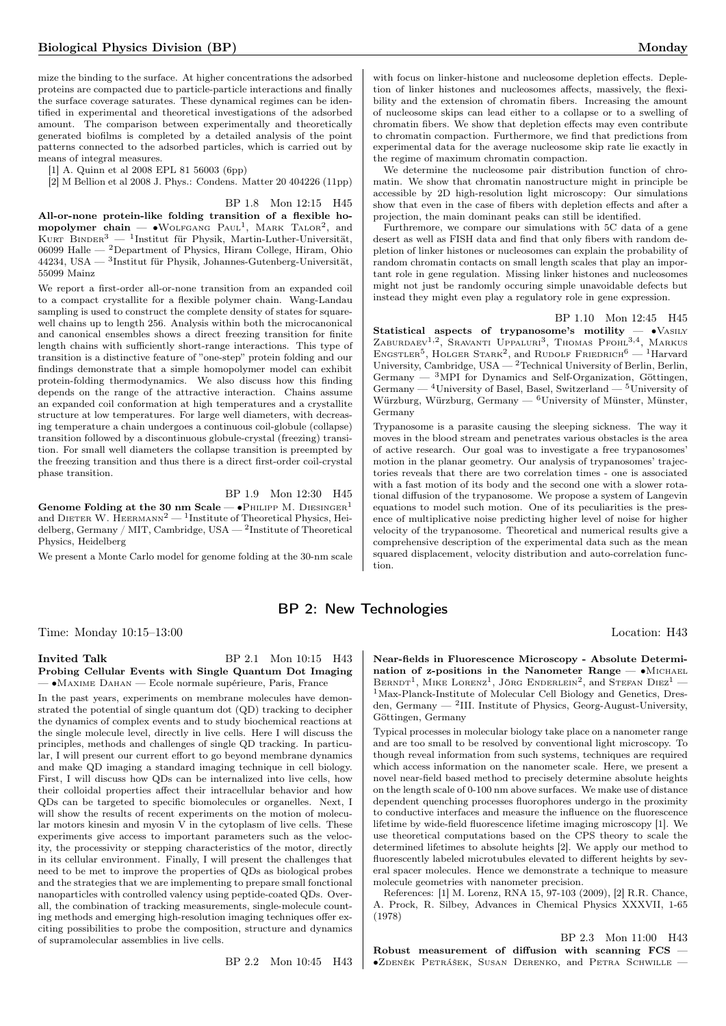mize the binding to the surface. At higher concentrations the adsorbed proteins are compacted due to particle-particle interactions and finally the surface coverage saturates. These dynamical regimes can be identified in experimental and theoretical investigations of the adsorbed amount. The comparison between experimentally and theoretically generated biofilms is completed by a detailed analysis of the point patterns connected to the adsorbed particles, which is carried out by means of integral measures.

[1] A. Quinn et al 2008 EPL 81 56003 (6pp)

[2] M Bellion et al 2008 J. Phys.: Condens. Matter 20 404226 (11pp)

BP 1.8 Mon 12:15 H45 All-or-none protein-like folding transition of a flexible homopolymer chain —  $\bullet$ WOLFGANG PAUL<sup>1</sup>, MARK TALOR<sup>2</sup>, and KURT BINDER<sup>3</sup> — <sup>1</sup>Institut für Physik, Martin-Luther-Universität, 06099 Halle — <sup>2</sup>Department of Physics, Hiram College, Hiram, Ohio 44234, USA  $-$  <sup>3</sup>Institut für Physik, Johannes-Gutenberg-Universität, 55099 Mainz

We report a first-order all-or-none transition from an expanded coil to a compact crystallite for a flexible polymer chain. Wang-Landau sampling is used to construct the complete density of states for squarewell chains up to length 256. Analysis within both the microcanonical and canonical ensembles shows a direct freezing transition for finite length chains with sufficiently short-range interactions. This type of transition is a distinctive feature of "one-step" protein folding and our findings demonstrate that a simple homopolymer model can exhibit protein-folding thermodynamics. We also discuss how this finding depends on the range of the attractive interaction. Chains assume an expanded coil conformation at high temperatures and a crystallite structure at low temperatures. For large well diameters, with decreasing temperature a chain undergoes a continuous coil-globule (collapse) transition followed by a discontinuous globule-crystal (freezing) transition. For small well diameters the collapse transition is preempted by the freezing transition and thus there is a direct first-order coil-crystal phase transition.

BP 1.9 Mon 12:30 H45

Genome Folding at the 30 nm Scale —  $\bullet$ PHILIPP M. DIESINGER<sup>1</sup> and DIETER W. HEERMANN<sup>2</sup> — <sup>1</sup>Institute of Theoretical Physics, Heidelberg, Germany / MIT, Cambridge, USA  $^2$ Institute of Theoretical Physics, Heidelberg

We present a Monte Carlo model for genome folding at the 30-nm scale

with focus on linker-histone and nucleosome depletion effects. Depletion of linker histones and nucleosomes affects, massively, the flexibility and the extension of chromatin fibers. Increasing the amount of nucleosome skips can lead either to a collapse or to a swelling of chromatin fibers. We show that depletion effects may even contribute to chromatin compaction. Furthermore, we find that predictions from experimental data for the average nucleosome skip rate lie exactly in the regime of maximum chromatin compaction.

We determine the nucleosome pair distribution function of chromatin. We show that chromatin nanostructure might in principle be accessible by 2D high-resolution light microscopy: Our simulations show that even in the case of fibers with depletion effects and after a projection, the main dominant peaks can still be identified.

Furthremore, we compare our simulations with 5C data of a gene desert as well as FISH data and find that only fibers with random depletion of linker histones or nucleosomes can explain the probability of random chromatin contacts on small length scales that play an important role in gene regulation. Missing linker histones and nucleosomes might not just be randomly occuring simple unavoidable defects but instead they might even play a regulatory role in gene expression.

<span id="page-4-0"></span>BP 1.10 Mon 12:45 H45 Statistical aspects of trypanosome's motility —  $\bullet$ VASILY ZABURDAEV<sup>1,2</sup>, SRAVANTI UPPALURI<sup>3</sup>, THOMAS PFOHL<sup>3,4</sup>, MARKUS ENGSTLER<sup>5</sup>, HOLGER STARK<sup>2</sup>, and RUDOLF FRIEDRICH<sup>6</sup> - <sup>1</sup>Harvard University, Cambridge, USA  $-$  <sup>2</sup>Technical University of Berlin, Berlin, Germany — <sup>3</sup>MPI for Dynamics and Self-Organization, Göttingen, Germany  $-$  <sup>4</sup>University of Basel, Basel, Switzerland  $-$  <sup>5</sup>University of Würzburg, Würzburg, Germany —  ${}^{6}$ University of Münster, Münster, Germany

Trypanosome is a parasite causing the sleeping sickness. The way it moves in the blood stream and penetrates various obstacles is the area of active research. Our goal was to investigate a free trypanosomes' motion in the planar geometry. Our analysis of trypanosomes' trajectories reveals that there are two correlation times - one is associated with a fast motion of its body and the second one with a slower rotational diffusion of the trypanosome. We propose a system of Langevin equations to model such motion. One of its peculiarities is the presence of multiplicative noise predicting higher level of noise for higher velocity of the trypanosome. Theoretical and numerical results give a comprehensive description of the experimental data such as the mean squared displacement, velocity distribution and auto-correlation function.

## BP 2: New Technologies

Time: Monday 10:15–13:00 Location: H43

#### **Invited Talk** BP 2.1 Mon 10:15 H43 Probing Cellular Events with Single Quantum Dot Imaging — ∙Maxime Dahan — Ecole normale supérieure, Paris, France

In the past years, experiments on membrane molecules have demonstrated the potential of single quantum dot (QD) tracking to decipher the dynamics of complex events and to study biochemical reactions at the single molecule level, directly in live cells. Here I will discuss the principles, methods and challenges of single QD tracking. In particular, I will present our current effort to go beyond membrane dynamics and make QD imaging a standard imaging technique in cell biology. First, I will discuss how QDs can be internalized into live cells, how their colloidal properties affect their intracellular behavior and how QDs can be targeted to specific biomolecules or organelles. Next, I will show the results of recent experiments on the motion of molecular motors kinesin and myosin V in the cytoplasm of live cells. These experiments give access to important parameters such as the velocity, the processivity or stepping characteristics of the motor, directly in its cellular environment. Finally, I will present the challenges that need to be met to improve the properties of QDs as biological probes and the strategies that we are implementing to prepare small fonctional nanoparticles with controlled valency using peptide-coated QDs. Overall, the combination of tracking measurements, single-molecule counting methods and emerging high-resolution imaging techniques offer exciting possibilities to probe the composition, structure and dynamics of supramolecular assemblies in live cells.

BP 2.2 Mon 10:45 H43

Near-fields in Fluorescence Microscopy - Absolute Determination of z-positions in the Nanometer Range —  $\bullet$ Michael BERNDT<sup>1</sup>, MIKE LORENZ<sup>1</sup>, JÖRG ENDERLEIN<sup>2</sup>, and STEFAN DIEZ<sup>1</sup> -<sup>1</sup>Max-Planck-Institute of Molecular Cell Biology and Genetics, Dresden, Germany — <sup>2</sup> III. Institute of Physics, Georg-August-University, Göttingen, Germany

Typical processes in molecular biology take place on a nanometer range and are too small to be resolved by conventional light microscopy. To though reveal information from such systems, techniques are required which access information on the nanometer scale. Here, we present a novel near-field based method to precisely determine absolute heights on the length scale of 0-100 nm above surfaces. We make use of distance dependent quenching processes fluorophores undergo in the proximity to conductive interfaces and measure the influence on the fluorescence lifetime by wide-field fluorescence lifetime imaging microscopy [1]. We use theoretical computations based on the CPS theory to scale the determined lifetimes to absolute heights [2]. We apply our method to fluorescently labeled microtubules elevated to different heights by several spacer molecules. Hence we demonstrate a technique to measure molecule geometries with nanometer precision.

References: [1] M. Lorenz, RNA 15, 97-103 (2009), [2] R.R. Chance, A. Prock, R. Silbey, Advances in Chemical Physics XXXVII, 1-65 (1978)

BP 2.3 Mon 11:00 H43 Robust measurement of diffusion with scanning FCS — ∙Zdeněk Petrášek, Susan Derenko, and Petra Schwille —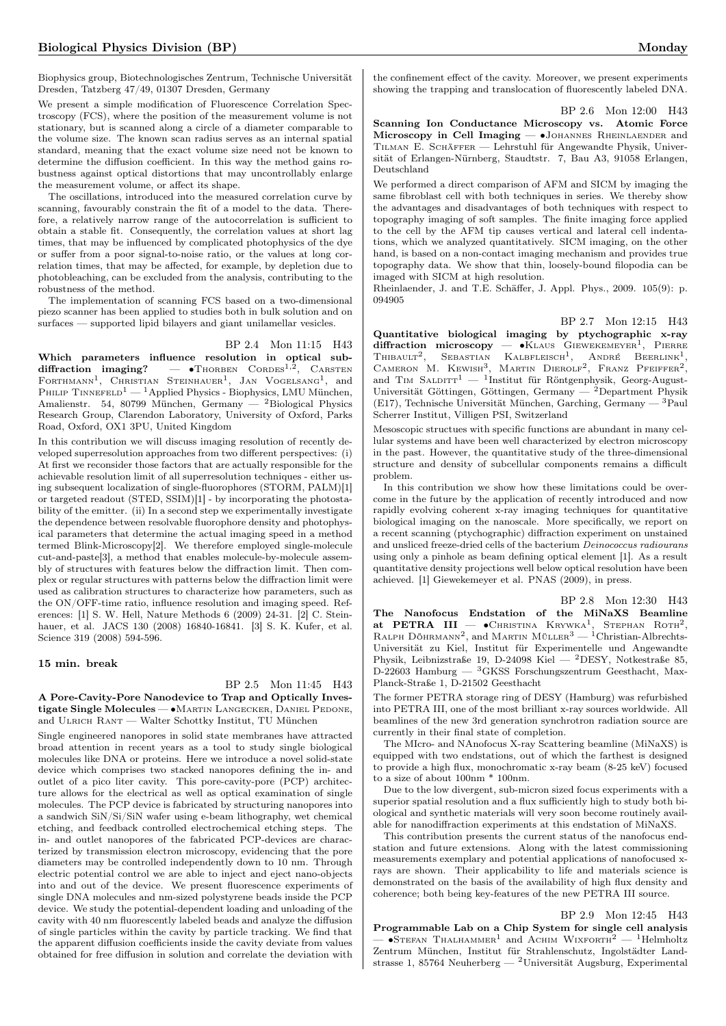Biophysics group, Biotechnologisches Zentrum, Technische Universität Dresden, Tatzberg 47/49, 01307 Dresden, Germany

We present a simple modification of Fluorescence Correlation Spectroscopy (FCS), where the position of the measurement volume is not stationary, but is scanned along a circle of a diameter comparable to the volume size. The known scan radius serves as an internal spatial standard, meaning that the exact volume size need not be known to determine the diffusion coefficient. In this way the method gains robustness against optical distortions that may uncontrollably enlarge the measurement volume, or affect its shape.

The oscillations, introduced into the measured correlation curve by scanning, favourably constrain the fit of a model to the data. Therefore, a relatively narrow range of the autocorrelation is sufficient to obtain a stable fit. Consequently, the correlation values at short lag times, that may be influenced by complicated photophysics of the dye or suffer from a poor signal-to-noise ratio, or the values at long correlation times, that may be affected, for example, by depletion due to photobleaching, can be excluded from the analysis, contributing to the robustness of the method.

The implementation of scanning FCS based on a two-dimensional piezo scanner has been applied to studies both in bulk solution and on surfaces — supported lipid bilayers and giant unilamellar vesicles.

BP 2.4 Mon 11:15 H43

Which parameters influence resolution in optical subdiffraction imaging?  $-$  • Thorben Cordes<sup>1,2</sup>, CARSTEN FORTHMANN<sup>1</sup>, CHRISTIAN STEINHAUER<sup>1</sup>, JAN VOGELSANG<sup>1</sup>, and PHILIP TINNEFELD<sup>1</sup> — <sup>1</sup>Applied Physics - Biophysics, LMU München, Amalienstr. 54, 80799 München, Germany — <sup>2</sup>Biological Physics Research Group, Clarendon Laboratory, University of Oxford, Parks Road, Oxford, OX1 3PU, United Kingdom

In this contribution we will discuss imaging resolution of recently developed superresolution approaches from two different perspectives: (i) At first we reconsider those factors that are actually responsible for the achievable resolution limit of all superresolution techniques - either using subsequent localization of single-fluorophores (STORM, PALM)[1] or targeted readout (STED, SSIM)[1] - by incorporating the photostability of the emitter. (ii) In a second step we experimentally investigate the dependence between resolvable fluorophore density and photophysical parameters that determine the actual imaging speed in a method termed Blink-Microscopy[2]. We therefore employed single-molecule cut-and-paste[3], a method that enables molecule-by-molecule assembly of structures with features below the diffraction limit. Then complex or regular structures with patterns below the diffraction limit were used as calibration structures to characterize how parameters, such as the ON/OFF-time ratio, influence resolution and imaging speed. References: [1] S. W. Hell, Nature Methods 6 (2009) 24-31. [2] C. Steinhauer, et al. JACS 130 (2008) 16840-16841. [3] S. K. Kufer, et al. Science 319 (2008) 594-596.

#### 15 min. break

# BP 2.5 Mon 11:45 H43

A Pore-Cavity-Pore Nanodevice to Trap and Optically Investigate Single Molecules — • MARTIN LANGECKER, DANIEL PEDONE, and Ulrich Rant — Walter Schottky Institut, TU München

Single engineered nanopores in solid state membranes have attracted broad attention in recent years as a tool to study single biological molecules like DNA or proteins. Here we introduce a novel solid-state device which comprises two stacked nanopores defining the in- and outlet of a pico liter cavity. This pore-cavity-pore (PCP) architecture allows for the electrical as well as optical examination of single molecules. The PCP device is fabricated by structuring nanopores into a sandwich SiN/Si/SiN wafer using e-beam lithography, wet chemical etching, and feedback controlled electrochemical etching steps. The in- and outlet nanopores of the fabricated PCP-devices are characterized by transmission electron microscopy, evidencing that the pore diameters may be controlled independently down to 10 nm. Through electric potential control we are able to inject and eject nano-objects into and out of the device. We present fluorescence experiments of single DNA molecules and nm-sized polystyrene beads inside the PCP device. We study the potential-dependent loading and unloading of the cavity with 40 nm fluorescently labeled beads and analyze the diffusion of single particles within the cavity by particle tracking. We find that the apparent diffusion coefficients inside the cavity deviate from values obtained for free diffusion in solution and correlate the deviation with

the confinement effect of the cavity. Moreover, we present experiments showing the trapping and translocation of fluorescently labeled DNA.

### BP 2.6 Mon 12:00 H43

Scanning Ion Conductance Microscopy vs. Atomic Force Microscopy in Cell Imaging — ∙Johannes Rheinlaender and Tilman E. Schäffer — Lehrstuhl für Angewandte Physik, Universität of Erlangen-Nürnberg, Staudtstr. 7, Bau A3, 91058 Erlangen, Deutschland

We performed a direct comparison of AFM and SICM by imaging the same fibroblast cell with both techniques in series. We thereby show the advantages and disadvantages of both techniques with respect to topography imaging of soft samples. The finite imaging force applied to the cell by the AFM tip causes vertical and lateral cell indentations, which we analyzed quantitatively. SICM imaging, on the other hand, is based on a non-contact imaging mechanism and provides true topography data. We show that thin, loosely-bound filopodia can be imaged with SICM at high resolution.

Rheinlaender, J. and T.E. Schäffer, J. Appl. Phys., 2009. 105(9): p. 094905

BP 2.7 Mon 12:15 H43

Quantitative biological imaging by ptychographic x-ray diffraction microscopy —  $\bullet$ KLAUS GIEWEKEMEYER<sup>1</sup>, PIERRE  $THIBAULT<sup>2</sup>$ . SEBASTIAN , SEBASTIAN KALBFLEISCH<sup>1</sup>, ANDRÉ BEERLINK<sup>1</sup>, CAMERON M. KEWISH<sup>3</sup>, MARTIN DIEROLF<sup>2</sup>, FRANZ PFEIFFER<sup>2</sup>, and TIM SALDITT<sup>1</sup> — <sup>1</sup>Institut für Röntgenphysik, Georg-August-Universität Göttingen, Göttingen, Germany —  $^{2}$ Department Physik (E17), Technische Universität München, Garching, Germany — <sup>3</sup>Paul Scherrer Institut, Villigen PSI, Switzerland

Mesoscopic structues with specific functions are abundant in many cellular systems and have been well characterized by electron microscopy in the past. However, the quantitative study of the three-dimensional structure and density of subcellular components remains a difficult problem.

In this contribution we show how these limitations could be overcome in the future by the application of recently introduced and now rapidly evolving coherent x-ray imaging techniques for quantitative biological imaging on the nanoscale. More specifically, we report on a recent scanning (ptychographic) diffraction experiment on unstained and unsliced freeze-dried cells of the bacterium Deinococcus radiourans using only a pinhole as beam defining optical element [1]. As a result quantitative density projections well below optical resolution have been achieved. [1] Giewekemeyer et al. PNAS (2009), in press.

BP 2.8 Mon 12:30 H43 The Nanofocus Endstation of the MiNaXS Beamline **at PETRA III** —  $\bullet$ CHRISTINA KRYWKA<sup>1</sup>, STEPHAN ROTH<sup>2</sup>;<br>RALPH DÖHRMANN<sup>2</sup>, and MARTIN MÜLLER<sup>3</sup> — <sup>1</sup>Christian-Albrechts-Universität zu Kiel, Institut für Experimentelle und Angewandte Physik, Leibnizstraße 19, D-24098 Kiel — <sup>2</sup>DESY, Notkestraße 85, D-22603 Hamburg —  ${}^{3}$ GKSS Forschungszentrum Geesthacht, Max-Planck-Straße 1, D-21502 Geesthacht

The former PETRA storage ring of DESY (Hamburg) was refurbished into PETRA III, one of the most brilliant x-ray sources worldwide. All beamlines of the new 3rd generation synchrotron radiation source are currently in their final state of completion.

The MIcro- and NAnofocus X-ray Scattering beamline (MiNaXS) is equipped with two endstations, out of which the farthest is designed to provide a high flux, monochromatic x-ray beam (8-25 keV) focused to a size of about 100nm \* 100nm.

Due to the low divergent, sub-micron sized focus experiments with a superior spatial resolution and a flux sufficiently high to study both biological and synthetic materials will very soon become routinely available for nanodiffraction experiments at this endstation of MiNaXS.

This contribution presents the current status of the nanofocus endstation and future extensions. Along with the latest commissioning measurements exemplary and potential applications of nanofocused xrays are shown. Their applicability to life and materials science is demonstrated on the basis of the availability of high flux density and coherence; both being key-features of the new PETRA III source.

#### BP 2.9 Mon 12:45 H43

Programmable Lab on a Chip System for single cell analysis  $\bullet$  STEFAN THALHAMMER<sup>1</sup> and Achim Wixforth<sup>2</sup> — <sup>1</sup>Helmholtz Zentrum München, Institut für Strahlenschutz, Ingolstädter Landstrasse 1, 85764 Neuherberg — <sup>2</sup>Universität Augsburg, Experimental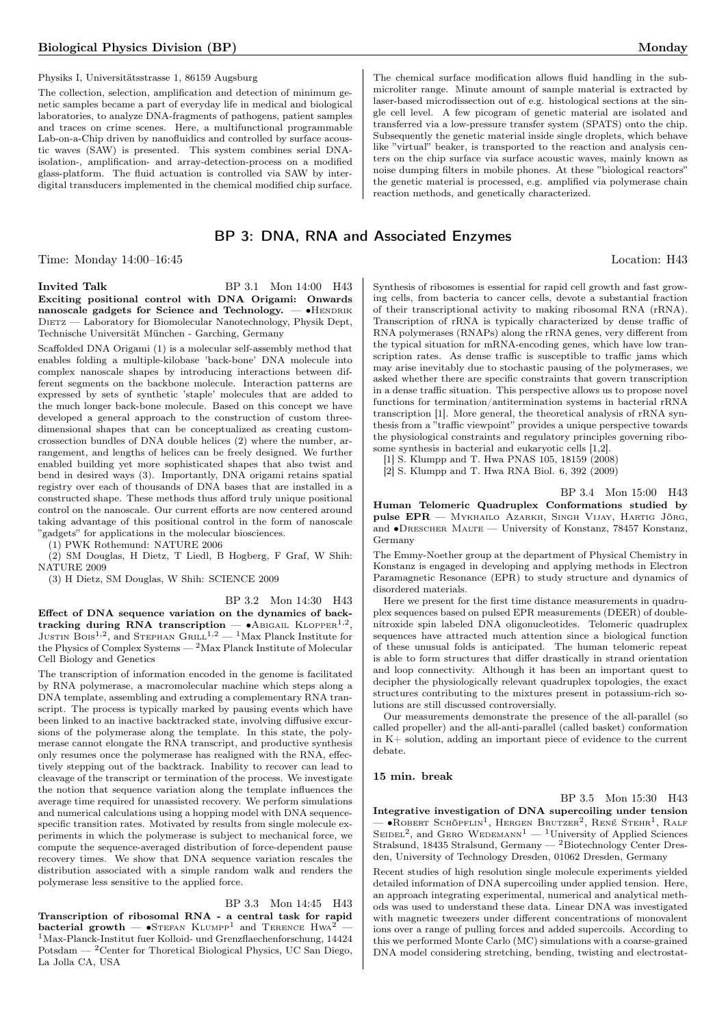Physiks I, Universitätsstrasse 1, 86159 Augsburg

The collection, selection, amplification and detection of minimum genetic samples became a part of everyday life in medical and biological laboratories, to analyze DNA-fragments of pathogens, patient samples and traces on crime scenes. Here, a multifunctional programmable Lab-on-a-Chip driven by nanofluidics and controlled by surface acoustic waves (SAW) is presented. This system combines serial DNAisolation-, amplification- and array-detection-process on a modified glass-platform. The fluid actuation is controlled via SAW by interdigital transducers implemented in the chemical modified chip surface.

## BP 3: DNA, RNA and Associated Enzymes

Time: Monday 14:00–16:45 Location: H43

#### Invited Talk BP 3.1 Mon 14:00 H43

Exciting positional control with DNA Origami: Onwards nanoscale gadgets for Science and Technology. — • HENDRIK DIETZ — Laboratory for Biomolecular Nanotechnology, Physik Dept, Technische Universität München - Garching, Germany

Scaffolded DNA Origami (1) is a molecular self-assembly method that enables folding a multiple-kilobase 'back-bone' DNA molecule into complex nanoscale shapes by introducing interactions between different segments on the backbone molecule. Interaction patterns are expressed by sets of synthetic 'staple' molecules that are added to the much longer back-bone molecule. Based on this concept we have developed a general approach to the construction of custom threedimensional shapes that can be conceptualized as creating customcrossection bundles of DNA double helices (2) where the number, arrangement, and lengths of helices can be freely designed. We further enabled building yet more sophisticated shapes that also twist and bend in desired ways (3). Importantly, DNA origami retains spatial registry over each of thousands of DNA bases that are installed in a constructed shape. These methods thus afford truly unique positional control on the nanoscale. Our current efforts are now centered around taking advantage of this positional control in the form of nanoscale "gadgets" for applications in the molecular biosciences.

(1) PWK Rothemund: NATURE 2006

(2) SM Douglas, H Dietz, T Liedl, B Hogberg, F Graf, W Shih: NATURE 2009

(3) H Dietz, SM Douglas, W Shih: SCIENCE 2009

BP 3.2 Mon 14:30 H43

Effect of DNA sequence variation on the dynamics of backtracking during RNA transcription — •ABIGAIL KLOPPER<sup>1,2</sup>, JUSTIN BOIS<sup>1,2</sup>, and STEPHAN GRILL<sup>1,2</sup> — <sup>1</sup>Max Planck Institute for the Physics of Complex Systems — <sup>2</sup>Max Planck Institute of Molecular Cell Biology and Genetics

The transcription of information encoded in the genome is facilitated by RNA polymerase, a macromolecular machine which steps along a DNA template, assembling and extruding a complementary RNA transcript. The process is typically marked by pausing events which have been linked to an inactive backtracked state, involving diffusive excursions of the polymerase along the template. In this state, the polymerase cannot elongate the RNA transcript, and productive synthesis only resumes once the polymerase has realigned with the RNA, effectively stepping out of the backtrack. Inability to recover can lead to cleavage of the transcript or termination of the process. We investigate the notion that sequence variation along the template influences the average time required for unassisted recovery. We perform simulations and numerical calculations using a hopping model with DNA sequencespecific transition rates. Motivated by results from single molecule experiments in which the polymerase is subject to mechanical force, we compute the sequence-averaged distribution of force-dependent pause recovery times. We show that DNA sequence variation rescales the distribution associated with a simple random walk and renders the polymerase less sensitive to the applied force.

## BP 3.3 Mon 14:45 H43

Transcription of ribosomal RNA - a central task for rapid bacterial growth —  $\bullet$ STEFAN KLUMPP<sup>1</sup> and TERENCE Hwa<sup>2</sup> <sup>1</sup>Max-Planck-Institut fuer Kolloid- und Grenzflaechenforschung, 14424 Potsdam — <sup>2</sup>Center for Thoretical Biological Physics, UC San Diego, La Jolla CA, USA

The chemical surface modification allows fluid handling in the submicroliter range. Minute amount of sample material is extracted by laser-based microdissection out of e.g. histological sections at the single cell level. A few picogram of genetic material are isolated and transferred via a low-pressure transfer system (SPATS) onto the chip. Subsequently the genetic material inside single droplets, which behave like "virtual" beaker, is transported to the reaction and analysis centers on the chip surface via surface acoustic waves, mainly known as noise dumping filters in mobile phones. At these "biological reactors" the genetic material is processed, e.g. amplified via polymerase chain reaction methods, and genetically characterized.

Synthesis of ribosomes is essential for rapid cell growth and fast growing cells, from bacteria to cancer cells, devote a substantial fraction of their transcriptional activity to making ribosomal RNA (rRNA). Transcription of rRNA is typically characterized by dense traffic of RNA polymerases (RNAPs) along the rRNA genes, very different from the typical situation for mRNA-encoding genes, which have low transcription rates. As dense traffic is susceptible to traffic jams which may arise inevitably due to stochastic pausing of the polymerases, we asked whether there are specific constraints that govern transcription in a dense traffic situation. This perspective allows us to propose novel functions for termination/antitermination systems in bacterial rRNA transcription [1]. More general, the theoretical analysis of rRNA synthesis from a "traffic viewpoint" provides a unique perspective towards the physiological constraints and regulatory principles governing ribosome synthesis in bacterial and eukaryotic cells [1,2].

[1] S. Klumpp and T. Hwa PNAS 105, 18159 (2008)

[2] S. Klumpp and T. Hwa RNA Biol. 6, 392 (2009)

BP 3.4 Mon 15:00 H43

Human Telomeric Quadruplex Conformations studied by pulse EPR — Mykhailo Azarkh, Singh Vijay, Hartig Jörg, and ∙Drescher Malte — University of Konstanz, 78457 Konstanz, Germany

The Emmy-Noether group at the department of Physical Chemistry in Konstanz is engaged in developing and applying methods in Electron Paramagnetic Resonance (EPR) to study structure and dynamics of disordered materials.

Here we present for the first time distance measurements in quadruplex sequences based on pulsed EPR measurements (DEER) of doublenitroxide spin labeled DNA oligonucleotides. Telomeric quadruplex sequences have attracted much attention since a biological function of these unusual folds is anticipated. The human telomeric repeat is able to form structures that differ drastically in strand orientation and loop connectivity. Although it has been an important quest to decipher the physiologically relevant quadruplex topologies, the exact structures contributing to the mixtures present in potassium-rich solutions are still discussed controversially.

Our measurements demonstrate the presence of the all-parallel (so called propeller) and the all-anti-parallel (called basket) conformation in K+ solution, adding an important piece of evidence to the current debate.

#### 15 min. break

#### BP 3.5 Mon 15:30 H43

Integrative investigation of DNA supercoiling under tension — • ROBERT SCHÖPFLIN<sup>1</sup>, HERGEN BRUTZER<sup>2</sup>, RENÉ STEHR<sup>1</sup>, RALF SEIDEL<sup>2</sup>, and GERO WEDEMANN<sup>1</sup> — <sup>1</sup>University of Applied Sciences Stralsund, 18435 Stralsund, Germany — <sup>2</sup>Biotechnology Center Dresden, University of Technology Dresden, 01062 Dresden, Germany

Recent studies of high resolution single molecule experiments yielded detailed information of DNA supercoiling under applied tension. Here, an approach integrating experimental, numerical and analytical methods was used to understand these data. Linear DNA was investigated with magnetic tweezers under different concentrations of monovalent ions over a range of pulling forces and added supercoils. According to this we performed Monte Carlo (MC) simulations with a coarse-grained DNA model considering stretching, bending, twisting and electrostat-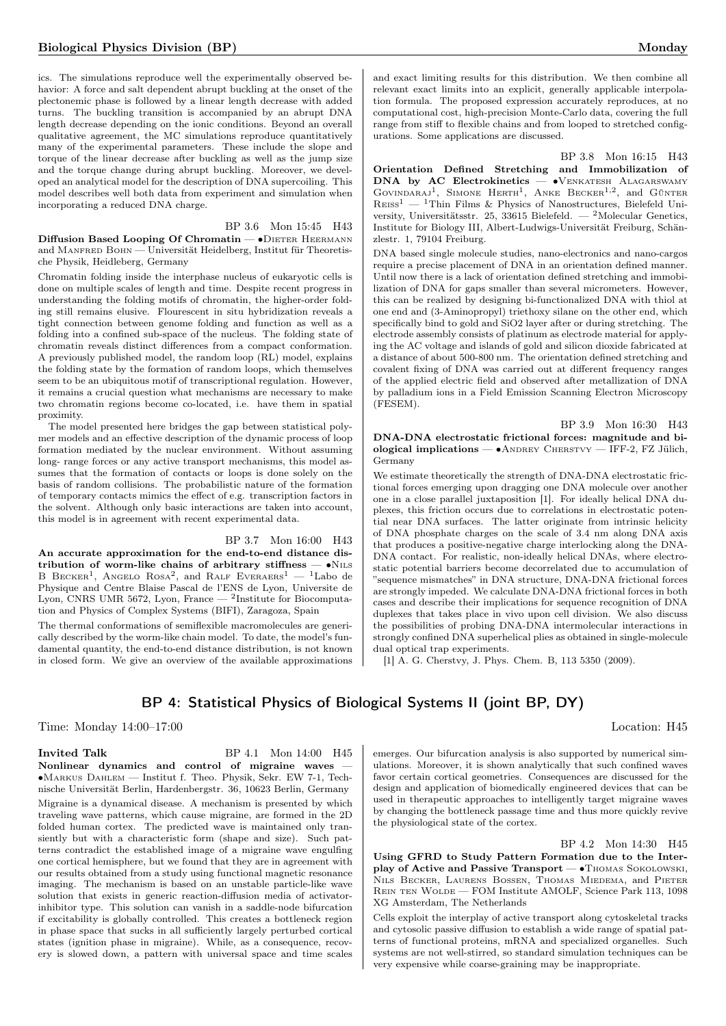ics. The simulations reproduce well the experimentally observed behavior: A force and salt dependent abrupt buckling at the onset of the plectonemic phase is followed by a linear length decrease with added turns. The buckling transition is accompanied by an abrupt DNA length decrease depending on the ionic conditions. Beyond an overall qualitative agreement, the MC simulations reproduce quantitatively many of the experimental parameters. These include the slope and torque of the linear decrease after buckling as well as the jump size and the torque change during abrupt buckling. Moreover, we developed an analytical model for the description of DNA supercoiling. This model describes well both data from experiment and simulation when incorporating a reduced DNA charge.

BP 3.6 Mon 15:45 H43 Diffusion Based Looping Of Chromatin — • DIETER HEERMANN and MANFRED BOHN — Universität Heidelberg, Institut für Theoretische Physik, Heidleberg, Germany

Chromatin folding inside the interphase nucleus of eukaryotic cells is done on multiple scales of length and time. Despite recent progress in understanding the folding motifs of chromatin, the higher-order folding still remains elusive. Flourescent in situ hybridization reveals a tight connection between genome folding and function as well as a folding into a confined sub-space of the nucleus. The folding state of chromatin reveals distinct differences from a compact conformation. A previously published model, the random loop (RL) model, explains the folding state by the formation of random loops, which themselves seem to be an ubiquitous motif of transcriptional regulation. However, it remains a crucial question what mechanisms are necessary to make two chromatin regions become co-located, i.e. have them in spatial proximity.

The model presented here bridges the gap between statistical polymer models and an effective description of the dynamic process of loop formation mediated by the nuclear environment. Without assuming long- range forces or any active transport mechanisms, this model assumes that the formation of contacts or loops is done solely on the basis of random collisions. The probabilistic nature of the formation of temporary contacts mimics the effect of e.g. transcription factors in the solvent. Although only basic interactions are taken into account, this model is in agreement with recent experimental data.

BP 3.7 Mon 16:00 H43 An accurate approximation for the end-to-end distance distribution of worm-like chains of arbitrary stiffness —  $\bullet$ N<sub>ILS</sub> B BECKER<sup>1</sup>, ANGELO ROSA<sup>2</sup>, and RALF EVERAERS<sup>1</sup> - <sup>1</sup>Labo de Physique and Centre Blaise Pascal de l'ENS de Lyon, Universite de Lyon, CNRS UMR 5672, Lyon, France  $-$  <sup>2</sup>Institute for Biocomputation and Physics of Complex Systems (BIFI), Zaragoza, Spain

The thermal conformations of semiflexible macromolecules are generically described by the worm-like chain model. To date, the model's fundamental quantity, the end-to-end distance distribution, is not known in closed form. We give an overview of the available approximations

and exact limiting results for this distribution. We then combine all relevant exact limits into an explicit, generally applicable interpolation formula. The proposed expression accurately reproduces, at no computational cost, high-precision Monte-Carlo data, covering the full range from stiff to flexible chains and from looped to stretched configurations. Some applications are discussed.

BP 3.8 Mon 16:15 H43 Orientation Defined Stretching and Immobilization of DNA by AC Electrokinetics — • VENKATESH ALAGARSWAMY GOVINDARAJ<sup>1</sup>, SIMONE HERTH<sup>1</sup>, ANKE BECKER<sup>1,2</sup>, and GÜNTER  $\mathrm{R}\mathrm{e}\mathrm{e}\mathrm{s}\mathrm{s}\mathrm{1}$  —  $\mathrm{1}\mathrm{T}\mathrm{h}$  in Films & Physics of Nanostructures, Bielefeld University, Universitätsstr. 25, 33615 Bielefeld. — <sup>2</sup>Molecular Genetics, Institute for Biology III, Albert-Ludwigs-Universität Freiburg, Schänzlestr. 1, 79104 Freiburg.

DNA based single molecule studies, nano-electronics and nano-cargos require a precise placement of DNA in an orientation defined manner. Until now there is a lack of orientation defined stretching and immobilization of DNA for gaps smaller than several micrometers. However, this can be realized by designing bi-functionalized DNA with thiol at one end and (3-Aminopropyl) triethoxy silane on the other end, which specifically bind to gold and SiO2 layer after or during stretching. The electrode assembly consists of platinum as electrode material for applying the AC voltage and islands of gold and silicon dioxide fabricated at a distance of about 500-800 nm. The orientation defined stretching and covalent fixing of DNA was carried out at different frequency ranges of the applied electric field and observed after metallization of DNA by palladium ions in a Field Emission Scanning Electron Microscopy (FESEM).

BP 3.9 Mon 16:30 H43 DNA-DNA electrostatic frictional forces: magnitude and biological implications —  $\bullet$ ANDREY CHERSTVY — IFF-2, FZ Jülich, Germany

We estimate theoretically the strength of DNA-DNA electrostatic frictional forces emerging upon dragging one DNA molecule over another one in a close parallel juxtaposition [1]. For ideally helical DNA duplexes, this friction occurs due to correlations in electrostatic potential near DNA surfaces. The latter originate from intrinsic helicity of DNA phosphate charges on the scale of 3.4 nm along DNA axis that produces a positive-negative charge interlocking along the DNA-DNA contact. For realistic, non-ideally helical DNAs, where electrostatic potential barriers become decorrelated due to accumulation of "sequence mismatches" in DNA structure, DNA-DNA frictional forces are strongly impeded. We calculate DNA-DNA frictional forces in both cases and describe their implications for sequence recognition of DNA duplexes that takes place in vivo upon cell division. We also discuss the possibilities of probing DNA-DNA intermolecular interactions in strongly confined DNA superhelical plies as obtained in single-molecule dual optical trap experiments.

[1] A. G. Cherstvy, J. Phys. Chem. B, 113 5350 (2009).

## BP 4: Statistical Physics of Biological Systems II (joint BP, DY)

Time: Monday 14:00–17:00 Location: H45

#### Invited Talk BP 4.1 Mon 14:00 H45

Nonlinear dynamics and control of migraine waves — ∙Markus Dahlem — Institut f. Theo. Physik, Sekr. EW 7-1, Technische Universität Berlin, Hardenbergstr. 36, 10623 Berlin, Germany Migraine is a dynamical disease. A mechanism is presented by which traveling wave patterns, which cause migraine, are formed in the 2D folded human cortex. The predicted wave is maintained only transiently but with a characteristic form (shape and size). Such patterns contradict the established image of a migraine wave engulfing one cortical hemisphere, but we found that they are in agreement with our results obtained from a study using functional magnetic resonance imaging. The mechanism is based on an unstable particle-like wave solution that exists in generic reaction-diffusion media of activatorinhibitor type. This solution can vanish in a saddle-node bifurcation if excitability is globally controlled. This creates a bottleneck region in phase space that sucks in all sufficiently largely perturbed cortical states (ignition phase in migraine). While, as a consequence, recovery is slowed down, a pattern with universal space and time scales

emerges. Our bifurcation analysis is also supported by numerical simulations. Moreover, it is shown analytically that such confined waves favor certain cortical geometries. Consequences are discussed for the design and application of biomedically engineered devices that can be used in therapeutic approaches to intelligently target migraine waves by changing the bottleneck passage time and thus more quickly revive the physiological state of the cortex.

BP 4.2 Mon 14:30 H45 Using GFRD to Study Pattern Formation due to the Interplay of Active and Passive Transport — • THOMAS SOKOLOWSKI, Nils Becker, Laurens Bossen, Thomas Miedema, and Pieter REIN TEN WOLDE — FOM Institute AMOLF, Science Park 113, 1098 XG Amsterdam, The Netherlands

Cells exploit the interplay of active transport along cytoskeletal tracks and cytosolic passive diffusion to establish a wide range of spatial patterns of functional proteins, mRNA and specialized organelles. Such systems are not well-stirred, so standard simulation techniques can be very expensive while coarse-graining may be inappropriate.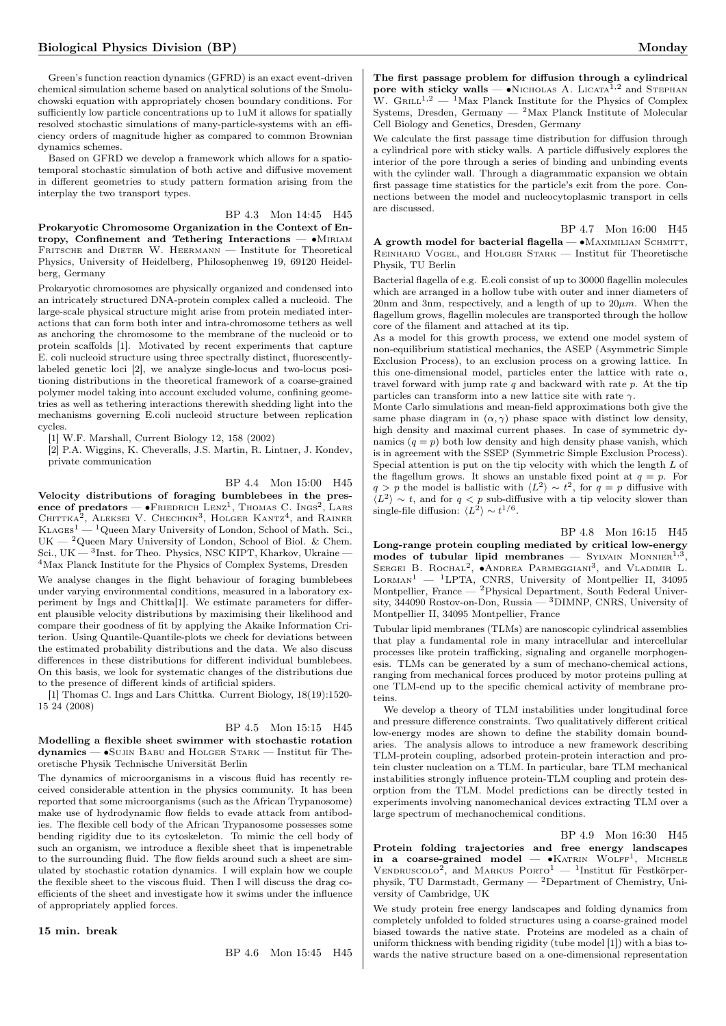Green's function reaction dynamics (GFRD) is an exact event-driven chemical simulation scheme based on analytical solutions of the Smoluchowski equation with appropriately chosen boundary conditions. For sufficiently low particle concentrations up to 1uM it allows for spatially resolved stochastic simulations of many-particle-systems with an efficiency orders of magnitude higher as compared to common Brownian dynamics schemes.

Based on GFRD we develop a framework which allows for a spatiotemporal stochastic simulation of both active and diffusive movement in different geometries to study pattern formation arising from the interplay the two transport types.

### BP 4.3 Mon 14:45 H45

Prokaryotic Chromosome Organization in the Context of Entropy, Confinement and Tethering Interactions — • MIRIAM FRITSCHE and DIETER W. HEERMANN — Institute for Theoretical Physics, University of Heidelberg, Philosophenweg 19, 69120 Heidelberg, Germany

Prokaryotic chromosomes are physically organized and condensed into an intricately structured DNA-protein complex called a nucleoid. The large-scale physical structure might arise from protein mediated interactions that can form both inter and intra-chromosome tethers as well as anchoring the chromosome to the membrane of the nucleoid or to protein scaffolds [1]. Motivated by recent experiments that capture E. coli nucleoid structure using three spectrally distinct, fluorescentlylabeled genetic loci [2], we analyze single-locus and two-locus positioning distributions in the theoretical framework of a coarse-grained polymer model taking into account excluded volume, confining geometries as well as tethering interactions therewith shedding light into the mechanisms governing E.coli nucleoid structure between replication cycles.

[1] W.F. Marshall, Current Biology 12, 158 (2002)

[2] P.A. Wiggins, K. Cheveralls, J.S. Martin, R. Lintner, J. Kondev, private communication

#### BP 4.4 Mon 15:00 H45

Velocity distributions of foraging bumblebees in the presence of predators — •Friedrich Lenz<sup>1</sup>, Thomas C. Ings<sup>2</sup>, Lars Chittka<sup>2</sup>, Aleksei V. Chechkin<sup>3</sup>, Holger Kantz<sup>4</sup>, and Rainer  $KLAGES<sup>1</sup>$  — <sup>1</sup>Queen Mary University of London, School of Math. Sci.,  $UK - 2$ Queen Mary University of London, School of Biol. & Chem. Sci., UK  $-$  <sup>3</sup>Inst. for Theo. Physics, NSC KIPT, Kharkov, Ukraine  $-$ <sup>4</sup>Max Planck Institute for the Physics of Complex Systems, Dresden

We analyse changes in the flight behaviour of foraging bumblebees under varying environmental conditions, measured in a laboratory experiment by Ings and Chittka[1]. We estimate parameters for different plausible velocity distributions by maximising their likelihood and compare their goodness of fit by applying the Akaike Information Criterion. Using Quantile-Quantile-plots we check for deviations between the estimated probability distributions and the data. We also discuss differences in these distributions for different individual bumblebees. On this basis, we look for systematic changes of the distributions due to the presence of different kinds of artificial spiders.

[1] Thomas C. Ings and Lars Chittka. Current Biology, 18(19):1520- 15 24 (2008)

## BP 4.5 Mon 15:15 H45 Modelling a flexible sheet swimmer with stochastic rotation

dynamics — ∙Sujin Babu and Holger Stark — Institut für Theoretische Physik Technische Universität Berlin

The dynamics of microorganisms in a viscous fluid has recently received considerable attention in the physics community. It has been reported that some microorganisms (such as the African Trypanosome) make use of hydrodynamic flow fields to evade attack from antibodies. The flexible cell body of the African Trypanosome possesses some bending rigidity due to its cytoskeleton. To mimic the cell body of such an organism, we introduce a flexible sheet that is impenetrable to the surrounding fluid. The flow fields around such a sheet are simulated by stochastic rotation dynamics. I will explain how we couple the flexible sheet to the viscous fluid. Then I will discuss the drag coefficients of the sheet and investigate how it swims under the influence of appropriately applied forces.

15 min. break

BP 4.6 Mon 15:45 H45

The first passage problem for diffusion through a cylindrical pore with sticky walls —  $\bullet$ Nicholas A. Licata<sup>1,2</sup> and Stephan W.  $GRLL^{1,2}$  — <sup>1</sup>Max Planck Institute for the Physics of Complex Systems, Dresden, Germany  $-$  <sup>2</sup>Max Planck Institute of Molecular Cell Biology and Genetics, Dresden, Germany

We calculate the first passage time distribution for diffusion through a cylindrical pore with sticky walls. A particle diffusively explores the interior of the pore through a series of binding and unbinding events with the cylinder wall. Through a diagrammatic expansion we obtain first passage time statistics for the particle's exit from the pore. Connections between the model and nucleocytoplasmic transport in cells are discussed.

BP 4.7 Mon 16:00 H45 A growth model for bacterial flagella — • MAXIMILIAN SCHMITT, Reinhard Vogel, and Holger Stark — Institut für Theoretische Physik, TU Berlin

Bacterial flagella of e.g. E.coli consist of up to 30000 flagellin molecules which are arranged in a hollow tube with outer and inner diameters of 20nm and 3nm, respectively, and a length of up to  $20 \mu m$ . When the flagellum grows, flagellin molecules are transported through the hollow core of the filament and attached at its tip.

As a model for this growth process, we extend one model system of non-equilibrium statistical mechanics, the ASEP (Asymmetric Simple Exclusion Process), to an exclusion process on a growing lattice. In this one-dimensional model, particles enter the lattice with rate  $\alpha$ , travel forward with jump rate  $q$  and backward with rate  $p$ . At the tip particles can transform into a new lattice site with rate  $\gamma$ .

Monte Carlo simulations and mean-field approximations both give the same phase diagram in  $(\alpha, \gamma)$  phase space with distinct low density, high density and maximal current phases. In case of symmetric dynamics  $(q = p)$  both low density and high density phase vanish, which is in agreement with the SSEP (Symmetric Simple Exclusion Process). Special attention is put on the tip velocity with which the length  $L$  of the flagellum grows. It shows an unstable fixed point at  $q = p$ . For  $q > p$  the model is ballistic with  $\langle L^2 \rangle \sim t^2$ , for  $q = p$  diffusive with  $\langle L^2 \rangle \sim t$ , and for  $q < p$  sub-diffusive with a tip velocity slower than single-file diffusion:  $\langle L^2 \rangle \sim t^{1/6}$ .

### BP 4.8 Mon 16:15 H45

Long-range protein coupling mediated by critical low-energy modes of tubular lipid membranes  $-$  SYLVAIN MONNIER<sup>1,3</sup>, SERGEI B. ROCHAL<sup>2</sup>, ●ANDREA PARMEGGIANI<sup>3</sup>, and VLADIMIR L.  $L$ ORMAN<sup>1</sup> — <sup>1</sup>LPTA, CNRS, University of Montpellier II, 34095 Montpellier, France — <sup>2</sup>Physical Department, South Federal University, 344090 Rostov-on-Don, Russia — <sup>3</sup>DIMNP, CNRS, University of Montpellier II, 34095 Montpellier, France

Tubular lipid membranes (TLMs) are nanoscopic cylindrical assemblies that play a fundamental role in many intracellular and intercellular processes like protein trafficking, signaling and organelle morphogenesis. TLMs can be generated by a sum of mechano-chemical actions, ranging from mechanical forces produced by motor proteins pulling at one TLM-end up to the specific chemical activity of membrane proteins.

We develop a theory of TLM instabilities under longitudinal force and pressure difference constraints. Two qualitatively different critical low-energy modes are shown to define the stability domain boundaries. The analysis allows to introduce a new framework describing TLM-protein coupling, adsorbed protein-protein interaction and protein cluster nucleation on a TLM. In particular, bare TLM mechanical instabilities strongly influence protein-TLM coupling and protein desorption from the TLM. Model predictions can be directly tested in experiments involving nanomechanical devices extracting TLM over a large spectrum of mechanochemical conditions.

BP 4.9 Mon 16:30 H45 Protein folding trajectories and free energy landscapes in a coarse-grained model — •KATRIN WOLFF<sup>1</sup>, MICHELE VENDRUSCOLO<sup>2</sup>, and MARKUS PORTO<sup>1</sup> - <sup>1</sup>Institut für Festkörperphysik, TU Darmstadt, Germany  $-$  <sup>2</sup>Department of Chemistry, University of Cambridge, UK

We study protein free energy landscapes and folding dynamics from completely unfolded to folded structures using a coarse-grained model biased towards the native state. Proteins are modeled as a chain of uniform thickness with bending rigidity (tube model [1]) with a bias towards the native structure based on a one-dimensional representation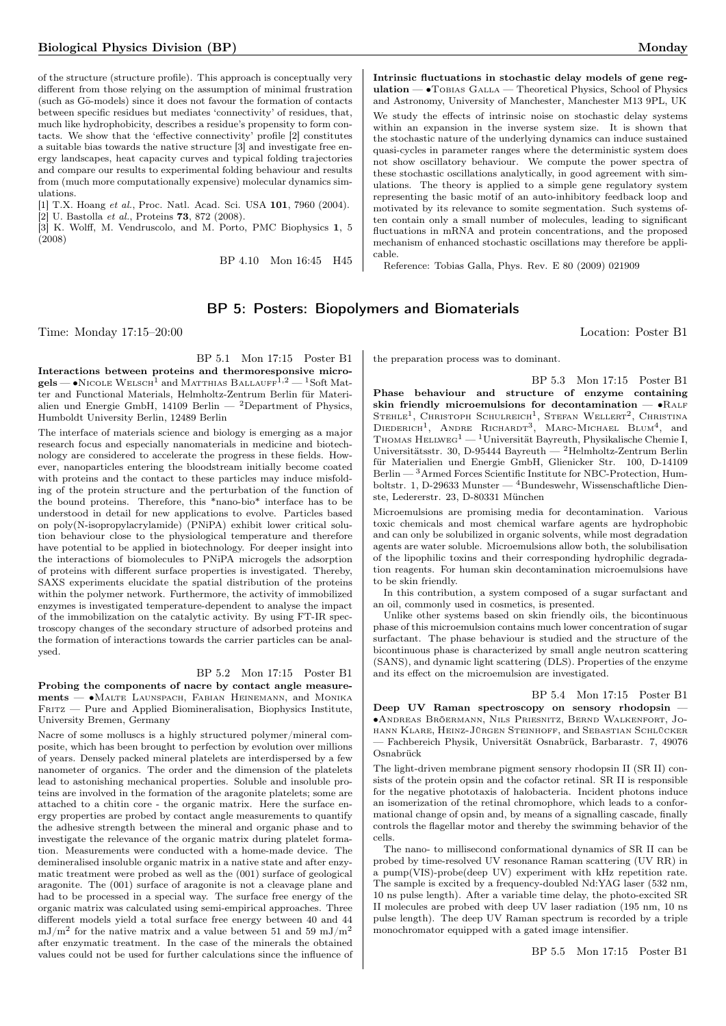of the structure (structure profile). This approach is conceptually very different from those relying on the assumption of minimal frustration (such as  $G\overline{o}$ -models) since it does not favour the formation of contacts between specific residues but mediates 'connectivity' of residues, that, much like hydrophobicity, describes a residue's propensity to form contacts. We show that the 'effective connectivity' profile [2] constitutes a suitable bias towards the native structure [3] and investigate free energy landscapes, heat capacity curves and typical folding trajectories and compare our results to experimental folding behaviour and results from (much more computationally expensive) molecular dynamics simulations.

[1] T.X. Hoang et al., Proc. Natl. Acad. Sci. USA 101, 7960 (2004).  $[2]$  U. Bastolla *et al.*, Proteins **73**, 872 (2008).

[3] K. Wolff, M. Vendruscolo, and M. Porto, PMC Biophysics 1, 5 (2008)

BP 4.10 Mon 16:45 H45

Intrinsic fluctuations in stochastic delay models of gene regulation —  $\bullet$  Tobias Galla — Theoretical Physics, School of Physics and Astronomy, University of Manchester, Manchester M13 9PL, UK We study the effects of intrinsic noise on stochastic delay systems within an expansion in the inverse system size. It is shown that the stochastic nature of the underlying dynamics can induce sustained quasi-cycles in parameter ranges where the deterministic system does not show oscillatory behaviour. We compute the power spectra of these stochastic oscillations analytically, in good agreement with simulations. The theory is applied to a simple gene regulatory system representing the basic motif of an auto-inhibitory feedback loop and motivated by its relevance to somite segmentation. Such systems often contain only a small number of molecules, leading to significant fluctuations in mRNA and protein concentrations, and the proposed mechanism of enhanced stochastic oscillations may therefore be applicable.

Reference: Tobias Galla, Phys. Rev. E 80 (2009) 021909

## BP 5: Posters: Biopolymers and Biomaterials

Time: Monday 17:15–20:00 Location: Poster B1

BP 5.1 Mon 17:15 Poster B1 Interactions between proteins and thermoresponsive micro $gels$  —  $\bullet$ Nicole Welsch<sup>1</sup> and Matthias Ballauff<sup>1,2</sup> — <sup>1</sup>Soft Matter and Functional Materials, Helmholtz-Zentrum Berlin für Materialien und Energie GmbH, 14109 Berlin — <sup>2</sup>Department of Physics, Humboldt University Berlin, 12489 Berlin

The interface of materials science and biology is emerging as a major research focus and especially nanomaterials in medicine and biotechnology are considered to accelerate the progress in these fields. However, nanoparticles entering the bloodstream initially become coated with proteins and the contact to these particles may induce misfolding of the protein structure and the perturbation of the function of the bound proteins. Therefore, this \*nano-bio\* interface has to be understood in detail for new applications to evolve. Particles based on poly(N-isopropylacrylamide) (PNiPA) exhibit lower critical solution behaviour close to the physiological temperature and therefore have potential to be applied in biotechnology. For deeper insight into the interactions of biomolecules to PNiPA microgels the adsorption of proteins with different surface properties is investigated. Thereby, SAXS experiments elucidate the spatial distribution of the proteins within the polymer network. Furthermore, the activity of immobilized enzymes is investigated temperature-dependent to analyse the impact of the immobilization on the catalytic activity. By using FT-IR spectroscopy changes of the secondary structure of adsorbed proteins and the formation of interactions towards the carrier particles can be analysed.

### BP 5.2 Mon 17:15 Poster B1

Probing the components of nacre by contact angle measurements — ∙Malte Launspach, Fabian Heinemann, and Monika  $F_{\text{RITZ}}$  – Pure and Applied Biomineralisation, Biophysics Institute, University Bremen, Germany

Nacre of some molluscs is a highly structured polymer/mineral composite, which has been brought to perfection by evolution over millions of years. Densely packed mineral platelets are interdispersed by a few nanometer of organics. The order and the dimension of the platelets lead to astonishing mechanical properties. Soluble and insoluble proteins are involved in the formation of the aragonite platelets; some are attached to a chitin core - the organic matrix. Here the surface energy properties are probed by contact angle measurements to quantify the adhesive strength between the mineral and organic phase and to investigate the relevance of the organic matrix during platelet formation. Measurements were conducted with a home-made device. The demineralised insoluble organic matrix in a native state and after enzymatic treatment were probed as well as the (001) surface of geological aragonite. The (001) surface of aragonite is not a cleavage plane and had to be processed in a special way. The surface free energy of the organic matrix was calculated using semi-empirical approaches. Three different models yield a total surface free energy between 40 and 44  $mJ/m<sup>2</sup>$  for the native matrix and a value between 51 and 59 mJ/m<sup>2</sup> after enzymatic treatment. In the case of the minerals the obtained values could not be used for further calculations since the influence of

the preparation process was to dominant.

BP 5.3 Mon 17:15 Poster B1 Phase behaviour and structure of enzyme containing skin friendly microemulsions for decontamination — •RALF STEHLE<sup>1</sup>, CHRISTOPH SCHULREICH<sup>1</sup>, STEFAN WELLERT<sup>2</sup>, CHRISTINA DIEDERICH<sup>1</sup>, ANDRE RICHARDT<sup>3</sup>, MARC-MICHAEL BLUM<sup>4</sup>, and Thomas Hellweg<sup>1</sup> — <sup>1</sup>Universität Bayreuth, Physikalische Chemie I, Universitätsstr. 30, D-95444 Bayreuth — <sup>2</sup>Helmholtz-Zentrum Berlin für Materialien und Energie GmbH, Glienicker Str. 100, D-14109 Berlin — <sup>3</sup>Armed Forces Scientific Institute for NBC-Protection, Humboltstr. 1, D-29633 Munster — <sup>4</sup>Bundeswehr, Wissenschaftliche Dienste, Ledererstr. 23, D-80331 München

Microemulsions are promising media for decontamination. Various toxic chemicals and most chemical warfare agents are hydrophobic and can only be solubilized in organic solvents, while most degradation agents are water soluble. Microemulsions allow both, the solubilisation of the lipophilic toxins and their corresponding hydrophilic degradation reagents. For human skin decontamination microemulsions have to be skin friendly.

In this contribution, a system composed of a sugar surfactant and an oil, commonly used in cosmetics, is presented.

Unlike other systems based on skin friendly oils, the bicontinuous phase of this microemulsion contains much lower concentration of sugar surfactant. The phase behaviour is studied and the structure of the bicontinuous phase is characterized by small angle neutron scattering (SANS), and dynamic light scattering (DLS). Properties of the enzyme and its effect on the microemulsion are investigated.

BP 5.4 Mon 17:15 Poster B1

Deep UV Raman spectroscopy on sensory rhodopsin — ∙Andreas Bröermann, Nils Priesnitz, Bernd Walkenfort, Johann Klare, Heinz-Jürgen Steinhoff, and Sebastian Schlücker — Fachbereich Physik, Universität Osnabrück, Barbarastr. 7, 49076 Osnabrück

The light-driven membrane pigment sensory rhodopsin II (SR II) consists of the protein opsin and the cofactor retinal. SR II is responsible for the negative phototaxis of halobacteria. Incident photons induce an isomerization of the retinal chromophore, which leads to a conformational change of opsin and, by means of a signalling cascade, finally controls the flagellar motor and thereby the swimming behavior of the cells.

The nano- to millisecond conformational dynamics of SR II can be probed by time-resolved UV resonance Raman scattering (UV RR) in a pump(VIS)-probe(deep UV) experiment with kHz repetition rate. The sample is excited by a frequency-doubled Nd:YAG laser (532 nm, 10 ns pulse length). After a variable time delay, the photo-excited SR II molecules are probed with deep UV laser radiation (195 nm, 10 ns pulse length). The deep UV Raman spectrum is recorded by a triple monochromator equipped with a gated image intensifier.

BP 5.5 Mon 17:15 Poster B1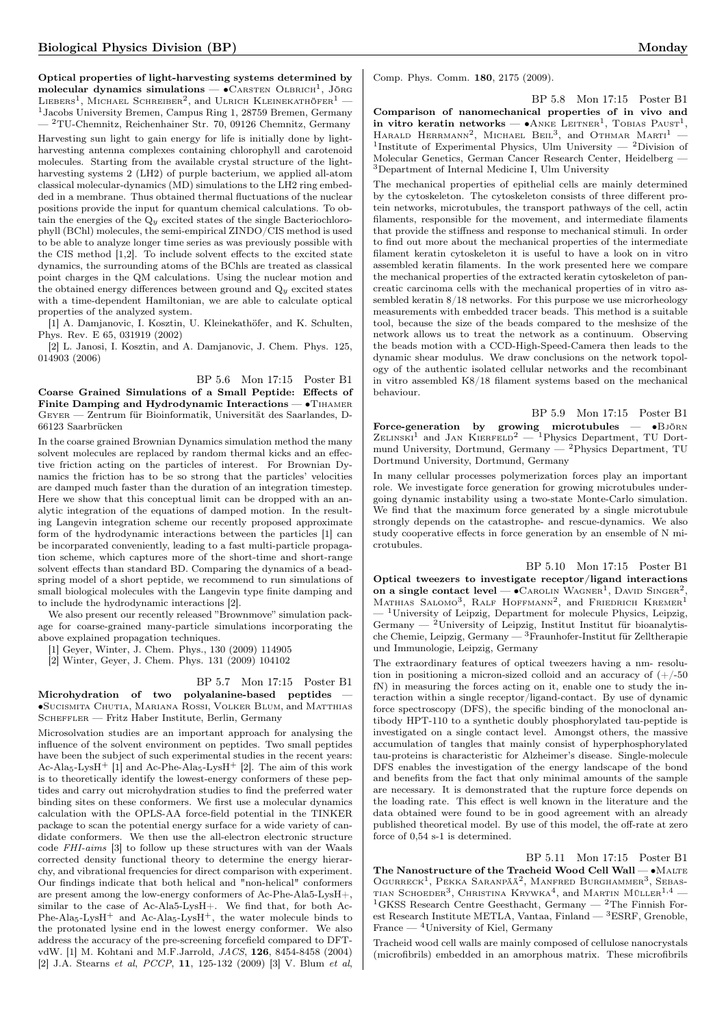Optical properties of light-harvesting systems determined by molecular dynamics simulations — • CARSTEN OLBRICH<sup>1</sup>, JÖRG LIEBERS<sup>1</sup>, MICHAEL SCHREIBER<sup>2</sup>, and ULRICH KLEINEKATHÖFER<sup>1</sup> — <sup>1</sup>Jacobs University Bremen, Campus Ring 1, 28759 Bremen, Germany — <sup>2</sup>TU-Chemnitz, Reichenhainer Str. 70, 09126 Chemnitz, Germany

Harvesting sun light to gain energy for life is initially done by lightharvesting antenna complexes containing chlorophyll and carotenoid molecules. Starting from the available crystal structure of the lightharvesting systems 2 (LH2) of purple bacterium, we applied all-atom classical molecular-dynamics (MD) simulations to the LH2 ring embedded in a membrane. Thus obtained thermal fluctuations of the nuclear positions provide the input for quantum chemical calculations. To obtain the energies of the  $Q_y$  excited states of the single Bacteriochlorophyll (BChl) molecules, the semi-empirical ZINDO/CIS method is used to be able to analyze longer time series as was previously possible with the CIS method [1,2]. To include solvent effects to the excited state dynamics, the surrounding atoms of the BChls are treated as classical point charges in the QM calculations. Using the nuclear motion and the obtained energy differences between ground and  $Q<sub>y</sub>$  excited states with a time-dependent Hamiltonian, we are able to calculate optical properties of the analyzed system.

[1] A. Damjanovic, I. Kosztin, U. Kleinekathöfer, and K. Schulten, Phys. Rev. E 65, 031919 (2002)

[2] L. Janosi, I. Kosztin, and A. Damjanovic, J. Chem. Phys. 125, 014903 (2006)

BP 5.6 Mon 17:15 Poster B1 Coarse Grained Simulations of a Small Peptide: Effects of Finite Damping and Hydrodynamic Interactions — • THAMER Geyer — Zentrum für Bioinformatik, Universität des Saarlandes, D-66123 Saarbrücken

In the coarse grained Brownian Dynamics simulation method the many solvent molecules are replaced by random thermal kicks and an effective friction acting on the particles of interest. For Brownian Dynamics the friction has to be so strong that the particles' velocities are damped much faster than the duration of an integration timestep. Here we show that this conceptual limit can be dropped with an analytic integration of the equations of damped motion. In the resulting Langevin integration scheme our recently proposed approximate form of the hydrodynamic interactions between the particles [1] can be incorparated conveniently, leading to a fast multi-particle propagation scheme, which captures more of the short-time and short-range solvent effects than standard BD. Comparing the dynamics of a beadspring model of a short peptide, we recommend to run simulations of small biological molecules with the Langevin type finite damping and to include the hydrodynamic interactions [2].

We also present our recently released "Brownmove" simulation package for coarse-grained many-particle simulations incorporating the above explained propagation techniques.

[1] Geyer, Winter, J. Chem. Phys., 130 (2009) 114905

[2] Winter, Geyer, J. Chem. Phys. 131 (2009) 104102

#### BP 5.7 Mon 17:15 Poster B1

Microhydration of two polyalanine-based peptides ∙Sucismita Chutia, Mariana Rossi, Volker Blum, and Matthias SCHEFFLER — Fritz Haber Institute, Berlin, Germany

Microsolvation studies are an important approach for analysing the influence of the solvent environment on peptides. Two small peptides have been the subject of such experimental studies in the recent years: Ac-Ala<sub>5</sub>-LysH<sup>+</sup> [1] and Ac-Phe-Ala<sub>5</sub>-LysH<sup>+</sup> [2]. The aim of this work is to theoretically identify the lowest-energy conformers of these peptides and carry out microhydration studies to find the preferred water binding sites on these conformers. We first use a molecular dynamics calculation with the OPLS-AA force-field potential in the TINKER package to scan the potential energy surface for a wide variety of candidate conformers. We then use the all-electron electronic structure code FHI-aims [3] to follow up these structures with van der Waals corrected density functional theory to determine the energy hierarchy, and vibrational frequencies for direct comparison with experiment. Our findings indicate that both helical and "non-helical" conformers are present among the low-energy conformers of Ac-Phe-Ala5-LysH+, similar to the case of Ac-Ala5-LysH+. We find that, for both Ac-Phe-Ala<sub>5</sub>-LysH<sup>+</sup> and Ac-Ala<sub>5</sub>-LysH<sup>+</sup>, the water molecule binds to the protonated lysine end in the lowest energy conformer. We also address the accuracy of the pre-screening forcefield compared to DFTvdW. [1] M. Kohtani and M.F.Jarrold, JACS, 126, 8454-8458 (2004) [2] J.A. Stearns et al, PCCP, 11, 125-132 (2009) [3] V. Blum et al,

Comp. Phys. Comm. 180, 2175 (2009).

BP 5.8 Mon 17:15 Poster B1 Comparison of nanomechanical properties of in vivo and in vitro keratin networks — •ANKE LEITNER<sup>1</sup>, TOBIAS PAUST<sup>1</sup>, HARALD HERRMANN<sup>2</sup>, MICHAEL BEIL<sup>3</sup>, and OTHMAR MARTI<sup>1</sup> -<sup>1</sup>Institute of Experimental Physics, Ulm University — <sup>2</sup>Division of Molecular Genetics, German Cancer Research Center, Heidelberg — <sup>3</sup>Department of Internal Medicine I, Ulm University

The mechanical properties of epithelial cells are mainly determined by the cytoskeleton. The cytoskeleton consists of three different protein networks, microtubules, the transport pathways of the cell, actin filaments, responsible for the movement, and intermediate filaments that provide the stiffness and response to mechanical stimuli. In order to find out more about the mechanical properties of the intermediate filament keratin cytoskeleton it is useful to have a look on in vitro assembled keratin filaments. In the work presented here we compare the mechanical properties of the extracted keratin cytoskeleton of pancreatic carcinoma cells with the mechanical properties of in vitro assembled keratin 8/18 networks. For this purpose we use microrheology measurements with embedded tracer beads. This method is a suitable tool, because the size of the beads compared to the meshsize of the network allows us to treat the network as a continuum. Observing the beads motion with a CCD-High-Speed-Camera then leads to the dynamic shear modulus. We draw conclusions on the network topology of the authentic isolated cellular networks and the recombinant in vitro assembled K8/18 filament systems based on the mechanical behaviour.

BP 5.9 Mon 17:15 Poster B1 Force-generation by growing microtubules — ∙Björn  $Z_{\text{ELINSKI}}^1$  and JAN KIERFELD<sup>2</sup> — <sup>1</sup>Physics Department, TU Dortmund University, Dortmund, Germany — <sup>2</sup>Physics Department, TU Dortmund University, Dortmund, Germany

In many cellular processes polymerization forces play an important role. We investigate force generation for growing microtubules undergoing dynamic instability using a two-state Monte-Carlo simulation. We find that the maximum force generated by a single microtubule strongly depends on the catastrophe- and rescue-dynamics. We also study cooperative effects in force generation by an ensemble of N microtubules.

BP 5.10 Mon 17:15 Poster B1 Optical tweezers to investigate receptor/ligand interactions on a single contact level —  $\bullet$  CAROLIN WAGNER<sup>1</sup>, DAVID SINGER<sup>2</sup>, MATHIAS SALOMO<sup>3</sup>, RALF HOFFMANN<sup>2</sup>, and FRIEDRICH KREMER<sup>1</sup>  $-$ <sup>1</sup>University of Leipzig, Department for molecule Physics, Leipzig, Germany — <sup>2</sup>University of Leipzig, Institut Institut für bioanalytische Chemie, Leipzig, Germany —  $\rm ^3F$ raunhofer-Institut für Zelltherapie und Immunologie, Leipzig, Germany

The extraordinary features of optical tweezers having a nm- resolution in positioning a micron-sized colloid and an accuracy of  $(+/-50$ fN) in measuring the forces acting on it, enable one to study the interaction within a single receptor/ligand-contact. By use of dynamic force spectroscopy (DFS), the specific binding of the monoclonal antibody HPT-110 to a synthetic doubly phosphorylated tau-peptide is investigated on a single contact level. Amongst others, the massive accumulation of tangles that mainly consist of hyperphosphorylated tau-proteins is characteristic for Alzheimer's disease. Single-molecule DFS enables the investigation of the energy landscape of the bond and benefits from the fact that only minimal amounts of the sample are necessary. It is demonstrated that the rupture force depends on the loading rate. This effect is well known in the literature and the data obtained were found to be in good agreement with an already published theoretical model. By use of this model, the off-rate at zero force of 0,54 s-1 is determined.

BP 5.11 Mon 17:15 Poster B1 The Nanostructure of the Tracheid Wood Cell Wall — • MALTE OGURRECK<sup>1</sup>, PEKKA SARANPÄÄ<sup>2</sup>, MANFRED BURGHAMMER<sup>3</sup>, SEBAS-TIAN SCHOEDER<sup>3</sup>, CHRISTINA KRYWKA<sup>4</sup>, and MARTIN MÜLLER<sup>1,4</sup> – <sup>1</sup>GKSS Research Centre Geesthacht, Germany — <sup>2</sup>The Finnish Forest Research Institute METLA, Vantaa, Finland — <sup>3</sup>ESRF, Grenoble, France — <sup>4</sup>University of Kiel, Germany

Tracheid wood cell walls are mainly composed of cellulose nanocrystals (microfibrils) embedded in an amorphous matrix. These microfibrils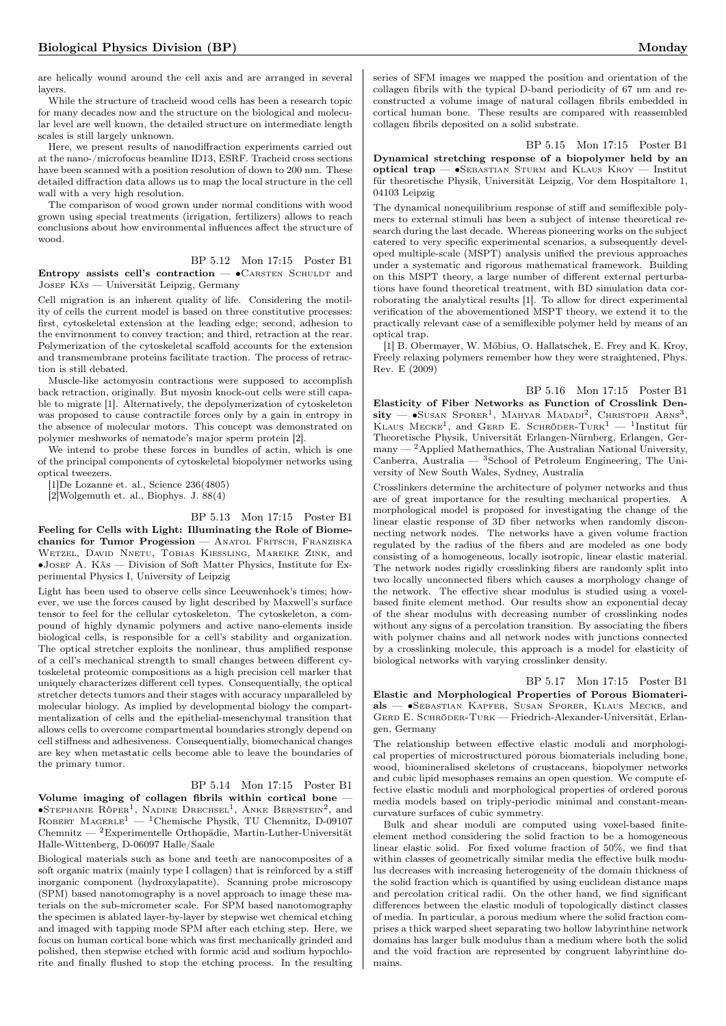are helically wound around the cell axis and are arranged in several layers.

While the structure of tracheid wood cells has been a research topic for many decades now and the structure on the biological and molecular level are well known, the detailed structure on intermediate length scales is still largely unknown.

Here, we present results of nanodiffraction experiments carried out at the nano-/microfocus beamline ID13, ESRF. Tracheid cross sections have been scanned with a position resolution of down to 200 nm. These detailed diffraction data allows us to map the local structure in the cell wall with a very high resolution.

The comparison of wood grown under normal conditions with wood grown using special treatments (irrigation, fertilizers) allows to reach conclusions about how environmental influences affect the structure of wood.

#### BP 5.12 Mon 17:15 Poster B1

Entropy assists cell's contraction  $\bullet$  CARSTEN SCHULDT and JOSEF KÄS — Universität Leipzig, Germany

Cell migration is an inherent quality of life. Considering the motility of cells the current model is based on three constitutive processes: first, cytoskeletal extension at the leading edge; second, adhesion to the envirnonment to convey traction; and third, retraction at the rear. Polymerization of the cytoskeletal scaffold accounts for the extension and transmembrane proteins facilitate traction. The process of retraction is still debated.

Muscle-like actomyosin contractions were supposed to accomplish back retraction, originally. But myosin knock-out cells were still capable to migrate [1]. Alternatively, the depolymerization of cytoskeleton was proposed to cause contractile forces only by a gain in entropy in the absence of molecular motors. This concept was demonstrated on polymer meshworks of nematode's major sperm protein [2].

We intend to probe these forces in bundles of actin, which is one of the principal components of cytoskeletal biopolymer networks using optical tweezers.

[1]De Lozanne et. al., Science 236(4805)

[2]Wolgemuth et. al., Biophys. J. 88(4)

### BP 5.13 Mon 17:15 Poster B1

Feeling for Cells with Light: Illuminating the Role of Biomechanics for Tumor Progession — ANATOL FRITSCH, FRANZISKA Wetzel, David Nnetu, Tobias Kiessling, Mareike Zink, and ∙Josef A. Käs — Division of Soft Matter Physics, Institute for Experimental Physics I, University of Leipzig

Light has been used to observe cells since Leeuwenhoek's times; however, we use the forces caused by light described by Maxwell's surface tensor to feel for the cellular cytoskeleton. The cytoskeleton, a compound of highly dynamic polymers and active nano-elements inside biological cells, is responsible for a cell's stability and organization. The optical stretcher exploits the nonlinear, thus amplified response of a cell's mechanical strength to small changes between different cytoskeletal proteomic compositions as a high precision cell marker that uniquely characterizes different cell types. Consequentially, the optical stretcher detects tumors and their stages with accuracy unparalleled by molecular biology. As implied by developmental biology the compartmentalization of cells and the epithelial-mesenchymal transition that allows cells to overcome compartmental boundaries strongly depend on cell stiffness and adhesiveness. Consequentially, biomechanical changes are key when metastatic cells become able to leave the boundaries of the primary tumor.

#### BP 5.14 Mon 17:15 Poster B1

Volume imaging of collagen fibrils within cortical bone —  $\bullet$ Stephanie Röper<sup>1</sup>, Nadine Drechsel<sup>1</sup>, Anke Bernstein<sup>2</sup>, and ROBERT MAGERLE<sup>1</sup> — <sup>1</sup>Chemische Physik, TU Chemnitz, D-09107 Chemnitz — <sup>2</sup>Experimentelle Orthopädie, Martin-Luther-Universität Halle-Wittenberg, D-06097 Halle/Saale

Biological materials such as bone and teeth are nanocomposites of a soft organic matrix (mainly type I collagen) that is reinforced by a stiff inorganic component (hydroxylapatite). Scanning probe microscopy (SPM) based nanotomography is a novel approach to image these materials on the sub-micrometer scale. For SPM based nanotomography the specimen is ablated layer-by-layer by stepwise wet chemical etching and imaged with tapping mode SPM after each etching step. Here, we focus on human cortical bone which was first mechanically grinded and polished, then stepwise etched with formic acid and sodium hypochlorite and finally flushed to stop the etching process. In the resulting series of SFM images we mapped the position and orientation of the collagen fibrils with the typical D-band periodicity of 67 nm and reconstructed a volume image of natural collagen fibrils embedded in cortical human bone. These results are compared with reassembled collagen fibrils deposited on a solid substrate.

BP 5.15 Mon 17:15 Poster B1

Dynamical stretching response of a biopolymer held by an optical trap — ∙Sebastian Sturm and Klaus Kroy — Institut für theoretische Physik, Universität Leipzig, Vor dem Hospitaltore 1, 04103 Leipzig

The dynamical nonequilibrium response of stiff and semiflexible polymers to external stimuli has been a subject of intense theoretical research during the last decade. Whereas pioneering works on the subject catered to very specific experimental scenarios, a subsequently developed multiple-scale (MSPT) analysis unified the previous approaches under a systematic and rigorous mathematical framework. Building on this MSPT theory, a large number of different external perturbations have found theoretical treatment, with BD simulation data corroborating the analytical results [1]. To allow for direct experimental verification of the abovementioned MSPT theory, we extend it to the practically relevant case of a semiflexible polymer held by means of an optical trap.

[1] B. Obermayer, W. Möbius, O. Hallatschek, E. Frey and K. Kroy, Freely relaxing polymers remember how they were straightened, Phys. Rev. E (2009)

BP 5.16 Mon 17:15 Poster B1 Elasticity of Fiber Networks as Function of Crosslink Den- $\text{sity}$  —  $\bullet$ Susan Sporer<sup>1</sup>, Mahyar Madadi<sup>2</sup>, Christoph Arns<sup>3</sup>, KLAUS MECKE<sup>1</sup>, and GERD E. SCHRÖDER-TURK<sup>1</sup> - <sup>1</sup>Institut für Theoretische Physik, Universität Erlangen-Nürnberg, Erlangen, Germany — <sup>2</sup>Applied Mathemathics, The Australian National University, Canberra, Australia — <sup>3</sup>School of Petroleum Engineering, The University of New South Wales, Sydney, Australia

Crosslinkers determine the architecture of polymer networks and thus are of great importance for the resulting mechanical properties. A morphological model is proposed for investigating the change of the linear elastic response of 3D fiber networks when randomly disconnecting network nodes. The networks have a given volume fraction regulated by the radius of the fibers and are modeled as one body consisting of a homogeneous, locally isotropic, linear elastic material. The network nodes rigidly crosslinking fibers are randomly split into two locally unconnected fibers which causes a morphology change of the network. The effective shear modulus is studied using a voxelbased finite element method. Our results show an exponential decay of the shear modulus with decreasing number of crosslinking nodes without any signs of a percolation transition. By associating the fibers with polymer chains and all network nodes with junctions connected by a crosslinking molecule, this approach is a model for elasticity of biological networks with varying crosslinker density.

BP 5.17 Mon 17:15 Poster B1 Elastic and Morphological Properties of Porous Biomaterials — ∙Sebastian Kapfer, Susan Sporer, Klaus Mecke, and GERD E. SCHRÖDER-TURK — Friedrich-Alexander-Universität, Erlangen, Germany

The relationship between effective elastic moduli and morphological properties of microstructured porous biomaterials including bone, wood, biomineralised skeletons of crustaceans, biopolymer networks and cubic lipid mesophases remains an open question. We compute effective elastic moduli and morphological properties of ordered porous media models based on triply-periodic minimal and constant-meancurvature surfaces of cubic symmetry.

Bulk and shear moduli are computed using voxel-based finiteelement method considering the solid fraction to be a homogeneous linear elastic solid. For fixed volume fraction of 50%, we find that within classes of geometrically similar media the effective bulk modulus decreases with increasing heterogeneity of the domain thickness of the solid fraction which is quantified by using euclidean distance maps and percolation critical radii. On the other hand, we find significant differences between the elastic moduli of topologically distinct classes of media. In particular, a porous medium where the solid fraction comprises a thick warped sheet separating two hollow labyrinthine network domains has larger bulk modulus than a medium where both the solid and the void fraction are represented by congruent labyrinthine domains.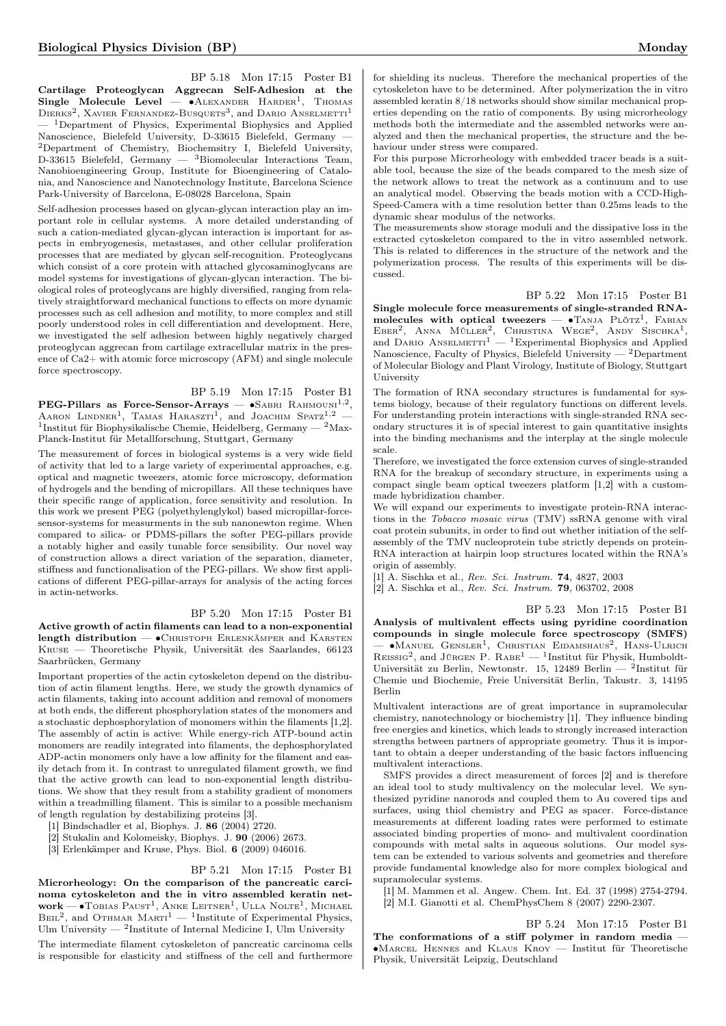BP 5.18 Mon 17:15 Poster B1 Cartilage Proteoglycan Aggrecan Self-Adhesion at the Single Molecule Level —  $\bullet$ ALEXANDER HARDER<sup>1</sup>, Thomas  $D$ IERKS<sup>2</sup>, XAVIER FERNANDEZ-BUSQUETS<sup>3</sup>, and DARIO ANSELMETTI<sup>1</sup> <sup>1</sup>Department of Physics, Experimental Biophysics and Applied Nanoscience, Bielefeld University, D-33615 Bielefeld, Germany — <sup>2</sup>Department of Chemistry, Biochemsitry I, Bielefeld University, D-33615 Bielefeld, Germany — <sup>3</sup>Biomolecular Interactions Team, Nanobioengineering Group, Institute for Bioengineering of Catalonia, and Nanoscience and Nanotechnology Institute, Barcelona Science Park-University of Barcelona, E-08028 Barcelona, Spain

Self-adhesion processes based on glycan-glycan interaction play an important role in cellular systems. A more detailed understanding of such a cation-mediated glycan-glycan interaction is important for aspects in embryogenesis, metastases, and other cellular proliferation processes that are mediated by glycan self-recognition. Proteoglycans which consist of a core protein with attached glycosaminoglycans are model systems for investigations of glycan-glycan interaction. The biological roles of proteoglycans are highly diversified, ranging from relatively straightforward mechanical functions to effects on more dynamic processes such as cell adhesion and motility, to more complex and still poorly understood roles in cell differentiation and development. Here, we investigated the self adhesion between highly negatively charged proteoglycan aggrecan from cartilage extracellular matrix in the presence of Ca2+ with atomic force microscopy (AFM) and single molecule force spectroscopy.

#### BP 5.19 Mon 17:15 Poster B1

 $\mathrm{PEG-Pillars}$  as Force-Sensor-Arrays —  $\bullet$ SABRI RAHMOUNI<sup>1,2</sup>, AARON LINDNER<sup>1</sup>, TAMAS HARASZTI<sup>1</sup>, and JOACHIM SPATZ<sup>1,2</sup> – <sup>1</sup>Institut für Biophysikalische Chemie, Heidelberg, Germany — <sup>2</sup>Max-Planck-Institut für Metallforschung, Stuttgart, Germany

The measurement of forces in biological systems is a very wide field of activity that led to a large variety of experimental approaches, e.g. optical and magnetic tweezers, atomic force microscopy, deformation of hydrogels and the bending of micropillars. All these techniques have their specific range of application, force sensitivity and resolution. In this work we present PEG (polyethylenglykol) based micropillar-forcesensor-systems for measurments in the sub nanonewton regime. When compared to silica- or PDMS-pillars the softer PEG-pillars provide a notably higher and easily tunable force sensibility. Our novel way of construction allows a direct variation of the separation, diameter, stiffness and functionalisation of the PEG-pillars. We show first applications of different PEG-pillar-arrays for analysis of the acting forces in actin-networks.

#### BP 5.20 Mon 17:15 Poster B1

Active growth of actin filaments can lead to a non-exponential length distribution — • CHRISTOPH ERLENKÄMPER and KARSTEN Kruse — Theoretische Physik, Universität des Saarlandes, 66123 Saarbrücken, Germany

Important properties of the actin cytoskeleton depend on the distribution of actin filament lengths. Here, we study the growth dynamics of actin filaments, taking into account addition and removal of monomers at both ends, the different phosphorylation states of the monomers and a stochastic dephosphorylation of monomers within the filaments [1,2]. The assembly of actin is active: While energy-rich ATP-bound actin monomers are readily integrated into filaments, the dephosphorylated ADP-actin monomers only have a low affinity for the filament and easily detach from it. In contrast to unregulated filament growth, we find that the active growth can lead to non-exponential length distributions. We show that they result from a stability gradient of monomers within a treadmilling filament. This is similar to a possible mechanism of length regulation by destabilizing proteins [3].

[1] Bindschadler et al, Biophys. J. 86 (2004) 2720.

[2] Stukalin and Kolomeisky, Biophys. J. 90 (2006) 2673.

[3] Erlenkämper and Kruse, Phys. Biol. 6 (2009) 046016.

## BP 5.21 Mon 17:15 Poster B1

Microrheology: On the comparison of the pancreatic carcinoma cytoskeleton and the in vitro assembled keratin net- $\text{work}\text{---}\bullet\text{Tobias}$  Paust<sup>1</sup>, Anke Leitner<sup>1</sup>, Ulla Nolte<sup>1</sup>, Michael  $B<sub>EIL</sub><sup>2</sup>$ , and OTHMAR MARTI<sup>1</sup> — <sup>1</sup>Institute of Experimental Physics, Ulm University  $-$  <sup>2</sup>Institute of Internal Medicine I, Ulm University The intermediate filament cytoskeleton of pancreatic carcinoma cells is responsible for elasticity and stiffness of the cell and furthermore

for shielding its nucleus. Therefore the mechanical properties of the cytoskeleton have to be determined. After polymerization the in vitro assembled keratin 8/18 networks should show similar mechanical properties depending on the ratio of components. By using microrheology methods both the intermediate and the assembled networks were analyzed and then the mechanical properties, the structure and the behaviour under stress were compared.

For this purpose Microrheology with embedded tracer beads is a suitable tool, because the size of the beads compared to the mesh size of the network allows to treat the network as a continuum and to use an analytical model. Observing the beads motion with a CCD-High-Speed-Camera with a time resolution better than 0.25ms leads to the dynamic shear modulus of the networks.

The measurements show storage moduli and the dissipative loss in the extracted cytoskeleton compared to the in vitro assembled network. This is related to differences in the structure of the network and the polymerization process. The results of this experiments will be discussed.

#### BP 5.22 Mon 17:15 Poster B1

Single molecule force measurements of single-stranded RNAmolecules with optical tweezers —  $\bullet$ TANJA PLÖTZ<sup>1</sup>, FABIAN EBER<sup>2</sup>, ANNA MÜLLER<sup>2</sup>, CHRISTINA WEGE<sup>2</sup>, ANDY SISCHKA<sup>1</sup>, and DARIO ANSELMETTI<sup>1</sup> — <sup>1</sup>Experimental Biophysics and Applied Nanoscience, Faculty of Physics, Bielefeld University — <sup>2</sup>Department of Molecular Biology and Plant Virology, Institute of Biology, Stuttgart University

The formation of RNA secondary structures is fundamental for systems biology, because of their regulatory functions on different levels. For understanding protein interactions with single-stranded RNA secondary structures it is of special interest to gain quantitative insights into the binding mechanisms and the interplay at the single molecule scale.

Therefore, we investigated the force extension curves of single-stranded RNA for the breakup of secondary structure, in experiments using a compact single beam optical tweezers platform [1,2] with a custommade hybridization chamber.

We will expand our experiments to investigate protein-RNA interactions in the Tobacco mosaic virus (TMV) ssRNA genome with viral coat protein subunits, in order to find out whether initiation of the selfassembly of the TMV nucleoprotein tube strictly depends on protein-RNA interaction at hairpin loop structures located within the RNA's origin of assembly.

[1] A. Sischka et al., Rev. Sci. Instrum. 74, 4827, 2003

[2] A. Sischka et al., Rev. Sci. Instrum. 79, 063702, 2008

BP 5.23 Mon 17:15 Poster B1 Analysis of multivalent effects using pyridine coordination compounds in single molecule force spectroscopy (SMFS) — ∙Manuel Gensler<sup>1</sup> , Christian Eidamshaus<sup>2</sup> , Hans-Ulrich  $R$ EISSIG<sup>2</sup>, and JÜRGEN P.  $R$ ABE<sup>1</sup> — <sup>1</sup>Institut für Physik, Humboldt-Universität zu Berlin, Newtonstr. 15, 12489 Berlin — <sup>2</sup>Institut für Chemie und Biochemie, Freie Universität Berlin, Takustr. 3, 14195 Berlin

Multivalent interactions are of great importance in supramolecular chemistry, nanotechnology or biochemistry [1]. They influence binding free energies and kinetics, which leads to strongly increased interaction strengths between partners of appropriate geometry. Thus it is important to obtain a deeper understanding of the basic factors influencing multivalent interactions.

SMFS provides a direct measurement of forces [2] and is therefore an ideal tool to study multivalency on the molecular level. We synthesized pyridine nanorods and coupled them to Au covered tips and surfaces, using thiol chemistry and PEG as spacer. Force-distance measurements at different loading rates were performed to estimate associated binding properties of mono- and multivalent coordination compounds with metal salts in aqueous solutions. Our model system can be extended to various solvents and geometries and therefore provide fundamental knowledge also for more complex biological and supramolecular systems.

[1] M. Mammen et al. Angew. Chem. Int. Ed. 37 (1998) 2754-2794. [2] M.I. Gianotti et al. ChemPhysChem 8 (2007) 2290-2307.

BP 5.24 Mon 17:15 Poster B1 The conformations of a stiff polymer in random media — ∙Marcel Hennes and Klaus Kroy — Institut für Theoretische Physik, Universität Leipzig, Deutschland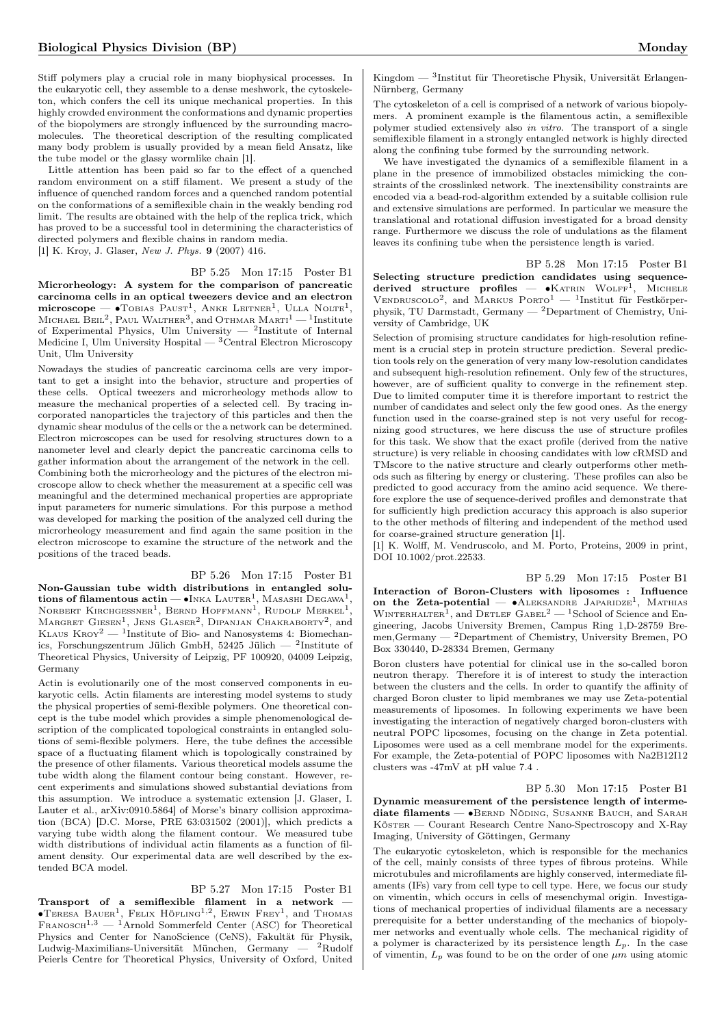Stiff polymers play a crucial role in many biophysical processes. In the eukaryotic cell, they assemble to a dense meshwork, the cytoskeleton, which confers the cell its unique mechanical properties. In this highly crowded environment the conformations and dynamic properties of the biopolymers are strongly influenced by the surrounding macromolecules. The theoretical description of the resulting complicated many body problem is usually provided by a mean field Ansatz, like the tube model or the glassy wormlike chain [1].

Little attention has been paid so far to the effect of a quenched random environment on a stiff filament. We present a study of the influence of quenched random forces and a quenched random potential on the conformations of a semiflexible chain in the weakly bending rod limit. The results are obtained with the help of the replica trick, which has proved to be a successful tool in determining the characteristics of directed polymers and flexible chains in random media. [1] K. Kroy, J. Glaser, New J. Phys. 9 (2007) 416.

#### BP 5.25 Mon 17:15 Poster B1

Microrheology: A system for the comparison of pancreatic carcinoma cells in an optical tweezers device and an electron **microscope** — •Товіаѕ Раusт<sup>1</sup>, Амке Leitner<sup>1</sup>, Ulla Nolte<sup>1</sup>, Міснае́L Веіl<sup>2</sup>, Раul Walther<sup>3</sup>, and Отнмаr Макті<sup>1</sup> — <sup>1</sup>Institute of Experimental Physics, Ulm University — <sup>2</sup> Institute of Internal Medicine I, Ulm University Hospital — <sup>3</sup>Central Electron Microscopy Unit, Ulm University

Nowadays the studies of pancreatic carcinoma cells are very important to get a insight into the behavior, structure and properties of these cells. Optical tweezers and microrheology methods allow to measure the mechanical properties of a selected cell. By tracing incorporated nanoparticles the trajectory of this particles and then the dynamic shear modulus of the cells or the a network can be determined. Electron microscopes can be used for resolving structures down to a nanometer level and clearly depict the pancreatic carcinoma cells to gather information about the arrangement of the network in the cell. Combining both the microrheology and the pictures of the electron microscope allow to check whether the measurement at a specific cell was meaningful and the determined mechanical properties are appropriate input parameters for numeric simulations. For this purpose a method was developed for marking the position of the analyzed cell during the microrheology measurement and find again the same position in the electron microscope to examine the structure of the network and the positions of the traced beads.

## BP 5.26 Mon 17:15 Poster B1 Non-Gaussian tube width distributions in entangled solutions of filamentous actin — •Inka Lauter<sup>1</sup>, Masashi Degawa<sup>1</sup>, Norbert Kirchgessner<sup>1</sup>, Bernd Hoffmann<sup>1</sup>, Rudolf Merkel<sup>1</sup>, Margret Giesen<sup>1</sup>, Jens Glaser<sup>2</sup>, Dipanjan Chakraborty<sup>2</sup>, and<br>Klaus Kroy<sup>2</sup> — <sup>1</sup>Institute of Bio- and Nanosystems 4: Biomechanics, Forschungszentrum Jülich GmbH, 52425 Jülich — <sup>2</sup> Institute of Theoretical Physics, University of Leipzig, PF 100920, 04009 Leipzig, Germany

Actin is evolutionarily one of the most conserved components in eukaryotic cells. Actin filaments are interesting model systems to study the physical properties of semi-flexible polymers. One theoretical concept is the tube model which provides a simple phenomenological description of the complicated topological constraints in entangled solutions of semi-flexible polymers. Here, the tube defines the accessible space of a fluctuating filament which is topologically constrained by the presence of other filaments. Various theoretical models assume the tube width along the filament contour being constant. However, recent experiments and simulations showed substantial deviations from this assumption. We introduce a systematic extension [J. Glaser, I. Lauter et al., arXiv:0910.5864] of Morse's binary collision approximation (BCA)  $[$ D.C. Morse, PRE 63:031502 (2001)], which predicts a varying tube width along the filament contour. We measured tube width distributions of individual actin filaments as a function of filament density. Our experimental data are well described by the extended BCA model.

#### BP 5.27 Mon 17:15 Poster B1

Transport of a semiflexible filament in a network — ∙Teresa Bauer<sup>1</sup> , Felix Höfling1,<sup>2</sup> , Erwin Frey<sup>1</sup> , and Thomas FRANOSCH<sup>1,3</sup> — <sup>1</sup>Arnold Sommerfeld Center (ASC) for Theoretical Physics and Center for NanoScience (CeNS), Fakultät für Physik, Ludwig-Maximilians-Universität München, Germany — <sup>2</sup>Rudolf Peierls Centre for Theoretical Physics, University of Oxford, United

Kingdom — <sup>3</sup> Institut für Theoretische Physik, Universität Erlangen-Nürnberg, Germany

The cytoskeleton of a cell is comprised of a network of various biopolymers. A prominent example is the filamentous actin, a semiflexible polymer studied extensively also in vitro. The transport of a single semiflexible filament in a strongly entangled network is highly directed along the confining tube formed by the surrounding network.

We have investigated the dynamics of a semiflexible filament in a plane in the presence of immobilized obstacles mimicking the constraints of the crosslinked network. The inextensibility constraints are encoded via a bead-rod-algorithm extended by a suitable collision rule and extensive simulations are performed. In particular we measure the translational and rotational diffusion investigated for a broad density range. Furthermore we discuss the role of undulations as the filament leaves its confining tube when the persistence length is varied.

BP 5.28 Mon 17:15 Poster B1 Selecting structure prediction candidates using sequencederived structure profiles — • KATRIN WOLFF<sup>1</sup>, MICHELE VENDRUSCOLO<sup>2</sup>, and MARKUS PORTO<sup>1</sup> - <sup>1</sup>Institut für Festkörperphysik, TU Darmstadt, Germany — <sup>2</sup>Department of Chemistry, University of Cambridge, UK

Selection of promising structure candidates for high-resolution refinement is a crucial step in protein structure prediction. Several prediction tools rely on the generation of very many low-resolution candidates and subsequent high-resolution refinement. Only few of the structures, however, are of sufficient quality to converge in the refinement step. Due to limited computer time it is therefore important to restrict the number of candidates and select only the few good ones. As the energy function used in the coarse-grained step is not very useful for recognizing good structures, we here discuss the use of structure profiles for this task. We show that the exact profile (derived from the native structure) is very reliable in choosing candidates with low cRMSD and TMscore to the native structure and clearly outperforms other methods such as filtering by energy or clustering. These profiles can also be predicted to good accuracy from the amino acid sequence. We therefore explore the use of sequence-derived profiles and demonstrate that for sufficiently high prediction accuracy this approach is also superior to the other methods of filtering and independent of the method used for coarse-grained structure generation [1].

[1] K. Wolff, M. Vendruscolo, and M. Porto, Proteins, 2009 in print, DOI 10.1002/prot.22533.

BP 5.29 Mon 17:15 Poster B1 Interaction of Boron-Clusters with liposomes : Influence on the Zeta-potential  $-$  • ALEKSANDRE JAPARIDZE<sup>1</sup>, MATHIAS WINTERHALTER<sup>1</sup>, and DETLEF GABEL<sup>2</sup> — <sup>1</sup>School of Science and Engineering, Jacobs University Bremen, Campus Ring 1,D-28759 Bremen,Germany — <sup>2</sup>Department of Chemistry, University Bremen, PO Box 330440, D-28334 Bremen, Germany

Boron clusters have potential for clinical use in the so-called boron neutron therapy. Therefore it is of interest to study the interaction between the clusters and the cells. In order to quantify the affinity of charged Boron cluster to lipid membranes we may use Zeta-potential measurements of liposomes. In following experiments we have been investigating the interaction of negatively charged boron-clusters with neutral POPC liposomes, focusing on the change in Zeta potential. Liposomes were used as a cell membrane model for the experiments. For example, the Zeta-potential of POPC liposomes with Na2B12I12 clusters was -47mV at pH value 7.4 .

BP 5.30 Mon 17:15 Poster B1 Dynamic measurement of the persistence length of intermediate filaments — •BERND NÖDING, SUSANNE BAUCH, and SARAH Köster — Courant Research Centre Nano-Spectroscopy and X-Ray Imaging, University of Göttingen, Germany

The eukaryotic cytoskeleton, which is responsible for the mechanics of the cell, mainly consists of three types of fibrous proteins. While microtubules and microfilaments are highly conserved, intermediate filaments (IFs) vary from cell type to cell type. Here, we focus our study on vimentin, which occurs in cells of mesenchymal origin. Investigations of mechanical properties of individual filaments are a necessary prerequisite for a better understanding of the mechanics of biopolymer networks and eventually whole cells. The mechanical rigidity of a polymer is characterized by its persistence length  $L_p$ . In the case of vimentin,  $L_p$  was found to be on the order of one  $\mu m$  using atomic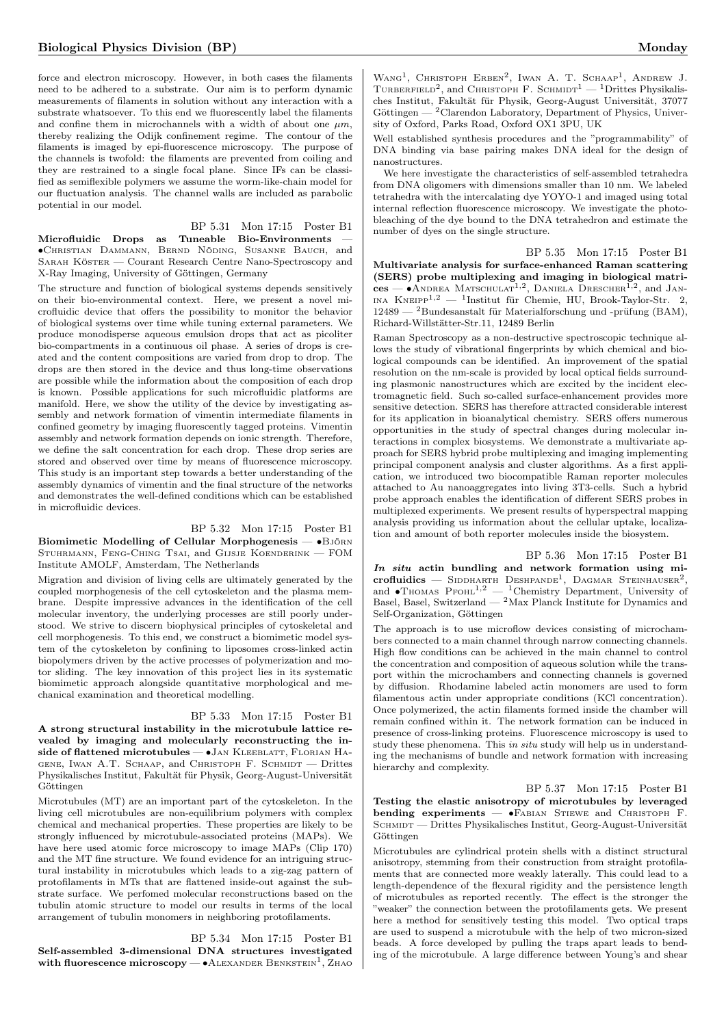force and electron microscopy. However, in both cases the filaments need to be adhered to a substrate. Our aim is to perform dynamic measurements of filaments in solution without any interaction with a substrate whatsoever. To this end we fluorescently label the filaments and confine them in microchannels with a width of about one  $\mu m$ . thereby realizing the Odijk confinement regime. The contour of the filaments is imaged by epi-fluorescence microscopy. The purpose of the channels is twofold: the filaments are prevented from coiling and they are restrained to a single focal plane. Since IFs can be classified as semiflexible polymers we assume the worm-like-chain model for our fluctuation analysis. The channel walls are included as parabolic potential in our model.

BP 5.31 Mon 17:15 Poster B1

Microfluidic Drops as Tuneable Bio-Environments ∙Christian Dammann, Bernd Nöding, Susanne Bauch, and Sarah Köster — Courant Research Centre Nano-Spectroscopy and X-Ray Imaging, University of Göttingen, Germany

The structure and function of biological systems depends sensitively on their bio-environmental context. Here, we present a novel microfluidic device that offers the possibility to monitor the behavior of biological systems over time while tuning external parameters. We produce monodisperse aqueous emulsion drops that act as picoliter bio-compartments in a continuous oil phase. A series of drops is created and the content compositions are varied from drop to drop. The drops are then stored in the device and thus long-time observations are possible while the information about the composition of each drop is known. Possible applications for such microfluidic platforms are manifold. Here, we show the utility of the device by investigating assembly and network formation of vimentin intermediate filaments in confined geometry by imaging fluorescently tagged proteins. Vimentin assembly and network formation depends on ionic strength. Therefore, we define the salt concentration for each drop. These drop series are stored and observed over time by means of fluorescence microscopy. This study is an important step towards a better understanding of the assembly dynamics of vimentin and the final structure of the networks and demonstrates the well-defined conditions which can be established in microfluidic devices.

#### BP 5.32 Mon 17:15 Poster B1

Biomimetic Modelling of Cellular Morphogenesis — •BJÖRN Stuhrmann, Feng-Ching Tsai, and Gijsje Koenderink — FOM Institute AMOLF, Amsterdam, The Netherlands

Migration and division of living cells are ultimately generated by the coupled morphogenesis of the cell cytoskeleton and the plasma membrane. Despite impressive advances in the identification of the cell molecular inventory, the underlying processes are still poorly understood. We strive to discern biophysical principles of cytoskeletal and cell morphogenesis. To this end, we construct a biomimetic model system of the cytoskeleton by confining to liposomes cross-linked actin biopolymers driven by the active processes of polymerization and motor sliding. The key innovation of this project lies in its systematic biomimetic approach alongside quantitative morphological and mechanical examination and theoretical modelling.

#### BP 5.33 Mon 17:15 Poster B1

A strong structural instability in the microtubule lattice revealed by imaging and molecularly reconstructing the inside of flattened microtubules — •JAN KLEEBLATT, FLORIAN HAgene, Iwan A.T. Schaap, and Christoph F. Schmidt — Drittes Physikalisches Institut, Fakultät für Physik, Georg-August-Universität Göttingen

Microtubules (MT) are an important part of the cytoskeleton. In the living cell microtubules are non-equilibrium polymers with complex chemical and mechanical properties. These properties are likely to be strongly influenced by microtubule-associated proteins (MAPs). We have here used atomic force microscopy to image MAPs (Clip 170) and the MT fine structure. We found evidence for an intriguing structural instability in microtubules which leads to a zig-zag pattern of protofilaments in MTs that are flattened inside-out against the substrate surface. We perfomed molecular reconstructions based on the tubulin atomic structure to model our results in terms of the local arrangement of tubulin monomers in neighboring protofilaments.

#### BP 5.34 Mon 17:15 Poster B1

Self-assembled 3-dimensional DNA structures investigated with fluorescence microscopy —  $\bullet$  Alexander Benkstein<sup>1</sup>, Zhao

WANG<sup>1</sup>, CHRISTOPH ERBEN<sup>2</sup>, IWAN A. T. SCHAAP<sup>1</sup>, ANDREW J. TURBERFIELD<sup>2</sup>, and CHRISTOPH F. SCHMIDT<sup>1</sup> - <sup>1</sup>Drittes Physikalisches Institut, Fakultät für Physik, Georg-August Universität, 37077 Göttingen — <sup>2</sup>Clarendon Laboratory, Department of Physics, University of Oxford, Parks Road, Oxford OX1 3PU, UK

Well established synthesis procedures and the "programmability" of DNA binding via base pairing makes DNA ideal for the design of nanostructures.

We here investigate the characteristics of self-assembled tetrahedra from DNA oligomers with dimensions smaller than 10 nm. We labeled tetrahedra with the intercalating dye YOYO-1 and imaged using total internal reflection fluorescence microscopy. We investigate the photobleaching of the dye bound to the DNA tetrahedron and estimate the number of dyes on the single structure.

BP 5.35 Mon 17:15 Poster B1 Multivariate analysis for surface-enhanced Raman scattering (SERS) probe multiplexing and imaging in biological matri- $\cos$  — •ANDREA MATSCHULAT<sup>1,2</sup>, DANIELA DRESCHER<sup>1,2</sup>, and JAN-INA  $KNEIPP<sup>1,2</sup>$  — <sup>1</sup>Institut für Chemie, HU, Brook-Taylor-Str. 2, 12489 — <sup>2</sup>Bundesanstalt für Materialforschung und -prüfung (BAM), Richard-Willstätter-Str.11, 12489 Berlin

Raman Spectroscopy as a non-destructive spectroscopic technique allows the study of vibrational fingerprints by which chemical and biological compounds can be identified. An improvement of the spatial resolution on the nm-scale is provided by local optical fields surrounding plasmonic nanostructures which are excited by the incident electromagnetic field. Such so-called surface-enhancement provides more sensitive detection. SERS has therefore attracted considerable interest for its application in bioanalytical chemistry. SERS offers numerous opportunities in the study of spectral changes during molecular interactions in complex biosystems. We demonstrate a multivariate approach for SERS hybrid probe multiplexing and imaging implementing principal component analysis and cluster algorithms. As a first application, we introduced two biocompatible Raman reporter molecules attached to Au nanoaggregates into living 3T3-cells. Such a hybrid probe approach enables the identification of different SERS probes in multiplexed experiments. We present results of hyperspectral mapping analysis providing us information about the cellular uptake, localization and amount of both reporter molecules inside the biosystem.

BP 5.36 Mon 17:15 Poster B1 In situ actin bundling and network formation using mi $c$ rofluidics — SIDDHARTH DESHPANDE<sup>1</sup>, DAGMAR STEINHAUSER<sup>2</sup>, and  $\bullet$ Thomas PFOHL<sup>1,2</sup> — <sup>1</sup>Chemistry Department, University of Basel, Basel, Switzerland — <sup>2</sup>Max Planck Institute for Dynamics and Self-Organization, Göttingen

The approach is to use microflow devices consisting of microchambers connected to a main channel through narrow connecting channels. High flow conditions can be achieved in the main channel to control the concentration and composition of aqueous solution while the transport within the microchambers and connecting channels is governed by diffusion. Rhodamine labeled actin monomers are used to form filamentous actin under appropriate conditions (KCl concentration). Once polymerized, the actin filaments formed inside the chamber will remain confined within it. The network formation can be induced in presence of cross-linking proteins. Fluorescence microscopy is used to study these phenomena. This in situ study will help us in understanding the mechanisms of bundle and network formation with increasing hierarchy and complexity.

BP 5.37 Mon 17:15 Poster B1 Testing the elastic anisotropy of microtubules by leveraged bending experiments — ∙Fabian Stiewe and Christoph F. SCHMIDT — Drittes Physikalisches Institut, Georg-August-Universität Göttingen

Microtubules are cylindrical protein shells with a distinct structural anisotropy, stemming from their construction from straight protofilaments that are connected more weakly laterally. This could lead to a length-dependence of the flexural rigidity and the persistence length of microtubules as reported recently. The effect is the stronger the "weaker" the connection between the protofilaments gets. We present here a method for sensitively testing this model. Two optical traps are used to suspend a microtubule with the help of two micron-sized beads. A force developed by pulling the traps apart leads to bending of the microtubule. A large difference between Young's and shear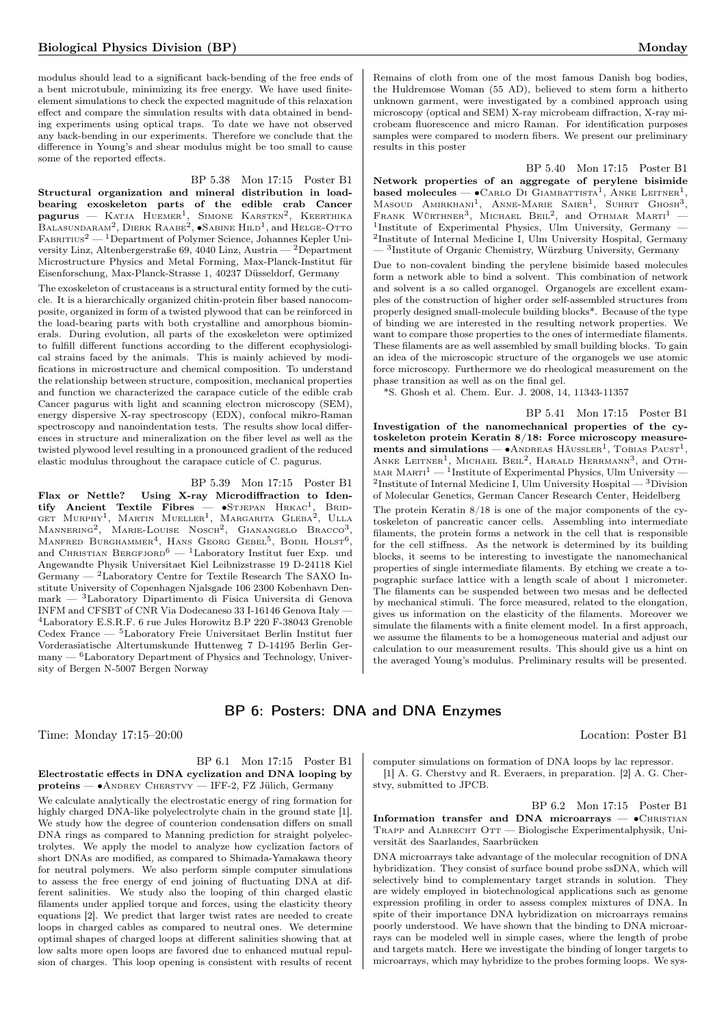modulus should lead to a significant back-bending of the free ends of a bent microtubule, minimizing its free energy. We have used finiteelement simulations to check the expected magnitude of this relaxation effect and compare the simulation results with data obtained in bending experiments using optical traps. To date we have not observed any back-bending in our experiments. Therefore we conclude that the difference in Young's and shear modulus might be too small to cause some of the reported effects.

#### BP 5.38 Mon 17:15 Poster B1

Structural organization and mineral distribution in loadbearing exoskeleton parts of the edible crab Cancer  $\mathbf{pagurus}$  — Katja Huemer<sup>1</sup>, Simone Karsten<sup>2</sup>, Keerthika BALASUNDARAM<sup>2</sup>, DIERK RAABE<sup>2</sup>, •SABINE HILD<sup>1</sup>, and HELGE-OTTO  $FABRITIUS<sup>2</sup>$  — <sup>1</sup>Department of Polymer Science, Johannes Kepler University Linz, Altenbergerstraße 69, 4040 Linz, Austria — <sup>2</sup>Department Microstructure Physics and Metal Forming, Max-Planck-Institut für Eisenforschung, Max-Planck-Strasse 1, 40237 Düsseldorf, Germany

The exoskeleton of crustaceans is a structural entity formed by the cuticle. It is a hierarchically organized chitin-protein fiber based nanocomposite, organized in form of a twisted plywood that can be reinforced in the load-bearing parts with both crystalline and amorphous biominerals. During evolution, all parts of the exoskeleton were optimized to fulfill different functions according to the different ecophysiological strains faced by the animals. This is mainly achieved by modifications in microstructure and chemical composition. To understand the relationship between structure, composition, mechanical properties and function we characterized the carapace cuticle of the edible crab Cancer pagurus with light and scanning electron microscopy (SEM), energy dispersive X-ray spectroscopy (EDX), confocal mikro-Raman spectroscopy and nanoindentation tests. The results show local differences in structure and mineralization on the fiber level as well as the twisted plywood level resulting in a pronounced gradient of the reduced elastic modulus throughout the carapace cuticle of C. pagurus.

#### BP 5.39 Mon 17:15 Poster B1

Flax or Nettle? Using X-ray Microdiffraction to Identify Ancient Textile Fibres — •Stjepan Hrkac<sup>1</sup>, Brid-<br>get Murphy<sup>1</sup>, Martin Mueller<sup>1</sup>, Margarita Gleba<sup>2</sup>, Ulla Mannering<sup>2</sup>, Marie-Louise Nosch<sup>2</sup>, Gianangelo Bracco<sup>3</sup>, MANFRED BURGHAMMER<sup>4</sup>, HANS GEORG GEBEL<sup>5</sup>, BODIL HOLST<sup>6</sup>, and CHRISTIAN BERGFJORD<sup>6</sup>  $-$  <sup>1</sup>Laboratory Institut fuer Exp. und Angewandte Physik Universitaet Kiel Leibnizstrasse 19 D-24118 Kiel Germany  $-$  <sup>2</sup>Laboratory Centre for Textile Research The SAXO Institute University of Copenhagen Njalsgade 106 2300 København Denmark — <sup>3</sup>Laboratory Dipartimento di Fisica Universita di Genova  $\text{INFM}$  and  $\text{CFSBT}$  of  $\text{CNR}$  Via Dodecaneso 33 I-16146 Genova Italy <sup>4</sup>Laboratory E.S.R.F. 6 rue Jules Horowitz B.P 220 F-38043 Grenoble Cedex France — <sup>5</sup>Laboratory Freie Universitaet Berlin Institut fuer Vorderasiatische Altertumskunde Huttenweg 7 D-14195 Berlin Ger- $\,$  many —  $^6\rm{Laboratory}$  Department of Physics and Technology, University of Bergen N-5007 Bergen Norway

Remains of cloth from one of the most famous Danish bog bodies, the Huldremose Woman (55 AD), believed to stem form a hitherto unknown garment, were investigated by a combined approach using microscopy (optical and SEM) X-ray microbeam diffraction, X-ray microbeam fluorescence and micro Raman. For identification purposes samples were compared to modern fibers. We present our preliminary results in this poster

BP 5.40 Mon 17:15 Poster B1 Network properties of an aggregate of perylene bisimide based molecules —  $\bullet$ Carlo Di Giambattista<sup>1</sup>, Anke Leitner<sup>1</sup>, MASOUD AMIRKHANI<sup>1</sup>, ANNE-MARIE SAIER<sup>1</sup>, SUHRIT GHOSH<sup>3</sup>, FRANK WÜRTHNER<sup>3</sup>, MICHAEL BEIL<sup>2</sup>, and OTHMAR MARTI<sup>1</sup> -<sup>1</sup>Institute of Experimental Physics, Ulm University, Germany -2 Institute of Internal Medicine I, Ulm University Hospital, Germany — <sup>3</sup> Institute of Organic Chemistry, Würzburg University, Germany

Due to non-covalent binding the perylene bisimide based molecules form a network able to bind a solvent. This combination of network and solvent is a so called organogel. Organogels are excellent examples of the construction of higher order self-assembled structures from properly designed small-molecule building blocks\*. Because of the type of binding we are interested in the resulting network properties. We want to compare those properties to the ones of intermediate filaments. These filaments are as well assembled by small building blocks. To gain an idea of the microscopic structure of the organogels we use atomic force microscopy. Furthermore we do rheological measurement on the phase transition as well as on the final gel.

\*S. Ghosh et al. Chem. Eur. J. 2008, 14, 11343-11357

BP 5.41 Mon 17:15 Poster B1 Investigation of the nanomechanical properties of the cytoskeleton protein Keratin 8/18: Force microscopy measurements and simulations —  $\bullet$ ANDREAS HÄUSSLER<sup>1</sup>, TOBIAS PAUST<sup>1</sup>, ANKE LEITNER<sup>1</sup>, MICHAEL BEIL<sup>2</sup>, HARALD HERRMANN<sup>3</sup>, and OTH-MAR  $MARTI<sup>1</sup>$  — <sup>1</sup>Institute of Experimental Physics, Ulm University — <sup>2</sup>Institute of Internal Medicine I, Ulm University Hospital —  $3$ Division of Molecular Genetics, German Cancer Research Center, Heidelberg

The protein Keratin 8/18 is one of the major components of the cytoskeleton of pancreatic cancer cells. Assembling into intermediate filaments, the protein forms a network in the cell that is responsible for the cell stiffness. As the network is determined by its building blocks, it seems to be interesting to investigate the nanomechanical properties of single intermediate filaments. By etching we create a topographic surface lattice with a length scale of about 1 micrometer. The filaments can be suspended between two mesas and be deflected by mechanical stimuli. The force measured, related to the elongation, gives us information on the elasticity of the filaments. Moreover we simulate the filaments with a finite element model. In a first approach, we assume the filaments to be a homogeneous material and adjust our calculation to our measurement results. This should give us a hint on the averaged Young's modulus. Preliminary results will be presented.

## BP 6: Posters: DNA and DNA Enzymes

Time: Monday 17:15–20:00 Location: Poster B1

#### BP 6.1 Mon 17:15 Poster B1 Electrostatic effects in DNA cyclization and DNA looping by proteins — ∙Andrey Cherstvy — IFF-2, FZ Jülich, Germany

We calculate analytically the electrostatic energy of ring formation for highly charged DNA-like polyelectrolyte chain in the ground state [1]. We study how the degree of counterion condensation differs on small DNA rings as compared to Manning prediction for straight polyelectrolytes. We apply the model to analyze how cyclization factors of short DNAs are modified, as compared to Shimada-Yamakawa theory for neutral polymers. We also perform simple computer simulations to assess the free energy of end joining of fluctuating DNA at different salinities. We study also the looping of thin charged elastic filaments under applied torque and forces, using the elasticity theory equations [2]. We predict that larger twist rates are needed to create loops in charged cables as compared to neutral ones. We determine optimal shapes of charged loops at different salinities showing that at low salts more open loops are favored due to enhanced mutual repulsion of charges. This loop opening is consistent with results of recent computer simulations on formation of DNA loops by lac repressor. [1] A. G. Cherstvy and R. Everaers, in preparation. [2] A. G. Cherstvy, submitted to JPCB.

BP 6.2 Mon 17:15 Poster B1 Information transfer and DNA microarrays — ∙Christian Trapp and Albrecht Ott — Biologische Experimentalphysik, Universität des Saarlandes, Saarbrücken

DNA microarrays take advantage of the molecular recognition of DNA hybridization. They consist of surface bound probe ssDNA, which will selectively bind to complementary target strands in solution. They are widely employed in biotechnological applications such as genome expression profiling in order to assess complex mixtures of DNA. In spite of their importance DNA hybridization on microarrays remains poorly understood. We have shown that the binding to DNA microarrays can be modeled well in simple cases, where the length of probe and targets match. Here we investigate the binding of longer targets to microarrays, which may hybridize to the probes forming loops. We sys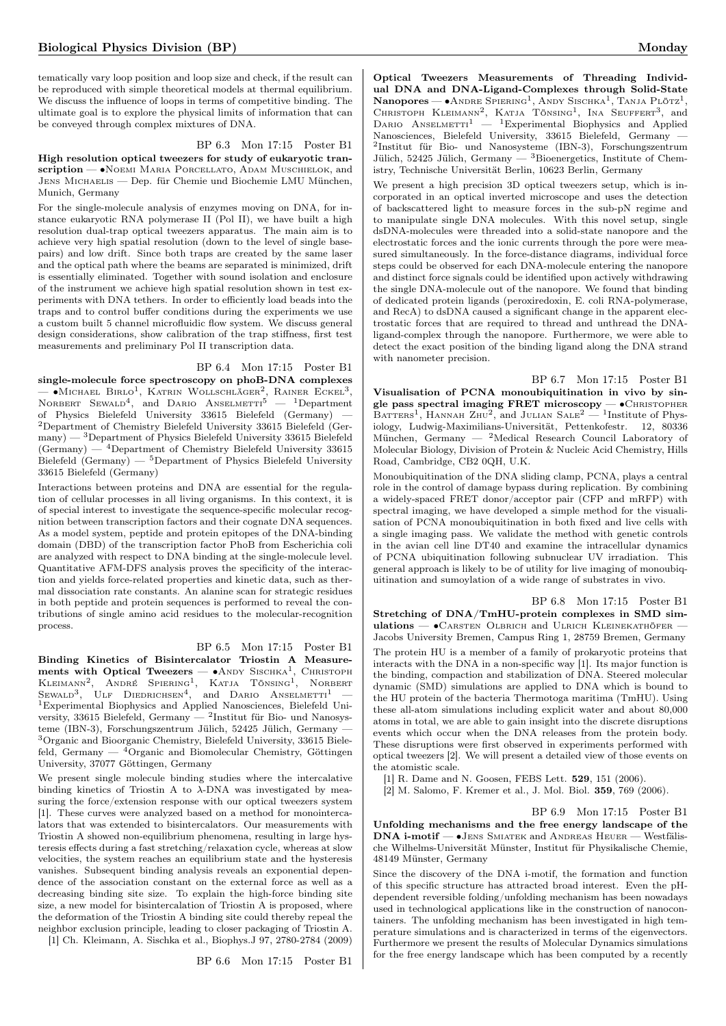tematically vary loop position and loop size and check, if the result can be reproduced with simple theoretical models at thermal equilibrium. We discuss the influence of loops in terms of competitive binding. The ultimate goal is to explore the physical limits of information that can be conveyed through complex mixtures of DNA.

### BP 6.3 Mon 17:15 Poster B1

High resolution optical tweezers for study of eukaryotic transcription — • NOEMI MARIA PORCELLATO, АDAM MUSCHIELOK, and Jens Michaelis — Dep. für Chemie und Biochemie LMU München, Munich, Germany

For the single-molecule analysis of enzymes moving on DNA, for instance eukaryotic RNA polymerase II (Pol II), we have built a high resolution dual-trap optical tweezers apparatus. The main aim is to achieve very high spatial resolution (down to the level of single basepairs) and low drift. Since both traps are created by the same laser and the optical path where the beams are separated is minimized, drift is essentially eliminated. Together with sound isolation and enclosure of the instrument we achieve high spatial resolution shown in test experiments with DNA tethers. In order to efficiently load beads into the traps and to control buffer conditions during the experiments we use a custom built 5 channel microfluidic flow system. We discuss general design considerations, show calibration of the trap stiffness, first test measurements and preliminary Pol II transcription data.

#### BP 6.4 Mon 17:15 Poster B1

single-molecule force spectroscopy on phoB-DNA complexes — •Michael Birlo<sup>1</sup>, Katrin Wollschläger<sup>2</sup>, Rainer Eckel<sup>3</sup>, Norbert Sewald<sup>4</sup>, and Dario Anselmetti<sup>5</sup> — <sup>1</sup>Department of Physics Bielefeld University 33615 Bielefeld (Germany) — <sup>2</sup>Department of Chemistry Bielefeld University 33615 Bielefeld (Germany) — <sup>3</sup>Department of Physics Bielefeld University 33615 Bielefeld (Germany) — <sup>4</sup>Department of Chemistry Bielefeld University 33615 Bielefeld (Germany) — <sup>5</sup>Department of Physics Bielefeld University 33615 Bielefeld (Germany)

Interactions between proteins and DNA are essential for the regulation of cellular processes in all living organisms. In this context, it is of special interest to investigate the sequence-specific molecular recognition between transcription factors and their cognate DNA sequences. As a model system, peptide and protein epitopes of the DNA-binding domain (DBD) of the transcription factor PhoB from Escherichia coli are analyzed with respect to DNA binding at the single-molecule level. Quantitative AFM-DFS analysis proves the specificity of the interaction and yields force-related properties and kinetic data, such as thermal dissociation rate constants. An alanine scan for strategic residues in both peptide and protein sequences is performed to reveal the contributions of single amino acid residues to the molecular-recognition process.

BP 6.5 Mon 17:15 Poster B1

Binding Kinetics of Bisintercalator Triostin A Measurements with Optical Tweezers — • ANDY SISCHКА<sup>1</sup>, CHRISTOPH KLEIMANN<sup>2</sup>, ANDRÉ SPIERING<sup>1</sup>, KATJA TÖNSING<sup>1</sup>, NORBERT<br>Sewald<sup>3</sup>, Ulf Diedrichsen<sup>4</sup>, and Dario Anselmetti<sup>1</sup> — <sup>1</sup>Experimental Biophysics and Applied Nanosciences, Bielefeld University, 33615 Bielefeld, Germany —  $^2$ Institut für Bio- und Nanosysteme (IBN-3), Forschungszentrum Jülich, 52425 Jülich, Germany — <sup>3</sup>Organic and Bioorganic Chemistry, Bielefeld University, 33615 Bielefeld, Germany  $-$  <sup>4</sup>Organic and Biomolecular Chemistry, Göttingen University, 37077 Göttingen, Germany

We present single molecule binding studies where the intercalative binding kinetics of Triostin A to  $\lambda$ -DNA was investigated by measuring the force/extension response with our optical tweezers system [1]. These curves were analyzed based on a method for monointercalators that was extended to bisintercalators. Our measurements with Triostin A showed non-equilibrium phenomena, resulting in large hysteresis effects during a fast stretching/relaxation cycle, whereas at slow velocities, the system reaches an equilibrium state and the hysteresis vanishes. Subsequent binding analysis reveals an exponential dependence of the association constant on the external force as well as a decreasing binding site size. To explain the high-force binding site size, a new model for bisintercalation of Triostin A is proposed, where the deformation of the Triostin A binding site could thereby repeal the neighbor exclusion principle, leading to closer packaging of Triostin A. [1] Ch. Kleimann, A. Sischka et al., Biophys.J 97, 2780-2784 (2009)

BP 6.6 Mon 17:15 Poster B1

Optical Tweezers Measurements of Threading Individual DNA and DNA-Ligand-Complexes through Solid-State Nanopores —  $\bullet$ Andre Spiering<sup>1</sup>, Andy Sischka<sup>1</sup>, Tanja Plötz<sup>1</sup>, CHRISTOPH KLEIMANN<sup>2</sup>, KATJA TÖNSING<sup>1</sup>, INA SEUFFERT<sup>3</sup>, and DARIO ANSELMETTI<sup>1</sup> — <sup>1</sup>Experimental Biophysics and Applied Nanosciences, Bielefeld University, 33615 Bielefeld, Germany — 2 Institut für Bio- und Nanosysteme (IBN-3), Forschungszentrum Jülich, 52425 Jülich, Germany — <sup>3</sup>Bioenergetics, Institute of Chemistry, Technische Universität Berlin, 10623 Berlin, Germany

We present a high precision 3D optical tweezers setup, which is incorporated in an optical inverted microscope and uses the detection of backscattered light to measure forces in the sub-pN regime and to manipulate single DNA molecules. With this novel setup, single dsDNA-molecules were threaded into a solid-state nanopore and the electrostatic forces and the ionic currents through the pore were measured simultaneously. In the force-distance diagrams, individual force steps could be observed for each DNA-molecule entering the nanopore and distinct force signals could be identified upon actively withdrawing the single DNA-molecule out of the nanopore. We found that binding of dedicated protein ligands (peroxiredoxin, E. coli RNA-polymerase, and RecA) to dsDNA caused a significant change in the apparent electrostatic forces that are required to thread and unthread the DNAligand-complex through the nanopore. Furthermore, we were able to detect the exact position of the binding ligand along the DNA strand with nanometer precision.

BP 6.7 Mon 17:15 Poster B1 Visualisation of PCNA monoubiquitination in vivo by single pass spectral imaging FRET microscopy — •CHRISTOPHER BATTERS<sup>1</sup>, HANNAH ZHU<sup>2</sup>, and JULIAN SALE<sup>2</sup> — <sup>1</sup>Institute of Physiology, Ludwig-Maximilians-Universität, Pettenkofestr. 12, 80336 München, Germany — <sup>2</sup>Medical Research Council Laboratory of Molecular Biology, Division of Protein & Nucleic Acid Chemistry, Hills Road, Cambridge, CB2 0QH, U.K.

Monoubiquitination of the DNA sliding clamp, PCNA, plays a central role in the control of damage bypass during replication. By combining a widely-spaced FRET donor/acceptor pair (CFP and mRFP) with spectral imaging, we have developed a simple method for the visualisation of PCNA monoubiquitination in both fixed and live cells with a single imaging pass. We validate the method with genetic controls in the avian cell line DT40 and examine the intracellular dynamics of PCNA ubiquitination following subnuclear UV irradiation. This general approach is likely to be of utility for live imaging of monoubiquitination and sumoylation of a wide range of substrates in vivo.

BP 6.8 Mon 17:15 Poster B1 Stretching of DNA/TmHU-protein complexes in SMD simulations — • CARSTEN OLBRICH and ULRICH KLEINEKATHÖFER -Jacobs University Bremen, Campus Ring 1, 28759 Bremen, Germany The protein HU is a member of a family of prokaryotic proteins that interacts with the DNA in a non-specific way [1]. Its major function is the binding, compaction and stabilization of DNA. Steered molecular dynamic (SMD) simulations are applied to DNA which is bound to the HU protein of the bacteria Thermotoga maritima (TmHU). Using these all-atom simulations including explicit water and about 80,000 atoms in total, we are able to gain insight into the discrete disruptions events which occur when the DNA releases from the protein body. These disruptions were first observed in experiments performed with optical tweezers [2]. We will present a detailed view of those events on the atomistic scale.

[1] R. Dame and N. Goosen, FEBS Lett. **529**, 151 (2006).

[2] M. Salomo, F. Kremer et al., J. Mol. Biol. 359, 769 (2006).

BP 6.9 Mon 17:15 Poster B1 Unfolding mechanisms and the free energy landscape of the DNA i-motif — ∙Jens Smiatek and Andreas Heuer — Westfälische Wilhelms-Universität Münster, Institut für Physikalische Chemie, 48149 Münster, Germany

Since the discovery of the DNA i-motif, the formation and function of this specific structure has attracted broad interest. Even the pHdependent reversible folding/unfolding mechanism has been nowadays used in technological applications like in the construction of nanocontainers. The unfolding mechanism has been investigated in high temperature simulations and is characterized in terms of the eigenvectors. Furthermore we present the results of Molecular Dynamics simulations for the free energy landscape which has been computed by a recently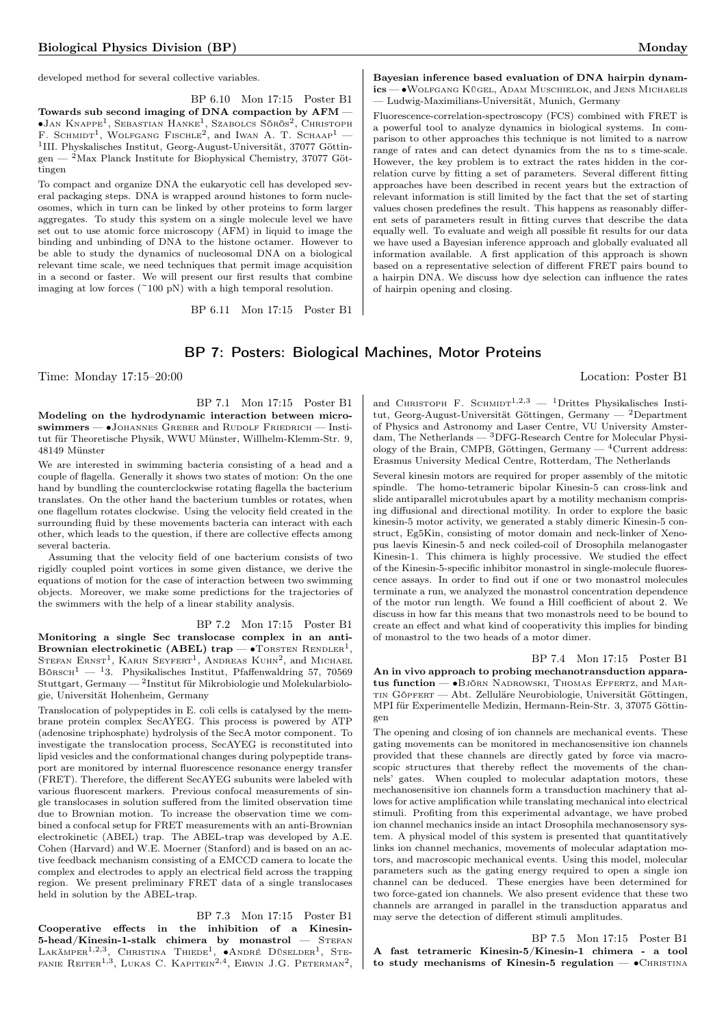BP 6.10 Mon 17:15 Poster B1 Towards sub second imaging of DNA compaction by AFM — ∙Jan Knappe<sup>1</sup> , Sebastian Hanke<sup>1</sup> , Szabolcs Sörös<sup>2</sup> , Christoph F. Schmidt1 , Wolfgang Fischle<sup>2</sup> , and Iwan A. T. Schaap<sup>1</sup> — 1 III. Physkalisches Institut, Georg-August-Universität, 37077 Göttingen — <sup>2</sup>Max Planck Institute for Biophysical Chemistry, 37077 Göttingen

To compact and organize DNA the eukaryotic cell has developed several packaging steps. DNA is wrapped around histones to form nucleosomes, which in turn can be linked by other proteins to form larger aggregates. To study this system on a single molecule level we have set out to use atomic force microscopy (AFM) in liquid to image the binding and unbinding of DNA to the histone octamer. However to be able to study the dynamics of nucleosomal DNA on a biological relevant time scale, we need techniques that permit image acquisition in a second or faster. We will present our first results that combine imaging at low forces  $(^{2}100 \text{ pN})$  with a high temporal resolution.

BP 6.11 Mon 17:15 Poster B1

#### Bayesian inference based evaluation of DNA hairpin dynamics — ∙Wolfgang Kügel, Adam Muschielok, and Jens Michaelis — Ludwig-Maximilians-Universität, Munich, Germany

Fluorescence-correlation-spectroscopy (FCS) combined with FRET is a powerful tool to analyze dynamics in biological systems. In comparison to other approaches this technique is not limited to a narrow range of rates and can detect dynamics from the ns to s time-scale. However, the key problem is to extract the rates hidden in the correlation curve by fitting a set of parameters. Several different fitting approaches have been described in recent years but the extraction of relevant information is still limited by the fact that the set of starting values chosen predefines the result. This happens as reasonably different sets of parameters result in fitting curves that describe the data equally well. To evaluate and weigh all possible fit results for our data we have used a Bayesian inference approach and globally evaluated all information available. A first application of this approach is shown based on a representative selection of different FRET pairs bound to a hairpin DNA. We discuss how dye selection can influence the rates of hairpin opening and closing.

## BP 7: Posters: Biological Machines, Motor Proteins

Time: Monday 17:15–20:00 Location: Poster B1

BP 7.1 Mon 17:15 Poster B1 Modeling on the hydrodynamic interaction between microswimmers — •JOHANNES GREBER and RUDOLF FRIEDRICH — Institut für Theoretische Physik, WWU Münster, Willhelm-Klemm-Str. 9, 48149 Münster

We are interested in swimming bacteria consisting of a head and a couple of flagella. Generally it shows two states of motion: On the one hand by bundling the counterclockwise rotating flagella the bacterium translates. On the other hand the bacterium tumbles or rotates, when one flagellum rotates clockwise. Using the velocity field created in the surrounding fluid by these movements bacteria can interact with each other, which leads to the question, if there are collective effects among several bacteria.

Assuming that the velocity field of one bacterium consists of two rigidly coupled point vortices in some given distance, we derive the equations of motion for the case of interaction between two swimming objects. Moreover, we make some predictions for the trajectories of the swimmers with the help of a linear stability analysis.

BP 7.2 Mon 17:15 Poster B1 Monitoring a single Sec translocase complex in an anti-Brownian electrokinetic (ABEL) trap — •TORSTEN  $\mathrm{R}\textsc{end}^1,$ STEFAN ERNST<sup>1</sup>, KARIN SEYFERT<sup>1</sup>, ANDREAS KUHN<sup>2</sup>, and MICHAEL Börsch<sup>1</sup> — <sup>1</sup>3. Physikalisches Institut, Pfaffenwaldring 57, 70569  $\text{Stuttgart}, \text{Germany} \text{---} \text{Institut für Mikrobiologie und Molekularbiolo-}$ gie, Universität Hohenheim, Germany

Translocation of polypeptides in E. coli cells is catalysed by the membrane protein complex SecAYEG. This process is powered by ATP (adenosine triphosphate) hydrolysis of the SecA motor component. To investigate the translocation process, SecAYEG is reconstituted into lipid vesicles and the conformational changes during polypeptide transport are monitored by internal fluorescence resonance energy transfer (FRET). Therefore, the different SecAYEG subunits were labeled with various fluorescent markers. Previous confocal measurements of single translocases in solution suffered from the limited observation time due to Brownian motion. To increase the observation time we combined a confocal setup for FRET measurements with an anti-Brownian electrokinetic (ABEL) trap. The ABEL-trap was developed by A.E. Cohen (Harvard) and W.E. Moerner (Stanford) and is based on an active feedback mechanism consisting of a EMCCD camera to locate the complex and electrodes to apply an electrical field across the trapping region. We present preliminary FRET data of a single translocases held in solution by the ABEL-trap.

BP 7.3 Mon 17:15 Poster B1 Cooperative effects in the inhibition of a Kinesin- $5$ -head/Kinesin-1-stalk chimera by monastrol  $-$  STEFAN LAKÄMPER<sup>1,2,3</sup>, CHRISTINA THIEDE<sup>1</sup>, •ANDRÉ DÜSELDER<sup>1</sup>, STE-FANIE REITER<sup>1,3</sup>, LUKAS C. KAPITEIN<sup>2,4</sup>, ERWIN J.G. PETERMAN<sup>2</sup>,

and CHRISTOPH F. SCHMIDT<sup>1,2,3</sup> - <sup>1</sup>Drittes Physikalisches Institut, Georg-August-Universität Göttingen, Germany — <sup>2</sup>Department of Physics and Astronomy and Laser Centre, VU University Amsterdam, The Netherlands — <sup>3</sup>DFG-Research Centre for Molecular Physiology of the Brain, CMPB, Göttingen, Germany  $-$ <sup>4</sup>Current address: Erasmus University Medical Centre, Rotterdam, The Netherlands

Several kinesin motors are required for proper assembly of the mitotic spindle. The homo-tetrameric bipolar Kinesin-5 can cross-link and slide antiparallel microtubules apart by a motility mechanism comprising diffusional and directional motility. In order to explore the basic kinesin-5 motor activity, we generated a stably dimeric Kinesin-5 construct, Eg5Kin, consisting of motor domain and neck-linker of Xenopus laevis Kinesin-5 and neck coiled-coil of Drosophila melanogaster Kinesin-1. This chimera is highly processive. We studied the effect of the Kinesin-5-specific inhibitor monastrol in single-molecule fluorescence assays. In order to find out if one or two monastrol molecules terminate a run, we analyzed the monastrol concentration dependence of the motor run length. We found a Hill coefficient of about 2. We discuss in how far this means that two monastrols need to be bound to create an effect and what kind of cooperativity this implies for binding of monastrol to the two heads of a motor dimer.

BP 7.4 Mon 17:15 Poster B1 An in vivo approach to probing mechanotransduction apparatus function — •Björn Nadrowski, Thomas Effertz, and Martin Göpfert — Abt. Zelluläre Neurobiologie, Universität Göttingen, MPI für Experimentelle Medizin, Hermann-Rein-Str. 3, 37075 Göttingen

The opening and closing of ion channels are mechanical events. These gating movements can be monitored in mechanosensitive ion channels provided that these channels are directly gated by force via macroscopic structures that thereby reflect the movements of the channels' gates. When coupled to molecular adaptation motors, these mechanosensitive ion channels form a transduction machinery that allows for active amplification while translating mechanical into electrical stimuli. Profiting from this experimental advantage, we have probed ion channel mechanics inside an intact Drosophila mechanosensory system. A physical model of this system is presented that quantitatively links ion channel mechanics, movements of molecular adaptation motors, and macroscopic mechanical events. Using this model, molecular parameters such as the gating energy required to open a single ion channel can be deduced. These energies have been determined for two force-gated ion channels. We also present evidence that these two channels are arranged in parallel in the transduction apparatus and may serve the detection of different stimuli amplitudes.

BP 7.5 Mon 17:15 Poster B1 A fast tetrameric Kinesin-5/Kinesin-1 chimera - a tool to study mechanisms of Kinesin-5 regulation —  $\bullet$ CHRISTINA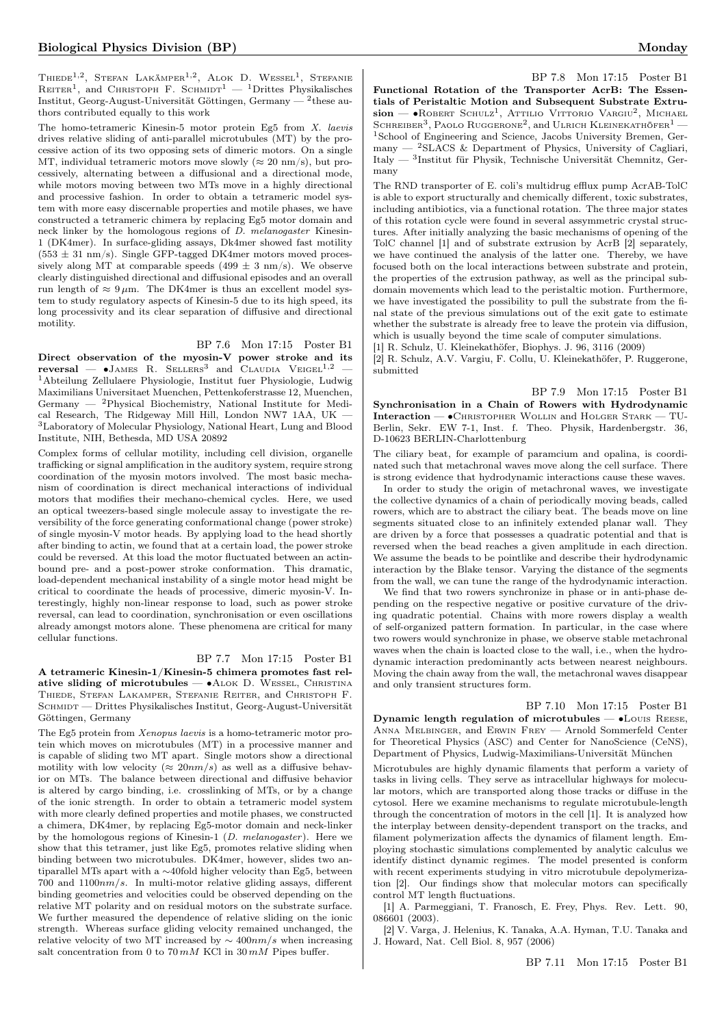Thiede<sup>1,2</sup>, Stefan Lakämper<sup>1,2</sup>, Alok D. Wessel<sup>1</sup>, Stefanie REITER<sup>1</sup>, and CHRISTOPH F. SCHMIDT<sup>1</sup>  $-$  <sup>1</sup>Drittes Physikalisches Institut, Georg-August-Universität Göttingen, Germany — <sup>2</sup> these authors contributed equally to this work

The homo-tetrameric Kinesin-5 motor protein Eg5 from X. laevis drives relative sliding of anti-parallel microtubules (MT) by the processive action of its two opposing sets of dimeric motors. On a single MT, individual tetrameric motors move slowly ( $\approx 20$  nm/s), but processively, alternating between a diffusional and a directional mode, while motors moving between two MTs move in a highly directional and processive fashion. In order to obtain a tetrameric model system with more easy discernable properties and motile phases, we have constructed a tetrameric chimera by replacing Eg5 motor domain and neck linker by the homologous regions of D. melanogaster Kinesin-1 (DK4mer). In surface-gliding assays, Dk4mer showed fast motility  $(553 \pm 31 \text{ nm/s})$ . Single GFP-tagged DK4mer motors moved processively along MT at comparable speeds  $(499 \pm 3 \text{ nm/s})$ . We observe clearly distinguished directional and diffusional episodes and an overall run length of  $\approx 9 \,\mu$ m. The DK4mer is thus an excellent model system to study regulatory aspects of Kinesin-5 due to its high speed, its long processivity and its clear separation of diffusive and directional motility.

#### BP 7.6 Mon 17:15 Poster B1

Direct observation of the myosin-V power stroke and its  $reversal$  —  $\bullet$ James R. Sellers<sup>3</sup> and Claudia Veigel<sup>1,2</sup> — <sup>1</sup>Abteilung Zellulaere Physiologie, Institut fuer Physiologie, Ludwig Maximilians Universitaet Muenchen, Pettenkoferstrasse 12, Muenchen, Germany — <sup>2</sup>Physical Biochemistry, National Institute for Medical Research, The Ridgeway Mill Hill, London NW7 1AA, UK — <sup>3</sup>Laboratory of Molecular Physiology, National Heart, Lung and Blood Institute, NIH, Bethesda, MD USA 20892

Complex forms of cellular motility, including cell division, organelle trafficking or signal amplification in the auditory system, require strong coordination of the myosin motors involved. The most basic mechanism of coordination is direct mechanical interactions of individual motors that modifies their mechano-chemical cycles. Here, we used an optical tweezers-based single molecule assay to investigate the reversibility of the force generating conformational change (power stroke) of single myosin-V motor heads. By applying load to the head shortly after binding to actin, we found that at a certain load, the power stroke could be reversed. At this load the motor fluctuated between an actinbound pre- and a post-power stroke conformation. This dramatic, load-dependent mechanical instability of a single motor head might be critical to coordinate the heads of processive, dimeric myosin-V. Interestingly, highly non-linear response to load, such as power stroke reversal, can lead to coordination, synchronisation or even oscillations already amongst motors alone. These phenomena are critical for many cellular functions.

#### BP 7.7 Mon 17:15 Poster B1

A tetrameric Kinesin-1/Kinesin-5 chimera promotes fast relative sliding of microtubules — • ALOK D. WESSEL, CHRISTINA Thiede, Stefan Lakamper, Stefanie Reiter, and Christoph F. SCHMIDT — Drittes Physikalisches Institut, Georg-August-Universität Göttingen, Germany

The Eg5 protein from Xenopus laevis is a homo-tetrameric motor protein which moves on microtubules (MT) in a processive manner and is capable of sliding two MT apart. Single motors show a directional motility with low velocity ( $\approx 20nm/s$ ) as well as a diffusive behavior on MTs. The balance between directional and diffusive behavior is altered by cargo binding, i.e. crosslinking of MTs, or by a change of the ionic strength. In order to obtain a tetrameric model system with more clearly defined properties and motile phases, we constructed a chimera, DK4mer, by replacing Eg5-motor domain and neck-linker by the homologous regions of Kinesin-1  $(D. \text{ melanogaster})$ . Here we show that this tetramer, just like Eg5, promotes relative sliding when binding between two microtubules. DK4mer, however, slides two antiparallel MTs apart with a ∼40fold higher velocity than Eg5, between 700 and  $1100nm/s$ . In multi-motor relative gliding assays, different binding geometries and velocities could be observed depending on the relative MT polarity and on residual motors on the substrate surface. We further measured the dependence of relative sliding on the ionic strength. Whereas surface gliding velocity remained unchanged, the relative velocity of two MT increased by  $\sim$  400 $nm/s$  when increasing salt concentration from 0 to  $70\, mM$  KCl in  $30\, mM$  Pipes buffer.

BP 7.8 Mon 17:15 Poster B1 Functional Rotation of the Transporter AcrB: The Essentials of Peristaltic Motion and Subsequent Substrate Extrusion — • ROBERT SCHULZ<sup>1</sup>, Attilio Vittorio Vargiu<sup>2</sup>, Michael SCHREIBER<sup>3</sup>, PAOLO RUGGERONE<sup>2</sup>, and ULRICH KLEINEKATHÖFER<sup>1</sup> — <sup>1</sup>School of Engineering and Science, Jacobs University Bremen, Germany  $-$  <sup>2</sup>SLACS & Department of Physics, University of Cagliari, Italy — <sup>3</sup> Institut für Physik, Technische Universität Chemnitz, Germany

The RND transporter of E. coli's multidrug efflux pump AcrAB-TolC is able to export structurally and chemically different, toxic substrates, including antibiotics, via a functional rotation. The three major states of this rotation cycle were found in several assymmetric crystal structures. After initially analyzing the basic mechanisms of opening of the TolC channel [1] and of substrate extrusion by AcrB [2] separately, we have continued the analysis of the latter one. Thereby, we have focused both on the local interactions between substrate and protein, the properties of the extrusion pathway, as well as the principal subdomain movements which lead to the peristaltic motion. Furthermore, we have investigated the possibility to pull the substrate from the final state of the previous simulations out of the exit gate to estimate whether the substrate is already free to leave the protein via diffusion, which is usually beyond the time scale of computer simulations.

[1] R. Schulz, U. Kleinekathöfer, Biophys. J. 96, 3116 (2009)

[2] R. Schulz, A.V. Vargiu, F. Collu, U. Kleinekathöfer, P. Ruggerone, submitted

BP 7.9 Mon 17:15 Poster B1 Synchronisation in a Chain of Rowers with Hydrodynamic Interaction — ∙Christopher Wollin and Holger Stark — TU-Berlin, Sekr. EW 7-1, Inst. f. Theo. Physik, Hardenbergstr. 36, D-10623 BERLIN-Charlottenburg

The ciliary beat, for example of paramcium and opalina, is coordinated such that metachronal waves move along the cell surface. There is strong evidence that hydrodynamic interactions cause these waves.

In order to study the origin of metachronal waves, we investigate the collective dynamics of a chain of periodically moving beads, called rowers, which are to abstract the ciliary beat. The beads move on line segments situated close to an infinitely extended planar wall. They are driven by a force that possesses a quadratic potential and that is reversed when the bead reaches a given amplitude in each direction. We assume the beads to be pointlike and describe their hydrodynamic interaction by the Blake tensor. Varying the distance of the segments from the wall, we can tune the range of the hydrodynamic interaction.

We find that two rowers synchronize in phase or in anti-phase depending on the respective negative or positive curvature of the driving quadratic potential. Chains with more rowers display a wealth of self-organized pattern formation. In particular, in the case where two rowers would synchronize in phase, we observe stable metachronal waves when the chain is loacted close to the wall, i.e., when the hydrodynamic interaction predominantly acts between nearest neighbours. Moving the chain away from the wall, the metachronal waves disappear and only transient structures form.

BP 7.10 Mon 17:15 Poster B1 Dynamic length regulation of microtubules — •Louis REESE, Anna Melbinger, and Erwin Frey — Arnold Sommerfeld Center for Theoretical Physics (ASC) and Center for NanoScience (CeNS), Department of Physics, Ludwig-Maximilians-Universität München

Microtubules are highly dynamic filaments that perform a variety of tasks in living cells. They serve as intracellular highways for molecular motors, which are transported along those tracks or diffuse in the cytosol. Here we examine mechanisms to regulate microtubule-length through the concentration of motors in the cell [1]. It is analyzed how the interplay between density-dependent transport on the tracks, and filament polymerization affects the dynamics of filament length. Employing stochastic simulations complemented by analytic calculus we identify distinct dynamic regimes. The model presented is conform with recent experiments studying in vitro microtubule depolymerization [2]. Our findings show that molecular motors can specifically control MT length fluctuations.

[1] A. Parmeggiani, T. Franosch, E. Frey, Phys. Rev. Lett. 90, 086601 (2003).

[2] V. Varga, J. Helenius, K. Tanaka, A.A. Hyman, T.U. Tanaka and J. Howard, Nat. Cell Biol. 8, 957 (2006)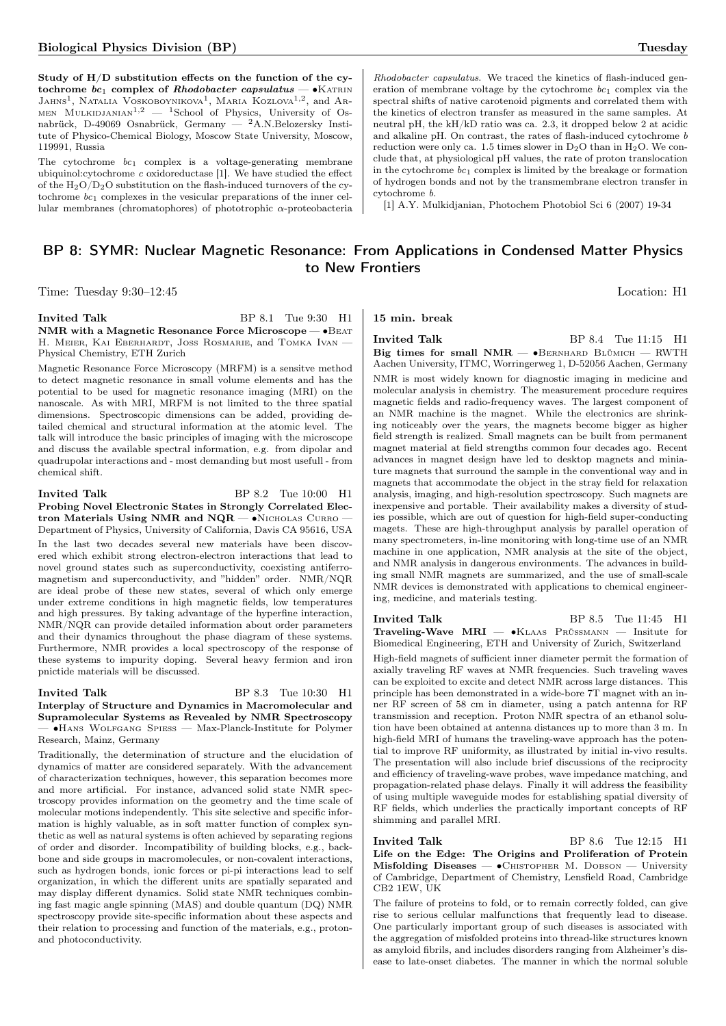Study of H/D substitution effects on the function of the cytochrome  $bc_1$  complex of *Rhodobacter capsulatus* — •Katrin<br>Jahns<sup>1</sup>, Natalia Voskoboynikova<sup>1</sup>, Maria Kozlova<sup>1,2</sup>, and Ar-MEN MULKIDJANIAN<sup>1,2</sup>  $-$  <sup>1</sup>School of Physics, University of Osnabrück, D-49069 Osnabrück, Germany — <sup>2</sup>A.N.Belozersky Institute of Physico-Chemical Biology, Moscow State University, Moscow, 119991, Russia

The cytochrome  $bc_1$  complex is a voltage-generating membrane ubiquinol: $cy$ tochrome  $c$  oxidoreductase [1]. We have studied the effect of the  $H_2O/D_2O$  substitution on the flash-induced turnovers of the cytochrome  $bc_1$  complexes in the vesicular preparations of the inner cellular membranes (chromatophores) of phototrophic  $\alpha$ -proteobacteria

Rhodobacter capsulatus. We traced the kinetics of flash-induced generation of membrane voltage by the cytochrome  $bc_1$  complex via the spectral shifts of native carotenoid pigments and correlated them with the kinetics of electron transfer as measured in the same samples. At neutral pH, the kH/kD ratio was ca. 2.3, it dropped below 2 at acidic and alkaline pH. On contrast, the rates of flash-induced cytochrome b reduction were only ca. 1.5 times slower in  $D_2O$  than in  $H_2O$ . We conclude that, at physiological pH values, the rate of proton translocation in the cytochrome  $bc_1$  complex is limited by the breakage or formation of hydrogen bonds and not by the transmembrane electron transfer in cytochrome b.

[1] A.Y. Mulkidjanian, Photochem Photobiol Sci 6 (2007) 19-34

## BP 8: SYMR: Nuclear Magnetic Resonance: From Applications in Condensed Matter Physics to New Frontiers

Time: Tuesday 9:30–12:45 Location: H1

#### Invited Talk BP 8.1 Tue 9:30 H1 NMR with a Magnetic Resonance Force Microscope — ∙Beat H. MEIER, KAI EBERHARDT, JOSS ROSMARIE, and TOMKA IVAN -Physical Chemistry, ETH Zurich

Magnetic Resonance Force Microscopy (MRFM) is a sensitve method to detect magnetic resonance in small volume elements and has the potential to be used for magnetic resonance imaging (MRI) on the nanoscale. As with MRI, MRFM is not limited to the three spatial dimensions. Spectroscopic dimensions can be added, providing detailed chemical and structural information at the atomic level. The talk will introduce the basic principles of imaging with the microscope and discuss the available spectral information, e.g. from dipolar and quadrupolar interactions and - most demanding but most usefull - from chemical shift.

#### Invited Talk BP 8.2 Tue 10:00 H1 Probing Novel Electronic States in Strongly Correlated Electron Materials Using NMR and NQR — •NICHOLAS CURRO -Department of Physics, University of California, Davis CA 95616, USA

In the last two decades several new materials have been discovered which exhibit strong electron-electron interactions that lead to novel ground states such as superconductivity, coexisting antiferromagnetism and superconductivity, and "hidden" order. NMR/NQR are ideal probe of these new states, several of which only emerge under extreme conditions in high magnetic fields, low temperatures and high pressures. By taking advantage of the hyperfine interaction, NMR/NQR can provide detailed information about order parameters and their dynamics throughout the phase diagram of these systems. Furthermore, NMR provides a local spectroscopy of the response of these systems to impurity doping. Several heavy fermion and iron pnictide materials will be discussed.

#### Invited Talk BP 8.3 Tue 10:30 H1 Interplay of Structure and Dynamics in Macromolecular and Supramolecular Systems as Revealed by NMR Spectroscopy — ∙Hans Wolfgang Spiess — Max-Planck-Institute for Polymer

Research, Mainz, Germany

Traditionally, the determination of structure and the elucidation of dynamics of matter are considered separately. With the advancement of characterization techniques, however, this separation becomes more and more artificial. For instance, advanced solid state NMR spectroscopy provides information on the geometry and the time scale of molecular motions independently. This site selective and specific information is highly valuable, as in soft matter function of complex synthetic as well as natural systems is often achieved by separating regions of order and disorder. Incompatibility of building blocks, e.g., backbone and side groups in macromolecules, or non-covalent interactions, such as hydrogen bonds, ionic forces or pi-pi interactions lead to self organization, in which the different units are spatially separated and may display different dynamics. Solid state NMR techniques combining fast magic angle spinning (MAS) and double quantum (DQ) NMR spectroscopy provide site-specific information about these aspects and their relation to processing and function of the materials, e.g., protonand photoconductivity.

15 min. break

Invited Talk BP 8.4 Tue 11:15 H1 Big times for small  $NMR - \bullet$ BERNHARD BLÜMICH — RWTH Aachen University, ITMC, Worringerweg 1, D-52056 Aachen, Germany NMR is most widely known for diagnostic imaging in medicine and molecular analysis in chemistry. The measurement procedure requires magnetic fields and radio-frequency waves. The largest component of an NMR machine is the magnet. While the electronics are shrinking noticeably over the years, the magnets become bigger as higher field strength is realized. Small magnets can be built from permanent magnet material at field strengths common four decades ago. Recent advances in magnet design have led to desktop magnets and miniature magnets that surround the sample in the conventional way and in magnets that accommodate the object in the stray field for relaxation analysis, imaging, and high-resolution spectroscopy. Such magnets are inexpensive and portable. Their availability makes a diversity of studies possible, which are out of question for high-field super-conducting magets. These are high-throughput analysis by parallel operation of many spectrometers, in-line monitoring with long-time use of an NMR machine in one application, NMR analysis at the site of the object, and NMR analysis in dangerous environments. The advances in building small NMR magnets are summarized, and the use of small-scale NMR devices is demonstrated with applications to chemical engineering, medicine, and materials testing.

Invited Talk BP 8.5 Tue 11:45 H1 Traveling-Wave MRI — •KLAAS PRÜSSMANN — Insitute for Biomedical Engineering, ETH and University of Zurich, Switzerland

High-field magnets of sufficient inner diameter permit the formation of axially traveling RF waves at NMR frequencies. Such traveling waves can be exploited to excite and detect NMR across large distances. This principle has been demonstrated in a wide-bore 7T magnet with an inner RF screen of 58 cm in diameter, using a patch antenna for RF transmission and reception. Proton NMR spectra of an ethanol solution have been obtained at antenna distances up to more than 3 m. In high-field MRI of humans the traveling-wave approach has the potential to improve RF uniformity, as illustrated by initial in-vivo results. The presentation will also include brief discussions of the reciprocity and efficiency of traveling-wave probes, wave impedance matching, and propagation-related phase delays. Finally it will address the feasibility of using multiple waveguide modes for establishing spatial diversity of RF fields, which underlies the practically important concepts of RF shimming and parallel MRI.

#### Invited Talk BP 8.6 Tue 12:15 H1

Life on the Edge: The Origins and Proliferation of Protein Misfolding Diseases —  $\bullet$ Chistopher M. Dobson — University of Cambridge, Department of Chemistry, Lensfield Road, Cambridge CB2 1EW, UK

The failure of proteins to fold, or to remain correctly folded, can give rise to serious cellular malfunctions that frequently lead to disease. One particularly important group of such diseases is associated with the aggregation of misfolded proteins into thread-like structures known as amyloid fibrils, and includes disorders ranging from Alzheimer's disease to late-onset diabetes. The manner in which the normal soluble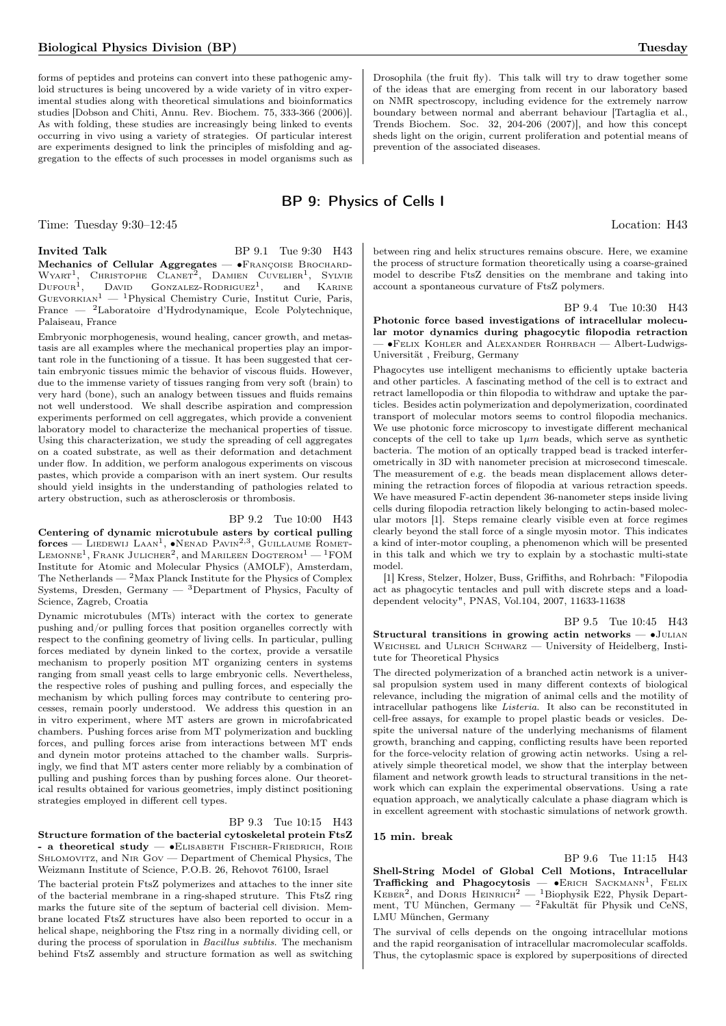forms of peptides and proteins can convert into these pathogenic amyloid structures is being uncovered by a wide variety of in vitro experimental studies along with theoretical simulations and bioinformatics studies [Dobson and Chiti, Annu. Rev. Biochem. 75, 333-366 (2006)]. As with folding, these studies are increasingly being linked to events occurring in vivo using a variety of strategies. Of particular interest are experiments designed to link the principles of misfolding and aggregation to the effects of such processes in model organisms such as

#### Time: Tuesday 9:30–12:45 Location: H43

Invited Talk BP 9.1 Tue 9:30 H43 Mechanics of Cellular Aggregates — •FRANÇOISE BROCHARD- $WYART<sup>1</sup>$ , CHRISTOPHE CLANET<sup>2</sup>, DAMIEN CUVELIER<sup>1</sup>, SYLVIE  $D$ ufour<sup>1</sup>,  $D$ AVID GONZALEZ-RODRIGUEZ<sup>1</sup>, and KARINE  $G$ UEVORKIAN<sup>1</sup> — <sup>1</sup>Physical Chemistry Curie, Institut Curie, Paris, France — <sup>2</sup>Laboratoire d'Hydrodynamique, Ecole Polytechnique, Palaiseau, France

Embryonic morphogenesis, wound healing, cancer growth, and metastasis are all examples where the mechanical properties play an important role in the functioning of a tissue. It has been suggested that certain embryonic tissues mimic the behavior of viscous fluids. However, due to the immense variety of tissues ranging from very soft (brain) to very hard (bone), such an analogy between tissues and fluids remains not well understood. We shall describe aspiration and compression experiments performed on cell aggregates, which provide a convenient laboratory model to characterize the mechanical properties of tissue. Using this characterization, we study the spreading of cell aggregates on a coated substrate, as well as their deformation and detachment under flow. In addition, we perform analogous experiments on viscous pastes, which provide a comparison with an inert system. Our results should yield insights in the understanding of pathologies related to artery obstruction, such as atherosclerosis or thrombosis.

#### BP 9.2 Tue 10:00 H43

Centering of dynamic microtubule asters by cortical pulling  $\rm{forces}-L$ iedewij Laan<sup>1</sup>,  $\bullet$ Nenad Pavin<sup>2,3</sup>, Guillaume Romet-LEMONNE<sup>1</sup>, Frank Julicher<sup>2</sup>, and Marileen Dogterom<sup>1</sup> — <sup>1</sup>FOM Institute for Atomic and Molecular Physics (AMOLF), Amsterdam, The Netherlands —  $2$ Max Planck Institute for the Physics of Complex Systems, Dresden, Germany  $-$  3Department of Physics, Faculty of Science, Zagreb, Croatia

Dynamic microtubules (MTs) interact with the cortex to generate pushing and/or pulling forces that position organelles correctly with respect to the confining geometry of living cells. In particular, pulling forces mediated by dynein linked to the cortex, provide a versatile mechanism to properly position MT organizing centers in systems ranging from small yeast cells to large embryonic cells. Nevertheless, the respective roles of pushing and pulling forces, and especially the mechanism by which pulling forces may contribute to centering processes, remain poorly understood. We address this question in an in vitro experiment, where MT asters are grown in microfabricated chambers. Pushing forces arise from MT polymerization and buckling forces, and pulling forces arise from interactions between MT ends and dynein motor proteins attached to the chamber walls. Surprisingly, we find that MT asters center more reliably by a combination of pulling and pushing forces than by pushing forces alone. Our theoretical results obtained for various geometries, imply distinct positioning strategies employed in different cell types.

#### BP 9.3 Tue 10:15 H43

Structure formation of the bacterial cytoskeletal protein FtsZ - a theoretical study — ∙Elisabeth Fischer-Friedrich, Roie SHLOMOVITZ, and NIR Gov — Department of Chemical Physics, The Weizmann Institute of Science, P.O.B. 26, Rehovot 76100, Israel

The bacterial protein FtsZ polymerizes and attaches to the inner site of the bacterial membrane in a ring-shaped struture. This FtsZ ring marks the future site of the septum of bacterial cell division. Membrane located FtsZ structures have also been reported to occur in a helical shape, neighboring the Ftsz ring in a normally dividing cell, or during the process of sporulation in Bacillus subtilis. The mechanism behind FtsZ assembly and structure formation as well as switching

Drosophila (the fruit fly). This talk will try to draw together some of the ideas that are emerging from recent in our laboratory based on NMR spectroscopy, including evidence for the extremely narrow boundary between normal and aberrant behaviour [Tartaglia et al., Trends Biochem. Soc. 32, 204-206 (2007)], and how this concept sheds light on the origin, current proliferation and potential means of prevention of the associated diseases.

## BP 9: Physics of Cells I

between ring and helix structures remains obscure. Here, we examine the process of structure formation theoretically using a coarse-grained model to describe FtsZ densities on the membrane and taking into account a spontaneous curvature of FtsZ polymers.

BP 9.4 Tue 10:30 H43 Photonic force based investigations of intracellular molecular motor dynamics during phagocytic filopodia retraction — ∙Felix Kohler and Alexander Rohrbach — Albert-Ludwigs-Universität , Freiburg, Germany

Phagocytes use intelligent mechanisms to efficiently uptake bacteria and other particles. A fascinating method of the cell is to extract and retract lamellopodia or thin filopodia to withdraw and uptake the particles. Besides actin polymerization and depolymerization, coordinated transport of molecular motors seems to control filopodia mechanics. We use photonic force microscopy to investigate different mechanical concepts of the cell to take up  $1\mu m$  beads, which serve as synthetic bacteria. The motion of an optically trapped bead is tracked interferometrically in 3D with nanometer precision at microsecond timescale. The measurement of e.g. the beads mean displacement allows determining the retraction forces of filopodia at various retraction speeds. We have measured F-actin dependent 36-nanometer steps inside living cells during filopodia retraction likely belonging to actin-based molecular motors [1]. Steps remaine clearly visible even at force regimes clearly beyond the stall force of a single myosin motor. This indicates a kind of inter-motor coupling, a phenomenon which will be presented in this talk and which we try to explain by a stochastic multi-state model.

[1] Kress, Stelzer, Holzer, Buss, Griffiths, and Rohrbach: "Filopodia act as phagocytic tentacles and pull with discrete steps and a loaddependent velocity", PNAS, Vol.104, 2007, 11633-11638

BP 9.5 Tue 10:45 H43

Structural transitions in growing actin networks — ∙Julian WEICHSEL and ULRICH SCHWARZ — University of Heidelberg, Institute for Theoretical Physics

The directed polymerization of a branched actin network is a universal propulsion system used in many different contexts of biological relevance, including the migration of animal cells and the motility of intracellular pathogens like Listeria. It also can be reconstituted in cell-free assays, for example to propel plastic beads or vesicles. Despite the universal nature of the underlying mechanisms of filament growth, branching and capping, conflicting results have been reported for the force-velocity relation of growing actin networks. Using a relatively simple theoretical model, we show that the interplay between filament and network growth leads to structural transitions in the network which can explain the experimental observations. Using a rate equation approach, we analytically calculate a phase diagram which is in excellent agreement with stochastic simulations of network growth.

#### 15 min. break

BP 9.6 Tue 11:15 H43 Shell-String Model of Global Cell Motions, Intracellular Trafficking and Phagocytosis — • ERICH SACKMANN<sup>1</sup>, FELIX KEBER<sup>2</sup>, and DORIS HEINRICH<sup>2</sup> - <sup>1</sup>Biophysik E22, Physik Department, TU München, Germany — <sup>2</sup>Fakultät für Physik und CeNS, LMU München, Germany

The survival of cells depends on the ongoing intracellular motions and the rapid reorganisation of intracellular macromolecular scaffolds. Thus, the cytoplasmic space is explored by superpositions of directed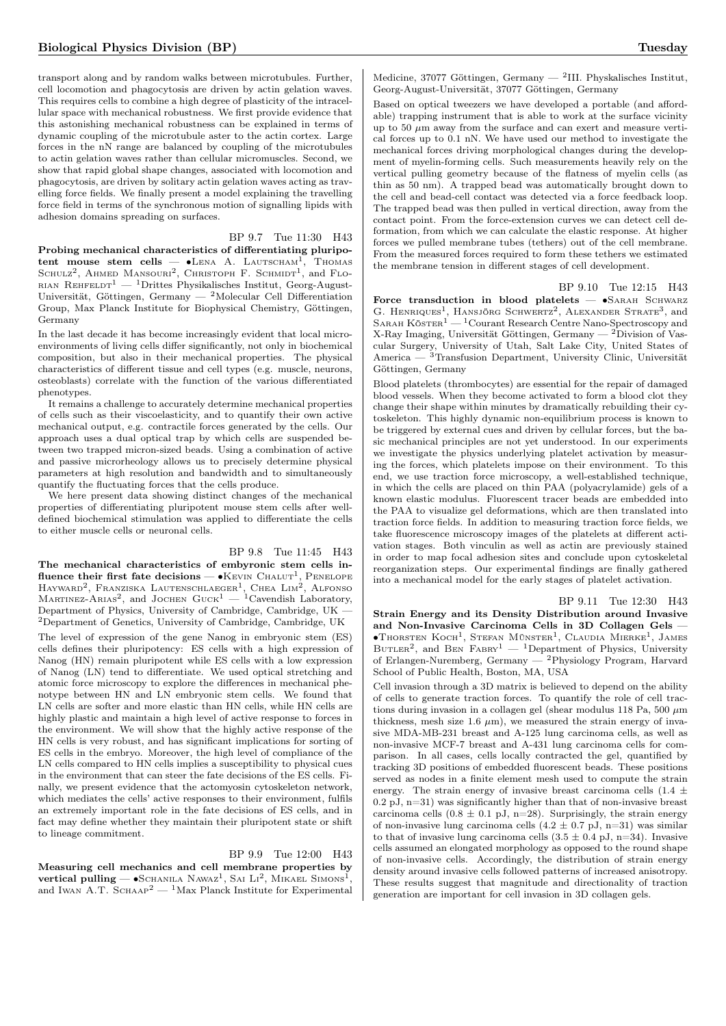transport along and by random walks between microtubules. Further, cell locomotion and phagocytosis are driven by actin gelation waves. This requires cells to combine a high degree of plasticity of the intracellular space with mechanical robustness. We first provide evidence that this astonishing mechanical robustness can be explained in terms of dynamic coupling of the microtubule aster to the actin cortex. Large forces in the nN range are balanced by coupling of the microtubules to actin gelation waves rather than cellular micromuscles. Second, we show that rapid global shape changes, associated with locomotion and phagocytosis, are driven by solitary actin gelation waves acting as travelling force fields. We finally present a model explaining the travelling force field in terms of the synchronous motion of signalling lipids with adhesion domains spreading on surfaces.

## BP 9.7 Tue 11:30 H43

Probing mechanical characteristics of differentiating pluripotent mouse stem cells —  $\bullet$ Lena A. Lautscham<sup>1</sup>, Thomas SCHULZ<sup>2</sup>, AHMED MANSOURI<sup>2</sup>, CHRISTOPH F. SCHMIDT<sup>1</sup>, and FLO-RIAN REHFELDT<sup>1</sup> — <sup>1</sup>Drittes Physikalisches Institut, Georg-August-Universität, Göttingen, Germany — <sup>2</sup>Molecular Cell Differentiation Group, Max Planck Institute for Biophysical Chemistry, Göttingen, Germany

In the last decade it has become increasingly evident that local microenvironments of living cells differ significantly, not only in biochemical composition, but also in their mechanical properties. The physical characteristics of different tissue and cell types (e.g. muscle, neurons, osteoblasts) correlate with the function of the various differentiated phenotypes.

It remains a challenge to accurately determine mechanical properties of cells such as their viscoelasticity, and to quantify their own active mechanical output, e.g. contractile forces generated by the cells. Our approach uses a dual optical trap by which cells are suspended between two trapped micron-sized beads. Using a combination of active and passive microrheology allows us to precisely determine physical parameters at high resolution and bandwidth and to simultaneously quantify the fluctuating forces that the cells produce.

We here present data showing distinct changes of the mechanical properties of differentiating pluripotent mouse stem cells after welldefined biochemical stimulation was applied to differentiate the cells to either muscle cells or neuronal cells.

#### BP 9.8 Tue 11:45 H43

The mechanical characteristics of embyronic stem cells influence their first fate decisions —  $\bullet$ Kevin Chalut<sup>1</sup>, Penelope HAYWARD<sup>2</sup>, FRANZISKA LAUTENSCHLAEGER<sup>1</sup>, CHEA LIM<sup>2</sup>, ALFONSO<br>MARTINEZ-ARIAS<sup>2</sup>, and JOCHEN GUCK<sup>1</sup> — <sup>1</sup>Cavendish Laboratory, Department of Physics, University of Cambridge, Cambridge, UK — <sup>2</sup>Department of Genetics, University of Cambridge, Cambridge, UK

The level of expression of the gene Nanog in embryonic stem (ES) cells defines their pluripotency: ES cells with a high expression of Nanog (HN) remain pluripotent while ES cells with a low expression of Nanog (LN) tend to differentiate. We used optical stretching and atomic force microscopy to explore the differences in mechanical phenotype between HN and LN embryonic stem cells. We found that LN cells are softer and more elastic than HN cells, while HN cells are highly plastic and maintain a high level of active response to forces in the environment. We will show that the highly active response of the HN cells is very robust, and has significant implications for sorting of ES cells in the embryo. Moreover, the high level of compliance of the LN cells compared to HN cells implies a susceptibility to physical cues in the environment that can steer the fate decisions of the ES cells. Finally, we present evidence that the actomyosin cytoskeleton network, which mediates the cells' active responses to their environment, fulfils an extremely important role in the fate decisions of ES cells, and in fact may define whether they maintain their pluripotent state or shift to lineage commitment.

#### BP 9.9 Tue 12:00 H43

Measuring cell mechanics and cell membrane properties by  $\rm vertical~pulling \boldsymbol{---} \bullet S$ chanila Nawaz<sup>1</sup>, Sai Li<sup>2</sup>, Mikael Simons<sup>1</sup> , and Iwan A.T.  $S$ CHAAP<sup>2</sup> — <sup>1</sup>Max Planck Institute for Experimental

Medicine, 37077 Göttingen, Germany — <sup>2</sup>III. Physkalisches Institut, Georg-August-Universität, 37077 Göttingen, Germany

Based on optical tweezers we have developed a portable (and affordable) trapping instrument that is able to work at the surface vicinity up to 50  $\mu$ m away from the surface and can exert and measure vertical forces up to 0.1 nN. We have used our method to investigate the mechanical forces driving morphological changes during the development of myelin-forming cells. Such measurements heavily rely on the vertical pulling geometry because of the flatness of myelin cells (as thin as 50 nm). A trapped bead was automatically brought down to the cell and bead-cell contact was detected via a force feedback loop. The trapped bead was then pulled in vertical direction, away from the contact point. From the force-extension curves we can detect cell deformation, from which we can calculate the elastic response. At higher forces we pulled membrane tubes (tethers) out of the cell membrane. From the measured forces required to form these tethers we estimated the membrane tension in different stages of cell development.

BP 9.10 Tue 12:15 H43

Force transduction in blood platelets — ∙Sarah Schwarz G. HENRIQUES<sup>1</sup>, HANSJÖRG SCHWERTZ<sup>2</sup>, ALEXANDER STRATE<sup>3</sup>, and SARAH KÖSTER<sup>1</sup> — <sup>1</sup>Courant Research Centre Nano-Spectroscopy and X-Ray Imaging, Universität Göttingen, Germany — <sup>2</sup>Division of Vascular Surgery, University of Utah, Salt Lake City, United States of America — 3Transfusion Department, University Clinic, Universität Göttingen, Germany

Blood platelets (thrombocytes) are essential for the repair of damaged blood vessels. When they become activated to form a blood clot they change their shape within minutes by dramatically rebuilding their cytoskeleton. This highly dynamic non-equilibrium process is known to be triggered by external cues and driven by cellular forces, but the basic mechanical principles are not yet understood. In our experiments we investigate the physics underlying platelet activation by measuring the forces, which platelets impose on their environment. To this end, we use traction force microscopy, a well-established technique, in which the cells are placed on thin PAA (polyacrylamide) gels of a known elastic modulus. Fluorescent tracer beads are embedded into the PAA to visualize gel deformations, which are then translated into traction force fields. In addition to measuring traction force fields, we take fluorescence microscopy images of the platelets at different activation stages. Both vinculin as well as actin are previously stained in order to map focal adhesion sites and conclude upon cytoskeletal reorganization steps. Our experimental findings are finally gathered into a mechanical model for the early stages of platelet activation.

BP 9.11 Tue 12:30 H43

Strain Energy and its Density Distribution around Invasive and Non-Invasive Carcinoma Cells in 3D Collagen Gels — ∙Thorsten Koch<sup>1</sup> , Stefan Münster<sup>1</sup> , Claudia Mierke<sup>1</sup> , James BUTLER<sup>2</sup>, and BEN FABRY<sup>1</sup> — <sup>1</sup>Department of Physics, University of Erlangen-Nuremberg, Germany — <sup>2</sup>Physiology Program, Harvard School of Public Health, Boston, MA, USA

Cell invasion through a 3D matrix is believed to depend on the ability of cells to generate traction forces. To quantify the role of cell tractions during invasion in a collagen gel (shear modulus 118 Pa, 500  $\mu$ m thickness, mesh size 1.6  $\mu$ m), we measured the strain energy of invasive MDA-MB-231 breast and A-125 lung carcinoma cells, as well as non-invasive MCF-7 breast and A-431 lung carcinoma cells for comparison. In all cases, cells locally contracted the gel, quantified by tracking 3D positions of embedded fluorescent beads. These positions served as nodes in a finite element mesh used to compute the strain energy. The strain energy of invasive breast carcinoma cells (1.4  $\pm$ 0.2 pJ, n=31) was significantly higher than that of non-invasive breast carcinoma cells  $(0.8 \pm 0.1 \text{ pJ}, \text{ n=28})$ . Surprisingly, the strain energy of non-invasive lung carcinoma cells  $(4.2 \pm 0.7 \text{ pJ}, \text{ n=31})$  was similar to that of invasive lung carcinoma cells  $(3.5 \pm 0.4 \text{ pJ}, \text{ n=34}).$  Invasive cells assumed an elongated morphology as opposed to the round shape of non-invasive cells. Accordingly, the distribution of strain energy density around invasive cells followed patterns of increased anisotropy. These results suggest that magnitude and directionality of traction generation are important for cell invasion in 3D collagen gels.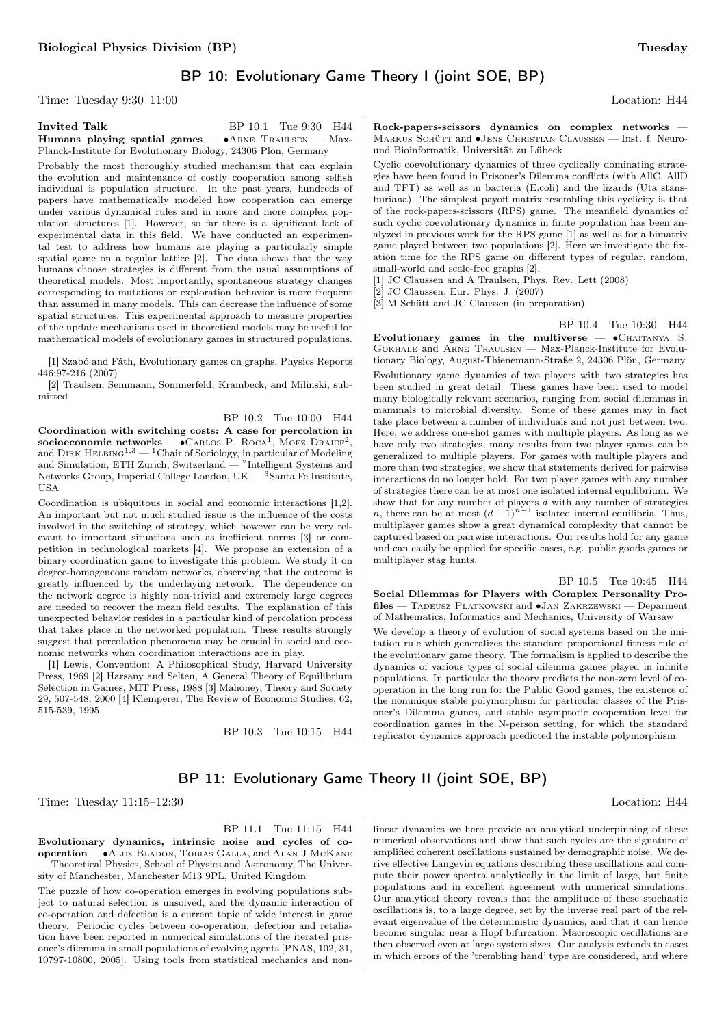## BP 10: Evolutionary Game Theory I (joint SOE, BP)

Time: Tuesday 9:30–11:00 Location: H44

Invited Talk BP 10.1 Tue 9:30 H44 Humans playing spatial games —  $•A$ RNE TRAULSEN — Max-Planck-Institute for Evolutionary Biology, 24306 Plön, Germany

Probably the most thoroughly studied mechanism that can explain the evolution and maintenance of costly cooperation among selfish individual is population structure. In the past years, hundreds of papers have mathematically modeled how cooperation can emerge under various dynamical rules and in more and more complex population structures [1]. However, so far there is a significant lack of experimental data in this field. We have conducted an experimental test to address how humans are playing a particularly simple spatial game on a regular lattice [2]. The data shows that the way humans choose strategies is different from the usual assumptions of theoretical models. Most importantly, spontaneous strategy changes corresponding to mutations or exploration behavior is more frequent than assumed in many models. This can decrease the influence of some spatial structures. This experimental approach to measure properties of the update mechanisms used in theoretical models may be useful for mathematical models of evolutionary games in structured populations.

[1] Szabó and Fáth, Evolutionary games on graphs, Physics Reports 446:97-216 (2007)

[2] Traulsen, Semmann, Sommerfeld, Krambeck, and Milinski, submitted

BP 10.2 Tue 10:00 H44 Coordination with switching costs: A case for percolation in socioeconomic networks —  $\bullet$ Carlos P. Roca<sup>1</sup>, Moez Draief<sup>2</sup>, and  $\text{Dirk}$  HELBING<sup>1,3</sup> — <sup>1</sup>Chair of Sociology, in particular of Modeling and Simulation, ETH Zurich, Switzerland —  $^2$ Intelligent Systems and Networks Group, Imperial College London, UK — <sup>3</sup>Santa Fe Institute, USA

Coordination is ubiquitous in social and economic interactions [1,2]. An important but not much studied issue is the influence of the costs involved in the switching of strategy, which however can be very relevant to important situations such as inefficient norms [3] or competition in technological markets [4]. We propose an extension of a binary coordination game to investigate this problem. We study it on degree-homogeneous random networks, observing that the outcome is greatly influenced by the underlaying network. The dependence on the network degree is highly non-trivial and extremely large degrees are needed to recover the mean field results. The explanation of this unexpected behavior resides in a particular kind of percolation process that takes place in the networked population. These results strongly suggest that percolation phenomena may be crucial in social and economic networks when coordination interactions are in play.

[1] Lewis, Convention: A Philosophical Study, Harvard University Press, 1969 [2] Harsany and Selten, A General Theory of Equilibrium Selection in Games, MIT Press, 1988 [3] Mahoney, Theory and Society 29, 507-548, 2000 [4] Klemperer, The Review of Economic Studies, 62, 515-539, 1995

BP 10.3 Tue 10:15 H44

Rock-papers-scissors dynamics on complex networks — MARKUS SCHÜTT and  $\bullet$ JENS CHRISTIAN CLAUSSEN — Inst. f. Neuround Bioinformatik, Universität zu Lübeck

Cyclic coevolutionary dynamics of three cyclically dominating strategies have been found in Prisoner's Dilemma conflicts (with AllC, AllD and TFT) as well as in bacteria (E.coli) and the lizards (Uta stansburiana). The simplest payoff matrix resembling this cyclicity is that of the rock-papers-scissors (RPS) game. The meanfield dynamics of such cyclic coevolutionary dynamics in finite population has been analyzed in previous work for the RPS game [1] as well as for a bimatrix game played between two populations [2]. Here we investigate the fixation time for the RPS game on different types of regular, random, small-world and scale-free graphs [2].

[1] JC Claussen and A Traulsen, Phys. Rev. Lett (2008)

[2] JC Claussen, Eur. Phys. J. (2007)

[3] M Schütt and JC Claussen (in preparation)

BP 10.4 Tue 10:30 H44 Evolutionary games in the multiverse  $\bullet$ CHAITANYA S. Gokhale and Arne Traulsen — Max-Planck-Institute for Evolutionary Biology, August-Thienemann-Straße 2, 24306 Plön, Germany Evolutionary game dynamics of two players with two strategies has been studied in great detail. These games have been used to model many biologically relevant scenarios, ranging from social dilemmas in mammals to microbial diversity. Some of these games may in fact take place between a number of individuals and not just between two. Here, we address one-shot games with multiple players. As long as we have only two strategies, many results from two player games can be generalized to multiple players. For games with multiple players and more than two strategies, we show that statements derived for pairwise interactions do no longer hold. For two player games with any number of strategies there can be at most one isolated internal equilibrium. We show that for any number of players *d* with any number of strategies *n*, there can be at most  $(d-1)^{n-1}$  isolated internal equilibria. Thus, multiplayer games show a great dynamical complexity that cannot be captured based on pairwise interactions. Our results hold for any game and can easily be applied for specific cases, e.g. public goods games or multiplayer stag hunts.

BP 10.5 Tue 10:45 H44 Social Dilemmas for Players with Complex Personality Profiles — Tadeusz Platkowski and ∙Jan Zakrzewski — Deparment of Mathematics, Informatics and Mechanics, University of Warsaw

We develop a theory of evolution of social systems based on the imitation rule which generalizes the standard proportional fitness rule of the evolutionary game theory. The formalism is applied to describe the dynamics of various types of social dilemma games played in infinite populations. In particular the theory predicts the non-zero level of cooperation in the long run for the Public Good games, the existence of the nonunique stable polymorphism for particular classes of the Prisoner's Dilemma games, and stable asymptotic cooperation level for coordination games in the N-person setting, for which the standard replicator dynamics approach predicted the instable polymorphism.

## BP 11: Evolutionary Game Theory II (joint SOE, BP)

Time: Tuesday 11:15–12:30 Location: H44

BP 11.1 Tue 11:15 H44

Evolutionary dynamics, intrinsic noise and cycles of cooperation — ∙Alex Bladon, Tobias Galla, and Alan J McKane — Theoretical Physics, School of Physics and Astronomy, The University of Manchester, Manchester M13 9PL, United Kingdom

The puzzle of how co-operation emerges in evolving populations subject to natural selection is unsolved, and the dynamic interaction of co-operation and defection is a current topic of wide interest in game theory. Periodic cycles between co-operation, defection and retaliation have been reported in numerical simulations of the iterated prisoner's dilemma in small populations of evolving agents [PNAS, 102, 31, 10797-10800, 2005]. Using tools from statistical mechanics and nonlinear dynamics we here provide an analytical underpinning of these numerical observations and show that such cycles are the signature of amplified coherent oscillations sustained by demographic noise. We derive effective Langevin equations describing these oscillations and compute their power spectra analytically in the limit of large, but finite populations and in excellent agreement with numerical simulations. Our analytical theory reveals that the amplitude of these stochastic oscillations is, to a large degree, set by the inverse real part of the relevant eigenvalue of the deterministic dynamics, and that it can hence become singular near a Hopf bifurcation. Macroscopic oscillations are then observed even at large system sizes. Our analysis extends to cases in which errors of the 'trembling hand' type are considered, and where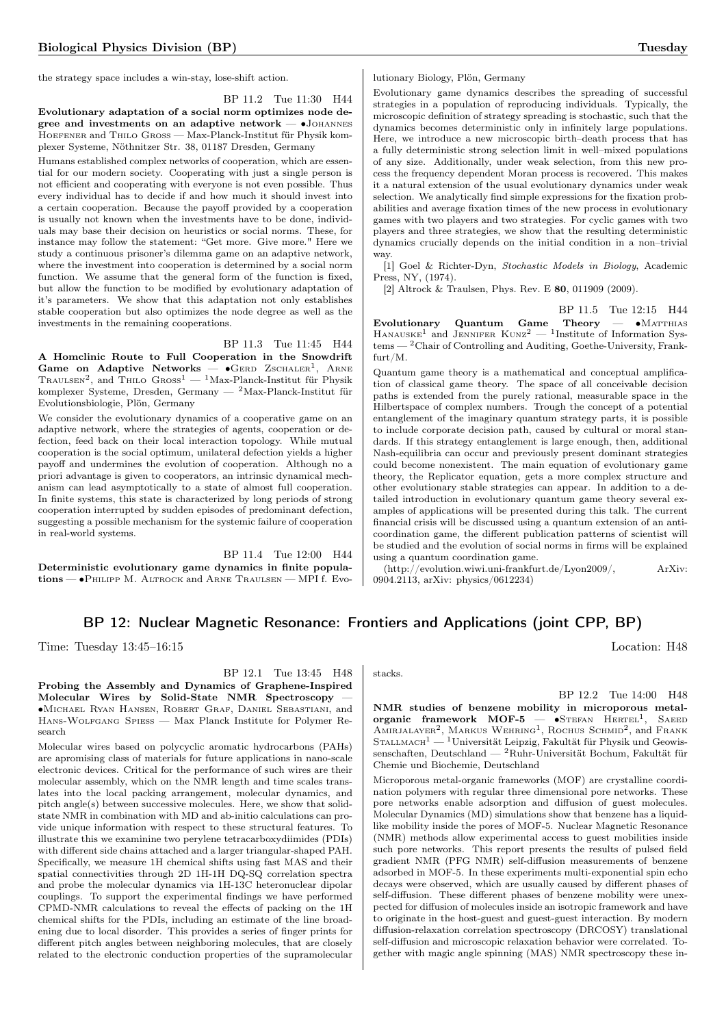the strategy space includes a win-stay, lose-shift action.

BP 11.2 Tue 11:30 H44

Evolutionary adaptation of a social norm optimizes node degree and investments on an adaptive network — •JOHANNES Hoefener and Thilo Gross — Max-Planck-Institut für Physik komplexer Systeme, Nöthnitzer Str. 38, 01187 Dresden, Germany

Humans established complex networks of cooperation, which are essential for our modern society. Cooperating with just a single person is not efficient and cooperating with everyone is not even possible. Thus every individual has to decide if and how much it should invest into a certain cooperation. Because the payoff provided by a cooperation is usually not known when the investments have to be done, individuals may base their decision on heuristics or social norms. These, for instance may follow the statement: "Get more. Give more." Here we study a continuous prisoner's dilemma game on an adaptive network, where the investment into cooperation is determined by a social norm function. We assume that the general form of the function is fixed, but allow the function to be modified by evolutionary adaptation of it's parameters. We show that this adaptation not only establishes stable cooperation but also optimizes the node degree as well as the investments in the remaining cooperations.

BP 11.3 Tue 11:45 H44

A Homclinic Route to Full Cooperation in the Snowdrift Game on Adaptive Networks —  $\bullet$ GERD ZSCHALER<sup>1</sup>, ARNE TRAULSEN<sup>2</sup>, and THILO  $\text{Gross}^1 - \text{1Max-Planck-Institut für Physik}$ komplexer Systeme, Dresden, Germany — <sup>2</sup>Max-Planck-Institut für Evolutionsbiologie, Plön, Germany

We consider the evolutionary dynamics of a cooperative game on an adaptive network, where the strategies of agents, cooperation or defection, feed back on their local interaction topology. While mutual cooperation is the social optimum, unilateral defection yields a higher payoff and undermines the evolution of cooperation. Although no a priori advantage is given to cooperators, an intrinsic dynamical mechanism can lead asymptotically to a state of almost full cooperation. In finite systems, this state is characterized by long periods of strong cooperation interrupted by sudden episodes of predominant defection, suggesting a possible mechanism for the systemic failure of cooperation in real-world systems.

BP 11.4 Tue 12:00 H44 Deterministic evolutionary game dynamics in finite populations — ∙Philipp M. Altrock and Arne Traulsen — MPI f. Evolutionary Biology, Plön, Germany

Evolutionary game dynamics describes the spreading of successful strategies in a population of reproducing individuals. Typically, the microscopic definition of strategy spreading is stochastic, such that the dynamics becomes deterministic only in infinitely large populations. Here, we introduce a new microscopic birth–death process that has a fully deterministic strong selection limit in well–mixed populations of any size. Additionally, under weak selection, from this new process the frequency dependent Moran process is recovered. This makes it a natural extension of the usual evolutionary dynamics under weak selection. We analytically find simple expressions for the fixation probabilities and average fixation times of the new process in evolutionary games with two players and two strategies. For cyclic games with two players and three strategies, we show that the resulting deterministic dynamics crucially depends on the initial condition in a non–trivial way.

[1] Goel & Richter-Dyn, Stochastic Models in Biology, Academic Press, NY, (1974).

[2] Altrock & Traulsen, Phys. Rev. E 80, 011909 (2009).

BP 11.5 Tue 12:15 H44 Evolutionary Quantum Game Theory — • MATTHIAS HANAUSKE<sup>1</sup> and JENNIFER  $Kunz^2 - 1$ Institute of Information Sys $tems - 2$ Chair of Controlling and Auditing, Goethe-University, Frankfurt/M.

Quantum game theory is a mathematical and conceptual amplification of classical game theory. The space of all conceivable decision paths is extended from the purely rational, measurable space in the Hilbertspace of complex numbers. Trough the concept of a potential entanglement of the imaginary quantum strategy parts, it is possible to include corporate decision path, caused by cultural or moral standards. If this strategy entanglement is large enough, then, additional Nash-equilibria can occur and previously present dominant strategies could become nonexistent. The main equation of evolutionary game theory, the Replicator equation, gets a more complex structure and other evolutionary stable strategies can appear. In addition to a detailed introduction in evolutionary quantum game theory several examples of applications will be presented during this talk. The current financial crisis will be discussed using a quantum extension of an anticoordination game, the different publication patterns of scientist will be studied and the evolution of social norms in firms will be explained using a quantum coordination game.

(http://evolution.wiwi.uni-frankfurt.de/Lyon2009/, ArXiv: 0904.2113, arXiv: physics/0612234)

## BP 12: Nuclear Magnetic Resonance: Frontiers and Applications (joint CPP, BP)

Time: Tuesday 13:45–16:15 Location: H48

BP 12.2 Tue 14:00 H48 NMR studies of benzene mobility in microporous metalorganic framework MOF-5 — •STEFAN HERTEL<sup>1</sup>, SAEED AMIRJALAYER<sup>2</sup>, MARKUS WEHRING<sup>1</sup>, ROCHUS SCHMID<sup>2</sup>, and FRANK STALLMACH<sup>1</sup> — <sup>1</sup>Universität Leipzig, Fakultät für Physik und Geowissenschaften, Deutschland — <sup>2</sup>Ruhr-Universität Bochum, Fakultät für Chemie und Biochemie, Deutschland

Microporous metal-organic frameworks (MOF) are crystalline coordination polymers with regular three dimensional pore networks. These pore networks enable adsorption and diffusion of guest molecules. Molecular Dynamics (MD) simulations show that benzene has a liquidlike mobility inside the pores of MOF-5. Nuclear Magnetic Resonance (NMR) methods allow experimental access to guest mobilities inside such pore networks. This report presents the results of pulsed field gradient NMR (PFG NMR) self-diffusion measurements of benzene adsorbed in MOF-5. In these experiments multi-exponential spin echo decays were observed, which are usually caused by different phases of self-diffusion. These different phases of benzene mobility were unexpected for diffusion of molecules inside an isotropic framework and have to originate in the host-guest and guest-guest interaction. By modern diffusion-relaxation correlation spectroscopy (DRCOSY) translational self-diffusion and microscopic relaxation behavior were correlated. Together with magic angle spinning (MAS) NMR spectroscopy these in-

stacks.

BP 12.1 Tue 13:45 H48 Probing the Assembly and Dynamics of Graphene-Inspired Molecular Wires by Solid-State NMR Spectroscopy — ∙Michael Ryan Hansen, Robert Graf, Daniel Sebastiani, and Hans-Wolfgang Spiess — Max Planck Institute for Polymer Research

Molecular wires based on polycyclic aromatic hydrocarbons (PAHs) are apromising class of materials for future applications in nano-scale electronic devices. Critical for the performance of such wires are their molecular assembly, which on the NMR length and time scales translates into the local packing arrangement, molecular dynamics, and pitch angle(s) between successive molecules. Here, we show that solidstate NMR in combination with MD and ab-initio calculations can provide unique information with respect to these structural features. To illustrate this we examinine two perylene tetracarboxydiimides (PDIs) with different side chains attached and a larger triangular-shaped PAH. Specifically, we measure 1H chemical shifts using fast MAS and their spatial connectivities through 2D 1H-1H DQ-SQ correlation spectra and probe the molecular dynamics via 1H-13C heteronuclear dipolar couplings. To support the experimental findings we have performed CPMD-NMR calculations to reveal the effects of packing on the 1H chemical shifts for the PDIs, including an estimate of the line broadening due to local disorder. This provides a series of finger prints for different pitch angles between neighboring molecules, that are closely related to the electronic conduction properties of the supramolecular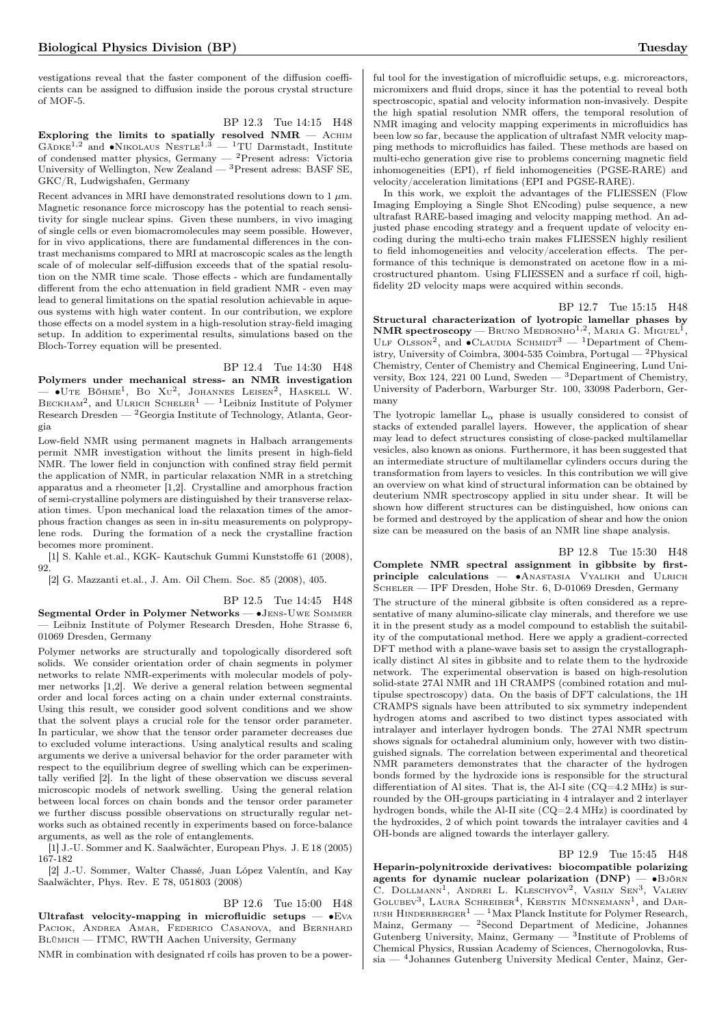vestigations reveal that the faster component of the diffusion coefficients can be assigned to diffusion inside the porous crystal structure of MOF-5.

BP 12.3 Tue 14:15 H48 Exploring the limits to spatially resolved  $NMR - Ac$ HIM GÄDKE<sup>1,2</sup> and •NIKOLAUS NESTLE<sup>1,3</sup> — <sup>1</sup>TU Darmstadt, Institute of condensed matter physics, Germany — <sup>2</sup>Present adress: Victoria University of Wellington, New Zealand — <sup>3</sup>Present adress: BASF SE, GKC/R, Ludwigshafen, Germany

Recent advances in MRI have demonstrated resolutions down to  $1 \mu m$ . Magnetic resonance force microscopy has the potential to reach sensitivity for single nuclear spins. Given these numbers, in vivo imaging of single cells or even biomacromolecules may seem possible. However, for in vivo applications, there are fundamental differences in the contrast mechanisms compared to MRI at macroscopic scales as the length scale of of molecular self-diffusion exceeds that of the spatial resolution on the NMR time scale. Those effects - which are fundamentally different from the echo attenuation in field gradient NMR - even may lead to general limitations on the spatial resolution achievable in aqueous systems with high water content. In our contribution, we explore those effects on a model system in a high-resolution stray-field imaging setup. In addition to experimental results, simulations based on the Bloch-Torrey equation will be presented.

## BP 12.4 Tue 14:30 H48

Polymers under mechanical stress- an NMR investigation  $-$  •Ute Böhme<sup>1</sup>, Bo Xu<sup>2</sup>, Johannes Leisen<sup>2</sup>, Haskell W. BECKHAM<sup>2</sup>, and ULRICH SCHELER<sup>1</sup> — <sup>1</sup>Leibniz Institute of Polymer Research Dresden —  $^2\mbox{Georgia Institute of Technology, Atlanta, Geor-}$ gia

Low-field NMR using permanent magnets in Halbach arrangements permit NMR investigation without the limits present in high-field NMR. The lower field in conjunction with confined stray field permit the application of NMR, in particular relaxation NMR in a stretching apparatus and a rheometer [1,2]. Crystalline and amorphous fraction of semi-crystalline polymers are distinguished by their transverse relaxation times. Upon mechanical load the relaxation times of the amorphous fraction changes as seen in in-situ measurements on polypropylene rods. During the formation of a neck the crystalline fraction becomes more prominent.

[1] S. Kahle et.al., KGK- Kautschuk Gummi Kunststoffe 61 (2008), 92.

[2] G. Mazzanti et.al., J. Am. Oil Chem. Soc. 85 (2008), 405.

BP 12.5 Tue 14:45 H48

Segmental Order in Polymer Networks — ∙Jens-Uwe Sommer — Leibniz Institute of Polymer Research Dresden, Hohe Strasse 6, 01069 Dresden, Germany

Polymer networks are structurally and topologically disordered soft solids. We consider orientation order of chain segments in polymer networks to relate NMR-experiments with molecular models of polymer networks [1,2]. We derive a general relation between segmental order and local forces acting on a chain under external constraints. Using this result, we consider good solvent conditions and we show that the solvent plays a crucial role for the tensor order parameter. In particular, we show that the tensor order parameter decreases due to excluded volume interactions. Using analytical results and scaling arguments we derive a universal behavior for the order parameter with respect to the equilibrium degree of swelling which can be experimentally verified [2]. In the light of these observation we discuss several microscopic models of network swelling. Using the general relation between local forces on chain bonds and the tensor order parameter we further discuss possible observations on structurally regular networks such as obtained recently in experiments based on force-balance arguments, as well as the role of entanglements.

[1] J.-U. Sommer and K. Saalwächter, European Phys. J. E 18 (2005) 167-182

[2] J.-U. Sommer, Walter Chassé, Juan López Valentín, and Kay Saalwächter, Phys. Rev. E 78, 051803 (2008)

#### BP 12.6 Tue 15:00 H48

Ultrafast velocity-mapping in microfluidic setups —  $•EVA$ PACIOK, ANDREA AMAR, FEDERICO CASANOVA, and BERNHARD Blümich — ITMC, RWTH Aachen University, Germany

NMR in combination with designated rf coils has proven to be a power-

ful tool for the investigation of microfluidic setups, e.g. microreactors, micromixers and fluid drops, since it has the potential to reveal both spectroscopic, spatial and velocity information non-invasively. Despite the high spatial resolution NMR offers, the temporal resolution of NMR imaging and velocity mapping experiments in microfluidics has been low so far, because the application of ultrafast NMR velocity mapping methods to microfluidics has failed. These methods are based on multi-echo generation give rise to problems concerning magnetic field inhomogeneities (EPI), rf field inhomogeneities (PGSE-RARE) and velocity/acceleration limitations (EPI and PGSE-RARE).

In this work, we exploit the advantages of the FLIESSEN (Flow Imaging Employing a Single Shot ENcoding) pulse sequence, a new ultrafast RARE-based imaging and velocity mapping method. An adjusted phase encoding strategy and a frequent update of velocity encoding during the multi-echo train makes FLIESSEN highly resilient to field inhomogeneities and velocity/acceleration effects. The performance of this technique is demonstrated on acetone flow in a microstructured phantom. Using FLIESSEN and a surface rf coil, highfidelity 2D velocity maps were acquired within seconds.

BP 12.7 Tue 15:15 H48

Structural characterization of lyotropic lamellar phases by  $\textbf{NMR spectroscopy} \longrightarrow \textbf{Bruno}$  Medronho<sup>1,2</sup>, Maria G. Miguel<sup>1</sup>, ULF OLSSON<sup>2</sup>, and  $\bullet$ CLAUDIA SCHMIDT<sup>3</sup> — <sup>1</sup>Department of Chemistry, University of Coimbra, 3004-535 Coimbra, Portugal — <sup>2</sup>Physical Chemistry, Center of Chemistry and Chemical Engineering, Lund University, Box 124, 221 00 Lund, Sweden — <sup>3</sup>Department of Chemistry, University of Paderborn, Warburger Str. 100, 33098 Paderborn, Germany

The lyotropic lamellar  $L_{\alpha}$  phase is usually considered to consist of stacks of extended parallel layers. However, the application of shear may lead to defect structures consisting of close-packed multilamellar vesicles, also known as onions. Furthermore, it has been suggested that an intermediate structure of multilamellar cylinders occurs during the transformation from layers to vesicles. In this contribution we will give an overview on what kind of structural information can be obtained by deuterium NMR spectroscopy applied in situ under shear. It will be shown how different structures can be distinguished, how onions can be formed and destroyed by the application of shear and how the onion size can be measured on the basis of an NMR line shape analysis.

#### BP 12.8 Tue 15:30 H48

Complete NMR spectral assignment in gibbsite by firstprinciple calculations — •ANASTASIA VYALIKH and ULRICH SCHELER — IPF Dresden, Hohe Str. 6, D-01069 Dresden, Germany

The structure of the mineral gibbsite is often considered as a representative of many alumino-silicate clay minerals, and therefore we use it in the present study as a model compound to establish the suitability of the computational method. Here we apply a gradient-corrected DFT method with a plane-wave basis set to assign the crystallographically distinct Al sites in gibbsite and to relate them to the hydroxide network. The experimental observation is based on high-resolution solid-state 27Al NMR and 1H CRAMPS (combined rotation and multipulse spectroscopy) data. On the basis of DFT calculations, the 1H CRAMPS signals have been attributed to six symmetry independent hydrogen atoms and ascribed to two distinct types associated with intralayer and interlayer hydrogen bonds. The 27Al NMR spectrum shows signals for octahedral aluminium only, however with two distinguished signals. The correlation between experimental and theoretical NMR parameters demonstrates that the character of the hydrogen bonds formed by the hydroxide ions is responsible for the structural differentiation of Al sites. That is, the Al-I site  $(CQ=4.2 \text{ MHz})$  is surrounded by the OH-groups particiating in 4 intralayer and 2 interlayer hydrogen bonds, while the Al-II site (CQ=2.4 MHz) is coordinated by the hydroxides, 2 of which point towards the intralayer cavities and 4 OH-bonds are aligned towards the interlayer gallery.

#### BP 12.9 Tue 15:45 H48

Heparin-polynitroxide derivatives: biocompatible polarizing agents for dynamic nuclear polarization  $(DNP)$  — •Björn C. DOLLMANN<sup>1</sup>, ANDREI L. KLESCHYOV<sup>2</sup>, VASILY SEN<sup>3</sup>, VALERY GOLUBEV<sup>3</sup>, LAURA SCHREIBER<sup>4</sup>, KERSTIN MÜNNEMANN<sup>1</sup>, and DAR-IUSH HINDERBERGER<sup>1</sup> — <sup>1</sup>Max Planck Institute for Polymer Research, Mainz, Germany — <sup>2</sup>Second Department of Medicine, Johannes Gutenberg University, Mainz, Germany  $-$  3Institute of Problems of Chemical Physics, Russian Academy of Sciences, Chernogolovka, Russia — <sup>4</sup>Johannes Gutenberg University Medical Center, Mainz, Ger-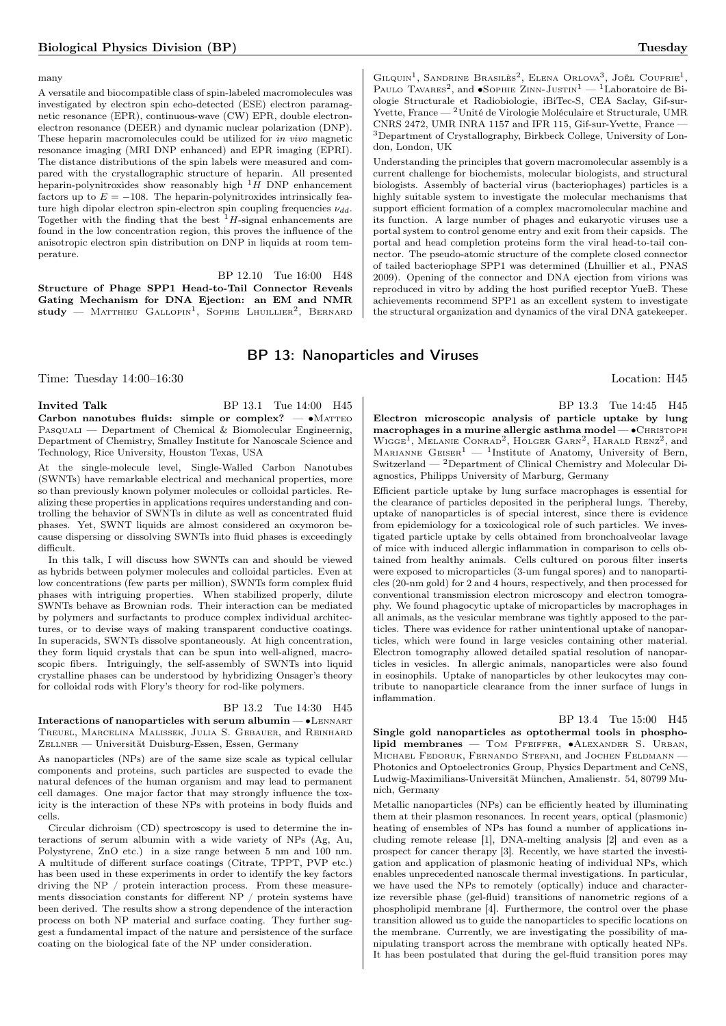#### many

A versatile and biocompatible class of spin-labeled macromolecules was investigated by electron spin echo-detected (ESE) electron paramagnetic resonance (EPR), continuous-wave (CW) EPR, double electronelectron resonance (DEER) and dynamic nuclear polarization (DNP). These heparin macromolecules could be utilized for in vivo magnetic resonance imaging (MRI DNP enhanced) and EPR imaging (EPRI). The distance distributions of the spin labels were measured and compared with the crystallographic structure of heparin. All presented heparin-polynitroxides show reasonably high  $^1H$  DNP enhancement factors up to  $E = -108$ . The heparin-polynitroxides intrinsically feature high dipolar electron spin-electron spin coupling frequencies  $\nu_{dd}$ . Together with the finding that the best  $1$ -signal enhancements are found in the low concentration region, this proves the influence of the anisotropic electron spin distribution on DNP in liquids at room temperature.

BP 12.10 Tue 16:00 H48 Structure of Phage SPP1 Head-to-Tail Connector Reveals Gating Mechanism for DNA Ejection: an EM and NMR  $\text{study}$  — Matthieu Gallopin<sup>1</sup>, Sophie Lhuillier<sup>2</sup>, Bernard

## BP 13: Nanoparticles and Viruses

Time: Tuesday  $14:00-16:30$  Location: H45

**Invited Talk** BP 13.1 Tue 14:00 H45 Carbon nanotubes fluids: simple or complex?  $- \cdot MATTEO$  $P_{ASQUALL}$  — Department of Chemical & Biomolecular Engineernig, Department of Chemistry, Smalley Institute for Nanoscale Science and Technology, Rice University, Houston Texas, USA

At the single-molecule level, Single-Walled Carbon Nanotubes (SWNTs) have remarkable electrical and mechanical properties, more so than previously known polymer molecules or colloidal particles. Realizing these properties in applications requires understanding and controlling the behavior of SWNTs in dilute as well as concentrated fluid phases. Yet, SWNT liquids are almost considered an oxymoron because dispersing or dissolving SWNTs into fluid phases is exceedingly difficult.

In this talk, I will discuss how SWNTs can and should be viewed as hybrids between polymer molecules and colloidal particles. Even at low concentrations (few parts per million), SWNTs form complex fluid phases with intriguing properties. When stabilized properly, dilute SWNTs behave as Brownian rods. Their interaction can be mediated by polymers and surfactants to produce complex individual architectures, or to devise ways of making transparent conductive coatings. In superacids, SWNTs dissolve spontaneously. At high concentration, they form liquid crystals that can be spun into well-aligned, macroscopic fibers. Intriguingly, the self-assembly of SWNTs into liquid crystalline phases can be understood by hybridizing Onsager's theory for colloidal rods with Flory's theory for rod-like polymers.

#### BP 13.2 Tue 14:30 H45

Interactions of nanoparticles with serum albumin — ∙Lennart Treuel, Marcelina Malissek, Julia S. Gebauer, and Reinhard Zellner — Universität Duisburg-Essen, Essen, Germany

As nanoparticles (NPs) are of the same size scale as typical cellular components and proteins, such particles are suspected to evade the natural defences of the human organism and may lead to permanent cell damages. One major factor that may strongly influence the toxicity is the interaction of these NPs with proteins in body fluids and cells.

Circular dichroism (CD) spectroscopy is used to determine the interactions of serum albumin with a wide variety of NPs (Ag, Au, Polystyrene, ZnO etc.) in a size range between 5 nm and 100 nm. A multitude of different surface coatings (Citrate, TPPT, PVP etc.) has been used in these experiments in order to identify the key factors driving the NP / protein interaction process. From these measurements dissociation constants for different NP  $\,/\,$  protein systems have been derived. The results show a strong dependence of the interaction process on both NP material and surface coating. They further suggest a fundamental impact of the nature and persistence of the surface coating on the biological fate of the NP under consideration.

BP 13.3 Tue 14:45 H45 Electron microscopic analysis of particle uptake by lung macrophages in a murine allergic asthma model — • CHRISTOPH WIGGE<sup>1</sup>, MELANIE CONRAD<sup>2</sup>, HOLGER GARN<sup>2</sup>, HARALD RENZ<sup>2</sup>, and MARIANNE  $G$ EISER<sup>1</sup> — <sup>1</sup>Institute of Anatomy, University of Bern, Switzerland — <sup>2</sup>Department of Clinical Chemistry and Molecular Diagnostics, Philipps University of Marburg, Germany

Efficient particle uptake by lung surface macrophages is essential for the clearance of particles deposited in the peripheral lungs. Thereby, uptake of nanoparticles is of special interest, since there is evidence from epidemiology for a toxicological role of such particles. We investigated particle uptake by cells obtained from bronchoalveolar lavage of mice with induced allergic inflammation in comparison to cells obtained from healthy animals. Cells cultured on porous filter inserts were exposed to microparticles (3-um fungal spores) and to nanoparticles (20-nm gold) for 2 and 4 hours, respectively, and then processed for conventional transmission electron microscopy and electron tomography. We found phagocytic uptake of microparticles by macrophages in all animals, as the vesicular membrane was tightly apposed to the particles. There was evidence for rather unintentional uptake of nanoparticles, which were found in large vesicles containing other material. Electron tomography allowed detailed spatial resolution of nanoparticles in vesicles. In allergic animals, nanoparticles were also found in eosinophils. Uptake of nanoparticles by other leukocytes may contribute to nanoparticle clearance from the inner surface of lungs in inflammation.

## BP 13.4 Tue 15:00 H45

Single gold nanoparticles as optothermal tools in phospholipid membranes — Tom Pfeiffer, ∙Alexander S. Urban, MICHAEL FEDORUK, FERNANDO STEFANI, and JOCHEN FELDMANN -Photonics and Optoelectronics Group, Physics Department and CeNS, Ludwig-Maximilians-Universität München, Amalienstr. 54, 80799 Munich, Germany

Metallic nanoparticles (NPs) can be efficiently heated by illuminating them at their plasmon resonances. In recent years, optical (plasmonic) heating of ensembles of NPs has found a number of applications including remote release [1], DNA-melting analysis [2] and even as a prospect for cancer therapy [3]. Recently, we have started the investigation and application of plasmonic heating of individual NPs, which enables unprecedented nanoscale thermal investigations. In particular, we have used the NPs to remotely (optically) induce and characterize reversible phase (gel-fluid) transitions of nanometric regions of a phospholipid membrane [4]. Furthermore, the control over the phase transition allowed us to guide the nanoparticles to specific locations on the membrane. Currently, we are investigating the possibility of manipulating transport across the membrane with optically heated NPs. It has been postulated that during the gel-fluid transition pores may

GILQUIN<sup>1</sup>, SANDRINE BRASILÈS<sup>2</sup>, ELENA ORLOVA<sup>3</sup>, JOËL COUPRIE<sup>1</sup>, PAULO TAVARES<sup>2</sup>, and •SOPHIE ZINN-JUSTIN<sup>1</sup> — <sup>1</sup>Laboratoire de Biologie Structurale et Radiobiologie, iBiTec-S, CEA Saclay, Gif-sur-Yvette, France — <sup>2</sup>Unité de Virologie Moléculaire et Structurale, UMR CNRS 2472, UMR INRA 1157 and IFR 115, Gif-sur-Yvette, France — <sup>3</sup>Department of Crystallography, Birkbeck College, University of London, London, UK

Understanding the principles that govern macromolecular assembly is a current challenge for biochemists, molecular biologists, and structural biologists. Assembly of bacterial virus (bacteriophages) particles is a highly suitable system to investigate the molecular mechanisms that support efficient formation of a complex macromolecular machine and its function. A large number of phages and eukaryotic viruses use a portal system to control genome entry and exit from their capsids. The portal and head completion proteins form the viral head-to-tail connector. The pseudo-atomic structure of the complete closed connector of tailed bacteriophage SPP1 was determined (Lhuillier et al., PNAS 2009). Opening of the connector and DNA ejection from virions was reproduced in vitro by adding the host purified receptor YueB. These achievements recommend SPP1 as an excellent system to investigate the structural organization and dynamics of the viral DNA gatekeeper.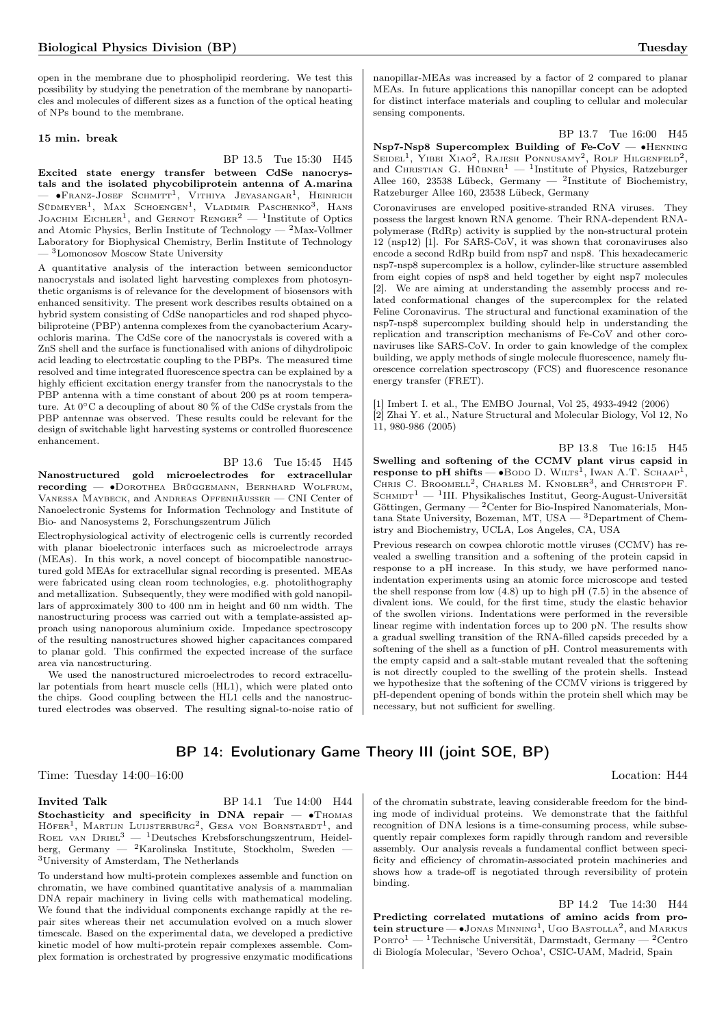open in the membrane due to phospholipid reordering. We test this possibility by studying the penetration of the membrane by nanoparticles and molecules of different sizes as a function of the optical heating of NPs bound to the membrane.

#### 15 min. break

BP 13.5 Tue 15:30 H45

Excited state energy transfer between CdSe nanocrystals and the isolated phycobiliprotein antenna of A.marina  $-$  •Franz-Josef Schmitt<sup>1</sup>, Vithiya Jeyasangar<sup>1</sup>, Heinrich Südmeyer<sup>1</sup>, Max Schoengen<sup>1</sup>, Vladimir Paschenko<sup>3</sup>, Hans JOACHIM EICHLER<sup>1</sup>, and GERNOT RENGER<sup>2</sup> — <sup>1</sup>Institute of Optics and Atomic Physics, Berlin Institute of Technology —  $^2$  Max-Vollmer Laboratory for Biophysical Chemistry, Berlin Institute of Technology  $-$ <sup>3</sup>Lomonosov Moscow State University

A quantitative analysis of the interaction between semiconductor nanocrystals and isolated light harvesting complexes from photosynthetic organisms is of relevance for the development of biosensors with enhanced sensitivity. The present work describes results obtained on a hybrid system consisting of CdSe nanoparticles and rod shaped phycobiliproteine (PBP) antenna complexes from the cyanobacterium Acaryochloris marina. The CdSe core of the nanocrystals is covered with a ZnS shell and the surface is functionalised with anions of dihydrolipoic acid leading to electrostatic coupling to the PBPs. The measured time resolved and time integrated fluorescence spectra can be explained by a highly efficient excitation energy transfer from the nanocrystals to the PBP antenna with a time constant of about 200 ps at room temperature. At 0∘C a decoupling of about 80 % of the CdSe crystals from the PBP antennae was observed. These results could be relevant for the design of switchable light harvesting systems or controlled fluorescence enhancement.

#### BP 13.6 Tue 15:45 H45

Nanostructured gold microelectrodes for extracellular recording — ∙Dorothea Brüggemann, Bernhard Wolfrum, Vanessa Maybeck, and Andreas Offenhäusser — CNI Center of Nanoelectronic Systems for Information Technology and Institute of Bio- and Nanosystems 2, Forschungszentrum Jülich

Electrophysiological activity of electrogenic cells is currently recorded with planar bioelectronic interfaces such as microelectrode arrays (MEAs). In this work, a novel concept of biocompatible nanostructured gold MEAs for extracellular signal recording is presented. MEAs were fabricated using clean room technologies, e.g. photolithography and metallization. Subsequently, they were modified with gold nanopillars of approximately 300 to 400 nm in height and 60 nm width. The nanostructuring process was carried out with a template-assisted approach using nanoporous aluminium oxide. Impedance spectroscopy of the resulting nanostructures showed higher capacitances compared to planar gold. This confirmed the expected increase of the surface area via nanostructuring.

We used the nanostructured microelectrodes to record extracellular potentials from heart muscle cells (HL1), which were plated onto the chips. Good coupling between the HL1 cells and the nanostructured electrodes was observed. The resulting signal-to-noise ratio of

## BP 14: Evolutionary Game Theory III (joint SOE, BP)

Time: Tuesday  $14:00-16:00$  Location: H44

**Invited Talk** BP 14.1 Tue 14:00 H44 Stochasticity and specificity in DNA repair  $-$  •Thomas HÖFER<sup>1</sup>, MARTIJN LUIJSTERBURG<sup>2</sup>, GESA VON BORNSTAEDT<sup>1</sup>, and ROEL VAN  $D$ RIEL<sup>3</sup> — <sup>1</sup>Deutsches Krebsforschungszentrum, Heidelberg, Germany — <sup>2</sup>Karolinska Institute, Stockholm, Sweden — <sup>3</sup>University of Amsterdam, The Netherlands

To understand how multi-protein complexes assemble and function on chromatin, we have combined quantitative analysis of a mammalian DNA repair machinery in living cells with mathematical modeling. We found that the individual components exchange rapidly at the repair sites whereas their net accumulation evolved on a much slower timescale. Based on the experimental data, we developed a predictive kinetic model of how multi-protein repair complexes assemble. Complex formation is orchestrated by progressive enzymatic modifications

nanopillar-MEAs was increased by a factor of 2 compared to planar MEAs. In future applications this nanopillar concept can be adopted for distinct interface materials and coupling to cellular and molecular sensing components.

BP 13.7 Tue 16:00 H45 Nsp7-Nsp8 Supercomplex Building of Fe-CoV — • HENNING SEIDEL<sup>1</sup>, YIBEI XIAO<sup>2</sup>, RAJESH PONNUSAMY<sup>2</sup>, ROLF HILGENFELD<sup>2</sup>, and CHRISTIAN G. HÜBNER<sup>1</sup> — <sup>1</sup>Institute of Physics, Ratzeburger Allee 160, 23538 Lübeck, Germany — <sup>2</sup>Institute of Biochemistry, Ratzeburger Allee 160, 23538 Lübeck, Germany

Coronaviruses are enveloped positive-stranded RNA viruses. They possess the largest known RNA genome. Their RNA-dependent RNApolymerase (RdRp) activity is supplied by the non-structural protein 12 (nsp12) [1]. For SARS-CoV, it was shown that coronaviruses also encode a second RdRp build from nsp7 and nsp8. This hexadecameric nsp7-nsp8 supercomplex is a hollow, cylinder-like structure assembled from eight copies of nsp8 and held together by eight nsp7 molecules [2]. We are aiming at understanding the assembly process and related conformational changes of the supercomplex for the related Feline Coronavirus. The structural and functional examination of the nsp7-nsp8 supercomplex building should help in understanding the replication and transcription mechanisms of Fe-CoV and other coronaviruses like SARS-CoV. In order to gain knowledge of the complex building, we apply methods of single molecule fluorescence, namely fluorescence correlation spectroscopy (FCS) and fluorescence resonance energy transfer (FRET).

[1] Imbert I. et al., The EMBO Journal, Vol 25, 4933-4942 (2006) [2] Zhai Y. et al., Nature Structural and Molecular Biology, Vol 12, No 11, 980-986 (2005)

BP 13.8 Tue 16:15 H45 Swelling and softening of the CCMV plant virus capsid in response to pH shifts —  $\bullet$ Bodo D. Wilts<sup>1</sup>, Iwan A.T. Schaap<sup>1</sup>, CHRIS C. BROOMELL<sup>2</sup>, CHARLES M. KNOBLER<sup>3</sup>, and CHRISTOPH F. SCHMIDT<sup>1</sup> — <sup>1</sup>III. Physikalisches Institut, Georg-August-Universität Göttingen, Germany — <sup>2</sup>Center for Bio-Inspired Nanomaterials, Montana State University, Bozeman, MT, USA — <sup>3</sup>Department of Chemistry and Biochemistry, UCLA, Los Angeles, CA, USA

Previous research on cowpea chlorotic mottle viruses (CCMV) has revealed a swelling transition and a softening of the protein capsid in response to a pH increase. In this study, we have performed nanoindentation experiments using an atomic force microscope and tested the shell response from low (4.8) up to high pH (7.5) in the absence of divalent ions. We could, for the first time, study the elastic behavior of the swollen virions. Indentations were performed in the reversible linear regime with indentation forces up to 200 pN. The results show a gradual swelling transition of the RNA-filled capsids preceded by a softening of the shell as a function of pH. Control measurements with the empty capsid and a salt-stable mutant revealed that the softening is not directly coupled to the swelling of the protein shells. Instead we hypothesize that the softening of the CCMV virions is triggered by pH-dependent opening of bonds within the protein shell which may be necessary, but not sufficient for swelling.

of the chromatin substrate, leaving considerable freedom for the binding mode of individual proteins. We demonstrate that the faithful recognition of DNA lesions is a time-consuming process, while subsequently repair complexes form rapidly through random and reversible assembly. Our analysis reveals a fundamental conflict between specificity and efficiency of chromatin-associated protein machineries and shows how a trade-off is negotiated through reversibility of protein binding.

BP 14.2 Tue 14:30 H44 Predicting correlated mutations of amino acids from protein structure —  $\bullet$  Jonas Minning<sup>1</sup>, Ugo Bastolla<sup>2</sup>, and Markus PORTO<sup>1</sup> — <sup>1</sup>Technische Universität, Darmstadt, Germany — <sup>2</sup>Centro di Biología Molecular, 'Severo Ochoa', CSIC-UAM, Madrid, Spain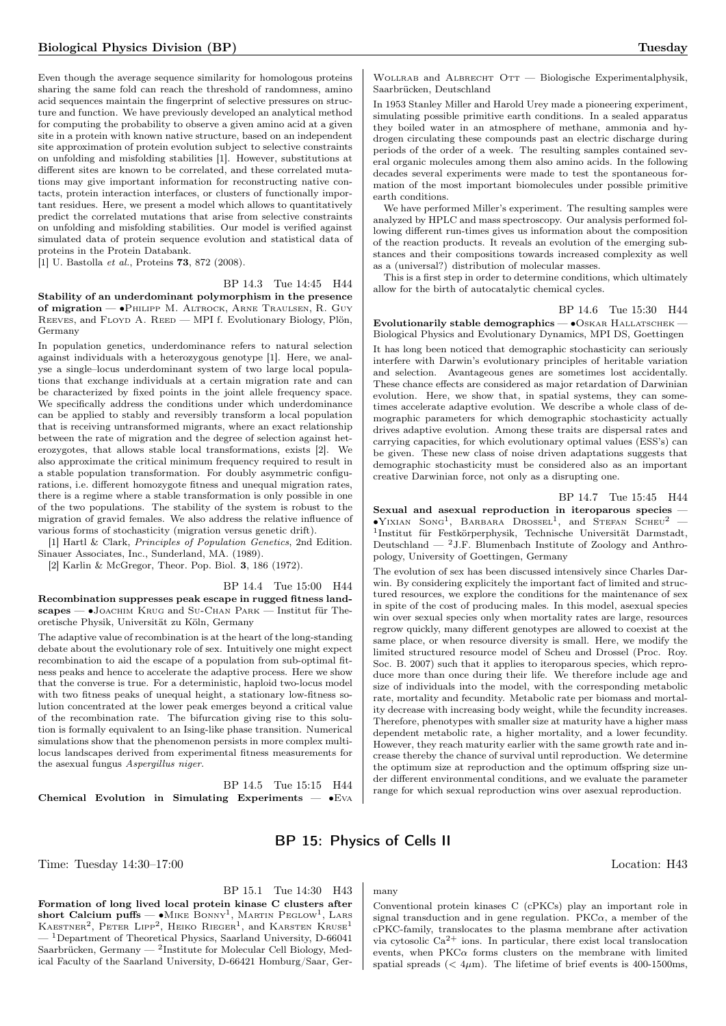Even though the average sequence similarity for homologous proteins sharing the same fold can reach the threshold of randomness, amino acid sequences maintain the fingerprint of selective pressures on structure and function. We have previously developed an analytical method for computing the probability to observe a given amino acid at a given site in a protein with known native structure, based on an independent site approximation of protein evolution subject to selective constraints on unfolding and misfolding stabilities [1]. However, substitutions at different sites are known to be correlated, and these correlated mutations may give important information for reconstructing native contacts, protein interaction interfaces, or clusters of functionally important residues. Here, we present a model which allows to quantitatively predict the correlated mutations that arise from selective constraints on unfolding and misfolding stabilities. Our model is verified against simulated data of protein sequence evolution and statistical data of proteins in the Protein Databank.

[1] U. Bastolla et al., Proteins 73, 872 (2008).

#### BP 14.3 Tue 14:45 H44

Stability of an underdominant polymorphism in the presence of migration — ∙Philipp M. Altrock, Arne Traulsen, R. Guy REEVES, and FLOYD A. REED — MPI f. Evolutionary Biology, Plön, Germany

In population genetics, underdominance refers to natural selection against individuals with a heterozygous genotype [1]. Here, we analyse a single–locus underdominant system of two large local populations that exchange individuals at a certain migration rate and can be characterized by fixed points in the joint allele frequency space. We specifically address the conditions under which underdominance can be applied to stably and reversibly transform a local population that is receiving untransformed migrants, where an exact relationship between the rate of migration and the degree of selection against heterozygotes, that allows stable local transformations, exists [2]. We also approximate the critical minimum frequency required to result in a stable population transformation. For doubly asymmetric configurations, i.e. different homozygote fitness and unequal migration rates, there is a regime where a stable transformation is only possible in one of the two populations. The stability of the system is robust to the migration of gravid females. We also address the relative influence of various forms of stochasticity (migration versus genetic drift).

[1] Hartl & Clark, Principles of Population Genetics, 2nd Edition. Sinauer Associates, Inc., Sunderland, MA. (1989).

[2] Karlin & McGregor, Theor. Pop. Biol. 3, 186 (1972).

BP 14.4 Tue 15:00 H44 Recombination suppresses peak escape in rugged fitness landscapes — ∙Joachim Krug and Su-Chan Park — Institut für Theoretische Physik, Universität zu Köln, Germany

The adaptive value of recombination is at the heart of the long-standing debate about the evolutionary role of sex. Intuitively one might expect recombination to aid the escape of a population from sub-optimal fitness peaks and hence to accelerate the adaptive process. Here we show that the converse is true. For a deterministic, haploid two-locus model with two fitness peaks of unequal height, a stationary low-fitness solution concentrated at the lower peak emerges beyond a critical value of the recombination rate. The bifurcation giving rise to this solution is formally equivalent to an Ising-like phase transition. Numerical simulations show that the phenomenon persists in more complex multilocus landscapes derived from experimental fitness measurements for the asexual fungus Aspergillus niger.

BP 14.5 Tue 15:15 H44 Chemical Evolution in Simulating Experiments —  $\bullet$ Eva

WOLLRAB and ALBRECHT OTT — Biologische Experimentalphysik, Saarbrücken, Deutschland

In 1953 Stanley Miller and Harold Urey made a pioneering experiment, simulating possible primitive earth conditions. In a sealed apparatus they boiled water in an atmosphere of methane, ammonia and hydrogen circulating these compounds past an electric discharge during periods of the order of a week. The resulting samples contained several organic molecules among them also amino acids. In the following decades several experiments were made to test the spontaneous formation of the most important biomolecules under possible primitive earth conditions.

We have performed Miller's experiment. The resulting samples were analyzed by HPLC and mass spectroscopy. Our analysis performed following different run-times gives us information about the composition of the reaction products. It reveals an evolution of the emerging substances and their compositions towards increased complexity as well as a (universal?) distribution of molecular masses.

This is a first step in order to determine conditions, which ultimately allow for the birth of autocatalytic chemical cycles.

BP 14.6 Tue 15:30 H44

Evolutionarily stable demographics — ∙Oskar Hallatschek — Biological Physics and Evolutionary Dynamics, MPI DS, Goettingen It has long been noticed that demographic stochasticity can seriously interfere with Darwin's evolutionary principles of heritable variation and selection. Avantageous genes are sometimes lost accidentally. These chance effects are considered as major retardation of Darwinian evolution. Here, we show that, in spatial systems, they can sometimes accelerate adaptive evolution. We describe a whole class of demographic parameters for which demographic stochasticity actually drives adaptive evolution. Among these traits are dispersal rates and carrying capacities, for which evolutionary optimal values (ESS's) can be given. These new class of noise driven adaptations suggests that demographic stochasticity must be considered also as an important creative Darwinian force, not only as a disrupting one.

BP 14.7 Tue 15:45 H44 Sexual and asexual reproduction in iteroparous species —  $\bullet$ Yixian Song<sup>1</sup>, Barbara Drossel<sup>1</sup>, and Stefan Scheu<sup>2</sup> – 1 Institut für Festkörperphysik, Technische Universität Darmstadt, Deutschland — <sup>2</sup>J.F. Blumenbach Institute of Zoology and Anthropology, University of Goettingen, Germany

The evolution of sex has been discussed intensively since Charles Darwin. By considering explicitely the important fact of limited and structured resources, we explore the conditions for the maintenance of sex in spite of the cost of producing males. In this model, asexual species win over sexual species only when mortality rates are large, resources regrow quickly, many different genotypes are allowed to coexist at the same place, or when resource diversity is small. Here, we modify the limited structured resource model of Scheu and Drossel (Proc. Roy. Soc. B. 2007) such that it applies to iteroparous species, which reproduce more than once during their life. We therefore include age and size of individuals into the model, with the corresponding metabolic rate, mortality and fecundity. Metabolic rate per biomass and mortality decrease with increasing body weight, while the fecundity increases. Therefore, phenotypes with smaller size at maturity have a higher mass dependent metabolic rate, a higher mortality, and a lower fecundity. However, they reach maturity earlier with the same growth rate and increase thereby the chance of survival until reproduction. We determine the optimum size at reproduction and the optimum offspring size under different environmental conditions, and we evaluate the parameter range for which sexual reproduction wins over asexual reproduction.

## BP 15: Physics of Cells II

many

Time: Tuesday  $14:30-17:00$  Location: H43

## BP 15.1 Tue 14:30 H43

Formation of long lived local protein kinase C clusters after short Calcium puffs —  $\bullet$ Mike Bonny<sup>1</sup>, Martin Peglow<sup>1</sup>, Lars KAESTNER<sup>2</sup>, PETER LIPP<sup>2</sup>, HEIKO RIEGER<sup>1</sup>, and KARSTEN KRUSE<sup>1</sup> <sup>1</sup>Department of Theoretical Physics, Saarland University, D-66041 Saarbrücken, Germany — <sup>2</sup>Institute for Molecular Cell Biology, Medical Faculty of the Saarland University, D-66421 Homburg/Saar, Ger-

Conventional protein kinases C (cPKCs) play an important role in signal transduction and in gene regulation.  $PKC\alpha$ , a member of the cPKC-family, translocates to the plasma membrane after activation via cytosolic  $Ca^{2+}$  ions. In particular, there exist local translocation events, when  $PKC\alpha$  forms clusters on the membrane with limited spatial spreads ( $<$  4 $\mu$ m). The lifetime of brief events is 400-1500ms,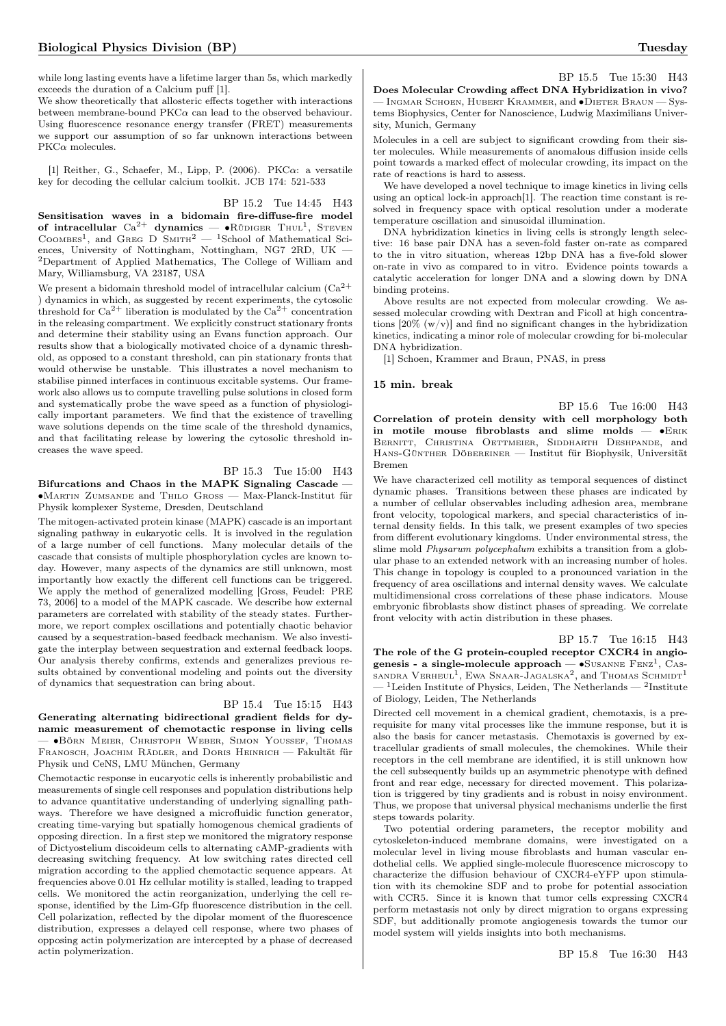while long lasting events have a lifetime larger than 5s, which markedly exceeds the duration of a Calcium puff [1].

We show theoretically that allosteric effects together with interactions between membrane-bound  $PKC\alpha$  can lead to the observed behaviour. Using fluorescence resonance energy transfer (FRET) measurements we support our assumption of so far unknown interactions between  $PKC\alpha$  molecules.

[1] Reither, G., Schaefer, M., Lipp, P. (2006). PKC $\alpha$ : a versatile key for decoding the cellular calcium toolkit. JCB 174: 521-533

#### BP 15.2 Tue 14:45 H43

Sensitisation waves in a bidomain fire-diffuse-fire model of intracellular  $\text{Ca}^{2+}$  dynamics — • Rüdiger Thul<sup>1</sup>, Steven COOMBES<sup>1</sup>, and GREG D SMITH<sup>2</sup>  $-$  <sup>1</sup>School of Mathematical Sciences, University of Nottingham, Nottingham, NG7 2RD, UK — <sup>2</sup>Department of Applied Mathematics, The College of William and Mary, Williamsburg, VA 23187, USA

We present a bidomain threshold model of intracellular calcium  $(Ca^{2+})$ ) dynamics in which, as suggested by recent experiments, the cytosolic threshold for  $Ca^{2+}$  liberation is modulated by the  $Ca^{2+}$  concentration in the releasing compartment. We explicitly construct stationary fronts and determine their stability using an Evans function approach. Our results show that a biologically motivated choice of a dynamic threshold, as opposed to a constant threshold, can pin stationary fronts that would otherwise be unstable. This illustrates a novel mechanism to stabilise pinned interfaces in continuous excitable systems. Our framework also allows us to compute travelling pulse solutions in closed form and systematically probe the wave speed as a function of physiologically important parameters. We find that the existence of travelling wave solutions depends on the time scale of the threshold dynamics, and that facilitating release by lowering the cytosolic threshold increases the wave speed.

### BP 15.3 Tue 15:00 H43

Bifurcations and Chaos in the MAPK Signaling Cascade — ∙Martin Zumsande and Thilo Gross — Max-Planck-Institut für Physik komplexer Systeme, Dresden, Deutschland

The mitogen-activated protein kinase (MAPK) cascade is an important signaling pathway in eukaryotic cells. It is involved in the regulation of a large number of cell functions. Many molecular details of the cascade that consists of multiple phosphorylation cycles are known today. However, many aspects of the dynamics are still unknown, most importantly how exactly the different cell functions can be triggered. We apply the method of generalized modelling [Gross, Feudel: PRE 73, 2006] to a model of the MAPK cascade. We describe how external parameters are correlated with stability of the steady states. Furthermore, we report complex oscillations and potentially chaotic behavior caused by a sequestration-based feedback mechanism. We also investigate the interplay between sequestration and external feedback loops. Our analysis thereby confirms, extends and generalizes previous results obtained by conventional modeling and points out the diversity of dynamics that sequestration can bring about.

#### BP 15.4 Tue 15:15 H43

Generating alternating bidirectional gradient fields for dynamic measurement of chemotactic response in living cells — ∙Börn Meier, Christoph Weber, Simon Youssef, Thomas Franosch, Joachim Rädler, and Doris Heinrich — Fakultät für Physik und CeNS, LMU München, Germany

Chemotactic response in eucaryotic cells is inherently probabilistic and measurements of single cell responses and population distributions help to advance quantitative understanding of underlying signalling pathways. Therefore we have designed a microfluidic function generator, creating time-varying but spatially homogenous chemical gradients of opposing direction. In a first step we monitored the migratory response of Dictyostelium discoideum cells to alternating cAMP-gradients with decreasing switching frequency. At low switching rates directed cell migration according to the applied chemotactic sequence appears. At frequencies above 0.01 Hz cellular motility is stalled, leading to trapped cells. We monitored the actin reorganization, underlying the cell response, identified by the Lim-Gfp fluorescence distribution in the cell. Cell polarization, reflected by the dipolar moment of the fluorescence distribution, expresses a delayed cell response, where two phases of opposing actin polymerization are intercepted by a phase of decreased actin polymerization.

BP 15.5 Tue 15:30 H43 Does Molecular Crowding affect DNA Hybridization in vivo? — Ingmar Schoen, Hubert Krammer, and ∙Dieter Braun — Systems Biophysics, Center for Nanoscience, Ludwig Maximilians University, Munich, Germany

Molecules in a cell are subject to significant crowding from their sister molecules. While measurements of anomalous diffusion inside cells point towards a marked effect of molecular crowding, its impact on the rate of reactions is hard to assess.

We have developed a novel technique to image kinetics in living cells using an optical lock-in approach[1]. The reaction time constant is resolved in frequency space with optical resolution under a moderate temperature oscillation and sinusoidal illumination.

DNA hybridization kinetics in living cells is strongly length selective: 16 base pair DNA has a seven-fold faster on-rate as compared to the in vitro situation, whereas 12bp DNA has a five-fold slower on-rate in vivo as compared to in vitro. Evidence points towards a catalytic acceleration for longer DNA and a slowing down by DNA binding proteins.

Above results are not expected from molecular crowding. We assessed molecular crowding with Dextran and Ficoll at high concentrations  $[20\% (w/v)]$  and find no significant changes in the hybridization kinetics, indicating a minor role of molecular crowding for bi-molecular DNA hybridization.

[1] Schoen, Krammer and Braun, PNAS, in press

#### 15 min. break

BP 15.6 Tue 16:00 H43 Correlation of protein density with cell morphology both in motile mouse fibroblasts and slime molds — ∙Erik BERNITT, CHRISTINA OETTMEIER, SIDDHARTH DESHPANDE, and Hans-Günther Döbereiner — Institut für Biophysik, Universität Bremen

We have characterized cell motility as temporal sequences of distinct dynamic phases. Transitions between these phases are indicated by a number of cellular observables including adhesion area, membrane front velocity, topological markers, and special characteristics of internal density fields. In this talk, we present examples of two species from different evolutionary kingdoms. Under environmental stress, the slime mold Physarum polycephalum exhibits a transition from a globular phase to an extended network with an increasing number of holes. This change in topology is coupled to a pronounced variation in the frequency of area oscillations and internal density waves. We calculate multidimensional cross correlations of these phase indicators. Mouse embryonic fibroblasts show distinct phases of spreading. We correlate front velocity with actin distribution in these phases.

#### BP 15.7 Tue 16:15 H43

The role of the G protein-coupled receptor CXCR4 in angiogenesis - a single-molecule approach —  $\bullet$ Susanne Fenz<sup>1</sup>, Cassandra Verheul<sup>1</sup>, Ewa Snaar-Jagalska<sup>2</sup>, and Thomas Schmidt<sup>1</sup>  $-$ <sup>1</sup>Leiden Institute of Physics, Leiden, The Netherlands  $-$ <sup>2</sup>Institute of Biology, Leiden, The Netherlands

Directed cell movement in a chemical gradient, chemotaxis, is a prerequisite for many vital processes like the immune response, but it is also the basis for cancer metastasis. Chemotaxis is governed by extracellular gradients of small molecules, the chemokines. While their receptors in the cell membrane are identified, it is still unknown how the cell subsequently builds up an asymmetric phenotype with defined front and rear edge, necessary for directed movement. This polarization is triggered by tiny gradients and is robust in noisy environment. Thus, we propose that universal physical mechanisms underlie the first steps towards polarity.

Two potential ordering parameters, the receptor mobility and cytoskeleton-induced membrane domains, were investigated on a molecular level in living mouse fibroblasts and human vascular endothelial cells. We applied single-molecule fluorescence microscopy to characterize the diffusion behaviour of CXCR4-eYFP upon stimulation with its chemokine SDF and to probe for potential association with CCR5. Since it is known that tumor cells expressing CXCR4 perform metastasis not only by direct migration to organs expressing SDF, but additionally promote angiogenesis towards the tumor our model system will yields insights into both mechanisms.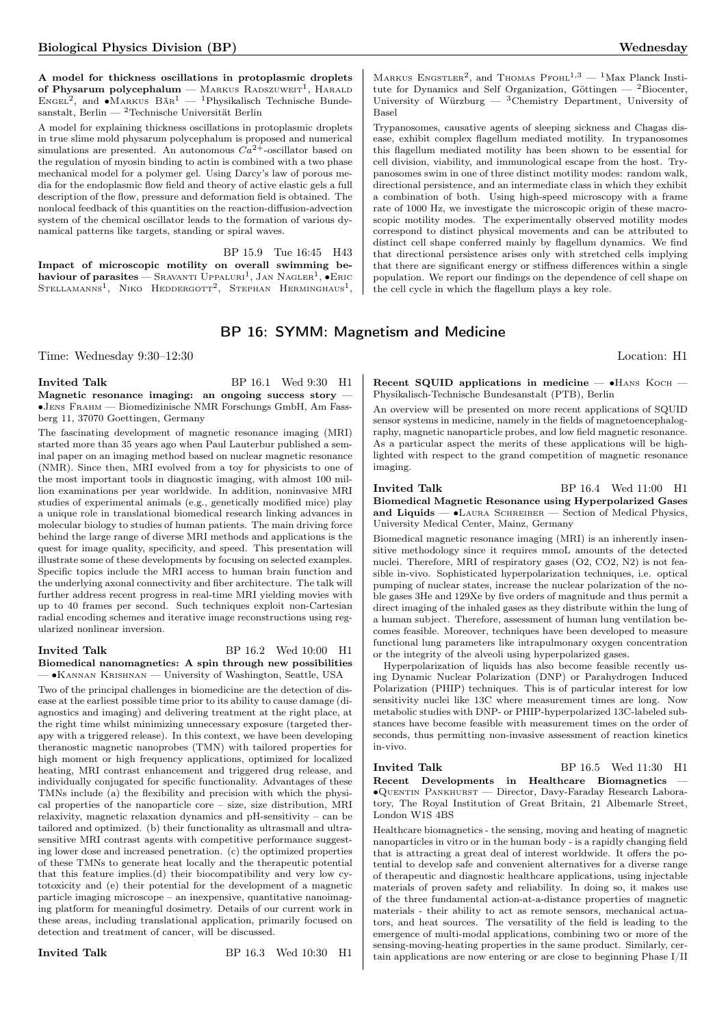A model for thickness oscillations in protoplasmic droplets of Physarum polycephalum — MARKUS RADSZUWEIT<sup>1</sup>, HARALD ENGEL<sup>2</sup>, and •MARKUS BÄR<sup>1</sup> — <sup>1</sup>Physikalisch Technische Bundesanstalt, Berlin —  $^2$ Technische Universität Berlin

A model for explaining thickness oscillations in protoplasmic droplets in true slime mold physarum polycephalum is proposed and numerical simulations are presented. An autonomous  $Ca^{2+}$ -oscillator based on the regulation of myosin binding to actin is combined with a two phase mechanical model for a polymer gel. Using Darcy's law of porous media for the endoplasmic flow field and theory of active elastic gels a full description of the flow, pressure and deformation field is obtained. The nonlocal feedback of this quantities on the reaction-diffusion-advection system of the chemical oscillator leads to the formation of various dynamical patterns like targets, standing or spiral waves.

BP 15.9 Tue 16:45 H43

Impact of microscopic motility on overall swimming be- $\textbf{h}$ aviour of parasites — Sravanti Uppaluri<sup>1</sup>, Jan Nagler<sup>1</sup>,  $\bullet$ Eric Stellamanns<sup>1</sup>, Niko Heddergott<sup>2</sup>, Stephan Herminghaus<sup>1</sup>,

MARKUS ENGSTLER<sup>2</sup>, and THOMAS PFOHL<sup>1,3</sup> - <sup>1</sup>Max Planck Institute for Dynamics and Self Organization, Göttingen —  $^{2}$ Biocenter, University of Würzburg — <sup>3</sup>Chemistry Department, University of Basel

Trypanosomes, causative agents of sleeping sickness and Chagas disease, exhibit complex flagellum mediated motility. In trypanosomes this flagellum mediated motility has been shown to be essential for cell division, viability, and immunological escape from the host. Trypanosomes swim in one of three distinct motility modes: random walk, directional persistence, and an intermediate class in which they exhibit a combination of both. Using high-speed microscopy with a frame rate of 1000 Hz, we investigate the microscopic origin of these macroscopic motility modes. The experimentally observed motility modes correspond to distinct physical movements and can be attributed to distinct cell shape conferred mainly by flagellum dynamics. We find that directional persistence arises only with stretched cells implying that there are significant energy or stiffness differences within a single population. We report our findings on the dependence of cell shape on the cell cycle in which the flagellum plays a key role.

## BP 16: SYMM: Magnetism and Medicine

Time: Wednesday 9:30–12:30 Location: H1

#### Invited Talk BP 16.1 Wed 9:30 H1 Magnetic resonance imaging: an ongoing success story -∙Jens Frahm — Biomedizinische NMR Forschungs GmbH, Am Fassberg 11, 37070 Goettingen, Germany

The fascinating development of magnetic resonance imaging (MRI) started more than 35 years ago when Paul Lauterbur published a seminal paper on an imaging method based on nuclear magnetic resonance (NMR). Since then, MRI evolved from a toy for physicists to one of the most important tools in diagnostic imaging, with almost 100 million examinations per year worldwide. In addition, noninvasive MRI studies of experimental animals (e.g., genetically modified mice) play a unique role in translational biomedical research linking advances in molecular biology to studies of human patients. The main driving force behind the large range of diverse MRI methods and applications is the quest for image quality, specificity, and speed. This presentation will illustrate some of these developments by focusing on selected examples. Specific topics include the MRI access to human brain function and the underlying axonal connectivity and fiber architecture. The talk will further address recent progress in real-time MRI yielding movies with up to 40 frames per second. Such techniques exploit non-Cartesian radial encoding schemes and iterative image reconstructions using regularized nonlinear inversion.

#### Invited Talk BP 16.2 Wed 10:00 H1 Biomedical nanomagnetics: A spin through new possibilities

— ∙Kannan Krishnan — University of Washington, Seattle, USA Two of the principal challenges in biomedicine are the detection of disease at the earliest possible time prior to its ability to cause damage (diagnostics and imaging) and delivering treatment at the right place, at the right time whilst minimizing unnecessary exposure (targeted therapy with a triggered release). In this context, we have been developing theranostic magnetic nanoprobes (TMN) with tailored properties for high moment or high frequency applications, optimized for localized heating, MRI contrast enhancement and triggered drug release, and individually conjugated for specific functionality. Advantages of these TMNs include (a) the flexibility and precision with which the physical properties of the nanoparticle core – size, size distribution, MRI relaxivity, magnetic relaxation dynamics and pH-sensitivity – can be tailored and optimized. (b) their functionality as ultrasmall and ultrasensitive MRI contrast agents with competitive performance suggesting lower dose and increased penetration. (c) the optimized properties of these TMNs to generate heat locally and the therapeutic potential that this feature implies.(d) their biocompatibility and very low cytotoxicity and (e) their potential for the development of a magnetic particle imaging microscope – an inexpensive, quantitative nanoimaging platform for meaningful dosimetry. Details of our current work in these areas, including translational application, primarily focused on detection and treatment of cancer, will be discussed.

Recent SQUID applications in medicine —  $\bullet$ HANS KOCH — Physikalisch-Technische Bundesanstalt (PTB), Berlin

An overview will be presented on more recent applications of SQUID sensor systems in medicine, namely in the fields of magnetoencephalography, magnetic nanoparticle probes, and low field magnetic resonance. As a particular aspect the merits of these applications will be highlighted with respect to the grand competition of magnetic resonance imaging.

Invited Talk BP 16.4 Wed 11:00 H1 Biomedical Magnetic Resonance using Hyperpolarized Gases and Liquids — •LAURA SCHREIBER — Section of Medical Physics, University Medical Center, Mainz, Germany

Biomedical magnetic resonance imaging (MRI) is an inherently insensitive methodology since it requires mmoL amounts of the detected nuclei. Therefore, MRI of respiratory gases (O2, CO2, N2) is not feasible in-vivo. Sophisticated hyperpolarization techniques, i.e. optical pumping of nuclear states, increase the nuclear polarization of the noble gases 3He and 129Xe by five orders of magnitude and thus permit a direct imaging of the inhaled gases as they distribute within the lung of a human subject. Therefore, assessment of human lung ventilation becomes feasible. Moreover, techniques have been developed to measure functional lung parameters like intrapulmonary oxygen concentration or the integrity of the alveoli using hyperpolarized gases.

Hyperpolarization of liquids has also become feasible recently using Dynamic Nuclear Polarization (DNP) or Parahydrogen Induced Polarization (PHIP) techniques. This is of particular interest for low sensitivity nuclei like 13C where measurement times are long. Now metabolic studies with DNP- or PHIP-hyperpolarized 13C-labeled substances have become feasible with measurement times on the order of seconds, thus permitting non-invasive assessment of reaction kinetics in-vivo.

Invited Talk BP 16.5 Wed 11:30 H1

Recent Developments in Healthcare Biomagnetics — ∙Quentin Pankhurst — Director, Davy-Faraday Research Laboratory, The Royal Institution of Great Britain, 21 Albemarle Street, London W1S 4BS

Healthcare biomagnetics - the sensing, moving and heating of magnetic nanoparticles in vitro or in the human body - is a rapidly changing field that is attracting a great deal of interest worldwide. It offers the potential to develop safe and convenient alternatives for a diverse range of therapeutic and diagnostic healthcare applications, using injectable materials of proven safety and reliability. In doing so, it makes use of the three fundamental action-at-a-distance properties of magnetic materials - their ability to act as remote sensors, mechanical actuators, and heat sources. The versatility of the field is leading to the emergence of multi-modal applications, combining two or more of the sensing-moving-heating properties in the same product. Similarly, certain applications are now entering or are close to beginning Phase I/II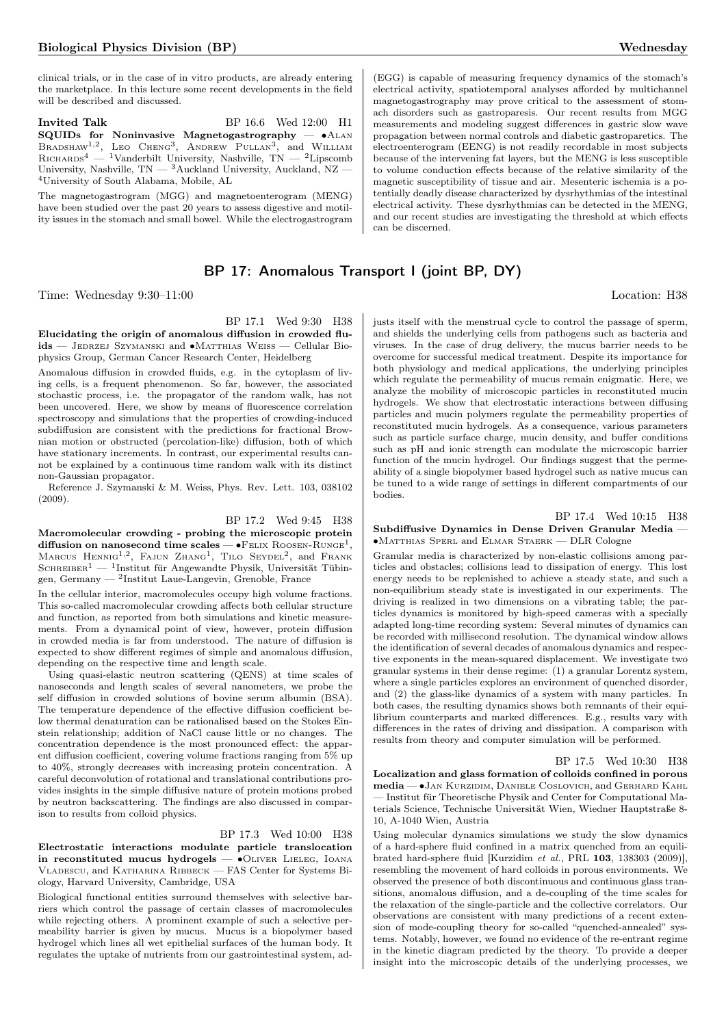clinical trials, or in the case of in vitro products, are already entering the marketplace. In this lecture some recent developments in the field will be described and discussed.

Invited Talk BP 16.6 Wed 12:00 H1 SQUIDs for Noninvasive Magnetogastrography —  $\bullet$ ALAN BRADSHAW<sup>1,2</sup>, LEO CHENG<sup>3</sup>, ANDREW PULLAN<sup>3</sup>, and WILLIAM RICHARDS<sup>4</sup> — <sup>1</sup>Vanderbilt University, Nashville, TN — <sup>2</sup>Lipscomb University, Nashville,  $TN - {^{3}Auckland}}$  University, Auckland, NZ -<sup>4</sup>University of South Alabama, Mobile, AL

The magnetogastrogram (MGG) and magnetoenterogram (MENG) have been studied over the past 20 years to assess digestive and motility issues in the stomach and small bowel. While the electrogastrogram

## BP 17: Anomalous Transport I (joint BP, DY)

Time: Wednesday 9:30–11:00 Location: H38

BP 17.1 Wed 9:30 H38

Elucidating the origin of anomalous diffusion in crowded fluids — Jedrzej Szymanski and ∙Matthias Weiss — Cellular Biophysics Group, German Cancer Research Center, Heidelberg

Anomalous diffusion in crowded fluids, e.g. in the cytoplasm of living cells, is a frequent phenomenon. So far, however, the associated stochastic process, i.e. the propagator of the random walk, has not been uncovered. Here, we show by means of fluorescence correlation spectroscopy and simulations that the properties of crowding-induced subdiffusion are consistent with the predictions for fractional Brownian motion or obstructed (percolation-like) diffusion, both of which have stationary increments. In contrast, our experimental results cannot be explained by a continuous time random walk with its distinct non-Gaussian propagator.

Reference J. Szymanski & M. Weiss, Phys. Rev. Lett. 103, 038102 (2009).

### BP 17.2 Wed 9:45 H38

Macromolecular crowding - probing the microscopic protein diffusion on nanosecond time scales — • FELIX ROOSEN-RUNGE<sup>1</sup>, MARCUS HENNIG<sup>1,2</sup>, FAJUN ZHANG<sup>1</sup>, TILO SEYDEL<sup>2</sup>, and FRANK  $S$ CHREIBER<sup>1</sup> — <sup>1</sup>Institut für Angewandte Physik, Universität Tübingen, Germany — <sup>2</sup> Institut Laue-Langevin, Grenoble, France

In the cellular interior, macromolecules occupy high volume fractions. This so-called macromolecular crowding affects both cellular structure and function, as reported from both simulations and kinetic measurements. From a dynamical point of view, however, protein diffusion in crowded media is far from understood. The nature of diffusion is expected to show different regimes of simple and anomalous diffusion, depending on the respective time and length scale.

Using quasi-elastic neutron scattering (QENS) at time scales of nanoseconds and length scales of several nanometers, we probe the self diffusion in crowded solutions of bovine serum albumin (BSA). The temperature dependence of the effective diffusion coefficient below thermal denaturation can be rationalised based on the Stokes Einstein relationship; addition of NaCl cause little or no changes. The concentration dependence is the most pronounced effect: the apparent diffusion coefficient, covering volume fractions ranging from 5% up to 40%, strongly decreases with increasing protein concentration. A careful deconvolution of rotational and translational contributions provides insights in the simple diffusive nature of protein motions probed by neutron backscattering. The findings are also discussed in comparison to results from colloid physics.

BP 17.3 Wed 10:00 H38

Electrostatic interactions modulate particle translocation in reconstituted mucus hydrogels — ∙Oliver Lieleg, Ioana Vladescu, and Katharina Ribbeck — FAS Center for Systems Biology, Harvard University, Cambridge, USA

Biological functional entities surround themselves with selective barriers which control the passage of certain classes of macromolecules while rejecting others. A prominent example of such a selective permeability barrier is given by mucus. Mucus is a biopolymer based hydrogel which lines all wet epithelial surfaces of the human body. It regulates the uptake of nutrients from our gastrointestinal system, ad-

(EGG) is capable of measuring frequency dynamics of the stomach's electrical activity, spatiotemporal analyses afforded by multichannel magnetogastrography may prove critical to the assessment of stomach disorders such as gastroparesis. Our recent results from MGG measurements and modeling suggest differences in gastric slow wave propagation between normal controls and diabetic gastroparetics. The electroenterogram (EENG) is not readily recordable in most subjects because of the intervening fat layers, but the MENG is less susceptible to volume conduction effects because of the relative similarity of the magnetic susceptibility of tissue and air. Mesenteric ischemia is a potentially deadly disease characterized by dysrhythmias of the intestinal electrical activity. These dysrhythmias can be detected in the MENG, and our recent studies are investigating the threshold at which effects can be discerned.

justs itself with the menstrual cycle to control the passage of sperm, and shields the underlying cells from pathogens such as bacteria and viruses. In the case of drug delivery, the mucus barrier needs to be overcome for successful medical treatment. Despite its importance for both physiology and medical applications, the underlying principles which regulate the permeability of mucus remain enigmatic. Here, we analyze the mobility of microscopic particles in reconstituted mucin hydrogels. We show that electrostatic interactions between diffusing particles and mucin polymers regulate the permeability properties of reconstituted mucin hydrogels. As a consequence, various parameters such as particle surface charge, mucin density, and buffer conditions such as pH and ionic strength can modulate the microscopic barrier function of the mucin hydrogel. Our findings suggest that the permeability of a single biopolymer based hydrogel such as native mucus can be tuned to a wide range of settings in different compartments of our bodies.

## BP 17.4 Wed 10:15 H38

#### Subdiffusive Dynamics in Dense Driven Granular Media — ∙Matthias Sperl and Elmar Staerk — DLR Cologne

Granular media is characterized by non-elastic collisions among particles and obstacles; collisions lead to dissipation of energy. This lost energy needs to be replenished to achieve a steady state, and such a non-equilibrium steady state is investigated in our experiments. The driving is realized in two dimensions on a vibrating table; the particles dynamics is monitored by high-speed cameras with a specially adapted long-time recording system: Several minutes of dynamics can be recorded with millisecond resolution. The dynamical window allows the identification of several decades of anomalous dynamics and respective exponents in the mean-squared displacement. We investigate two granular systems in their dense regime: (1) a granular Lorentz system, where a single particles explores an environment of quenched disorder, and (2) the glass-like dynamics of a system with many particles. In both cases, the resulting dynamics shows both remnants of their equilibrium counterparts and marked differences. E.g., results vary with differences in the rates of driving and dissipation. A comparison with results from theory and computer simulation will be performed.

BP 17.5 Wed 10:30 H38 Localization and glass formation of colloids confined in porous media — ∙Jan Kurzidim, Daniele Coslovich, and Gerhard Kahl — Institut für Theoretische Physik and Center for Computational Materials Science, Technische Universität Wien, Wiedner Hauptstraße 8- 10, A-1040 Wien, Austria

Using molecular dynamics simulations we study the slow dynamics of a hard-sphere fluid confined in a matrix quenched from an equilibrated hard-sphere fluid [Kurzidim et al., PRL 103, 138303 (2009)], resembling the movement of hard colloids in porous environments. We observed the presence of both discontinuous and continuous glass transitions, anomalous diffusion, and a de-coupling of the time scales for the relaxation of the single-particle and the collective correlators. Our observations are consistent with many predictions of a recent extension of mode-coupling theory for so-called "quenched-annealed" systems. Notably, however, we found no evidence of the re-entrant regime in the kinetic diagram predicted by the theory. To provide a deeper insight into the microscopic details of the underlying processes, we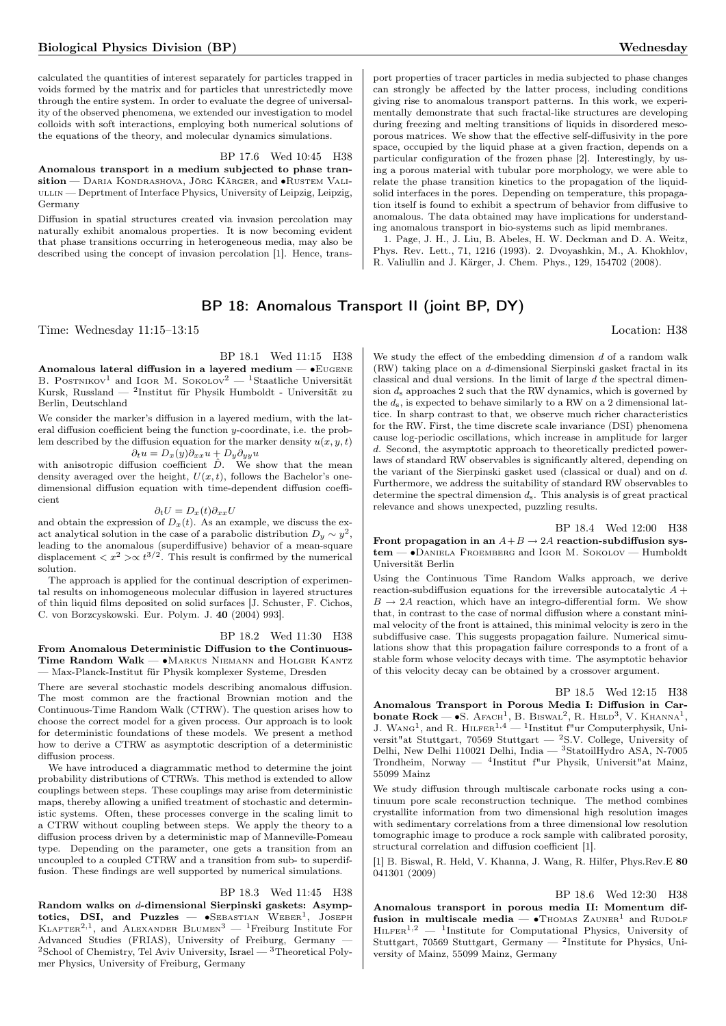calculated the quantities of interest separately for particles trapped in voids formed by the matrix and for particles that unrestrictedly move through the entire system. In order to evaluate the degree of universality of the observed phenomena, we extended our investigation to model colloids with soft interactions, employing both numerical solutions of the equations of the theory, and molecular dynamics simulations.

#### BP 17.6 Wed 10:45 H38

Anomalous transport in a medium subjected to phase transition — DARIA KONDRASHOVA, JÖRG KÄRGER, and •RUSTEM VALI-ULLIN — Deprtment of Interface Physics, University of Leipzig, Leipzig, Germany

Diffusion in spatial structures created via invasion percolation may naturally exhibit anomalous properties. It is now becoming evident that phase transitions occurring in heterogeneous media, may also be described using the concept of invasion percolation [1]. Hence, transport properties of tracer particles in media subjected to phase changes can strongly be affected by the latter process, including conditions giving rise to anomalous transport patterns. In this work, we experimentally demonstrate that such fractal-like structures are developing during freezing and melting transitions of liquids in disordered mesoporous matrices. We show that the effective self-diffusivity in the pore space, occupied by the liquid phase at a given fraction, depends on a particular configuration of the frozen phase [2]. Interestingly, by using a porous material with tubular pore morphology, we were able to relate the phase transition kinetics to the propagation of the liquidsolid interfaces in the pores. Depending on temperature, this propagation itself is found to exhibit a spectrum of behavior from diffusive to anomalous. The data obtained may have implications for understanding anomalous transport in bio-systems such as lipid membranes.

1. Page, J. H., J. Liu, B. Abeles, H. W. Deckman and D. A. Weitz, Phys. Rev. Lett., 71, 1216 (1993). 2. Dvoyashkin, M., A. Khokhlov, R. Valiullin and J. Kärger, J. Chem. Phys., 129, 154702 (2008).

## BP 18: Anomalous Transport II (joint BP, DY)

Time: Wednesday 11:15–13:15 Location: H38

BP 18.1 Wed 11:15 H38

Anomalous lateral diffusion in a layered medium — ∙Eugene B. POSTNIKOV<sup>1</sup> and IGOR M. SOKOLOV<sup>2</sup> — <sup>1</sup>Staatliche Universität Kursk, Russland — <sup>2</sup> Institut für Physik Humboldt - Universität zu Berlin, Deutschland

We consider the marker's diffusion in a layered medium, with the lateral diffusion coefficient being the function  $y$ -coordinate, i.e. the problem described by the diffusion equation for the marker density  $u(x, y, t)$  $\partial_t u = D_x(y) \partial_{xx} u + D_y \partial_{yy} u$ 

with anisotropic diffusion coefficient  $\hat{D}$ . We show that the mean density averaged over the height,  $U(x, t)$ , follows the Bachelor's onedimensional diffusion equation with time-dependent diffusion coefficient

### $\partial_t U = D_x(t) \partial_{xx} U$

and obtain the expression of  $D_x(t)$ . As an example, we discuss the exact analytical solution in the case of a parabolic distribution  $D_y \sim y^2$ , leading to the anomalous (superdiffusive) behavior of a mean-square displacement  $\langle x^2 \rangle \propto t^{3/2}$ . This result is confirmed by the numerical solution.

The approach is applied for the continual description of experimental results on inhomogeneous molecular diffusion in layered structures of thin liquid films deposited on solid surfaces [J. Schuster, F. Cichos, C. von Borzcyskowski. Eur. Polym. J. 40 (2004) 993].

#### BP 18.2 Wed 11:30 H38

From Anomalous Deterministic Diffusion to the Continuous-Time Random Walk — •MARKUS NIEMANN and HOLGER KANTZ — Max-Planck-Institut für Physik komplexer Systeme, Dresden

There are several stochastic models describing anomalous diffusion. The most common are the fractional Brownian motion and the Continuous-Time Random Walk (CTRW). The question arises how to choose the correct model for a given process. Our approach is to look for deterministic foundations of these models. We present a method how to derive a CTRW as asymptotic description of a deterministic diffusion process.

We have introduced a diagrammatic method to determine the joint probability distributions of CTRWs. This method is extended to allow couplings between steps. These couplings may arise from deterministic maps, thereby allowing a unified treatment of stochastic and deterministic systems. Often, these processes converge in the scaling limit to a CTRW without coupling between steps. We apply the theory to a diffusion process driven by a deterministic map of Manneville-Pomeau type. Depending on the parameter, one gets a transition from an uncoupled to a coupled CTRW and a transition from sub- to superdiffusion. These findings are well supported by numerical simulations.

#### BP 18.3 Wed 11:45 H38

Random walks on d-dimensional Sierpinski gaskets: Asymptotics, DSI, and Puzzles —  $\bullet$ SEBASTIAN WEBER<sup>1</sup>, JOSEPH KLAFTER<sup>2,1</sup>, and ALEXANDER BLUMEN<sup>3</sup> — <sup>1</sup>Freiburg Institute For Advanced Studies (FRIAS), University of Freiburg, Germany —  $2$ School of Chemistry, Tel Aviv University, Israel —  $3$ Theoretical Polymer Physics, University of Freiburg, Germany

We study the effect of the embedding dimension  $d$  of a random walk  $(RW)$  taking place on a d-dimensional Sierpinski gasket fractal in its classical and dual versions. In the limit of large  $d$  the spectral dimension  $d_s$  approaches 2 such that the RW dynamics, which is governed by the  $d_s$ , is expected to behave similarly to a RW on a 2 dimensional lattice. In sharp contrast to that, we observe much richer characteristics for the RW. First, the time discrete scale invariance (DSI) phenomena cause log-periodic oscillations, which increase in amplitude for larger . Second, the asymptotic approach to theoretically predicted powerlaws of standard RW observables is significantly altered, depending on the variant of the Sierpinski gasket used (classical or dual) and on  $d$ . Furthermore, we address the suitability of standard RW observables to determine the spectral dimension  $d_s$ . This analysis is of great practical relevance and shows unexpected, puzzling results.

BP 18.4 Wed 12:00 H38 Front propagation in an  $A + B \rightarrow 2A$  reaction-subdiffusion system — ∙Daniela Froemberg and Igor M. Sokolov — Humboldt Universität Berlin

Using the Continuous Time Random Walks approach, we derive reaction-subdiffusion equations for the irreversible autocatalytic  $A +$  $B \rightarrow 2A$  reaction, which have an integro-differential form. We show that, in contrast to the case of normal diffusion where a constant minimal velocity of the front is attained, this minimal velocity is zero in the subdiffusive case. This suggests propagation failure. Numerical simulations show that this propagation failure corresponds to a front of a stable form whose velocity decays with time. The asymptotic behavior of this velocity decay can be obtained by a crossover argument.

BP 18.5 Wed 12:15 H38

Anomalous Transport in Porous Media I: Diffusion in Carbonate Rock —  $\bullet$ S. Afach<sup>1</sup>, B. Biswal<sup>2</sup>, R. Held<sup>3</sup>, V. Khanna<sup>1</sup>, J. WANG<sup>1</sup>, and R. HILFER<sup>1,4</sup> - <sup>1</sup>Institut f"ur Computerphysik, Universit"at Stuttgart, 70569 Stuttgart — <sup>2</sup>S.V. College, University of Delhi, New Delhi 110021 Delhi, India — <sup>3</sup>StatoilHydro ASA, N-7005 Trondheim, Norway — <sup>4</sup> Institut f"ur Physik, Universit"at Mainz, 55099 Mainz

We study diffusion through multiscale carbonate rocks using a continuum pore scale reconstruction technique. The method combines crystallite information from two dimensional high resolution images with sedimentary correlations from a three dimensional low resolution tomographic image to produce a rock sample with calibrated porosity, structural correlation and diffusion coefficient [1].

[1] B. Biswal, R. Held, V. Khanna, J. Wang, R. Hilfer, Phys.Rev.E 80 041301 (2009)

BP 18.6 Wed 12:30 H38 Anomalous transport in porous media II: Momentum diffusion in multiscale media —  $\bullet$ Thomas Zauner<sup>1</sup> and Rudolf  $H_{\text{LFER}}^{1,2}$  — <sup>1</sup>Institute for Computational Physics, University of Stuttgart, 70569 Stuttgart, Germany  $-$  <sup>2</sup>Institute for Physics, University of Mainz, 55099 Mainz, Germany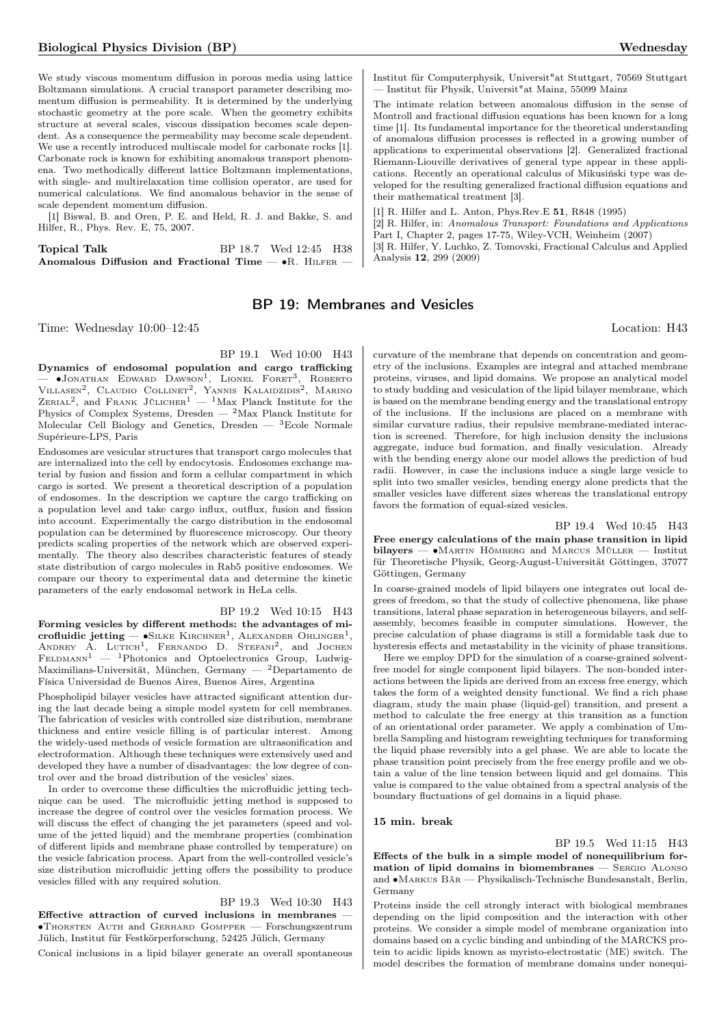We study viscous momentum diffusion in porous media using lattice Boltzmann simulations. A crucial transport parameter describing momentum diffusion is permeability. It is determined by the underlying stochastic geometry at the pore scale. When the geometry exhibits structure at several scales, viscous dissipation becomes scale dependent. As a consequence the permeability may become scale dependent. We use a recently introduced multiscale model for carbonate rocks [1]. Carbonate rock is known for exhibiting anomalous transport phenomena. Two methodically different lattice Boltzmann implementations, with single- and multirelaxation time collision operator, are used for numerical calculations. We find anomalous behavior in the sense of scale dependent momentum diffusion.

[1] Biswal, B. and Oren, P. E. and Held, R. J. and Bakke, S. and Hilfer, R., Phys. Rev. E, 75, 2007.

| Topical Talk                                                      | BP 18.7 Wed 12:45 H38 |  |
|-------------------------------------------------------------------|-----------------------|--|
| Anomalous Diffusion and Fractional Time $-\bullet R$ . HILFER $-$ |                       |  |

## BP 19: Membranes and Vesicles

Time: Wednesday 10:00–12:45 Location: H43

BP 19.1 Wed 10:00 H43

Dynamics of endosomal population and cargo trafficking — ∙Jonathan Edward Dawson<sup>1</sup> , Lionel Foret<sup>3</sup> , Roberto VILLASEN<sup>2</sup>, CLAUDIO COLLINET<sup>2</sup>, YANNIS KALAIDZIDIS<sup>2</sup>, MARINO<br>ZERIAL<sup>2</sup>, and FRANK JÜLICHER<sup>1</sup> — <sup>1</sup>Max Planck Institute for the Physics of Complex Systems, Dresden —  $2$ Max Planck Institute for Molecular Cell Biology and Genetics, Dresden — <sup>3</sup>Ecole Normale Supérieure-LPS, Paris

Endosomes are vesicular structures that transport cargo molecules that are internalized into the cell by endocytosis. Endosomes exchange material by fusion and fission and form a cellular compartment in which cargo is sorted. We present a theoretical description of a population of endosomes. In the description we capture the cargo trafficking on a population level and take cargo influx, outflux, fusion and fission into account. Experimentally the cargo distribution in the endosomal population can be determined by fluorescence microscopy. Our theory predicts scaling properties of the network which are observed experimentally. The theory also describes characteristic features of steady state distribution of cargo molecules in Rab5 positive endosomes. We compare our theory to experimental data and determine the kinetic parameters of the early endosomal network in HeLa cells.

#### BP 19.2 Wed 10:15 H43

Forming vesicles by different methods: the advantages of microfluidic jetting —  $\bullet$ Silke Kirchner<sup>1</sup>, Alexander Ohlinger<sup>1</sup>, ANDREY A. LUTICH<sup>1</sup>, FERNANDO D. STEFANI<sup>2</sup>, and JOCHEN  $F \to 1P$ hotonics and Optoelectronics Group, Ludwig-Maximilians-Universität, München, Germany — <sup>2</sup>Departamento de Física Universidad de Buenos Aires, Buenos Aires, Argentina

Phospholipid bilayer vesicles have attracted significant attention during the last decade being a simple model system for cell membranes. The fabrication of vesicles with controlled size distribution, membrane thickness and entire vesicle filling is of particular interest. Among the widely-used methods of vesicle formation are ultrasonification and electroformation. Although these techniques were extensively used and developed they have a number of disadvantages: the low degree of control over and the broad distribution of the vesicles' sizes.

In order to overcome these difficulties the microfluidic jetting technique can be used. The microfluidic jetting method is supposed to increase the degree of control over the vesicles formation process. We will discuss the effect of changing the jet parameters (speed and volume of the jetted liquid) and the membrane properties (combination of different lipids and membrane phase controlled by temperature) on the vesicle fabrication process. Apart from the well-controlled vesicle's size distribution microfluidic jetting offers the possibility to produce vesicles filled with any required solution.

### BP 19.3 Wed 10:30 H43

Effective attraction of curved inclusions in membranes ∙Thorsten Auth and Gerhard Gompper — Forschungszentrum Jülich, Institut für Festkörperforschung, 52425 Jülich, Germany

Conical inclusions in a lipid bilayer generate an overall spontaneous

Institut für Computerphysik, Universit"at Stuttgart, 70569 Stuttgart — Institut für Physik, Universit"at Mainz, 55099 Mainz

The intimate relation between anomalous diffusion in the sense of Montroll and fractional diffusion equations has been known for a long time [1]. Its fundamental importance for the theoretical understanding of anomalous diffusion processes is reflected in a growing number of applications to experimental observations [2]. Generalized fractional Riemann-Liouville derivatives of general type appear in these applications. Recently an operational calculus of Mikusiński type was developed for the resulting generalized fractional diffusion equations and their mathematical treatment [3].

[1] R. Hilfer and L. Anton, Phys.Rev.E 51, R848 (1995)

[2] R. Hilfer, in: Anomalous Transport: Foundations and Applications Part I, Chapter 2, pages 17-75, Wiley-VCH, Weinheim (2007) [3] R. Hilfer, Y. Luchko, Z. Tomovski, Fractional Calculus and Applied Analysis 12, 299 (2009)

curvature of the membrane that depends on concentration and geometry of the inclusions. Examples are integral and attached membrane proteins, viruses, and lipid domains. We propose an analytical model to study budding and vesiculation of the lipid bilayer membrane, which is based on the membrane bending energy and the translational entropy of the inclusions. If the inclusions are placed on a membrane with similar curvature radius, their repulsive membrane-mediated interaction is screened. Therefore, for high inclusion density the inclusions aggregate, induce bud formation, and finally vesiculation. Already with the bending energy alone our model allows the prediction of bud radii. However, in case the inclusions induce a single large vesicle to split into two smaller vesicles, bending energy alone predicts that the smaller vesicles have different sizes whereas the translational entropy favors the formation of equal-sized vesicles.

#### BP 19.4 Wed 10:45 H43

Free energy calculations of the main phase transition in lipid bilayers — ∙Martin Hömberg and Marcus Müller — Institut für Theoretische Physik, Georg-August-Universität Göttingen, 37077 Göttingen, Germany

In coarse-grained models of lipid bilayers one integrates out local degrees of freedom, so that the study of collective phenomena, like phase transitions, lateral phase separation in heterogeneous bilayers, and selfassembly, becomes feasible in computer simulations. However, the precise calculation of phase diagrams is still a formidable task due to hysteresis effects and metastability in the vicinity of phase transitions.

Here we employ DPD for the simulation of a coarse-grained solventfree model for single component lipid bilayers. The non-bonded interactions between the lipids are derived from an excess free energy, which takes the form of a weighted density functional. We find a rich phase diagram, study the main phase (liquid-gel) transition, and present a method to calculate the free energy at this transition as a function of an orientational order parameter. We apply a combination of Umbrella Sampling and histogram reweighting techniques for transforming the liquid phase reversibly into a gel phase. We are able to locate the phase transition point precisely from the free energy profile and we obtain a value of the line tension between liquid and gel domains. This value is compared to the value obtained from a spectral analysis of the boundary fluctuations of gel domains in a liquid phase.

#### 15 min. break

BP 19.5 Wed 11:15 H43 Effects of the bulk in a simple model of nonequilibrium formation of lipid domains in biomembranes — Sergio Alonso and ∙Markus Bär — Physikalisch-Technische Bundesanstalt, Berlin, Germany

Proteins inside the cell strongly interact with biological membranes depending on the lipid composition and the interaction with other proteins. We consider a simple model of membrane organization into domains based on a cyclic binding and unbinding of the MARCKS protein to acidic lipids known as myristo-electrostatic (ME) switch. The model describes the formation of membrane domains under nonequi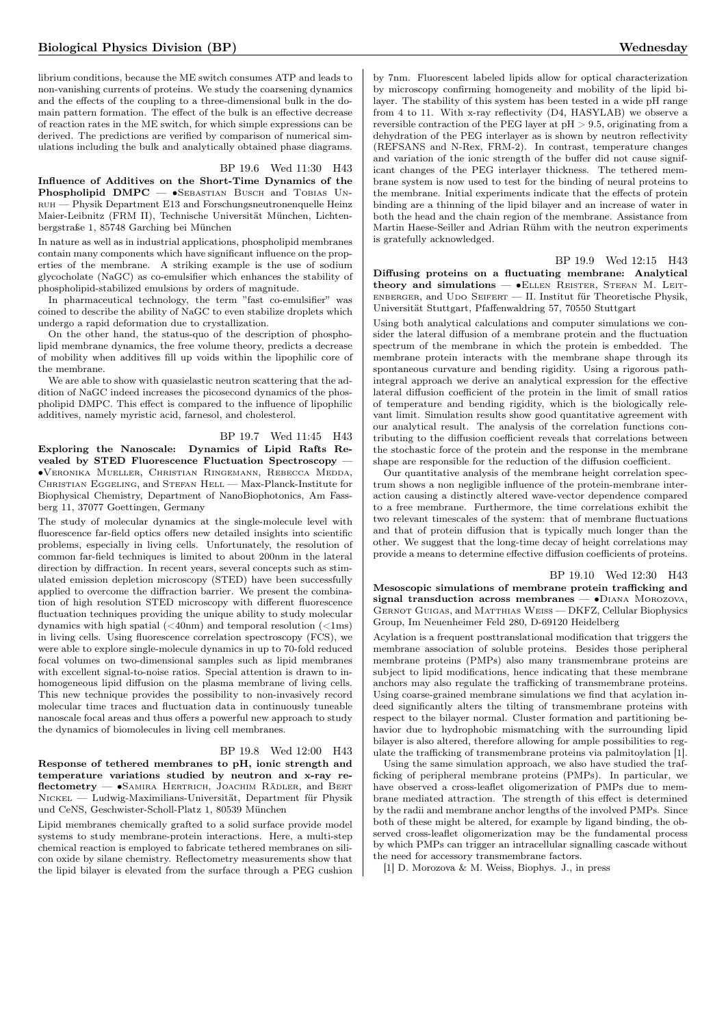librium conditions, because the ME switch consumes ATP and leads to non-vanishing currents of proteins. We study the coarsening dynamics and the effects of the coupling to a three-dimensional bulk in the domain pattern formation. The effect of the bulk is an effective decrease of reaction rates in the ME switch, for which simple expressions can be derived. The predictions are verified by comparison of numerical simulations including the bulk and analytically obtained phase diagrams.

### BP 19.6 Wed 11:30 H43

Influence of Additives on the Short-Time Dynamics of the Phospholipid DMPC —  $\bullet$ SEBASTIAN BUSCH and TOBIAS UNruh — Physik Department E13 and Forschungsneutronenquelle Heinz Maier-Leibnitz (FRM II), Technische Universität München, Lichtenbergstraße 1, 85748 Garching bei München

In nature as well as in industrial applications, phospholipid membranes contain many components which have significant influence on the properties of the membrane. A striking example is the use of sodium glycocholate (NaGC) as co-emulsifier which enhances the stability of phospholipid-stabilized emulsions by orders of magnitude.

In pharmaceutical technology, the term "fast co-emulsifier" was coined to describe the ability of NaGC to even stabilize droplets which undergo a rapid deformation due to crystallization.

On the other hand, the status-quo of the description of phospholipid membrane dynamics, the free volume theory, predicts a decrease of mobility when additives fill up voids within the lipophilic core of the membrane.

We are able to show with quasielastic neutron scattering that the addition of NaGC indeed increases the picosecond dynamics of the phospholipid DMPC. This effect is compared to the influence of lipophilic additives, namely myristic acid, farnesol, and cholesterol.

BP 19.7 Wed 11:45 H43 Exploring the Nanoscale: Dynamics of Lipid Rafts Revealed by STED Fluorescence Fluctuation Spectroscopy -∙Veronika Mueller, Christian Ringemann, Rebecca Medda, Christian Eggeling, and Stefan Hell — Max-Planck-Institute for Biophysical Chemistry, Department of NanoBiophotonics, Am Fassberg 11, 37077 Goettingen, Germany

The study of molecular dynamics at the single-molecule level with fluorescence far-field optics offers new detailed insights into scientific problems, especially in living cells. Unfortunately, the resolution of common far-field techniques is limited to about 200nm in the lateral direction by diffraction. In recent years, several concepts such as stimulated emission depletion microscopy (STED) have been successfully applied to overcome the diffraction barrier. We present the combination of high resolution STED microscopy with different fluorescence fluctuation techniques providing the unique ability to study molecular dynamics with high spatial  $(*40nm*)$  and temporal resolution  $(*1ms*)$ in living cells. Using fluorescence correlation spectroscopy (FCS), we were able to explore single-molecule dynamics in up to 70-fold reduced focal volumes on two-dimensional samples such as lipid membranes with excellent signal-to-noise ratios. Special attention is drawn to inhomogeneous lipid diffusion on the plasma membrane of living cells. This new technique provides the possibility to non-invasively record molecular time traces and fluctuation data in continuously tuneable nanoscale focal areas and thus offers a powerful new approach to study the dynamics of biomolecules in living cell membranes.

## BP 19.8 Wed 12:00 H43

Response of tethered membranes to pH, ionic strength and temperature variations studied by neutron and x-ray reflectometry — ∙Samira Hertrich, Joachim Rädler, and Bert Nickel — Ludwig-Maximilians-Universität, Department für Physik und CeNS, Geschwister-Scholl-Platz 1, 80539 München

Lipid membranes chemically grafted to a solid surface provide model systems to study membrane-protein interactions. Here, a multi-step chemical reaction is employed to fabricate tethered membranes on silicon oxide by silane chemistry. Reflectometry measurements show that the lipid bilayer is elevated from the surface through a PEG cushion

by 7nm. Fluorescent labeled lipids allow for optical characterization by microscopy confirming homogeneity and mobility of the lipid bilayer. The stability of this system has been tested in a wide pH range from 4 to 11. With x-ray reflectivity (D4, HASYLAB) we observe a reversible contraction of the PEG layer at  $pH > 9.5$ , originating from a dehydration of the PEG interlayer as is shown by neutron reflectivity (REFSANS and N-Rex, FRM-2). In contrast, temperature changes and variation of the ionic strength of the buffer did not cause significant changes of the PEG interlayer thickness. The tethered membrane system is now used to test for the binding of neural proteins to the membrane. Initial experiments indicate that the effects of protein binding are a thinning of the lipid bilayer and an increase of water in both the head and the chain region of the membrane. Assistance from Martin Haese-Seiller and Adrian Rühm with the neutron experiments is gratefully acknowledged.

### BP 19.9 Wed 12:15 H43

Diffusing proteins on a fluctuating membrane: Analytical theory and simulations — •ELLEN REISTER, STEFAN M. LEIT- $E$ NBERGER, and UDO SEIFERT — II. Institut für Theoretische Physik, Universität Stuttgart, Pfaffenwaldring 57, 70550 Stuttgart

Using both analytical calculations and computer simulations we consider the lateral diffusion of a membrane protein and the fluctuation spectrum of the membrane in which the protein is embedded. The membrane protein interacts with the membrane shape through its spontaneous curvature and bending rigidity. Using a rigorous pathintegral approach we derive an analytical expression for the effective lateral diffusion coefficient of the protein in the limit of small ratios of temperature and bending rigidity, which is the biologically relevant limit. Simulation results show good quantitative agreement with our analytical result. The analysis of the correlation functions contributing to the diffusion coefficient reveals that correlations between the stochastic force of the protein and the response in the membrane shape are responsible for the reduction of the diffusion coefficient.

Our quantitative analysis of the membrane height correlation spectrum shows a non negligible influence of the protein-membrane interaction causing a distinctly altered wave-vector dependence compared to a free membrane. Furthermore, the time correlations exhibit the two relevant timescales of the system: that of membrane fluctuations and that of protein diffusion that is typically much longer than the other. We suggest that the long-time decay of height correlations may provide a means to determine effective diffusion coefficients of proteins.

#### BP 19.10 Wed 12:30 H43

Mesoscopic simulations of membrane protein trafficking and signal transduction across membranes — •DIANA MOROZOVA, GERNOT GUIGAS, and MATTHIAS WEISS — DKFZ, Cellular Biophysics Group, Im Neuenheimer Feld 280, D-69120 Heidelberg

Acylation is a frequent posttranslational modification that triggers the membrane association of soluble proteins. Besides those peripheral membrane proteins (PMPs) also many transmembrane proteins are subject to lipid modifications, hence indicating that these membrane anchors may also regulate the trafficking of transmembrane proteins. Using coarse-grained membrane simulations we find that acylation indeed significantly alters the tilting of transmembrane proteins with respect to the bilayer normal. Cluster formation and partitioning behavior due to hydrophobic mismatching with the surrounding lipid bilayer is also altered, therefore allowing for ample possibilities to regulate the trafficking of transmembrane proteins via palmitoylation [1].

Using the same simulation approach, we also have studied the trafficking of peripheral membrane proteins (PMPs). In particular, we have observed a cross-leaflet oligomerization of PMPs due to membrane mediated attraction. The strength of this effect is determined by the radii and membrane anchor lengths of the involved PMPs. Since both of these might be altered, for example by ligand binding, the observed cross-leaflet oligomerization may be the fundamental process by which PMPs can trigger an intracellular signalling cascade without the need for accessory transmembrane factors.

[1] D. Morozova & M. Weiss, Biophys. J., in press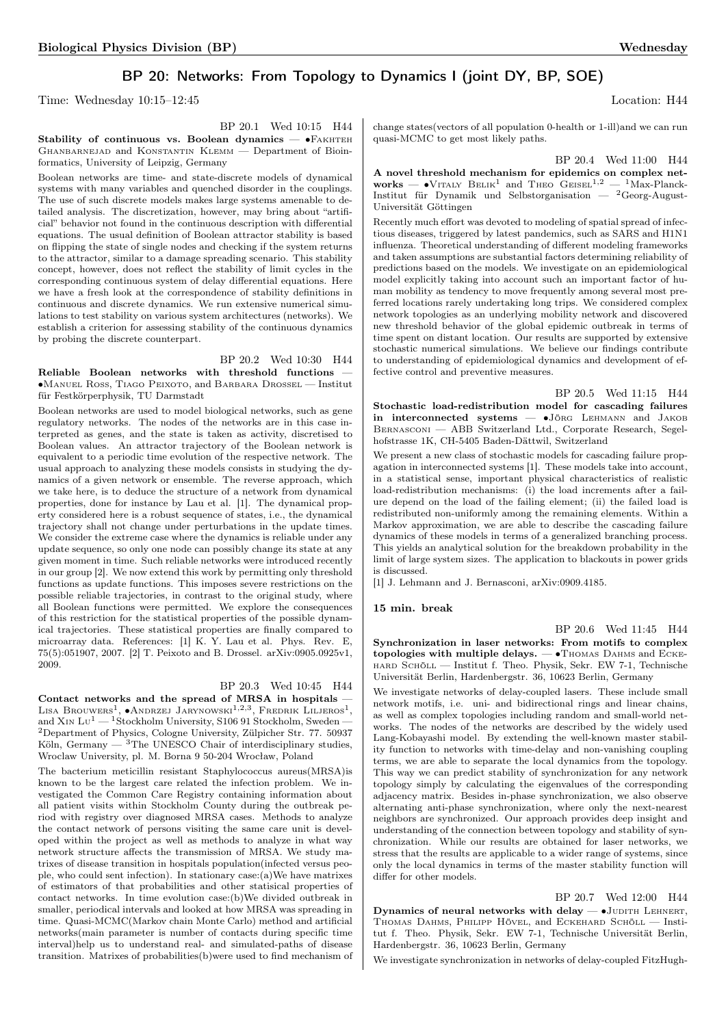## BP 20: Networks: From Topology to Dynamics I (joint DY, BP, SOE)

Time: Wednesday 10:15–12:45 Location: H44

BP 20.1 Wed 10:15 H44

Stability of continuous vs. Boolean dynamics — •FAKHTEH GHANBARNEJAD and KONSTANTIN KLEMM — Department of Bioinformatics, University of Leipzig, Germany

Boolean networks are time- and state-discrete models of dynamical systems with many variables and quenched disorder in the couplings. The use of such discrete models makes large systems amenable to detailed analysis. The discretization, however, may bring about "artificial" behavior not found in the continuous description with differential equations. The usual definition of Boolean attractor stability is based on flipping the state of single nodes and checking if the system returns to the attractor, similar to a damage spreading scenario. This stability concept, however, does not reflect the stability of limit cycles in the corresponding continuous system of delay differential equations. Here we have a fresh look at the correspondence of stability definitions in continuous and discrete dynamics. We run extensive numerical simulations to test stability on various system architectures (networks). We establish a criterion for assessing stability of the continuous dynamics by probing the discrete counterpart.

## BP 20.2 Wed 10:30 H44

Reliable Boolean networks with threshold functions — ∙Manuel Ross, Tiago Peixoto, and Barbara Drossel — Institut für Festkörperphysik, TU Darmstadt

Boolean networks are used to model biological networks, such as gene regulatory networks. The nodes of the networks are in this case interpreted as genes, and the state is taken as activity, discretised to Boolean values. An attractor trajectory of the Boolean network is equivalent to a periodic time evolution of the respective network. The usual approach to analyzing these models consists in studying the dynamics of a given network or ensemble. The reverse approach, which we take here, is to deduce the structure of a network from dynamical properties, done for instance by Lau et al. [1]. The dynamical property considered here is a robust sequence of states, i.e., the dynamical trajectory shall not change under perturbations in the update times. We consider the extreme case where the dynamics is reliable under any update sequence, so only one node can possibly change its state at any given moment in time. Such reliable networks were introduced recently in our group [2]. We now extend this work by permitting only threshold functions as update functions. This imposes severe restrictions on the possible reliable trajectories, in contrast to the original study, where all Boolean functions were permitted. We explore the consequences of this restriction for the statistical properties of the possible dynamical trajectories. These statistical properties are finally compared to microarray data. References: [1] K. Y. Lau et al. Phys. Rev. E, 75(5):051907, 2007. [2] T. Peixoto and B. Drossel. arXiv:0905.0925v1, 2009.

## BP 20.3 Wed 10:45 H44

Contact networks and the spread of MRSA in hospitals — LISA BROUWERS<sup>1</sup>,  $\bullet$ Andrzej Jarynowski<sup>1,2,3</sup>, Fredrik Liljeros<sup>1</sup>, and X<sub>IN</sub> L<sub>U</sub><sup>1</sup> — <sup>1</sup>Stockholm University, S106 91 Stockholm, Sweden – <sup>2</sup>Department of Physics, Cologne University, Zülpicher Str. 77. 50937 Köln, Germany  $-$  <sup>3</sup>The UNESCO Chair of interdisciplinary studies, Wroclaw University, pl. M. Borna 9 50-204 Wrocław, Poland

The bacterium meticillin resistant Staphylococcus aureus(MRSA)is known to be the largest care related the infection problem. We investigated the Common Care Registry containing information about all patient visits within Stockholm County during the outbreak period with registry over diagnosed MRSA cases. Methods to analyze the contact network of persons visiting the same care unit is developed within the project as well as methods to analyze in what way network structure affects the transmission of MRSA. We study matrixes of disease transition in hospitals population(infected versus people, who could sent infection). In stationary case:(a)We have matrixes of estimators of that probabilities and other statisical properties of contact networks. In time evolution case:(b)We divided outbreak in smaller, periodical intervals and looked at how MRSA was spreading in time. Quasi-MCMC(Markov chain Monte Carlo) method and artificial networks(main parameter is number of contacts during specific time interval)help us to understand real- and simulated-paths of disease transition. Matrixes of probabilities(b)were used to find mechanism of

change states(vectors of all population 0-health or 1-ill)and we can run quasi-MCMC to get most likely paths.

BP 20.4 Wed 11:00 H44

A novel threshold mechanism for epidemics on complex net-<br>works — •VITALY BELIK<sup>1</sup> and THEO GEISEL<sup>1,2</sup> — <sup>1</sup>Max-Planck-Institut für Dynamik und Selbstorganisation — <sup>2</sup>Georg-August-Universität Göttingen

Recently much effort was devoted to modeling of spatial spread of infectious diseases, triggered by latest pandemics, such as SARS and H1N1 influenza. Theoretical understanding of different modeling frameworks and taken assumptions are substantial factors determining reliability of predictions based on the models. We investigate on an epidemiological model explicitly taking into account such an important factor of human mobility as tendency to move frequently among several most preferred locations rarely undertaking long trips. We considered complex network topologies as an underlying mobility network and discovered new threshold behavior of the global epidemic outbreak in terms of time spent on distant location. Our results are supported by extensive stochastic numerical simulations. We believe our findings contribute to understanding of epidemiological dynamics and development of effective control and preventive measures.

BP 20.5 Wed 11:15 H44 Stochastic load-redistribution model for cascading failures in interconnected systems — ∙Jörg Lehmann and Jakob Bernasconi — ABB Switzerland Ltd., Corporate Research, Segelhofstrasse 1K, CH-5405 Baden-Dättwil, Switzerland

We present a new class of stochastic models for cascading failure propagation in interconnected systems [1]. These models take into account, in a statistical sense, important physical characteristics of realistic load-redistribution mechanisms: (i) the load increments after a failure depend on the load of the failing element; (ii) the failed load is redistributed non-uniformly among the remaining elements. Within a Markov approximation, we are able to describe the cascading failure dynamics of these models in terms of a generalized branching process. This yields an analytical solution for the breakdown probability in the limit of large system sizes. The application to blackouts in power grids is discussed.

[1] J. Lehmann and J. Bernasconi, arXiv:0909.4185.

#### 15 min. break

BP 20.6 Wed 11:45 H44 Synchronization in laser networks: From motifs to complex topologies with multiple delays.  $- \cdot$ Thomas Dahms and ECKEhard Schöll — Institut f. Theo. Physik, Sekr. EW 7-1, Technische Universität Berlin, Hardenbergstr. 36, 10623 Berlin, Germany

We investigate networks of delay-coupled lasers. These include small network motifs, i.e. uni- and bidirectional rings and linear chains, as well as complex topologies including random and small-world networks. The nodes of the networks are described by the widely used Lang-Kobayashi model. By extending the well-known master stability function to networks with time-delay and non-vanishing coupling terms, we are able to separate the local dynamics from the topology. This way we can predict stability of synchronization for any network topology simply by calculating the eigenvalues of the corresponding adjacency matrix. Besides in-phase synchronization, we also observe alternating anti-phase synchronization, where only the next-nearest neighbors are synchronized. Our approach provides deep insight and understanding of the connection between topology and stability of synchronization. While our results are obtained for laser networks, we stress that the results are applicable to a wider range of systems, since only the local dynamics in terms of the master stability function will differ for other models.

BP 20.7 Wed 12:00 H44 Dynamics of neural networks with delay —  $\bullet$ Judith Lehnert, Thomas Dahms, Philipp Hövel, and Eckehard Schöll — Institut f. Theo. Physik, Sekr. EW 7-1, Technische Universität Berlin, Hardenbergstr. 36, 10623 Berlin, Germany

We investigate synchronization in networks of delay-coupled FitzHugh-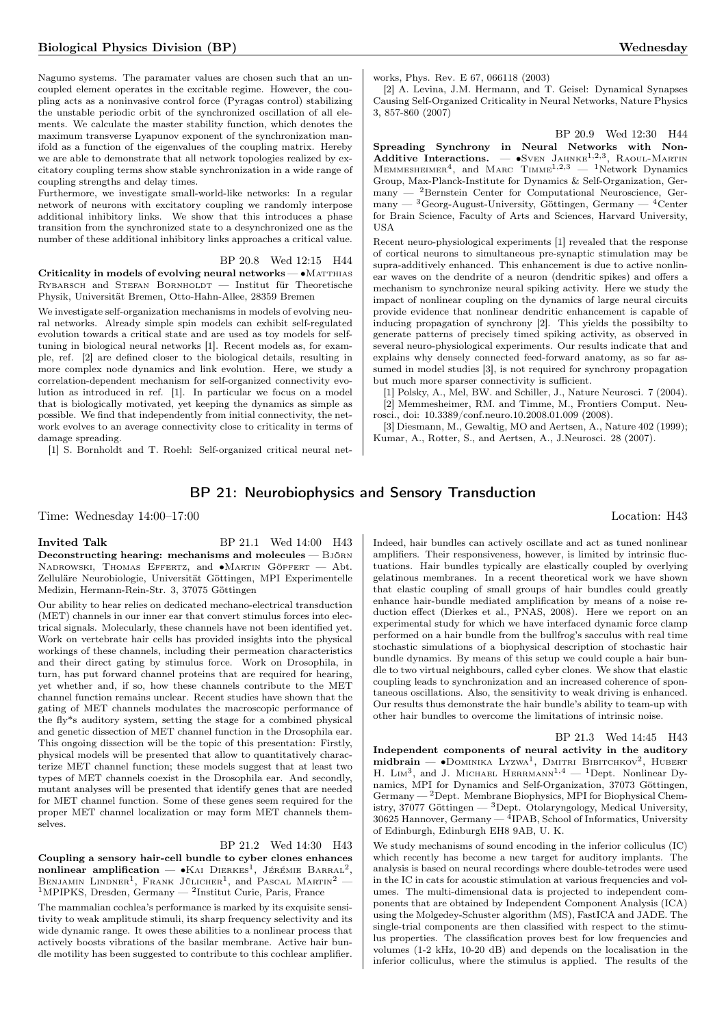Nagumo systems. The paramater values are chosen such that an uncoupled element operates in the excitable regime. However, the coupling acts as a noninvasive control force (Pyragas control) stabilizing the unstable periodic orbit of the synchronized oscillation of all elements. We calculate the master stability function, which denotes the maximum transverse Lyapunov exponent of the synchronization manifold as a function of the eigenvalues of the coupling matrix. Hereby we are able to demonstrate that all network topologies realized by excitatory coupling terms show stable synchronization in a wide range of coupling strengths and delay times.

Furthermore, we investigate small-world-like networks: In a regular network of neurons with excitatory coupling we randomly interpose additional inhibitory links. We show that this introduces a phase transition from the synchronized state to a desynchronized one as the number of these additional inhibitory links approaches a critical value.

BP 20.8 Wed 12:15 H44 Criticality in models of evolving neural networks — • MATTHIAS RYBARSCH and STEFAN BORNHOLDT — Institut für Theoretische Physik, Universität Bremen, Otto-Hahn-Allee, 28359 Bremen

We investigate self-organization mechanisms in models of evolving neural networks. Already simple spin models can exhibit self-regulated evolution towards a critical state and are used as toy models for selftuning in biological neural networks [1]. Recent models as, for example, ref. [2] are defined closer to the biological details, resulting in more complex node dynamics and link evolution. Here, we study a correlation-dependent mechanism for self-organized connectivity evolution as introduced in ref. [1]. In particular we focus on a model that is biologically motivated, yet keeping the dynamics as simple as possible. We find that independently from initial connectivity, the network evolves to an average connectivity close to criticality in terms of damage spreading.

[1] S. Bornholdt and T. Roehl: Self-organized critical neural net-

[2] A. Levina, J.M. Hermann, and T. Geisel: Dynamical Synapses Causing Self-Organized Criticality in Neural Networks, Nature Physics 3, 857-860 (2007)

BP 20.9 Wed 12:30 H44 Spreading Synchrony in Neural Networks with Non-Additive Interactions. — •Sven JAHNKE<sup>1,2,3</sup>, RAOUL-MARTIN MEMMESHEIMER<sup>4</sup>, and MARC TIMME<sup>1,2,3</sup> — <sup>1</sup>Network Dynamics Group, Max-Planck-Institute for Dynamics & Self-Organization, Germany — <sup>2</sup>Bernstein Center for Computational Neuroscience, Germany  $-$  <sup>3</sup>Georg-August-University, Göttingen, Germany  $-$  <sup>4</sup>Center for Brain Science, Faculty of Arts and Sciences, Harvard University, USA

Recent neuro-physiological experiments [1] revealed that the response of cortical neurons to simultaneous pre-synaptic stimulation may be supra-additively enhanced. This enhancement is due to active nonlinear waves on the dendrite of a neuron (dendritic spikes) and offers a mechanism to synchronize neural spiking activity. Here we study the impact of nonlinear coupling on the dynamics of large neural circuits provide evidence that nonlinear dendritic enhancement is capable of inducing propagation of synchrony [2]. This yields the possibilty to generate patterns of precisely timed spiking activity, as observed in several neuro-physiological experiments. Our results indicate that and explains why densely connected feed-forward anatomy, as so far assumed in model studies [3], is not required for synchrony propagation but much more sparser connectivity is sufficient.

[1] Polsky, A., Mel, BW. and Schiller, J., Nature Neurosci. 7 (2004). [2] Memmesheimer, RM. and Timme, M., Frontiers Comput. Neurosci., doi: 10.3389/conf.neuro.10.2008.01.009 (2008).

[3] Diesmann, M., Gewaltig, MO and Aertsen, A., Nature 402 (1999); Kumar, A., Rotter, S., and Aertsen, A., J.Neurosci. 28 (2007).

## BP 21: Neurobiophysics and Sensory Transduction

Time: Wednesday 14:00–17:00 Location: H43

**Invited Talk** BP 21.1 Wed 14:00 H43 Deconstructing hearing: mechanisms and molecules — Björn Nadrowski, Thomas Effertz, and ∙Martin Göpfert — Abt. Zelluläre Neurobiologie, Universität Göttingen, MPI Experimentelle Medizin, Hermann-Rein-Str. 3, 37075 Göttingen

Our ability to hear relies on dedicated mechano-electrical transduction (MET) channels in our inner ear that convert stimulus forces into electrical signals. Molecularly, these channels have not been identified yet. Work on vertebrate hair cells has provided insights into the physical workings of these channels, including their permeation characteristics and their direct gating by stimulus force. Work on Drosophila, in turn, has put forward channel proteins that are required for hearing, yet whether and, if so, how these channels contribute to the MET channel function remains unclear. Recent studies have shown that the gating of MET channels modulates the macroscopic performance of the fly\*s auditory system, setting the stage for a combined physical and genetic dissection of MET channel function in the Drosophila ear. This ongoing dissection will be the topic of this presentation: Firstly, physical models will be presented that allow to quantitatively characterize MET channel function; these models suggest that at least two types of MET channels coexist in the Drosophila ear. And secondly, mutant analyses will be presented that identify genes that are needed for MET channel function. Some of these genes seem required for the proper MET channel localization or may form MET channels themselves.

#### BP 21.2 Wed 14:30 H43

Coupling a sensory hair-cell bundle to cyber clones enhances nonlinear amplification —  $\bullet$ KAI DIERKES<sup>1</sup>, JÉRÉMIE BARRAL<sup>2</sup>, BENJAMIN LINDNER<sup>1</sup>, FRANK JÜLICHER<sup>1</sup>, and PASCAL MARTIN<sup>2</sup> – <sup>1</sup>MPIPKS, Dresden, Germany — <sup>2</sup>Institut Curie, Paris, France

The mammalian cochlea's performance is marked by its exquisite sensitivity to weak amplitude stimuli, its sharp frequency selectivity and its wide dynamic range. It owes these abilities to a nonlinear process that actively boosts vibrations of the basilar membrane. Active hair bundle motility has been suggested to contribute to this cochlear amplifier.

Indeed, hair bundles can actively oscillate and act as tuned nonlinear amplifiers. Their responsiveness, however, is limited by intrinsic fluctuations. Hair bundles typically are elastically coupled by overlying gelatinous membranes. In a recent theoretical work we have shown that elastic coupling of small groups of hair bundles could greatly enhance hair-bundle mediated amplification by means of a noise reduction effect (Dierkes et al., PNAS, 2008). Here we report on an experimental study for which we have interfaced dynamic force clamp performed on a hair bundle from the bullfrog's sacculus with real time stochastic simulations of a biophysical description of stochastic hair bundle dynamics. By means of this setup we could couple a hair bundle to two virtual neighbours, called cyber clones. We show that elastic coupling leads to synchronization and an increased coherence of spontaneous oscillations. Also, the sensitivity to weak driving is enhanced. Our results thus demonstrate the hair bundle's ability to team-up with other hair bundles to overcome the limitations of intrinsic noise.

BP 21.3 Wed 14:45 H43 Independent components of neural activity in the auditory  $midbrain$   $\bullet$  Dominika Lyzwa<sup>1</sup>, Dmitri Bibitchkov<sup>2</sup>, Hubert H. LIM<sup>3</sup>, and J. MICHAEL HERRMANN<sup>1,4</sup> - <sup>1</sup>Dept. Nonlinear Dynamics, MPI for Dynamics and Self-Organization, 37073 Göttingen, Germany — <sup>2</sup>Dept. Membrane Biophysics, MPI for Biophysical Chemistry, 37077 Göttingen —  ${}^{3}$ Dept. Otolaryngology, Medical University, 30625 Hannover, Germany — <sup>4</sup>IPAB, School of Informatics, University of Edinburgh, Edinburgh EH8 9AB, U. K.

We study mechanisms of sound encoding in the inferior colliculus (IC) which recently has become a new target for auditory implants. The analysis is based on neural recordings where double-tetrodes were used in the IC in cats for acoustic stimulation at various frequencies and volumes. The multi-dimensional data is projected to independent components that are obtained by Independent Component Analysis (ICA) using the Molgedey-Schuster algorithm (MS), FastICA and JADE. The single-trial components are then classified with respect to the stimulus properties. The classification proves best for low frequencies and volumes (1-2 kHz, 10-20 dB) and depends on the localisation in the inferior colliculus, where the stimulus is applied. The results of the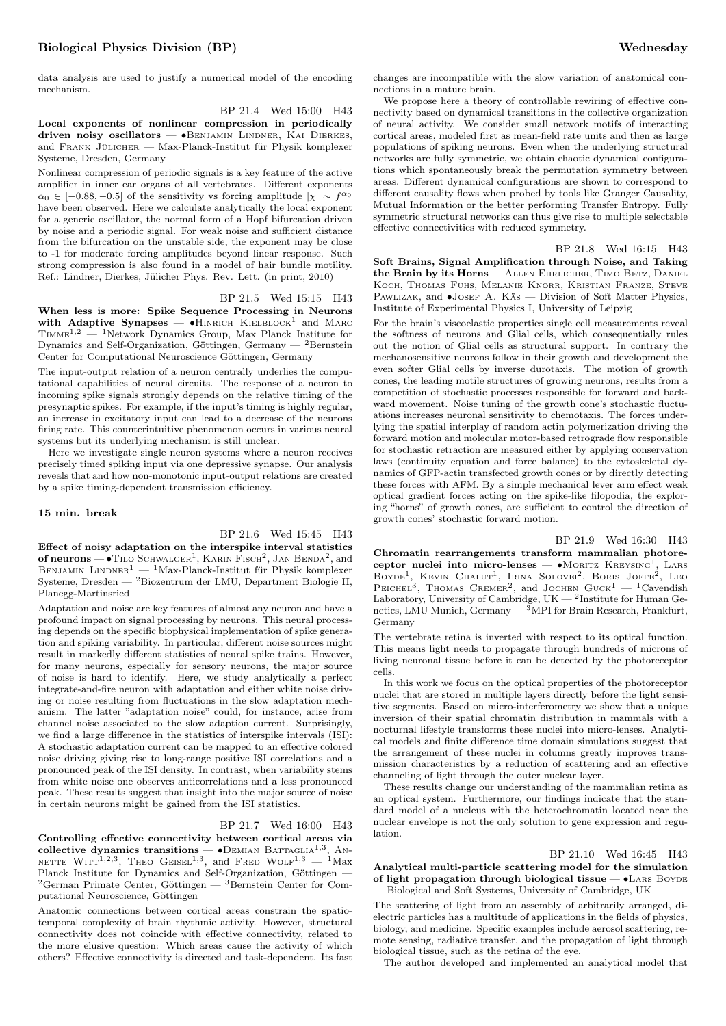data analysis are used to justify a numerical model of the encoding mechanism.

BP 21.4 Wed 15:00 H43 Local exponents of nonlinear compression in periodically driven noisy oscillators — • BENJAMIN LINDNER, KAI DIERKES, and Frank Jülicher — Max-Planck-Institut für Physik komplexer Systeme, Dresden, Germany

Nonlinear compression of periodic signals is a key feature of the active amplifier in inner ear organs of all vertebrates. Different exponents  $\alpha_0 \in [-0.88, -0.5]$  of the sensitivity vs forcing amplitude  $|\chi| \sim f^{\alpha_0}$ have been observed. Here we calculate analytically the local exponent for a generic oscillator, the normal form of a Hopf bifurcation driven by noise and a periodic signal. For weak noise and sufficient distance from the bifurcation on the unstable side, the exponent may be close to -1 for moderate forcing amplitudes beyond linear response. Such strong compression is also found in a model of hair bundle motility. Ref.: Lindner, Dierkes, Jülicher Phys. Rev. Lett. (in print, 2010)

#### BP 21.5 Wed 15:15 H43

When less is more: Spike Sequence Processing in Neurons with Adaptive Synapses — •HINRICH KIELBLOCK<sup>1</sup> and MARC  $T_{\text{IMME}}^{1,2}$  — <sup>1</sup>Network Dynamics Group, Max Planck Institute for Dynamics and Self-Organization, Göttingen, Germany  $-$  <sup>2</sup>Bernstein Center for Computational Neuroscience Göttingen, Germany

The input-output relation of a neuron centrally underlies the computational capabilities of neural circuits. The response of a neuron to incoming spike signals strongly depends on the relative timing of the presynaptic spikes. For example, if the input's timing is highly regular, an increase in excitatory input can lead to a decrease of the neurons firing rate. This counterintuitive phenomenon occurs in various neural systems but its underlying mechanism is still unclear.

Here we investigate single neuron systems where a neuron receives precisely timed spiking input via one depressive synapse. Our analysis reveals that and how non-monotonic input-output relations are created by a spike timing-dependent transmission efficiency.

#### 15 min. break

# BP 21.6 Wed 15:45 H43

Effect of noisy adaptation on the interspike interval statistics of neurons —  $\bullet$  Tilo Schwalger<sup>1</sup>, Karin Fisch<sup>2</sup>, Jan Benda<sup>2</sup>, and BENJAMIN LINDNER<sup>1</sup> — <sup>1</sup>Max-Planck-Institut für Physik komplexer Systeme, Dresden — <sup>2</sup>Biozentrum der LMU, Department Biologie II, Planegg-Martinsried

Adaptation and noise are key features of almost any neuron and have a profound impact on signal processing by neurons. This neural processing depends on the specific biophysical implementation of spike generation and spiking variability. In particular, different noise sources might result in markedly different statistics of neural spike trains. However, for many neurons, especially for sensory neurons, the major source of noise is hard to identify. Here, we study analytically a perfect integrate-and-fire neuron with adaptation and either white noise driving or noise resulting from fluctuations in the slow adaptation mechanism. The latter "adaptation noise" could, for instance, arise from channel noise associated to the slow adaption current. Surprisingly, we find a large difference in the statistics of interspike intervals (ISI): A stochastic adaptation current can be mapped to an effective colored noise driving giving rise to long-range positive ISI correlations and a pronounced peak of the ISI density. In contrast, when variability stems from white noise one observes anticorrelations and a less pronounced peak. These results suggest that insight into the major source of noise in certain neurons might be gained from the ISI statistics.

#### BP 21.7 Wed 16:00 H43

Controlling effective connectivity between cortical areas via collective dynamics transitions —  $\bullet$ DEMIAN BATTAGLIA<sup>1,3</sup>, AN-NETTE  $W[\text{ITT}^{1,2,3}]$ , Theo Geisel<sup>1,3</sup>, and Fred Wolf<sup>1,3</sup> - <sup>1</sup>Max Planck Institute for Dynamics and Self-Organization, Göttingen —  ${}^{2}$ German Primate Center, Göttingen —  ${}^{3}$ Bernstein Center for Computational Neuroscience, Göttingen

Anatomic connections between cortical areas constrain the spatiotemporal complexity of brain rhythmic activity. However, structural connectivity does not coincide with effective connectivity, related to the more elusive question: Which areas cause the activity of which others? Effective connectivity is directed and task-dependent. Its fast

changes are incompatible with the slow variation of anatomical connections in a mature brain.

We propose here a theory of controllable rewiring of effective connectivity based on dynamical transitions in the collective organization of neural activity. We consider small network motifs of interacting cortical areas, modeled first as mean-field rate units and then as large populations of spiking neurons. Even when the underlying structural networks are fully symmetric, we obtain chaotic dynamical configurations which spontaneously break the permutation symmetry between areas. Different dynamical configurations are shown to correspond to different causality flows when probed by tools like Granger Causality, Mutual Information or the better performing Transfer Entropy. Fully symmetric structural networks can thus give rise to multiple selectable effective connectivities with reduced symmetry.

BP 21.8 Wed 16:15 H43

Soft Brains, Signal Amplification through Noise, and Taking the Brain by its Horns - ALLEN EHRLICHER, TIMO BETZ, DANIEL KOCH, THOMAS FUHS, MELANIE KNORR, KRISTIAN FRANZE, STEVE Pawlizak, and ∙Josef A. Käs — Division of Soft Matter Physics, Institute of Experimental Physics I, University of Leipzig

For the brain's viscoelastic properties single cell measurements reveal the softness of neurons and Glial cells, which consequentially rules out the notion of Glial cells as structural support. In contrary the mechanosensitive neurons follow in their growth and development the even softer Glial cells by inverse durotaxis. The motion of growth cones, the leading motile structures of growing neurons, results from a competition of stochastic processes responsible for forward and backward movement. Noise tuning of the growth cone's stochastic fluctuations increases neuronal sensitivity to chemotaxis. The forces underlying the spatial interplay of random actin polymerization driving the forward motion and molecular motor-based retrograde flow responsible for stochastic retraction are measured either by applying conservation laws (continuity equation and force balance) to the cytoskeletal dynamics of GFP-actin transfected growth cones or by directly detecting these forces with AFM. By a simple mechanical lever arm effect weak optical gradient forces acting on the spike-like filopodia, the exploring "horns" of growth cones, are sufficient to control the direction of growth cones' stochastic forward motion.

BP 21.9 Wed 16:30 H43

Chromatin rearrangements transform mammalian photoreceptor nuclei into micro-lenses — •MORITZ KREYSING<sup>1</sup>, LARS BOYDE<sup>1</sup>, KEVIN CHALUT<sup>1</sup>, IRINA SOLOVEI<sup>2</sup>, BORIS JOFFE<sup>2</sup>, LEO PEICHEL<sup>3</sup>, THOMAS CREMER<sup>2</sup>, and JOCHEN GUCK<sup>1</sup> - <sup>1</sup>Cavendish Laboratory, University of Cambridge,  $UK = 2$ Institute for Human Genetics, LMU Munich, Germany  $-3$  MPI for Brain Research, Frankfurt, Germany

The vertebrate retina is inverted with respect to its optical function. This means light needs to propagate through hundreds of microns of living neuronal tissue before it can be detected by the photoreceptor cells.

In this work we focus on the optical properties of the photoreceptor nuclei that are stored in multiple layers directly before the light sensitive segments. Based on micro-interferometry we show that a unique inversion of their spatial chromatin distribution in mammals with a nocturnal lifestyle transforms these nuclei into micro-lenses. Analytical models and finite difference time domain simulations suggest that the arrangement of these nuclei in columns greatly improves transmission characteristics by a reduction of scattering and an effective channeling of light through the outer nuclear layer.

These results change our understanding of the mammalian retina as an optical system. Furthermore, our findings indicate that the standard model of a nucleus with the heterochromatin located near the nuclear envelope is not the only solution to gene expression and regulation.

#### BP 21.10 Wed 16:45 H43

Analytical multi-particle scattering model for the simulation of light propagation through biological tissue — •LARS BOYDE — Biological and Soft Systems, University of Cambridge, UK

The scattering of light from an assembly of arbitrarily arranged, dielectric particles has a multitude of applications in the fields of physics, biology, and medicine. Specific examples include aerosol scattering, remote sensing, radiative transfer, and the propagation of light through biological tissue, such as the retina of the eye.

The author developed and implemented an analytical model that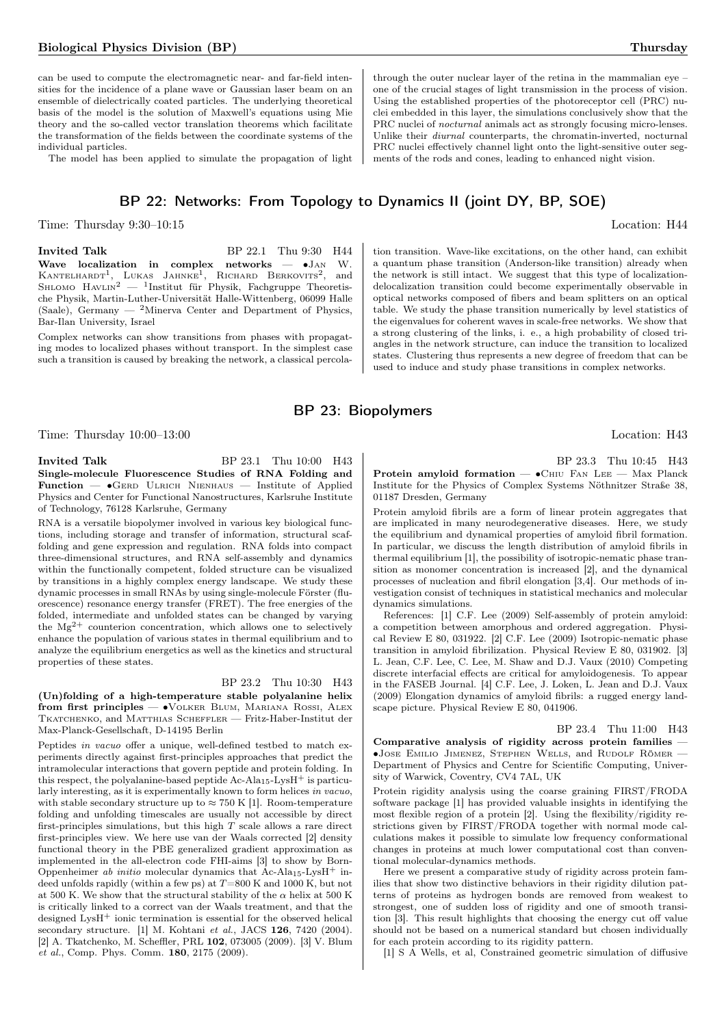#### Biological Physics Division (BP) Thursday Thursday

can be used to compute the electromagnetic near- and far-field intensities for the incidence of a plane wave or Gaussian laser beam on an ensemble of dielectrically coated particles. The underlying theoretical basis of the model is the solution of Maxwell's equations using Mie theory and the so-called vector translation theorems which facilitate the transformation of the fields between the coordinate systems of the individual particles.

The model has been applied to simulate the propagation of light

## BP 22: Networks: From Topology to Dynamics II (joint DY, BP, SOE)

Time: Thursday 9:30–10:15 Location: H44

**Invited Talk** BP 22.1 Thu 9:30 H44 Wave localization in complex networks — ∙Jan W. KANTELHARDT<sup>1</sup>, LUKAS JAHNKE<sup>1</sup>, RICHARD BERKOVITS<sup>2</sup>, and<br>Shlomo Havlin<sup>2</sup> — <sup>1</sup>Institut für Physik, Fachgruppe Theoretische Physik, Martin-Luther-Universität Halle-Wittenberg, 06099 Halle (Saale), Germany — <sup>2</sup>Minerva Center and Department of Physics, Bar-Ilan University, Israel

Complex networks can show transitions from phases with propagating modes to localized phases without transport. In the simplest case such a transition is caused by breaking the network, a classical percola-

Time: Thursday  $10:00-13:00$  Location: H43

**Invited Talk** BP 23.1 Thu 10:00 H43 Single-molecule Fluorescence Studies of RNA Folding and Function — ∙Gerd Ulrich Nienhaus — Institute of Applied Physics and Center for Functional Nanostructures, Karlsruhe Institute of Technology, 76128 Karlsruhe, Germany

RNA is a versatile biopolymer involved in various key biological functions, including storage and transfer of information, structural scaffolding and gene expression and regulation. RNA folds into compact three-dimensional structures, and RNA self-assembly and dynamics within the functionally competent, folded structure can be visualized by transitions in a highly complex energy landscape. We study these dynamic processes in small RNAs by using single-molecule Förster (fluorescence) resonance energy transfer (FRET). The free energies of the folded, intermediate and unfolded states can be changed by varying the  $Mg^{2+}$  counterion concentration, which allows one to selectively enhance the population of various states in thermal equilibrium and to analyze the equilibrium energetics as well as the kinetics and structural properties of these states.

#### BP 23.2 Thu 10:30 H43

(Un)folding of a high-temperature stable polyalanine helix from first principles — ∙Volker Blum, Mariana Rossi, Alex TKATCHENKO, and MATTHIAS SCHEFFLER — Fritz-Haber-Institut der Max-Planck-Gesellschaft, D-14195 Berlin

Peptides in vacuo offer a unique, well-defined testbed to match experiments directly against first-principles approaches that predict the intramolecular interactions that govern peptide and protein folding. In this respect, the polyalanine-based peptide Ac-Ala<sub>15</sub>-Lys $H^+$  is particularly interesting, as it is experimentally known to form helices in vacuo, with stable secondary structure up to  $\approx 750$  K [1]. Room-temperature folding and unfolding timescales are usually not accessible by direct first-principles simulations, but this high  $T$  scale allows a rare direct first-principles view. We here use van der Waals corrected [2] density functional theory in the PBE generalized gradient approximation as implemented in the all-electron code FHI-aims [3] to show by Born-Oppenheimer ab initio molecular dynamics that Ac-Ala<sub>15</sub>-Lys $H^+$  indeed unfolds rapidly (within a few ps) at  $T=800$  K and 1000 K, but not at 500 K. We show that the structural stability of the  $\alpha$  helix at 500 K is critically linked to a correct van der Waals treatment, and that the designed LysH<sup>+</sup> ionic termination is essential for the observed helical secondary structure.  $[1]$  M. Kohtani et al., JACS 126, 7420 (2004). [2] A. Tkatchenko, M. Scheffler, PRL 102, 073005 (2009). [3] V. Blum et al., Comp. Phys. Comm. 180, 2175 (2009).

through the outer nuclear layer of the retina in the mammalian eye – one of the crucial stages of light transmission in the process of vision. Using the established properties of the photoreceptor cell (PRC) nuclei embedded in this layer, the simulations conclusively show that the PRC nuclei of nocturnal animals act as strongly focusing micro-lenses. Unlike their diurnal counterparts, the chromatin-inverted, nocturnal PRC nuclei effectively channel light onto the light-sensitive outer segments of the rods and cones, leading to enhanced night vision.

tion transition. Wave-like excitations, on the other hand, can exhibit a quantum phase transition (Anderson-like transition) already when the network is still intact. We suggest that this type of localizationdelocalization transition could become experimentally observable in optical networks composed of fibers and beam splitters on an optical table. We study the phase transition numerically by level statistics of the eigenvalues for coherent waves in scale-free networks. We show that a strong clustering of the links, i. e., a high probability of closed triangles in the network structure, can induce the transition to localized states. Clustering thus represents a new degree of freedom that can be used to induce and study phase transitions in complex networks.

BP 23: Biopolymers

BP 23.3 Thu 10:45 H43

Protein amyloid formation — ∙Chiu Fan Lee — Max Planck Institute for the Physics of Complex Systems Nöthnitzer Straße 38, 01187 Dresden, Germany

Protein amyloid fibrils are a form of linear protein aggregates that are implicated in many neurodegenerative diseases. Here, we study the equilibrium and dynamical properties of amyloid fibril formation. In particular, we discuss the length distribution of amyloid fibrils in thermal equilibrium [1], the possibility of isotropic-nematic phase transition as monomer concentration is increased [2], and the dynamical processes of nucleation and fibril elongation [3,4]. Our methods of investigation consist of techniques in statistical mechanics and molecular dynamics simulations.

References: [1] C.F. Lee (2009) Self-assembly of protein amyloid: a competition between amorphous and ordered aggregation. Physical Review E 80, 031922. [2] C.F. Lee (2009) Isotropic-nematic phase transition in amyloid fibrilization. Physical Review E 80, 031902. [3] L. Jean, C.F. Lee, C. Lee, M. Shaw and D.J. Vaux (2010) Competing discrete interfacial effects are critical for amyloidogenesis. To appear in the FASEB Journal. [4] C.F. Lee, J. Loken, L. Jean and D.J. Vaux (2009) Elongation dynamics of amyloid fibrils: a rugged energy landscape picture. Physical Review E 80, 041906.

BP 23.4 Thu 11:00 H43 Comparative analysis of rigidity across protein families — ∙Jose Emilio Jimenez, Stephen Wells, and Rudolf Römer — Department of Physics and Centre for Scientific Computing, University of Warwick, Coventry, CV4 7AL, UK

Protein rigidity analysis using the coarse graining FIRST/FRODA software package [1] has provided valuable insights in identifying the most flexible region of a protein [2]. Using the flexibility/rigidity restrictions given by FIRST/FRODA together with normal mode calculations makes it possible to simulate low frequency conformational changes in proteins at much lower computational cost than conventional molecular-dynamics methods.

Here we present a comparative study of rigidity across protein families that show two distinctive behaviors in their rigidity dilution patterns of proteins as hydrogen bonds are removed from weakest to strongest, one of sudden loss of rigidity and one of smooth transition [3]. This result highlights that choosing the energy cut off value should not be based on a numerical standard but chosen individually for each protein according to its rigidity pattern.

[1] S A Wells, et al, Constrained geometric simulation of diffusive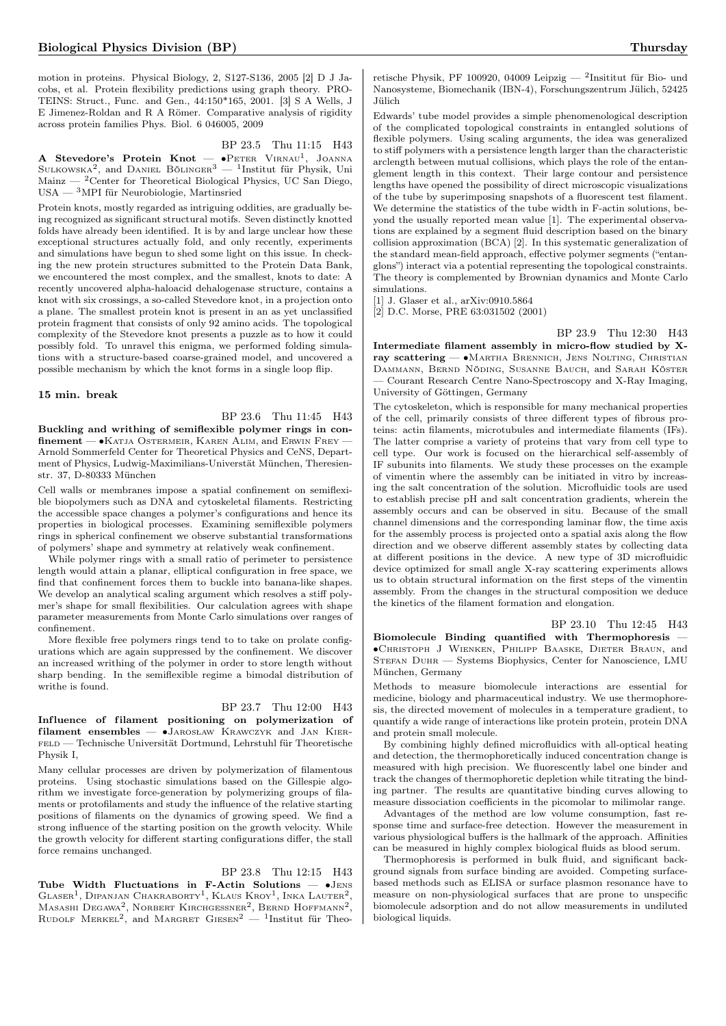motion in proteins. Physical Biology, 2, S127-S136, 2005 [2] D J Jacobs, et al. Protein flexibility predictions using graph theory. PRO-TEINS: Struct., Func. and Gen., 44:150\*165, 2001. [3] S A Wells, J E Jimenez-Roldan and R A Römer. Comparative analysis of rigidity across protein families Phys. Biol. 6 046005, 2009

#### BP 23.5 Thu 11:15 H43

**A Stevedore's Protein Knot** —  $\bullet$ Peter Virnau<sup>1</sup>, Joanna Sulkowska<sup>2</sup>, and Daniel Bölinger<sup>3</sup> — <sup>1</sup>Institut für Physik, Uni Mainz — <sup>2</sup>Center for Theoretical Biological Physics, UC San Diego, USA — <sup>3</sup>MPI für Neurobiologie, Martinsried

Protein knots, mostly regarded as intriguing oddities, are gradually being recognized as significant structural motifs. Seven distinctly knotted folds have already been identified. It is by and large unclear how these exceptional structures actually fold, and only recently, experiments and simulations have begun to shed some light on this issue. In checking the new protein structures submitted to the Protein Data Bank, we encountered the most complex, and the smallest, knots to date: A recently uncovered alpha-haloacid dehalogenase structure, contains a knot with six crossings, a so-called Stevedore knot, in a projection onto a plane. The smallest protein knot is present in an as yet unclassified protein fragment that consists of only 92 amino acids. The topological complexity of the Stevedore knot presents a puzzle as to how it could possibly fold. To unravel this enigma, we performed folding simulations with a structure-based coarse-grained model, and uncovered a possible mechanism by which the knot forms in a single loop flip.

#### 15 min. break

BP 23.6 Thu 11:45 H43 Buckling and writhing of semiflexible polymer rings in confinement — ∙Katja Ostermeir, Karen Alim, and Erwin Frey — Arnold Sommerfeld Center for Theoretical Physics and CeNS, Department of Physics, Ludwig-Maximilians-Universtät München, Theresienstr. 37, D-80333 München

Cell walls or membranes impose a spatial confinement on semiflexible biopolymers such as DNA and cytoskeletal filaments. Restricting the accessible space changes a polymer's configurations and hence its properties in biological processes. Examining semiflexible polymers rings in spherical confinement we observe substantial transformations of polymers' shape and symmetry at relatively weak confinement.

While polymer rings with a small ratio of perimeter to persistence length would attain a planar, elliptical configuration in free space, we find that confinement forces them to buckle into banana-like shapes. We develop an analytical scaling argument which resolves a stiff polymer's shape for small flexibilities. Our calculation agrees with shape parameter measurements from Monte Carlo simulations over ranges of confinement.

More flexible free polymers rings tend to to take on prolate configurations which are again suppressed by the confinement. We discover an increased writhing of the polymer in order to store length without sharp bending. In the semiflexible regime a bimodal distribution of writhe is found.

#### BP 23.7 Thu 12:00 H43

Influence of filament positioning on polymerization of f ilament ensembles — ∙Jarosław Krawczyk and Jan Kierfeld — Technische Universität Dortmund, Lehrstuhl für Theoretische Physik I,

Many cellular processes are driven by polymerization of filamentous proteins. Using stochastic simulations based on the Gillespie algorithm we investigate force-generation by polymerizing groups of filaments or protofilaments and study the influence of the relative starting positions of filaments on the dynamics of growing speed. We find a strong influence of the starting position on the growth velocity. While the growth velocity for different starting configurations differ, the stall force remains unchanged.

### BP 23.8 Thu 12:15 H43

Tube Width Fluctuations in F-Actin Solutions — ∙Jens GLASER<sup>1</sup>, DIPANJAN CHAKRABORTY<sup>1</sup>, KLAUS KROY<sup>1</sup>, INKA LAUTER<sup>2</sup>, Masashi Degawa<sup>2</sup>, Norbert Kirchgessner<sup>2</sup>, Bernd Hoffmann<sup>2</sup>, RUDOLF MERKEL<sup>2</sup>, and MARGRET GIESEN<sup>2</sup> — <sup>1</sup>Institut für Theo-

retische Physik, PF 100920, 04009 Leipzig — <sup>2</sup>Insititut für Bio- und Nanosysteme, Biomechanik (IBN-4), Forschungszentrum Jülich, 52425 Jülich

Edwards' tube model provides a simple phenomenological description of the complicated topological constraints in entangled solutions of flexible polymers. Using scaling arguments, the idea was generalized to stiff polymers with a persistence length larger than the characteristic arclength between mutual collisions, which plays the role of the entanglement length in this context. Their large contour and persistence lengths have opened the possibility of direct microscopic visualizations of the tube by superimposing snapshots of a fluorescent test filament. We determine the statistics of the tube width in F-actin solutions, beyond the usually reported mean value [1]. The experimental observations are explained by a segment fluid description based on the binary collision approximation (BCA) [2]. In this systematic generalization of the standard mean-field approach, effective polymer segments ("entanglons") interact via a potential representing the topological constraints. The theory is complemented by Brownian dynamics and Monte Carlo simulations.

[1] J. Glaser et al., arXiv:0910.5864

[2] D.C. Morse, PRE 63:031502 (2001)

BP 23.9 Thu 12:30 H43

Intermediate filament assembly in micro-flow studied by Xray scattering — • MARTHA BRENNICH, JENS NOLTING, CHRISTIAN Dammann, Bernd Nöding, Susanne Bauch, and Sarah Köster — Courant Research Centre Nano-Spectroscopy and X-Ray Imaging, University of Göttingen, Germany

The cytoskeleton, which is responsible for many mechanical properties of the cell, primarily consists of three different types of fibrous proteins: actin filaments, microtubules and intermediate filaments (IFs). The latter comprise a variety of proteins that vary from cell type to cell type. Our work is focused on the hierarchical self-assembly of IF subunits into filaments. We study these processes on the example of vimentin where the assembly can be initiated in vitro by increasing the salt concentration of the solution. Microfluidic tools are used to establish precise pH and salt concentration gradients, wherein the assembly occurs and can be observed in situ. Because of the small channel dimensions and the corresponding laminar flow, the time axis for the assembly process is projected onto a spatial axis along the flow direction and we observe different assembly states by collecting data at different positions in the device. A new type of 3D microfluidic device optimized for small angle X-ray scattering experiments allows us to obtain structural information on the first steps of the vimentin assembly. From the changes in the structural composition we deduce the kinetics of the filament formation and elongation.

BP 23.10 Thu 12:45 H43 Biomolecule Binding quantified with Thermophoresis — ∙Christoph J Wienken, Philipp Baaske, Dieter Braun, and Stefan Duhr — Systems Biophysics, Center for Nanoscience, LMU München, Germany

Methods to measure biomolecule interactions are essential for medicine, biology and pharmaceutical industry. We use thermophoresis, the directed movement of molecules in a temperature gradient, to quantify a wide range of interactions like protein protein, protein DNA and protein small molecule.

By combining highly defined microfluidics with all-optical heating and detection, the thermophoretically induced concentration change is measured with high precision. We fluorescently label one binder and track the changes of thermophoretic depletion while titrating the binding partner. The results are quantitative binding curves allowing to measure dissociation coefficients in the picomolar to milimolar range.

Advantages of the method are low volume consumption, fast response time and surface-free detection. However the measurement in various physiological buffers is the hallmark of the approach. Affinities can be measured in highly complex biological fluids as blood serum.

Thermophoresis is performed in bulk fluid, and significant background signals from surface binding are avoided. Competing surfacebased methods such as ELISA or surface plasmon resonance have to measure on non-physiological surfaces that are prone to unspecific biomolecule adsorption and do not allow measurements in undiluted biological liquids.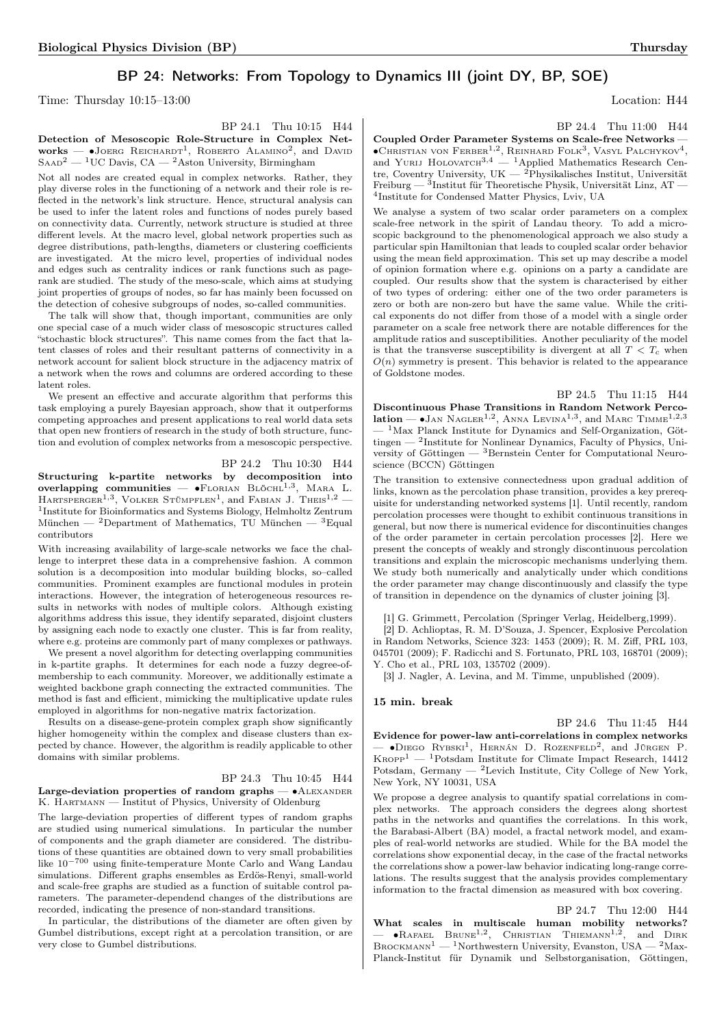## BP 24: Networks: From Topology to Dynamics III (joint DY, BP, SOE)

Time: Thursday  $10:15-13:00$  Location: H44

BP 24.1 Thu 10:15 H44 Detection of Mesoscopic Role-Structure in Complex Net $works$  – •Joerg Reichardt<sup>1</sup>, Roberto Alamino<sup>2</sup>, and David  $S_{\rm AAD}^2$  — <sup>1</sup>UC Davis, CA — <sup>2</sup>Aston University, Birmingham

Not all nodes are created equal in complex networks. Rather, they play diverse roles in the functioning of a network and their role is reflected in the network's link structure. Hence, structural analysis can be used to infer the latent roles and functions of nodes purely based on connectivity data. Currently, network structure is studied at three different levels. At the macro level, global network properties such as degree distributions, path-lengths, diameters or clustering coefficients are investigated. At the micro level, properties of individual nodes and edges such as centrality indices or rank functions such as pagerank are studied. The study of the meso-scale, which aims at studying joint properties of groups of nodes, so far has mainly been focussed on the detection of cohesive subgroups of nodes, so-called communities.

The talk will show that, though important, communities are only one special case of a much wider class of mesoscopic structures called "stochastic block structures". This name comes from the fact that latent classes of roles and their resultant patterns of connectivity in a network account for salient block structure in the adjacency matrix of a network when the rows and columns are ordered according to these latent roles.

We present an effective and accurate algorithm that performs this task employing a purely Bayesian approach, show that it outperforms competing approaches and present applications to real world data sets that open new frontiers of research in the study of both structure, function and evolution of complex networks from a mesoscopic perspective.

BP 24.2 Thu 10:30 H44 Structuring k-partite networks by decomposition into overlapping communities —  $\bullet$ FLORIAN BLÖCHL<sup>1,3</sup>, MARA L. HARTSPERGER<sup>1,3</sup>, VOLKER STÜMPFLEN<sup>1</sup>, and FABIAN J. THEIS<sup>1,2</sup> – <sup>1</sup>Institute for Bioinformatics and Systems Biology, Helmholtz Zentrum München — <sup>2</sup>Department of Mathematics, TU München — <sup>3</sup>Equal contributors

With increasing availability of large-scale networks we face the challenge to interpret these data in a comprehensive fashion. A common solution is a decomposition into modular building blocks, so–called communities. Prominent examples are functional modules in protein interactions. However, the integration of heterogeneous resources results in networks with nodes of multiple colors. Although existing algorithms address this issue, they identify separated, disjoint clusters by assigning each node to exactly one cluster. This is far from reality, where e.g. proteins are commonly part of many complexes or pathways.

We present a novel algorithm for detecting overlapping communities in k-partite graphs. It determines for each node a fuzzy degree-ofmembership to each community. Moreover, we additionally estimate a weighted backbone graph connecting the extracted communities. The method is fast and efficient, mimicking the multiplicative update rules employed in algorithms for non-negative matrix factorization.

Results on a disease-gene-protein complex graph show significantly higher homogeneity within the complex and disease clusters than expected by chance. However, the algorithm is readily applicable to other domains with similar problems.

### BP 24.3 Thu 10:45 H44

#### Large-deviation properties of random graphs — • ALEXANDER K. Hartmann — Institut of Physics, University of Oldenburg

The large-deviation properties of different types of random graphs are studied using numerical simulations. In particular the number of components and the graph diameter are considered. The distributions of these quantities are obtained down to very small probabilities like 10−<sup>700</sup> using finite-temperature Monte Carlo and Wang Landau simulations. Different graphs ensembles as Erdös-Renyi, small-world and scale-free graphs are studied as a function of suitable control parameters. The parameter-dependend changes of the distributions are recorded, indicating the presence of non-standard transitions.

In particular, the distributions of the diameter are often given by Gumbel distributions, except right at a percolation transition, or are very close to Gumbel distributions.

BP 24.4 Thu 11:00 H44

Coupled Order Parameter Systems on Scale-free Networks — ∙Christian von Ferber1,<sup>2</sup> , Reinhard Folk<sup>3</sup> , Vasyl Palchykov<sup>4</sup> , and Yurij Holovatch3,<sup>4</sup> — <sup>1</sup>Applied Mathematics Research Centre, Coventry University, UK  $-$  <sup>2</sup>Physikalisches Institut, Universität Freiburg — 3<br>Institut für Theoretische Physik, Universität Linz, AT — 4 Institute for Condensed Matter Physics, Lviv, UA

We analyse a system of two scalar order parameters on a complex scale-free network in the spirit of Landau theory. To add a microscopic background to the phenomenological approach we also study a particular spin Hamiltonian that leads to coupled scalar order behavior using the mean field approximation. This set up may describe a model of opinion formation where e.g. opinions on a party a candidate are coupled. Our results show that the system is characterised by either of two types of ordering: either one of the two order parameters is zero or both are non-zero but have the same value. While the critical exponents do not differ from those of a model with a single order parameter on a scale free network there are notable differences for the amplitude ratios and susceptibilities. Another peculiarity of the model is that the transverse susceptibility is divergent at all  $T < T_c$  when  $O(n)$  symmetry is present. This behavior is related to the appearance of Goldstone modes.

BP 24.5 Thu 11:15 H44

Discontinuous Phase Transitions in Random Network Percolation —  $\bullet$  JAN NAGLER<sup>1,2</sup>, ANNA LEVINA<sup>1,3</sup>, and MARC TIMME<sup>1,2,3</sup>  $<sup>1</sup>$ Max Planck Institute for Dynamics and Self-Organization, Göt-</sup> tingen  $-$  <sup>2</sup>Institute for Nonlinear Dynamics, Faculty of Physics, University of Göttingen — <sup>3</sup>Bernstein Center for Computational Neuroscience (BCCN) Göttingen

The transition to extensive connectedness upon gradual addition of links, known as the percolation phase transition, provides a key prerequisite for understanding networked systems [1]. Until recently, random percolation processes were thought to exhibit continuous transitions in general, but now there is numerical evidence for discontinuities changes of the order parameter in certain percolation processes [2]. Here we present the concepts of weakly and strongly discontinuous percolation transitions and explain the microscopic mechanisms underlying them. We study both numerically and analytically under which conditions the order parameter may change discontinuously and classify the type of transition in dependence on the dynamics of cluster joining [3].

[1] G. Grimmett, Percolation (Springer Verlag, Heidelberg,1999).

[2] D. Achlioptas, R. M. D'Souza, J. Spencer, Explosive Percolation in Random Networks, Science 323: 1453 (2009); R. M. Ziff, PRL 103, 045701 (2009); F. Radicchi and S. Fortunato, PRL 103, 168701 (2009); Y. Cho et al., PRL 103, 135702 (2009).

[3] J. Nagler, A. Levina, and M. Timme, unpublished  $(2009)$ .

#### 15 min. break

BP 24.6 Thu 11:45 H44 Evidence for power-law anti-correlations in complex networks — ∙Diego Rybski<sup>1</sup> , Hernán D. Rozenfeld<sup>2</sup> , and Jürgen P.  $K_{\text{ROPP}}^1$  — <sup>1</sup>Potsdam Institute for Climate Impact Research, 14412 Potsdam, Germany — <sup>2</sup>Levich Institute, City College of New York, New York, NY 10031, USA

We propose a degree analysis to quantify spatial correlations in complex networks. The approach considers the degrees along shortest paths in the networks and quantifies the correlations. In this work, the Barabasi-Albert (BA) model, a fractal network model, and examples of real-world networks are studied. While for the BA model the correlations show exponential decay, in the case of the fractal networks the correlations show a power-law behavior indicating long-range correlations. The results suggest that the analysis provides complementary information to the fractal dimension as measured with box covering.

BP 24.7 Thu 12:00 H44 What scales in multiscale human mobility networks?  $-$  •Rafael Brune<sup>1,2</sup>, Christian Thiemann<sup>1,2</sup>, and Dirk  $\textsc{Brock}$  maxra $^{-1}$  —  $^1$  Northwestern University, Evanston, USA —  $^2$  Max-Planck-Institut für Dynamik und Selbstorganisation, Göttingen,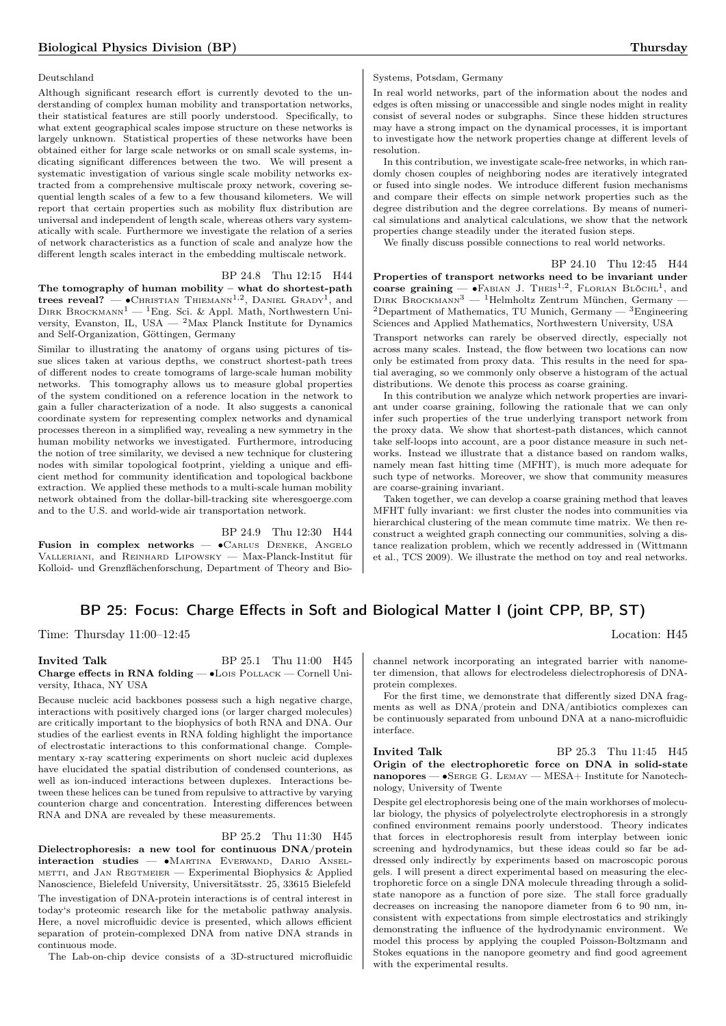#### Deutschland

Although significant research effort is currently devoted to the understanding of complex human mobility and transportation networks, their statistical features are still poorly understood. Specifically, to what extent geographical scales impose structure on these networks is largely unknown. Statistical properties of these networks have been obtained either for large scale networks or on small scale systems, indicating significant differences between the two. We will present a systematic investigation of various single scale mobility networks extracted from a comprehensive multiscale proxy network, covering sequential length scales of a few to a few thousand kilometers. We will report that certain properties such as mobility flux distribution are universal and independent of length scale, whereas others vary systematically with scale. Furthermore we investigate the relation of a series of network characteristics as a function of scale and analyze how the different length scales interact in the embedding multiscale network.

BP 24.8 Thu 12:15 H44

The tomography of human mobility – what do shortest-path trees reveal? —  $\bullet$ Christian Thiemann<sup>1,2</sup>, Daniel Grady<sup>1</sup>, and DIRK BROCKMANN<sup>1</sup> — <sup>1</sup>Eng. Sci. & Appl. Math, Northwestern University, Evanston, IL, USA — <sup>2</sup>Max Planck Institute for Dynamics and Self-Organization, Göttingen, Germany

Similar to illustrating the anatomy of organs using pictures of tissue slices taken at various depths, we construct shortest-path trees of different nodes to create tomograms of large-scale human mobility networks. This tomography allows us to measure global properties of the system conditioned on a reference location in the network to gain a fuller characterization of a node. It also suggests a canonical coordinate system for representing complex networks and dynamical processes thereon in a simplified way, revealing a new symmetry in the human mobility networks we investigated. Furthermore, introducing the notion of tree similarity, we devised a new technique for clustering nodes with similar topological footprint, yielding a unique and efficient method for community identification and topological backbone extraction. We applied these methods to a multi-scale human mobility network obtained from the dollar-bill-tracking site wheresgoerge.com and to the U.S. and world-wide air transportation network.

BP 24.9 Thu 12:30 H44 Fusion in complex networks — ∙Carlus Deneke, Angelo Valleriani, and Reinhard Lipowsky — Max-Planck-Institut für Kolloid- und Grenzflächenforschung, Department of Theory and Bio-

#### Systems, Potsdam, Germany

In real world networks, part of the information about the nodes and edges is often missing or unaccessible and single nodes might in reality consist of several nodes or subgraphs. Since these hidden structures may have a strong impact on the dynamical processes, it is important to investigate how the network properties change at different levels of resolution.

In this contribution, we investigate scale-free networks, in which randomly chosen couples of neighboring nodes are iteratively integrated or fused into single nodes. We introduce different fusion mechanisms and compare their effects on simple network properties such as the degree distribution and the degree correlations. By means of numerical simulations and analytical calculations, we show that the network properties change steadily under the iterated fusion steps.

We finally discuss possible connections to real world networks.

BP 24.10 Thu 12:45 H44 Properties of transport networks need to be invariant under coarse graining —  $\bullet$ FABIAN J. THEIS<sup>1,2</sup>, FLORIAN BLÖCHL<sup>1</sup>, and DIRK BROCKMANN<sup>3</sup> — <sup>1</sup>Helmholtz Zentrum München, Germany -<sup>2</sup>Department of Mathematics, TU Munich, Germany  $-$  <sup>3</sup>Engineering Sciences and Applied Mathematics, Northwestern University, USA

Transport networks can rarely be observed directly, especially not across many scales. Instead, the flow between two locations can now only be estimated from proxy data. This results in the need for spatial averaging, so we commonly only observe a histogram of the actual distributions. We denote this process as coarse graining.

In this contribution we analyze which network properties are invariant under coarse graining, following the rationale that we can only infer such properties of the true underlying transport network from the proxy data. We show that shortest-path distances, which cannot take self-loops into account, are a poor distance measure in such networks. Instead we illustrate that a distance based on random walks, namely mean fast hitting time (MFHT), is much more adequate for such type of networks. Moreover, we show that community measures are coarse-graining invariant.

Taken together, we can develop a coarse graining method that leaves MFHT fully invariant: we first cluster the nodes into communities via hierarchical clustering of the mean commute time matrix. We then reconstruct a weighted graph connecting our communities, solving a distance realization problem, which we recently addressed in (Wittmann et al., TCS 2009). We illustrate the method on toy and real networks.

## BP 25: Focus: Charge Effects in Soft and Biological Matter I (joint CPP, BP, ST)

Time: Thursday  $11:00-12:45$  Location: H45

#### Invited Talk BP 25.1 Thu 11:00 H45 Charge effects in RNA folding — ∙Lois Pollack — Cornell University, Ithaca, NY USA

Because nucleic acid backbones possess such a high negative charge, interactions with positively charged ions (or larger charged molecules) are critically important to the biophysics of both RNA and DNA. Our studies of the earliest events in RNA folding highlight the importance of electrostatic interactions to this conformational change. Complementary x-ray scattering experiments on short nucleic acid duplexes have elucidated the spatial distribution of condensed counterions, as well as ion-induced interactions between duplexes. Interactions between these helices can be tuned from repulsive to attractive by varying counterion charge and concentration. Interesting differences between RNA and DNA are revealed by these measurements.

## BP 25.2 Thu 11:30 H45

Dielectrophoresis: a new tool for continuous DNA/protein interaction studies — ∙Martina Everwand, Dario Ansel-METTI, and JAN REGTMEIER - Experimental Biophysics & Applied Nanoscience, Bielefeld University, Universitätsstr. 25, 33615 Bielefeld The investigation of DNA-protein interactions is of central interest in today's proteomic research like for the metabolic pathway analysis. Here, a novel microfluidic device is presented, which allows efficient separation of protein-complexed DNA from native DNA strands in continuous mode.

The Lab-on-chip device consists of a 3D-structured microfluidic

channel network incorporating an integrated barrier with nanometer dimension, that allows for electrodeless dielectrophoresis of DNAprotein complexes.

For the first time, we demonstrate that differently sized DNA fragments as well as DNA/protein and DNA/antibiotics complexes can be continuously separated from unbound DNA at a nano-microfluidic interface.

#### **Invited Talk** BP 25.3 Thu 11:45 H45 Origin of the electrophoretic force on DNA in solid-state nanopores — ∙Serge G. Lemay — MESA+ Institute for Nanotechnology, University of Twente

Despite gel electrophoresis being one of the main workhorses of molecular biology, the physics of polyelectrolyte electrophoresis in a strongly confined environment remains poorly understood. Theory indicates that forces in electrophoresis result from interplay between ionic screening and hydrodynamics, but these ideas could so far be addressed only indirectly by experiments based on macroscopic porous gels. I will present a direct experimental based on measuring the electrophoretic force on a single DNA molecule threading through a solidstate nanopore as a function of pore size. The stall force gradually decreases on increasing the nanopore diameter from 6 to 90 nm, inconsistent with expectations from simple electrostatics and strikingly demonstrating the influence of the hydrodynamic environment. We model this process by applying the coupled Poisson-Boltzmann and Stokes equations in the nanopore geometry and find good agreement with the experimental results.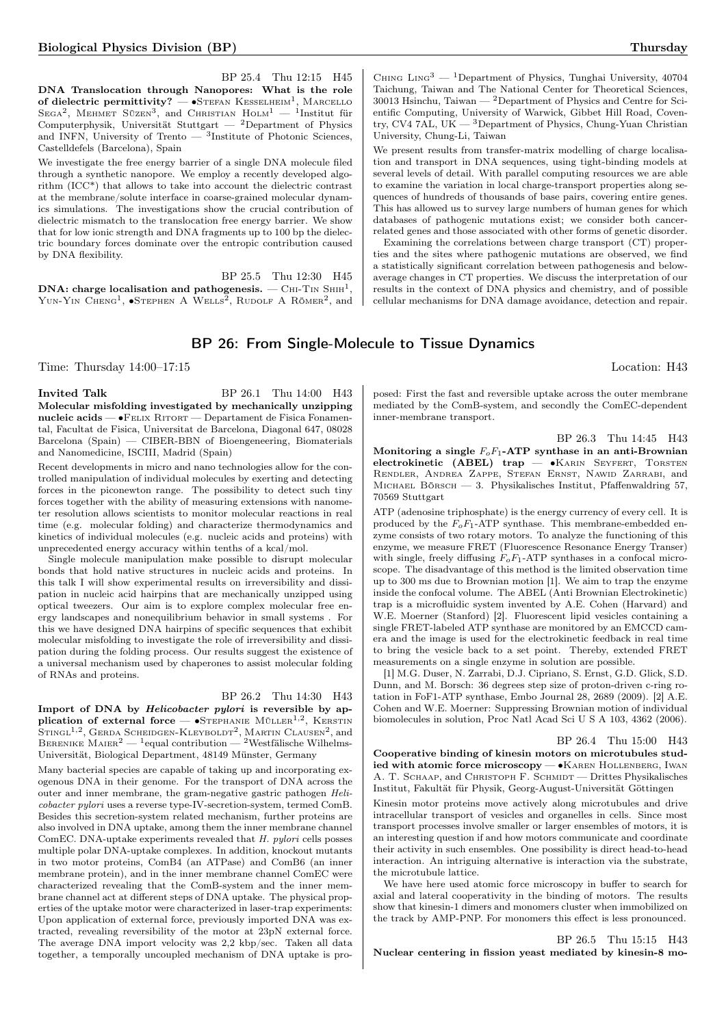BP 25.4 Thu 12:15 H45 DNA Translocation through Nanopores: What is the role of dielectric permittivity? —  $\bullet$ Stefan Kesselheim<sup>1</sup>, Marcello SEGA<sup>2</sup>, MEHMET SÜZEN<sup>3</sup>, and CHRISTIAN  $H$ OLM<sup>1</sup> - <sup>1</sup>Institut für Computerphysik, Universität Stuttgart — <sup>2</sup>Department of Physics and INFN, University of Trento — <sup>3</sup>Institute of Photonic Sciences, Castelldefels (Barcelona), Spain

We investigate the free energy barrier of a single DNA molecule filed through a synthetic nanopore. We employ a recently developed algorithm (ICC\*) that allows to take into account the dielectric contrast at the membrane/solute interface in coarse-grained molecular dynamics simulations. The investigations show the crucial contribution of dielectric mismatch to the translocation free energy barrier. We show that for low ionic strength and DNA fragments up to 100 bp the dielectric boundary forces dominate over the entropic contribution caused by DNA flexibility.

BP 25.5 Thu 12:30 H45 DNA: charge localisation and pathogenesis.  $-$  Chi-Tin Shih $^1,$ Yun-Yin Cheng<sup>1</sup>,  $\bullet$ Stephen A Wells<sup>2</sup>, Rudolf A Römer<sup>2</sup>, and

CHING LING<sup>3</sup> — <sup>1</sup>Department of Physics, Tunghai University, 40704 Taichung, Taiwan and The National Center for Theoretical Sciences, 30013 Hsinchu, Taiwan — <sup>2</sup>Department of Physics and Centre for Scientific Computing, University of Warwick, Gibbet Hill Road, Coventry, CV4 7AL, UK  $-$ <sup>3</sup>Department of Physics, Chung-Yuan Christian University, Chung-Li, Taiwan

We present results from transfer-matrix modelling of charge localisation and transport in DNA sequences, using tight-binding models at several levels of detail. With parallel computing resources we are able to examine the variation in local charge-transport properties along sequences of hundreds of thousands of base pairs, covering entire genes. This has allowed us to survey large numbers of human genes for which databases of pathogenic mutations exist; we consider both cancerrelated genes and those associated with other forms of genetic disorder.

Examining the correlations between charge transport (CT) properties and the sites where pathogenic mutations are observed, we find a statistically significant correlation between pathogenesis and belowaverage changes in CT properties. We discuss the interpretation of our results in the context of DNA physics and chemistry, and of possible cellular mechanisms for DNA damage avoidance, detection and repair.

## BP 26: From Single-Molecule to Tissue Dynamics

Time: Thursday  $14:00-17:15$  Location: H43

**Invited Talk** BP 26.1 Thu 14:00 H43 Molecular misfolding investigated by mechanically unzipping nucleic acids — •FELIX RITORT — Departament de Fisica Fonamental, Facultat de Fisica, Universitat de Barcelona, Diagonal 647, 08028 Barcelona (Spain) — CIBER-BBN of Bioengeneering, Biomaterials and Nanomedicine, ISCIII, Madrid (Spain)

Recent developments in micro and nano technologies allow for the controlled manipulation of individual molecules by exerting and detecting forces in the piconewton range. The possibility to detect such tiny forces together with the ability of measuring extensions with nanometer resolution allows scientists to monitor molecular reactions in real time (e.g. molecular folding) and characterize thermodynamics and kinetics of individual molecules (e.g. nucleic acids and proteins) with unprecedented energy accuracy within tenths of a kcal/mol.

Single molecule manipulation make possible to disrupt molecular bonds that hold native structures in nucleic acids and proteins. In this talk I will show experimental results on irreversibility and dissipation in nucleic acid hairpins that are mechanically unzipped using optical tweezers. Our aim is to explore complex molecular free energy landscapes and nonequilibrium behavior in small systems . For this we have designed DNA hairpins of specific sequences that exhibit molecular misfolding to investigate the role of irreversibility and dissipation during the folding process. Our results suggest the existence of a universal mechanism used by chaperones to assist molecular folding of RNAs and proteins.

#### BP 26.2 Thu 14:30 H43

Import of DNA by Helicobacter pylori is reversible by application of external force —  $\bullet$ Stephanie Müller<sup>1,2</sup>, Kerstin STINGL<sup>1,2</sup>, GERDA SCHEIDGEN-KLEYBOLDT<sup>2</sup>, MARTIN CLAUSEN<sup>2</sup>, and<br>BERENIKE MAIER<sup>2</sup> — <sup>1</sup>equal contribution — <sup>2</sup>Westfälische Wilhelms-Universität, Biological Department, 48149 Münster, Germany

Many bacterial species are capable of taking up and incorporating exogenous DNA in their genome. For the transport of DNA across the outer and inner membrane, the gram-negative gastric pathogen Helicobacter pylori uses a reverse type-IV-secretion-system, termed ComB. Besides this secretion-system related mechanism, further proteins are also involved in DNA uptake, among them the inner membrane channel ComEC. DNA-uptake experiments revealed that  $H$ , *pylori* cells posses multiple polar DNA-uptake complexes. In addition, knockout mutants in two motor proteins, ComB4 (an ATPase) and ComB6 (an inner membrane protein), and in the inner membrane channel ComEC were characterized revealing that the ComB-system and the inner membrane channel act at different steps of DNA uptake. The physical properties of the uptake motor were characterized in laser-trap experiments: Upon application of external force, previously imported DNA was extracted, revealing reversibility of the motor at 23pN external force. The average DNA import velocity was 2,2 kbp/sec. Taken all data together, a temporally uncoupled mechanism of DNA uptake is proposed: First the fast and reversible uptake across the outer membrane mediated by the ComB-system, and secondly the ComEC-dependent inner-membrane transport.

BP 26.3 Thu 14:45 H43 Monitoring a single  $F_oF_1$ -ATP synthase in an anti-Brownian electrokinetic (ABEL) trap — •KARIN SEYFERT, TORSTEN Rendler, Andrea Zappe, Stefan Ernst, Nawid Zarrabi, and MICHAEL BÖRSCH — 3. Physikalisches Institut, Pfaffenwaldring 57, 70569 Stuttgart

ATP (adenosine triphosphate) is the energy currency of every cell. It is produced by the  $F_oF_1$ -ATP synthase. This membrane-embedded enzyme consists of two rotary motors. To analyze the functioning of this enzyme, we measure FRET (Fluorescence Resonance Energy Transer) with single, freely diffusing  $F_oF_1$ -ATP synthases in a confocal microscope. The disadvantage of this method is the limited observation time up to 300 ms due to Brownian motion [1]. We aim to trap the enzyme inside the confocal volume. The ABEL (Anti Brownian Electrokinetic) trap is a microfluidic system invented by A.E. Cohen (Harvard) and W.E. Moerner (Stanford) [2]. Fluorescent lipid vesicles containing a single FRET-labeled ATP synthase are monitored by an EMCCD camera and the image is used for the electrokinetic feedback in real time to bring the vesicle back to a set point. Thereby, extended FRET measurements on a single enzyme in solution are possible.

[1] M.G. Duser, N. Zarrabi, D.J. Cipriano, S. Ernst, G.D. Glick, S.D. Dunn, and M. Borsch: 36 degrees step size of proton-driven c-ring rotation in FoF1-ATP synthase, Embo Journal 28, 2689 (2009). [2] A.E. Cohen and W.E. Moerner: Suppressing Brownian motion of individual biomolecules in solution, Proc Natl Acad Sci U S A 103, 4362 (2006).

#### BP 26.4 Thu 15:00 H43

Cooperative binding of kinesin motors on microtubules studied with atomic force microscopy — ∙Karen Hollenberg, Iwan A. T. SCHAAP, and CHRISTOPH F. SCHMIDT — Drittes Physikalisches Institut, Fakultät für Physik, Georg-August-Universität Göttingen

Kinesin motor proteins move actively along microtubules and drive intracellular transport of vesicles and organelles in cells. Since most transport processes involve smaller or larger ensembles of motors, it is an interesting question if and how motors communicate and coordinate their activity in such ensembles. One possibility is direct head-to-head interaction. An intriguing alternative is interaction via the substrate, the microtubule lattice.

We have here used atomic force microscopy in buffer to search for axial and lateral cooperativity in the binding of motors. The results show that kinesin-1 dimers and monomers cluster when immobilized on the track by AMP-PNP. For monomers this effect is less pronounced.

BP 26.5 Thu 15:15 H43 Nuclear centering in fission yeast mediated by kinesin-8 mo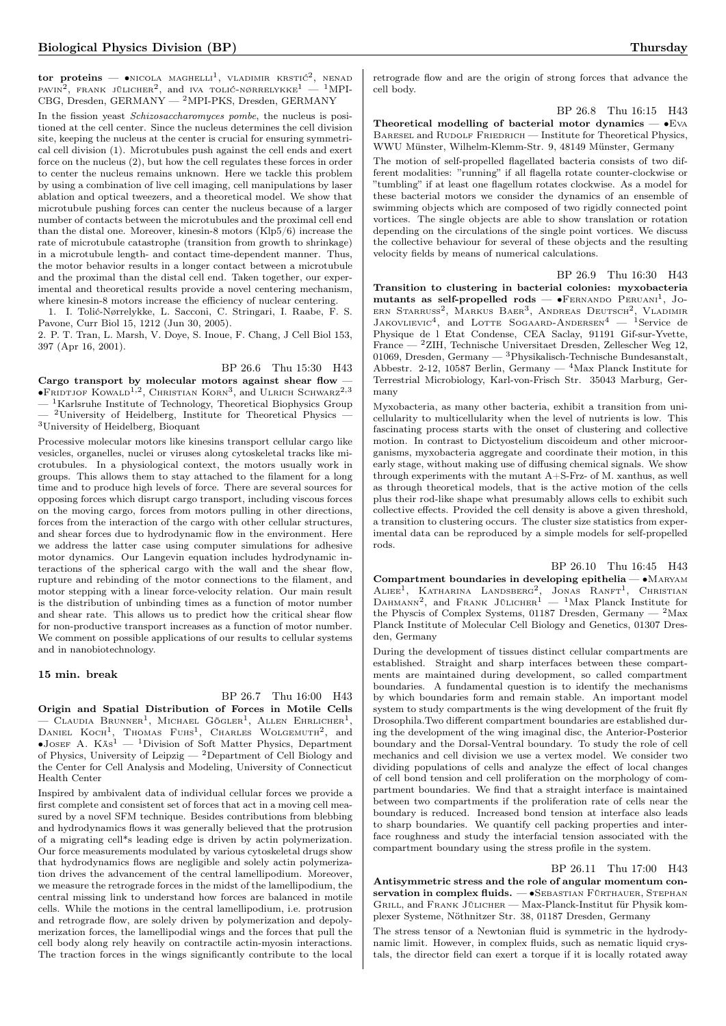tor proteins — •nicola maghelli<sup>1</sup>, vladimir krstić<sup>2</sup>, nenad<br>pavin<sup>2</sup>, frank jülicher<sup>2</sup>, and iva tolić-nørrelykke<sup>1</sup> — <sup>1</sup>MPI-CBG, Dresden, GERMANY — <sup>2</sup>MPI-PKS, Dresden, GERMANY

In the fission yeast Schizosaccharomyces pombe, the nucleus is positioned at the cell center. Since the nucleus determines the cell division site, keeping the nucleus at the center is crucial for ensuring symmetrical cell division (1). Microtubules push against the cell ends and exert force on the nucleus (2), but how the cell regulates these forces in order to center the nucleus remains unknown. Here we tackle this problem by using a combination of live cell imaging, cell manipulations by laser ablation and optical tweezers, and a theoretical model. We show that microtubule pushing forces can center the nucleus because of a larger number of contacts between the microtubules and the proximal cell end than the distal one. Moreover, kinesin-8 motors (Klp5/6) increase the rate of microtubule catastrophe (transition from growth to shrinkage) in a microtubule length- and contact time-dependent manner. Thus, the motor behavior results in a longer contact between a microtubule and the proximal than the distal cell end. Taken together, our experimental and theoretical results provide a novel centering mechanism, where kinesin-8 motors increase the efficiency of nuclear centering.

1. I. Tolić-Nørrelykke, L. Sacconi, C. Stringari, I. Raabe, F. S. Pavone, Curr Biol 15, 1212 (Jun 30, 2005).

2. P. T. Tran, L. Marsh, V. Doye, S. Inoue, F. Chang, J Cell Biol 153, 397 (Apr 16, 2001).

BP 26.6 Thu 15:30 H43 Cargo transport by molecular motors against shear flow  $\overline{\phantom{a}}$  $\bullet$ Fridtjof Kowald<sup>1,2</sup>, Christian Korn<sup>3</sup>, and Ulrich Schwarz<sup>2,3</sup>

<sup>1</sup>Karlsruhe Institute of Technology, Theoretical Biophysics Group  $^2$ University of Heidelberg, Institute for Theoretical Physics

<sup>3</sup>University of Heidelberg, Bioquant

Processive molecular motors like kinesins transport cellular cargo like vesicles, organelles, nuclei or viruses along cytoskeletal tracks like microtubules. In a physiological context, the motors usually work in groups. This allows them to stay attached to the filament for a long time and to produce high levels of force. There are several sources for opposing forces which disrupt cargo transport, including viscous forces on the moving cargo, forces from motors pulling in other directions, forces from the interaction of the cargo with other cellular structures, and shear forces due to hydrodynamic flow in the environment. Here we address the latter case using computer simulations for adhesive motor dynamics. Our Langevin equation includes hydrodynamic interactions of the spherical cargo with the wall and the shear flow, rupture and rebinding of the motor connections to the filament, and motor stepping with a linear force-velocity relation. Our main result is the distribution of unbinding times as a function of motor number and shear rate. This allows us to predict how the critical shear flow for non-productive transport increases as a function of motor number. We comment on possible applications of our results to cellular systems and in nanobiotechnology.

#### 15 min. break

#### BP 26.7 Thu 16:00 H43

Origin and Spatial Distribution of Forces in Motile Cells  $-$  Claudia Brunner<sup>1</sup>, Michael Gögler<sup>1</sup>, Allen Ehrlicher<sup>1</sup>, DANIEL KOCH<sup>1</sup>, THOMAS FUHS<sup>1</sup>, CHARLES WOLGEMUTH<sup>2</sup>, and<br>●JOSEF A. Käs<sup>1</sup> — <sup>1</sup>Division of Soft Matter Physics, Department of Physics, University of Leipzig  $-2$  Department of Cell Biology and the Center for Cell Analysis and Modeling, University of Connecticut Health Center

Inspired by ambivalent data of individual cellular forces we provide a first complete and consistent set of forces that act in a moving cell measured by a novel SFM technique. Besides contributions from blebbing and hydrodynamics flows it was generally believed that the protrusion of a migrating cell\*s leading edge is driven by actin polymerization. Our force measurements modulated by various cytoskeletal drugs show that hydrodynamics flows are negligible and solely actin polymerization drives the advancement of the central lamellipodium. Moreover, we measure the retrograde forces in the midst of the lamellipodium, the central missing link to understand how forces are balanced in motile cells. While the motions in the central lamellipodium, i.e. protrusion and retrograde flow, are solely driven by polymerization and depolymerization forces, the lamellipodial wings and the forces that pull the cell body along rely heavily on contractile actin-myosin interactions. The traction forces in the wings significantly contribute to the local

retrograde flow and are the origin of strong forces that advance the cell body.

#### BP 26.8 Thu 16:15 H43

Theoretical modelling of bacterial motor dynamics — ∙Eva BARESEL and RUDOLE FRIEDRICH — Institute for Theoretical Physics, WWU Münster, Wilhelm-Klemm-Str. 9, 48149 Münster, Germany

The motion of self-propelled flagellated bacteria consists of two different modalities: "running" if all flagella rotate counter-clockwise or "tumbling" if at least one flagellum rotates clockwise. As a model for these bacterial motors we consider the dynamics of an ensemble of swimming objects which are composed of two rigidly connected point vortices. The single objects are able to show translation or rotation depending on the circulations of the single point vortices. We discuss the collective behaviour for several of these objects and the resulting velocity fields by means of numerical calculations.

### BP 26.9 Thu 16:30 H43

Transition to clustering in bacterial colonies: myxobacteria mutants as self-propelled rods —  $\bullet$ FERNANDO PERUANI<sup>1</sup>, JOern Starruss2 , Markus Baer<sup>3</sup> , Andreas Deutsch<sup>2</sup> , Vladimir JAKOVLIEVIC<sup>4</sup>, and LOTTE SOGAARD-ANDERSEN<sup>4</sup> - <sup>1</sup>Service de Physique de l Etat Condense, CEA Saclay, 91191 Gif-sur-Yvette, France — <sup>2</sup>ZIH, Technische Universitaet Dresden, Zellescher Weg 12, 01069, Dresden, Germany — <sup>3</sup>Physikalisch-Technische Bundesanstalt, Abbestr. 2-12, 10587 Berlin, Germany  $-$  <sup>4</sup>Max Planck Institute for Terrestrial Microbiology, Karl-von-Frisch Str. 35043 Marburg, Germany

Myxobacteria, as many other bacteria, exhibit a transition from unicellularity to multicellularity when the level of nutrients is low. This fascinating process starts with the onset of clustering and collective motion. In contrast to Dictyostelium discoideum and other microorganisms, myxobacteria aggregate and coordinate their motion, in this early stage, without making use of diffusing chemical signals. We show through experiments with the mutant A+S-Frz- of M. xanthus, as well as through theoretical models, that is the active motion of the cells plus their rod-like shape what presumably allows cells to exhibit such collective effects. Provided the cell density is above a given threshold, a transition to clustering occurs. The cluster size statistics from experimental data can be reproduced by a simple models for self-propelled rods.

BP 26.10 Thu 16:45 H43 Compartment boundaries in developing epithelia — ∙Maryam ALIEE<sup>1</sup>, KATHARINA LANDSBERG<sup>2</sup>, JONAS RANFT<sup>1</sup>, CHRISTIAN DAHMANN<sup>2</sup>, and FRANK JÜLICHER<sup>1</sup> - <sup>1</sup>Max Planck Institute for the Physcis of Complex Systems, 01187 Dresden, Germany  $-$  <sup>2</sup>Max Planck Institute of Molecular Cell Biology and Genetics, 01307 Dresden, Germany

During the development of tissues distinct cellular compartments are established. Straight and sharp interfaces between these compartments are maintained during development, so called compartment boundaries. A fundamental question is to identify the mechanisms by which boundaries form and remain stable. An important model system to study compartments is the wing development of the fruit fly Drosophila.Two different compartment boundaries are established during the development of the wing imaginal disc, the Anterior-Posterior boundary and the Dorsal-Ventral boundary. To study the role of cell mechanics and cell division we use a vertex model. We consider two dividing populations of cells and analyze the effect of local changes of cell bond tension and cell proliferation on the morphology of compartment boundaries. We find that a straight interface is maintained between two compartments if the proliferation rate of cells near the boundary is reduced. Increased bond tension at interface also leads to sharp boundaries. We quantify cell packing properties and interface roughness and study the interfacial tension associated with the compartment boundary using the stress profile in the system.

#### BP 26.11 Thu 17:00 H43

Antisymmetric stress and the role of angular momentum conservation in complex fluids. — •SEBASTIAN FÜRTHAUER, STEPHAN Grill, and Frank Jülicher — Max-Planck-Institut für Physik komplexer Systeme, Nöthnitzer Str. 38, 01187 Dresden, Germany

The stress tensor of a Newtonian fluid is symmetric in the hydrodynamic limit. However, in complex fluids, such as nematic liquid crystals, the director field can exert a torque if it is locally rotated away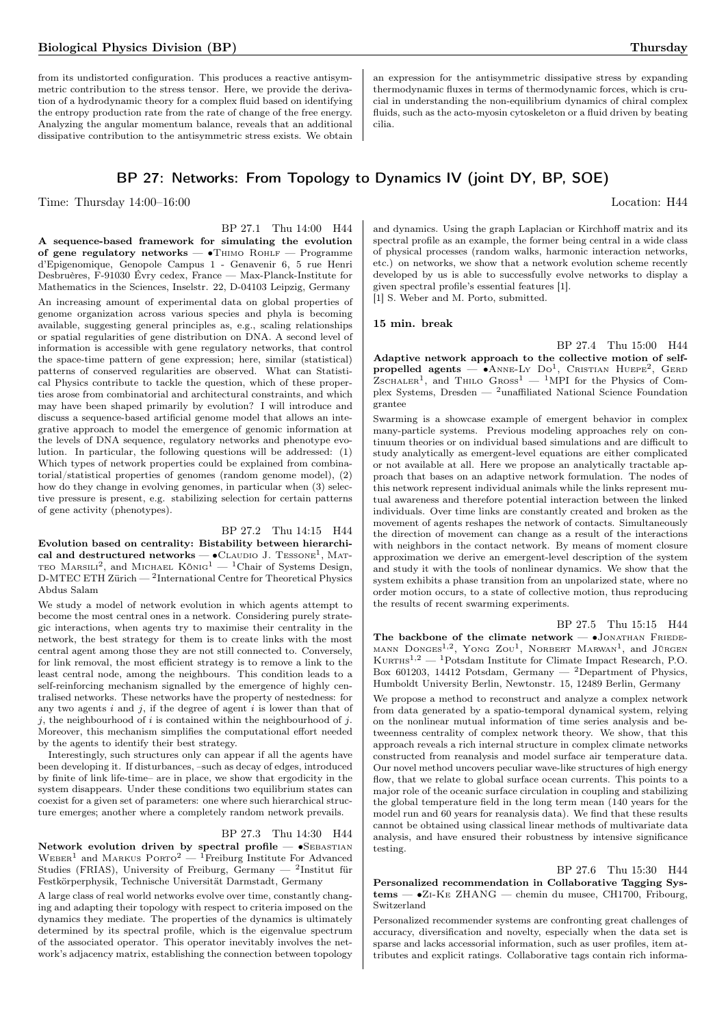from its undistorted configuration. This produces a reactive antisymmetric contribution to the stress tensor. Here, we provide the derivation of a hydrodynamic theory for a complex fluid based on identifying the entropy production rate from the rate of change of the free energy. Analyzing the angular momentum balance, reveals that an additional dissipative contribution to the antisymmetric stress exists. We obtain

## BP 27: Networks: From Topology to Dynamics IV (joint DY, BP, SOE)

Time: Thursday  $14:00-16:00$  Location: H44

BP 27.1 Thu 14:00 H44 A sequence-based framework for simulating the evolution of gene regulatory networks — ∙Thimo Rohlf — Programme d'Epigenomique, Genopole Campus 1 - Genavenir 6, 5 rue Henri Desbruères, F-91030 Évry cedex, France — Max-Planck-Institute for Mathematics in the Sciences, Inselstr. 22, D-04103 Leipzig, Germany An increasing amount of experimental data on global properties of genome organization across various species and phyla is becoming available, suggesting general principles as, e.g., scaling relationships or spatial regularities of gene distribution on DNA. A second level of information is accessible with gene regulatory networks, that control the space-time pattern of gene expression; here, similar (statistical) patterns of conserved regularities are observed. What can Statistical Physics contribute to tackle the question, which of these properties arose from combinatorial and architectural constraints, and which may have been shaped primarily by evolution? I will introduce and discuss a sequence-based artificial genome model that allows an integrative approach to model the emergence of genomic information at the levels of DNA sequence, regulatory networks and phenotype evolution. In particular, the following questions will be addressed: (1) Which types of network properties could be explained from combinatorial/statistical properties of genomes (random genome model), (2) how do they change in evolving genomes, in particular when (3) selective pressure is present, e.g. stabilizing selection for certain patterns of gene activity (phenotypes).

BP 27.2 Thu 14:15 H44

Evolution based on centrality: Bistability between hierarchical and destructured networks  $\bullet$ CLAUDIO J. TESSONE<sup>1</sup>, MAT-TEO MARSILI<sup>2</sup>, and MICHAEL KÖNIG<sup>1</sup> — <sup>1</sup>Chair of Systems Design, D-MTEC ETH Zürich — <sup>2</sup> International Centre for Theoretical Physics Abdus Salam

We study a model of network evolution in which agents attempt to become the most central ones in a network. Considering purely strategic interactions, when agents try to maximise their centrality in the network, the best strategy for them is to create links with the most central agent among those they are not still connected to. Conversely, for link removal, the most efficient strategy is to remove a link to the least central node, among the neighbours. This condition leads to a self-reinforcing mechanism signalled by the emergence of highly centralised networks. These networks have the property of nestedness: for any two agents  $i$  and  $j$ , if the degree of agent  $i$  is lower than that of  $j$ , the neighbourhood of  $i$  is contained within the neighbourhood of  $j$ . Moreover, this mechanism simplifies the computational effort needed by the agents to identify their best strategy.

Interestingly, such structures only can appear if all the agents have been developing it. If disturbances, –such as decay of edges, introduced by finite of link life-time– are in place, we show that ergodicity in the system disappears. Under these conditions two equilibrium states can coexist for a given set of parameters: one where such hierarchical structure emerges; another where a completely random network prevails.

BP 27.3 Thu 14:30 H44

Network evolution driven by spectral profile — •SEBASTIAN  $WEBER<sup>1</sup>$  and MARKUS PORTO<sup>2</sup> — <sup>1</sup>Freiburg Institute For Advanced Studies (FRIAS), University of Freiburg, Germany — <sup>2</sup>Institut für Festkörperphysik, Technische Universität Darmstadt, Germany

A large class of real world networks evolve over time, constantly changing and adapting their topology with respect to criteria imposed on the dynamics they mediate. The properties of the dynamics is ultimately determined by its spectral profile, which is the eigenvalue spectrum of the associated operator. This operator inevitably involves the network's adjacency matrix, establishing the connection between topology

an expression for the antisymmetric dissipative stress by expanding thermodynamic fluxes in terms of thermodynamic forces, which is crucial in understanding the non-equilibrium dynamics of chiral complex fluids, such as the acto-myosin cytoskeleton or a fluid driven by beating cilia.

and dynamics. Using the graph Laplacian or Kirchhoff matrix and its spectral profile as an example, the former being central in a wide class of physical processes (random walks, harmonic interaction networks, etc.) on networks, we show that a network evolution scheme recently developed by us is able to successfully evolve networks to display a given spectral profile's essential features [1].

[1] S. Weber and M. Porto, submitted.

#### 15 min. break

BP 27.4 Thu 15:00 H44 Adaptive network approach to the collective motion of selfpropelled agents —  $\bullet$ ANNE-LY Do<sup>1</sup>, CRISTIAN HUEPE<sup>2</sup>, GERD  $Zs$ CHALER<sup>1</sup>, and THILO  $G$ ROSS<sup>1</sup> — <sup>1</sup>MPI for the Physics of Complex Systems, Dresden — <sup>2</sup>unaffiliated National Science Foundation grantee

Swarming is a showcase example of emergent behavior in complex many-particle systems. Previous modeling approaches rely on continuum theories or on individual based simulations and are difficult to study analytically as emergent-level equations are either complicated or not available at all. Here we propose an analytically tractable approach that bases on an adaptive network formulation. The nodes of this network represent individual animals while the links represent mutual awareness and therefore potential interaction between the linked individuals. Over time links are constantly created and broken as the movement of agents reshapes the network of contacts. Simultaneously the direction of movement can change as a result of the interactions with neighbors in the contact network. By means of moment closure approximation we derive an emergent-level description of the system and study it with the tools of nonlinear dynamics. We show that the system exhibits a phase transition from an unpolarized state, where no order motion occurs, to a state of collective motion, thus reproducing the results of recent swarming experiments.

BP 27.5 Thu 15:15 H44 The backbone of the climate network —  $\bullet$ JONATHAN FRIEDE-MANN DONGES<sup>1,2</sup>, YONG ZOU<sup>1</sup>, NORBERT MARWAN<sup>1</sup>, and JÜRGEN  $K \text{URTHS}^{1,2}$  — <sup>1</sup>Potsdam Institute for Climate Impact Research, P.O. Box 601203, 14412 Potsdam, Germany — <sup>2</sup>Department of Physics, Humboldt University Berlin, Newtonstr. 15, 12489 Berlin, Germany

We propose a method to reconstruct and analyze a complex network from data generated by a spatio-temporal dynamical system, relying on the nonlinear mutual information of time series analysis and betweenness centrality of complex network theory. We show, that this approach reveals a rich internal structure in complex climate networks constructed from reanalysis and model surface air temperature data. Our novel method uncovers peculiar wave-like structures of high energy flow, that we relate to global surface ocean currents. This points to a major role of the oceanic surface circulation in coupling and stabilizing the global temperature field in the long term mean (140 years for the model run and 60 years for reanalysis data). We find that these results cannot be obtained using classical linear methods of multivariate data analysis, and have ensured their robustness by intensive significance testing.

BP 27.6 Thu 15:30 H44

Personalized recommendation in Collaborative Tagging Systems — ∙Zi-Ke ZHANG — chemin du musee, CH1700, Fribourg, Switzerland

Personalized recommender systems are confronting great challenges of accuracy, diversification and novelty, especially when the data set is sparse and lacks accessorial information, such as user profiles, item attributes and explicit ratings. Collaborative tags contain rich informa-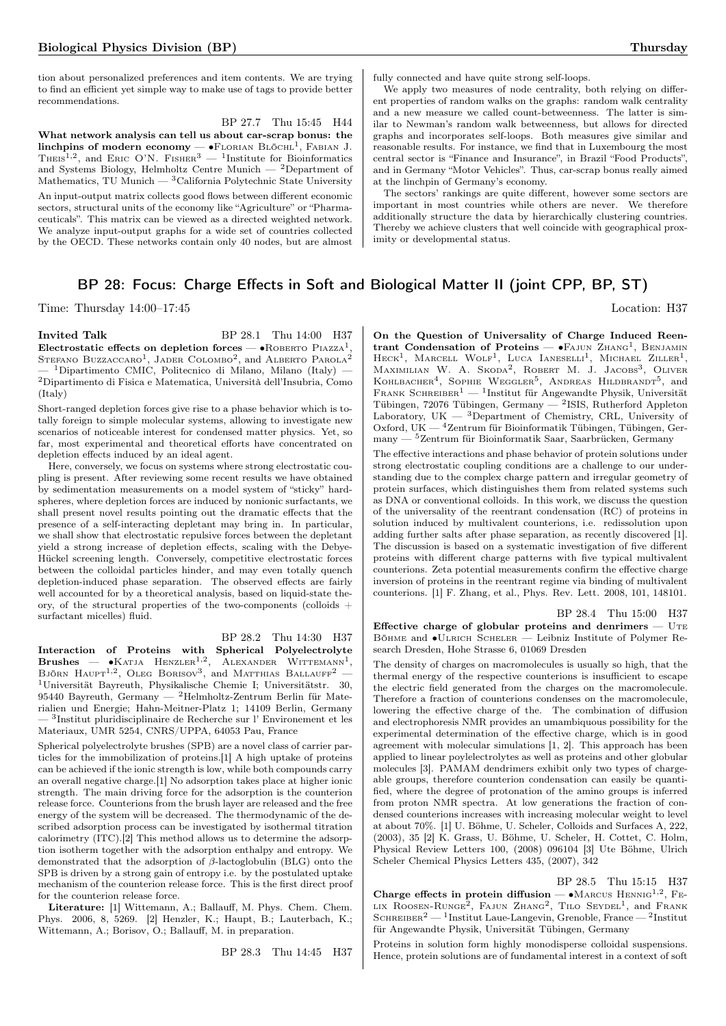tion about personalized preferences and item contents. We are trying to find an efficient yet simple way to make use of tags to provide better recommendations.

BP 27.7 Thu 15:45 H44 What network analysis can tell us about car-scrap bonus: the linchpins of modern economy —  $\bullet$ Florian Blöchl<sup>1</sup>, Fabian J. THEIS<sup>1,2</sup>, and ERIC O'N. FISHER<sup>3</sup>  $-$  <sup>1</sup>Institute for Bioinformatics and Systems Biology, Helmholtz Centre Munich — <sup>2</sup>Department of Mathematics, TU Munich — <sup>3</sup>California Polytechnic State University An input-output matrix collects good flows between different economic sectors, structural units of the economy like "Agriculture" or "Pharmaceuticals". This matrix can be viewed as a directed weighted network. We analyze input-output graphs for a wide set of countries collected by the OECD. These networks contain only 40 nodes, but are almost fully connected and have quite strong self-loops.

We apply two measures of node centrality, both relying on different properties of random walks on the graphs: random walk centrality and a new measure we called count-betweenness. The latter is similar to Newman's random walk betweenness, but allows for directed graphs and incorporates self-loops. Both measures give similar and reasonable results. For instance, we find that in Luxembourg the most central sector is "Finance and Insurance", in Brazil "Food Products", and in Germany "Motor Vehicles". Thus, car-scrap bonus really aimed at the linchpin of Germany's economy.

The sectors' rankings are quite different, however some sectors are important in most countries while others are never. We therefore additionally structure the data by hierarchically clustering countries. Thereby we achieve clusters that well coincide with geographical proximity or developmental status.

## BP 28: Focus: Charge Effects in Soft and Biological Matter II (joint CPP, BP, ST)

Time: Thursday 14:00–17:45 Location: H37

**Invited Talk** BP 28.1 Thu 14:00 H37 Electrostatic effects on depletion forces — •ROBERTO PIAZZA<sup>1</sup> **Electrostatic effects on depletion forces — •**Rовекто Piazza<sup>1</sup>,<br>Sтегано Buzzaccaro<sup>1</sup>, Jader Colombo<sup>2</sup>, and Alberto Parola<sup>2</sup>  $^{-1}$ Dipartimento CMIC, Politecnico di Milano, Milano (Italy) – <sup>2</sup>Dipartimento di Fisica e Matematica, Università dell'Insubria, Como (Italy)

Short-ranged depletion forces give rise to a phase behavior which is totally foreign to simple molecular systems, allowing to investigate new scenarios of noticeable interest for condensed matter physics. Yet, so far, most experimental and theoretical efforts have concentrated on depletion effects induced by an ideal agent.

Here, conversely, we focus on systems where strong electrostatic coupling is present. After reviewing some recent results we have obtained by sedimentation measurements on a model system of "sticky" hardspheres, where depletion forces are induced by nonionic surfactants, we shall present novel results pointing out the dramatic effects that the presence of a self-interacting depletant may bring in. In particular, we shall show that electrostatic repulsive forces between the depletant yield a strong increase of depletion effects, scaling with the Debye-Hückel screening length. Conversely, competitive electrostatic forces between the colloidal particles hinder, and may even totally quench depletion-induced phase separation. The observed effects are fairly well accounted for by a theoretical analysis, based on liquid-state theory, of the structural properties of the two-components (colloids + surfactant micelles) fluid.

BP 28.2 Thu 14:30 H37 Interaction of Proteins with Spherical Polyelectrolyte<br>Brushes — •Katja Henzler<sup>1,2</sup>, Alexander Wittemann<sup>1</sup>, BJÖRN  $\text{H}$ AUPT<sup>1,2</sup>, OLEG BORISOV<sup>3</sup>, and MATTHIAS BALLAUFF<sup>2</sup> – <sup>1</sup>Universität Bayreuth, Physikalische Chemie I; Universitätstr. 30, 95440 Bayreuth, Germany — <sup>2</sup>Helmholtz-Zentrum Berlin für Materialien und Energie; Hahn-Meitner-Platz 1; 14109 Berlin, Germany — <sup>3</sup> Institut pluridisciplinaire de Recherche sur l' Environement et les Materiaux, UMR 5254, CNRS/UPPA, 64053 Pau, France

Spherical polyelectrolyte brushes (SPB) are a novel class of carrier particles for the immobilization of proteins.[1] A high uptake of proteins can be achieved if the ionic strength is low, while both compounds carry an overall negative charge.[1] No adsorption takes place at higher ionic strength. The main driving force for the adsorption is the counterion release force. Counterions from the brush layer are released and the free energy of the system will be decreased. The thermodynamic of the described adsorption process can be investigated by isothermal titration calorimetry (ITC).[2] This method allows us to determine the adsorption isotherm together with the adsorption enthalpy and entropy. We demonstrated that the adsorption of  $\beta$ -lactoglobulin (BLG) onto the SPB is driven by a strong gain of entropy i.e. by the postulated uptake mechanism of the counterion release force. This is the first direct proof for the counterion release force.

Literature: [1] Wittemann, A.; Ballauff, M. Phys. Chem. Chem. Phys. 2006, 8, 5269. [2] Henzler, K.; Haupt, B.; Lauterbach, K.; Wittemann, A.; Borisov, O.; Ballauff, M. in preparation.

BP 28.3 Thu 14:45 H37

On the Question of Universality of Charge Induced Reentrant Condensation of Proteins — •FAJUN ZHANG<sup>1</sup>, BENJAMIN  $\text{H}\text{eck}^1$ , Marcell Wolf<sup>1</sup>, Luca Ianeselli<sup>1</sup>, Michael Ziller<sup>1</sup>, MAXIMILIAN W. A. SKODA<sup>2</sup>, ROBERT M. J. JACOBS<sup>3</sup>, OLIVER KOHLBACHER<sup>4</sup>, SOPHIE WEGGLER<sup>5</sup>, ANDREAS HILDBRANDT<sup>5</sup>, and FRANK SCHREIBER<sup>1</sup> — <sup>1</sup>Institut für Angewandte Physik, Universität Tübingen, 72076 Tübingen, Germany —  $^{2}$ ISIS, Rutherford Appleton Laboratory, UK — <sup>3</sup>Department of Chemistry, CRL, University of Oxford, UK — <sup>4</sup>Zentrum für Bioinformatik Tübingen, Tübingen, Germany — <sup>5</sup>Zentrum für Bioinformatik Saar, Saarbrücken, Germany

The effective interactions and phase behavior of protein solutions under strong electrostatic coupling conditions are a challenge to our understanding due to the complex charge pattern and irregular geometry of protein surfaces, which distinguishes them from related systems such as DNA or conventional colloids. In this work, we discuss the question of the universality of the reentrant condensation (RC) of proteins in solution induced by multivalent counterions, i.e. redissolution upon adding further salts after phase separation, as recently discovered [1]. The discussion is based on a systematic investigation of five different proteins with different charge patterns with five typical multivalent counterions. Zeta potential measurements confirm the effective charge inversion of proteins in the reentrant regime via binding of multivalent counterions. [1] F. Zhang, et al., Phys. Rev. Lett. 2008, 101, 148101.

BP 28.4 Thu 15:00 H37

Effective charge of globular proteins and denrimers  $-$  UTE Böhme and ∙Ulrich Scheler — Leibniz Institute of Polymer Research Dresden, Hohe Strasse 6, 01069 Dresden

The density of charges on macromolecules is usually so high, that the thermal energy of the respective counterions is insufficient to escape the electric field generated from the charges on the macromolecule. Therefore a fraction of counterions condenses on the macromolecule, lowering the effective charge of the. The combination of diffusion and electrophoresis NMR provides an umambiquous possibility for the experimental determination of the effective charge, which is in good agreement with molecular simulations [1, 2]. This approach has been applied to linear poylelectrolytes as well as proteins and other globular molecules [3]. PAMAM dendrimers exhibit only two types of chargeable groups, therefore counterion condensation can easily be quantified, where the degree of protonation of the amino groups is inferred from proton NMR spectra. At low generations the fraction of condensed counterions increases with increasing molecular weight to level at about 70%. [1] U. Böhme, U. Scheler, Colloids and Surfaces A, 222, (2003), 35 [2] K. Grass, U. Böhme, U. Scheler, H. Cottet, C. Holm, Physical Review Letters 100, (2008) 096104 [3] Ute Böhme, Ulrich Scheler Chemical Physics Letters 435, (2007), 342

BP 28.5 Thu 15:15 H37 Charge effects in protein diffusion —  $\bullet$ MARCUS HENNIG<sup>1,2</sup>, FE-LIX ROOSEN-RUNGE<sup>2</sup>, FAJUN ZHANG<sup>2</sup>, TILO SEYDEL<sup>1</sup>, and FRANK SCHREIBER<sup>2</sup> — <sup>1</sup>Institut Laue-Langevin, Grenoble, France — <sup>2</sup>Institut für Angewandte Physik, Universität Tübingen, Germany

Proteins in solution form highly monodisperse colloidal suspensions. Hence, protein solutions are of fundamental interest in a context of soft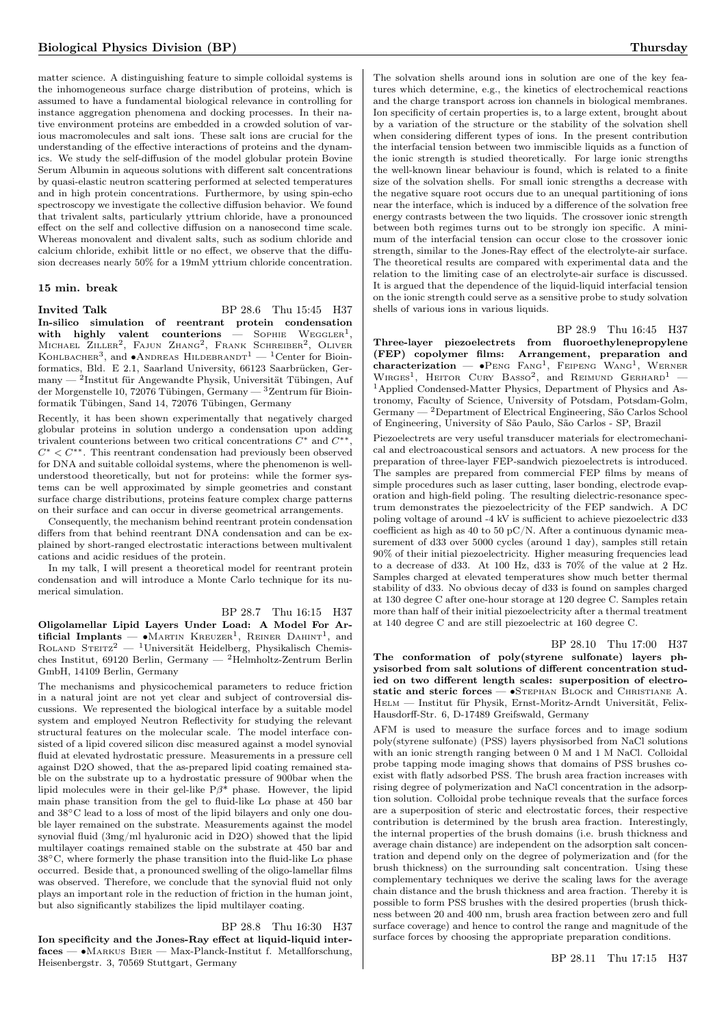matter science. A distinguishing feature to simple colloidal systems is the inhomogeneous surface charge distribution of proteins, which is assumed to have a fundamental biological relevance in controlling for instance aggregation phenomena and docking processes. In their native environment proteins are embedded in a crowded solution of various macromolecules and salt ions. These salt ions are crucial for the understanding of the effective interactions of proteins and the dynamics. We study the self-diffusion of the model globular protein Bovine Serum Albumin in aqueous solutions with different salt concentrations by quasi-elastic neutron scattering performed at selected temperatures and in high protein concentrations. Furthermore, by using spin-echo spectroscopy we investigate the collective diffusion behavior. We found that trivalent salts, particularly yttrium chloride, have a pronounced effect on the self and collective diffusion on a nanosecond time scale. Whereas monovalent and divalent salts, such as sodium chloride and calcium chloride, exhibit little or no effect, we observe that the diffusion decreases nearly 50% for a 19mM yttrium chloride concentration.

#### 15 min. break

**Invited Talk** BP 28.6 Thu 15:45 H37 In-silico simulation of reentrant protein condensation with highly valent counterions  $-$  SOPHIE  $WEGGLER<sup>1</sup>$ . Michael Ziller<sup>2</sup>, Fajun Zhang<sup>2</sup>, Frank Schreiber<sup>2</sup>, Oliver Конlвасне $n^3$ , and ∙Andreas Hildebrand $T^1 - {1}$ Center for Bioinformatics, Bld. E 2.1, Saarland University, 66123 Saarbrücken, Germany — <sup>2</sup> Institut für Angewandte Physik, Universität Tübingen, Auf der Morgenstelle 10, 72076 Tübingen, Germany — <sup>3</sup>Zentrum für Bioinformatik Tübingen, Sand 14, 72076 Tübingen, Germany

Recently, it has been shown experimentally that negatively charged globular proteins in solution undergo a condensation upon adding trivalent counterions between two critical concentrations  $C^*$  and  $C^{**}$  $C^* < C^{**}$ . This reentrant condensation had previously been observed for DNA and suitable colloidal systems, where the phenomenon is wellunderstood theoretically, but not for proteins: while the former systems can be well approximated by simple geometries and constant surface charge distributions, proteins feature complex charge patterns on their surface and can occur in diverse geometrical arrangements.

Consequently, the mechanism behind reentrant protein condensation differs from that behind reentrant DNA condensation and can be explained by short-ranged electrostatic interactions between multivalent cations and acidic residues of the protein.

In my talk, I will present a theoretical model for reentrant protein condensation and will introduce a Monte Carlo technique for its numerical simulation.

#### BP 28.7 Thu 16:15 H37

Oligolamellar Lipid Layers Under Load: A Model For Artificial Implants —  $\bullet$ MARTIN KREUZER<sup>1</sup>, REINER DAHINT<sup>1</sup>, and ROLAND STEITZ<sup>2</sup> — <sup>1</sup>Universität Heidelberg, Physikalisch Chemisches Institut, 69120 Berlin, Germany — <sup>2</sup>Helmholtz-Zentrum Berlin GmbH, 14109 Berlin, Germany

The mechanisms and physicochemical parameters to reduce friction in a natural joint are not yet clear and subject of controversial discussions. We represented the biological interface by a suitable model system and employed Neutron Reflectivity for studying the relevant structural features on the molecular scale. The model interface consisted of a lipid covered silicon disc measured against a model synovial fluid at elevated hydrostatic pressure. Measurements in a pressure cell against D2O showed, that the as-prepared lipid coating remained stable on the substrate up to a hydrostatic pressure of 900bar when the lipid molecules were in their gel-like  $P\beta^*$  phase. However, the lipid main phase transition from the gel to fluid-like  $L\alpha$  phase at 450 bar and 38∘C lead to a loss of most of the lipid bilayers and only one double layer remained on the substrate. Measurements against the model synovial fluid (3mg/ml hyaluronic acid in D2O) showed that the lipid multilayer coatings remained stable on the substrate at 450 bar and 38°C, where formerly the phase transition into the fluid-like L $\alpha$  phase occurred. Beside that, a pronounced swelling of the oligo-lamellar films was observed. Therefore, we conclude that the synovial fluid not only plays an important role in the reduction of friction in the human joint, but also significantly stabilizes the lipid multilayer coating.

## BP 28.8 Thu 16:30 H37

Ion specificity and the Jones-Ray effect at liquid-liquid interfaces — ∙Markus Bier — Max-Planck-Institut f. Metallforschung, Heisenbergstr. 3, 70569 Stuttgart, Germany

The solvation shells around ions in solution are one of the key features which determine, e.g., the kinetics of electrochemical reactions and the charge transport across ion channels in biological membranes. Ion specificity of certain properties is, to a large extent, brought about by a variation of the structure or the stability of the solvation shell when considering different types of ions. In the present contribution the interfacial tension between two immiscible liquids as a function of the ionic strength is studied theoretically. For large ionic strengths the well-known linear behaviour is found, which is related to a finite size of the solvation shells. For small ionic strengths a decrease with the negative square root occurs due to an unequal partitioning of ions near the interface, which is induced by a difference of the solvation free energy contrasts between the two liquids. The crossover ionic strength between both regimes turns out to be strongly ion specific. A minimum of the interfacial tension can occur close to the crossover ionic strength, similar to the Jones-Ray effect of the electrolyte-air surface. The theoretical results are compared with experimental data and the relation to the limiting case of an electrolyte-air surface is discussed. It is argued that the dependence of the liquid-liquid interfacial tension on the ionic strength could serve as a sensitive probe to study solvation shells of various ions in various liquids.

BP 28.9 Thu 16:45 H37

Three-layer piezoelectrets from fluoroethylenepropylene (FEP) copolymer films: Arrangement, preparation and characterization — ∙Peng Fang<sup>1</sup> , Feipeng Wang<sup>1</sup> , Werner  $W_{IRGES}$ <sup>1</sup>, Heitor Cury Basso<sup>2</sup>, and Reimund Gerhard<sup>1</sup> -<sup>1</sup>Applied Condensed-Matter Physics, Department of Physics and Astronomy, Faculty of Science, University of Potsdam, Potsdam-Golm, Germany — <sup>2</sup>Department of Electrical Engineering, São Carlos School of Engineering, University of São Paulo, São Carlos - SP, Brazil

Piezoelectrets are very useful transducer materials for electromechanical and electroacoustical sensors and actuators. A new process for the preparation of three-layer FEP-sandwich piezoelectrets is introduced. The samples are prepared from commercial FEP films by means of simple procedures such as laser cutting, laser bonding, electrode evaporation and high-field poling. The resulting dielectric-resonance spectrum demonstrates the piezoelectricity of the FEP sandwich. A DC poling voltage of around -4 kV is sufficient to achieve piezoelectric d33 coefficient as high as 40 to 50 pC/N. After a continuous dynamic measurement of d33 over 5000 cycles (around 1 day), samples still retain 90% of their initial piezoelectricity. Higher measuring frequencies lead to a decrease of d33. At 100 Hz, d33 is 70% of the value at 2 Hz. Samples charged at elevated temperatures show much better thermal stability of d33. No obvious decay of d33 is found on samples charged at 130 degree C after one-hour storage at 120 degree C. Samples retain more than half of their initial piezoelectricity after a thermal treatment at 140 degree C and are still piezoelectric at 160 degree C.

BP 28.10 Thu 17:00 H37

The conformation of poly(styrene sulfonate) layers physisorbed from salt solutions of different concentration studied on two different length scales: superposition of electrostatic and steric forces — •STEPHAN BLOCK and CHRISTIANE A. Helm — Institut für Physik, Ernst-Moritz-Arndt Universität, Felix-Hausdorff-Str. 6, D-17489 Greifswald, Germany

AFM is used to measure the surface forces and to image sodium poly(styrene sulfonate) (PSS) layers physisorbed from NaCl solutions with an ionic strength ranging between 0 M and 1 M NaCl. Colloidal probe tapping mode imaging shows that domains of PSS brushes coexist with flatly adsorbed PSS. The brush area fraction increases with rising degree of polymerization and NaCl concentration in the adsorption solution. Colloidal probe technique reveals that the surface forces are a superposition of steric and electrostatic forces, their respective contribution is determined by the brush area fraction. Interestingly, the internal properties of the brush domains (i.e. brush thickness and average chain distance) are independent on the adsorption salt concentration and depend only on the degree of polymerization and (for the brush thickness) on the surrounding salt concentration. Using these complementary techniques we derive the scaling laws for the average chain distance and the brush thickness and area fraction. Thereby it is possible to form PSS brushes with the desired properties (brush thickness between 20 and 400 nm, brush area fraction between zero and full surface coverage) and hence to control the range and magnitude of the surface forces by choosing the appropriate preparation conditions.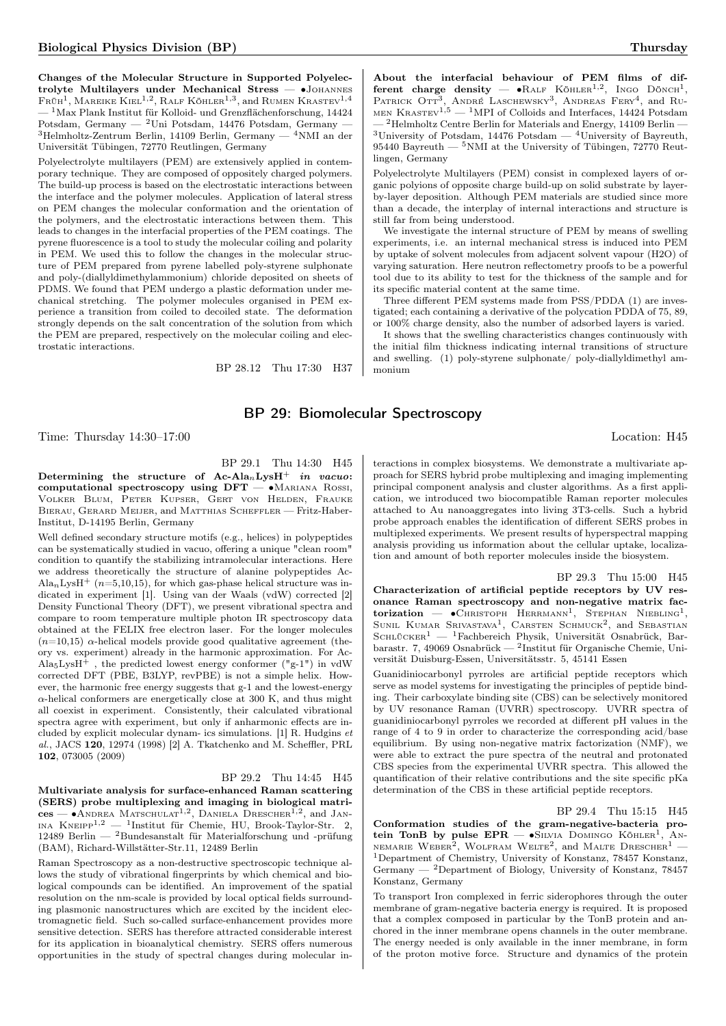Changes of the Molecular Structure in Supported Polyelectrolyte Multilayers under Mechanical Stress — ∙Johannes  $\rm Fr\ddot{v}h^{1},$  Mareike Kiel<sup>1,2</sup>, Ralf Köhler<sup>1,3</sup>, and Rumen Krastev<sup>1,4</sup>  $1$ Max Plank Institut für Kolloid- und Grenzflächenforschung, 14424 Potsdam, Germany — <sup>2</sup>Uni Potsdam, 14476 Potsdam, Germany - $^3\mathrm{Helmholtz-Zentrum \ Berlin},$ 14109 Berlin, Germany —  $^4\mathrm{NMI}$ an der Universität Tübingen, 72770 Reutlingen, Germany

Polyelectrolyte multilayers (PEM) are extensively applied in contemporary technique. They are composed of oppositely charged polymers. The build-up process is based on the electrostatic interactions between the interface and the polymer molecules. Application of lateral stress on PEM changes the molecular conformation and the orientation of the polymers, and the electrostatic interactions between them. This leads to changes in the interfacial properties of the PEM coatings. The pyrene fluorescence is a tool to study the molecular coiling and polarity in PEM. We used this to follow the changes in the molecular structure of PEM prepared from pyrene labelled poly-styrene sulphonate and poly-(diallyldimethylammonium) chloride deposited on sheets of PDMS. We found that PEM undergo a plastic deformation under mechanical stretching. The polymer molecules organised in PEM experience a transition from coiled to decoiled state. The deformation strongly depends on the salt concentration of the solution from which the PEM are prepared, respectively on the molecular coiling and electrostatic interactions.

BP 28.12 Thu 17:30 H37

About the interfacial behaviour of PEM films of different charge density —  $\bullet$ RALF KÖHLER<sup>1,2</sup>, INGO DÖNCH<sup>1</sup>, PATRICK OTT<sup>3</sup> , André Laschewsky<sup>3</sup> , Andreas Fery<sup>4</sup> , and Ru-MEN KRASTEV<sup>1,5</sup>  $-$ <sup>1</sup>MPI of Colloids and Interfaces, 14424 Potsdam — <sup>2</sup>Helmholtz Centre Berlin for Materials and Energy, 14109 Berlin — <sup>3</sup>University of Potsdam, 14476 Potsdam — <sup>4</sup>University of Bayreuth, 95440 Bayreuth — <sup>5</sup>NMI at the University of Tübingen, 72770 Reutlingen, Germany

Polyelectrolyte Multilayers (PEM) consist in complexed layers of organic polyions of opposite charge build-up on solid substrate by layerby-layer deposition. Although PEM materials are studied since more than a decade, the interplay of internal interactions and structure is still far from being understood.

We investigate the internal structure of PEM by means of swelling experiments, i.e. an internal mechanical stress is induced into PEM by uptake of solvent molecules from adjacent solvent vapour (H2O) of varying saturation. Here neutron reflectometry proofs to be a powerful tool due to its ability to test for the thickness of the sample and for its specific material content at the same time.

Three different PEM systems made from PSS/PDDA (1) are investigated; each containing a derivative of the polycation PDDA of 75, 89, or 100% charge density, also the number of adsorbed layers is varied.

It shows that the swelling characteristics changes continuously with the initial film thickness indicating internal transitions of structure and swelling. (1) poly-styrene sulphonate/ poly-diallyldimethyl ammonium

## BP 29: Biomolecular Spectroscopy

Time: Thursday  $14:30-17:00$  Location: H45

BP 29.1 Thu 14:30 H45 Determining the structure of  $Ac-Ala_nLysH^+$  in vacuo: computational spectroscopy using  $DFT - \bullet$ Mariana Rossi, Volker Blum, Peter Kupser, Gert von Helden, Frauke Bierau, Gerard Meijer, and Matthias Scheffler — Fritz-Haber-Institut, D-14195 Berlin, Germany

Well defined secondary structure motifs (e.g., helices) in polypeptides can be systematically studied in vacuo, offering a unique "clean room" condition to quantify the stabilizing intramolecular interactions. Here we address theoretically the structure of alanine polypeptides Ac- $\text{Ala}_n\text{LysH}^+$  ( $n=5,10,15$ ), for which gas-phase helical structure was indicated in experiment [1]. Using van der Waals (vdW) corrected [2] Density Functional Theory (DFT), we present vibrational spectra and compare to room temperature multiple photon IR spectroscopy data obtained at the FELIX free electron laser. For the longer molecules  $(n=10,15)$   $\alpha$ -helical models provide good qualitative agreement (theory vs. experiment) already in the harmonic approximation. For Ac- $Ala_5LysH^+$ , the predicted lowest energy conformer ("g-1") in vdW corrected DFT (PBE, B3LYP, revPBE) is not a simple helix. However, the harmonic free energy suggests that g-1 and the lowest-energy  $\alpha$ -helical conformers are energetically close at 300 K, and thus might all coexist in experiment. Consistently, their calculated vibrational spectra agree with experiment, but only if anharmonic effects are included by explicit molecular dynam- ics simulations. [1] R. Hudgins et al., JACS 120, 12974 (1998) [2] A. Tkatchenko and M. Scheffler, PRL 102, 073005 (2009)

#### BP 29.2 Thu 14:45 H45

Multivariate analysis for surface-enhanced Raman scattering (SERS) probe multiplexing and imaging in biological matrices — •ANDREA MATSCHULAT<sup>1,2</sup>, DANIELA DRESCHER<sup>1,2</sup>, and JANina Kneipp1,<sup>2</sup> — <sup>1</sup> Institut für Chemie, HU, Brook-Taylor-Str. 2, 12489 Berlin — <sup>2</sup>Bundesanstalt für Materialforschung und -prüfung (BAM), Richard-Willstätter-Str.11, 12489 Berlin

Raman Spectroscopy as a non-destructive spectroscopic technique allows the study of vibrational fingerprints by which chemical and biological compounds can be identified. An improvement of the spatial resolution on the nm-scale is provided by local optical fields surrounding plasmonic nanostructures which are excited by the incident electromagnetic field. Such so-called surface-enhancement provides more sensitive detection. SERS has therefore attracted considerable interest for its application in bioanalytical chemistry. SERS offers numerous opportunities in the study of spectral changes during molecular in-

teractions in complex biosystems. We demonstrate a multivariate approach for SERS hybrid probe multiplexing and imaging implementing principal component analysis and cluster algorithms. As a first application, we introduced two biocompatible Raman reporter molecules attached to Au nanoaggregates into living 3T3-cells. Such a hybrid probe approach enables the identification of different SERS probes in multiplexed experiments. We present results of hyperspectral mapping analysis providing us information about the cellular uptake, localization and amount of both reporter molecules inside the biosystem.

BP 29.3 Thu 15:00 H45 Characterization of artificial peptide receptors by UV resonance Raman spectroscopy and non-negative matrix fac- $\text{torization}$  –  $\bullet$ Christoph Herrmann<sup>1</sup>, Stephan Niebling<sup>1</sup>,

SUNIL KUMAR SRIVASTAVA<sup>1</sup>, CARSTEN SCHMUCK<sup>2</sup>, and SEBASTIAN SCHLÜCKER<sup>1</sup> — <sup>1</sup>Fachbereich Physik, Universität Osnabrück, Barbarastr. 7, 49069 Osnabrück — <sup>2</sup> Institut für Organische Chemie, Universität Duisburg-Essen, Universitätsstr. 5, 45141 Essen

Guanidiniocarbonyl pyrroles are artificial peptide receptors which serve as model systems for investigating the principles of peptide binding. Their carboxylate binding site (CBS) can be selectively monitored by UV resonance Raman (UVRR) spectroscopy. UVRR spectra of guanidiniocarbonyl pyrroles we recorded at different pH values in the range of 4 to 9 in order to characterize the corresponding acid/base equilibrium. By using non-negative matrix factorization (NMF), we were able to extract the pure spectra of the neutral and protonated CBS species from the experimental UVRR spectra. This allowed the quantification of their relative contributions and the site specific pKa determination of the CBS in these artificial peptide receptors.

## BP 29.4 Thu 15:15 H45

Conformation studies of the gram-negative-bacteria protein TonB by pulse  $EPR$  —  $\bullet$ SILVIA DOMINGO KÖHLER<sup>1</sup>, AN-NEMARIE WEBER<sup>2</sup>, WOLFRAM WELTE<sup>2</sup>, and MALTE DRESCHER<sup>1</sup> -<sup>1</sup>Department of Chemistry, University of Konstanz, 78457 Konstanz, Germany — <sup>2</sup>Department of Biology, University of Konstanz, 78457 Konstanz, Germany

To transport Iron complexed in ferric siderophores through the outer membrane of gram-negative bacteria energy is required. It is proposed that a complex composed in particular by the TonB protein and anchored in the inner membrane opens channels in the outer membrane. The energy needed is only available in the inner membrane, in form of the proton motive force. Structure and dynamics of the protein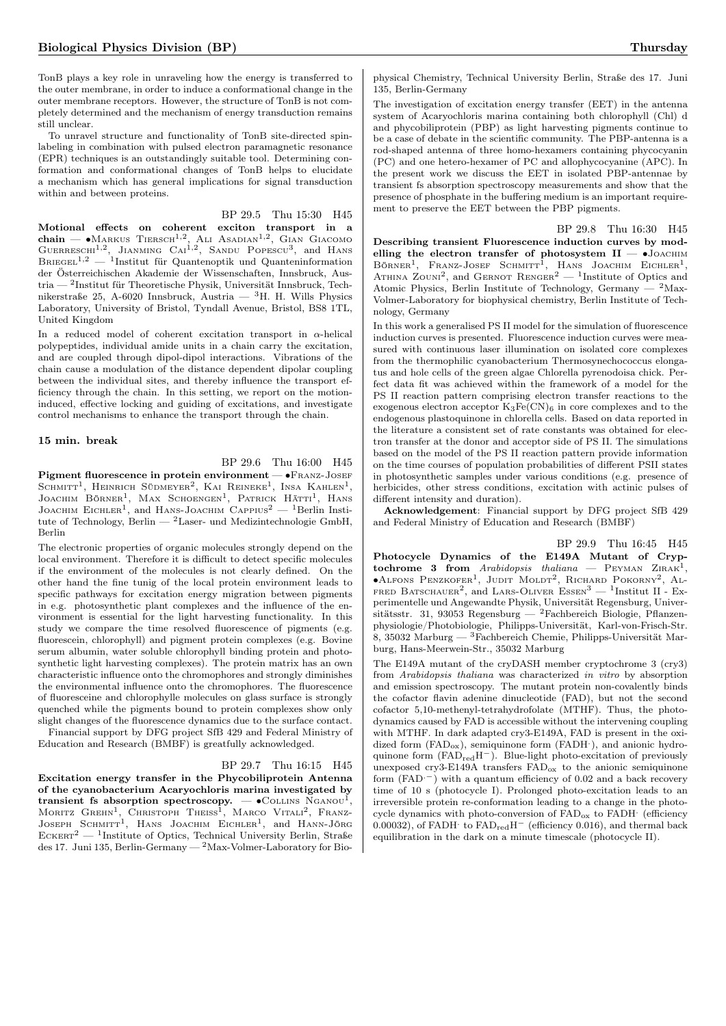TonB plays a key role in unraveling how the energy is transferred to the outer membrane, in order to induce a conformational change in the outer membrane receptors. However, the structure of TonB is not completely determined and the mechanism of energy transduction remains still unclear.

To unravel structure and functionality of TonB site-directed spinlabeling in combination with pulsed electron paramagnetic resonance (EPR) techniques is an outstandingly suitable tool. Determining conformation and conformational changes of TonB helps to elucidate a mechanism which has general implications for signal transduction within and between proteins.

BP 29.5 Thu 15:30 H45

Motional effects on coherent exciton transport in a<br>chain — ◆Markus Tiersch<sup>1,2</sup>, Ali Asabian<sup>1,2</sup>, Gian Giacomo<br>Guerreschi<sup>1,2</sup>, Jianming Cai<sup>1,2</sup>, Sandu Popescu<sup>3</sup>, and Hans  $B$ RIEGEL<sup>1,2</sup> — <sup>1</sup>Institut für Quantenoptik und Quanteninformation der Österreichischen Akademie der Wissenschaften, Innsbruck, Austria — <sup>2</sup> Institut für Theoretische Physik, Universität Innsbruck, Technikerstraße 25, A-6020 Innsbruck, Austria — <sup>3</sup>H. H. Wills Physics Laboratory, University of Bristol, Tyndall Avenue, Bristol, BS8 1TL, United Kingdom

In a reduced model of coherent excitation transport in  $\alpha$ -helical polypeptides, individual amide units in a chain carry the excitation, and are coupled through dipol-dipol interactions. Vibrations of the chain cause a modulation of the distance dependent dipolar coupling between the individual sites, and thereby influence the transport efficiency through the chain. In this setting, we report on the motioninduced, effective locking and guiding of excitations, and investigate control mechanisms to enhance the transport through the chain.

#### 15 min. break

BP 29.6 Thu 16:00 H45 Pigment fluorescence in protein environment — •FRANZ-JOSEF

SCHMITT<sup>1</sup>, HEINRICH SÜDMEYER<sup>2</sup>, KAI REINEKE<sup>1</sup>, INSA KAHLEN<sup>1</sup>, Joachim Börner<sup>1</sup>, Max Schoengen<sup>1</sup>, Patrick Hätti<sup>1</sup>, Hans JOACHIM EICHLER<sup>1</sup>, and HANS-JOACHIM CAPPIUS<sup>2</sup> — <sup>1</sup>Berlin Institute of Technology, Berlin —  $2$ Laser- und Medizintechnologie GmbH, Berlin

The electronic properties of organic molecules strongly depend on the local environment. Therefore it is difficult to detect specific molecules if the environment of the molecules is not clearly defined. On the other hand the fine tunig of the local protein environment leads to specific pathways for excitation energy migration between pigments in e.g. photosynthetic plant complexes and the influence of the environment is essential for the light harvesting functionality. In this study we compare the time resolved fluorescence of pigments (e.g. fluorescein, chlorophyll) and pigment protein complexes (e.g. Bovine serum albumin, water soluble chlorophyll binding protein and photosynthetic light harvesting complexes). The protein matrix has an own characteristic influence onto the chromophores and strongly diminishes the environmental influence onto the chromophores. The fluorescence of fluoresceine and chlorophylle molecules on glass surface is strongly quenched while the pigments bound to protein complexes show only slight changes of the fluorescence dynamics due to the surface contact.

Financial support by DFG project SfB 429 and Federal Ministry of Education and Research (BMBF) is greatfully acknowledged.

#### BP 29.7 Thu 16:15 H45

Excitation energy transfer in the Phycobiliprotein Antenna of the cyanobacterium Acaryochloris marina investigated by transient fs absorption spectroscopy.  $-$  • COLLINS NGANOU<sup>1</sup>, Moritz Grehn<sup>1</sup>, Christoph Theiss<sup>1</sup>, Marco Vitali<sup>2</sup>, Franz-<br>Joseph Schmitt<sup>1</sup>, Hans Joachim Eichler<sup>1</sup>, and Hann-Jörg  $\text{EckERT}^2 = \text{1}$ Institute of Optics, Technical University Berlin, Straße des 17. Juni 135, Berlin-Germany — <sup>2</sup>Max-Volmer-Laboratory for Biophysical Chemistry, Technical University Berlin, Straße des 17. Juni 135, Berlin-Germany

The investigation of excitation energy transfer (EET) in the antenna system of Acaryochloris marina containing both chlorophyll (Chl) d and phycobiliprotein (PBP) as light harvesting pigments continue to be a case of debate in the scientific community. The PBP-antenna is a rod-shaped antenna of three homo-hexamers containing phycocyanin (PC) and one hetero-hexamer of PC and allophycocyanine (APC). In the present work we discuss the EET in isolated PBP-antennae by transient fs absorption spectroscopy measurements and show that the presence of phosphate in the buffering medium is an important requirement to preserve the EET between the PBP pigments.

BP 29.8 Thu 16:30 H45 Describing transient Fluorescence induction curves by modelling the electron transfer of photosystem  $II - \bullet$ Joachim Börner<sup>1</sup>, Franz-Josef Schmitt<sup>1</sup>, Hans Joachim Eichler<sup>1</sup>, ATHINA ZOUNI<sup>2</sup>, and GERNOT RENGER<sup>2</sup> — <sup>1</sup>Institute of Optics and Atomic Physics, Berlin Institute of Technology, Germany  $-$  <sup>2</sup>Max-Volmer-Laboratory for biophysical chemistry, Berlin Institute of Technology, Germany

In this work a generalised PS II model for the simulation of fluorescence induction curves is presented. Fluorescence induction curves were measured with continuous laser illumination on isolated core complexes from the thermophilic cyanobacterium Thermosynechococcus elongatus and hole cells of the green algae Chlorella pyrenodoisa chick. Perfect data fit was achieved within the framework of a model for the PS II reaction pattern comprising electron transfer reactions to the exogenous electron acceptor  $K_3Fe(CN)_6$  in core complexes and to the endogenous plastoquinone in chlorella cells. Based on data reported in the literature a consistent set of rate constants was obtained for electron transfer at the donor and acceptor side of PS II. The simulations based on the model of the PS II reaction pattern provide information on the time courses of population probabilities of different PSII states in photosynthetic samples under various conditions (e.g. presence of herbicides, other stress conditions, excitation with actinic pulses of different intensity and duration).

Acknowledgement: Financial support by DFG project SfB 429 and Federal Ministry of Education and Research (BMBF)

BP 29.9 Thu 16:45 H45 Photocycle Dynamics of the E149A Mutant of Cryptochrome 3 from Arabidopsis thaliana — PEYMAN  $\text{ZIRAK}^1$ , ∙Alfons Penzkofer<sup>1</sup> , Judit Moldt<sup>2</sup> , Richard Pokorny<sup>2</sup> , Al-FRED BATSCHAUER<sup>2</sup>, and LARS-OLIVER ESSEN<sup>3</sup> - <sup>1</sup>Institut II - Experimentelle und Angewandte Physik, Universität Regensburg, Universitätsstr. 31, 93053 Regensburg — <sup>2</sup>Fachbereich Biologie, Pflanzenphysiologie/Photobiologie, Philipps-Universität, Karl-von-Frisch-Str. 8, 35032 Marburg — <sup>3</sup>Fachbereich Chemie, Philipps-Universität Marburg, Hans-Meerwein-Str., 35032 Marburg

The E149A mutant of the cryDASH member cryptochrome 3 (cry3) from Arabidopsis thaliana was characterized in vitro by absorption and emission spectroscopy. The mutant protein non-covalently binds the cofactor flavin adenine dinucleotide (FAD), but not the second cofactor 5,10-methenyl-tetrahydrofolate (MTHF). Thus, the photodynamics caused by FAD is accessible without the intervening coupling with MTHF. In dark adapted cry3-E149A, FAD is present in the oxidized form (FAD<sub>ox</sub>), semiquinone form (FADH<sup>-</sup>), and anionic hydroquinone form  $(FAD_{red}H^-)$ . Blue-light photo-excitation of previously unexposed cry3-E149A transfers  ${\rm FAD}_{\rm ox}$  to the anionic semiquinone form  $(FAD^-)$  with a quantum efficiency of 0.02 and a back recovery time of 10 s (photocycle I). Prolonged photo-excitation leads to an irreversible protein re-conformation leading to a change in the photocycle dynamics with photo-conversion of FAD<sub>ox</sub> to FADH<sup>.</sup> (efficiency 0.00032), of FADH $\cdot$  to FAD<sub>red</sub>H<sup>-</sup> (efficiency 0.016), and thermal back equilibration in the dark on a minute timescale (photocycle II).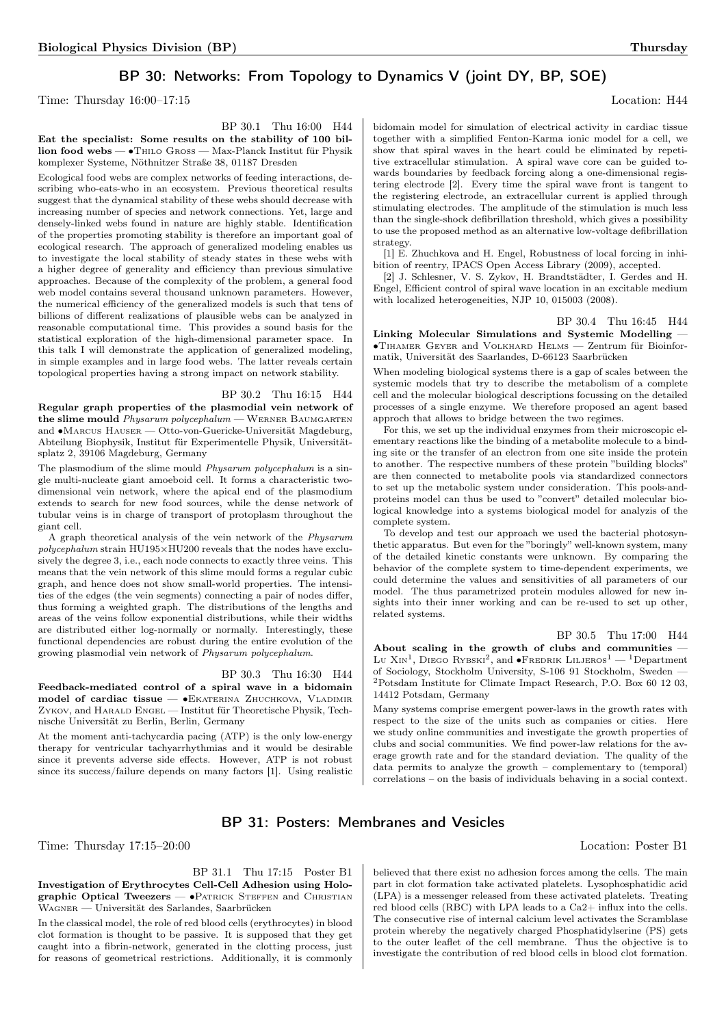## BP 30: Networks: From Topology to Dynamics V (joint DY, BP, SOE)

Time: Thursday  $16:00-17:15$  Location: H44

BP 30.1 Thu 16:00 H44

Eat the specialist: Some results on the stability of 100 billion food webs — ∙Thilo Gross — Max-Planck Institut für Physik komplexer Systeme, Nöthnitzer Straße 38, 01187 Dresden

Ecological food webs are complex networks of feeding interactions, describing who-eats-who in an ecosystem. Previous theoretical results suggest that the dynamical stability of these webs should decrease with increasing number of species and network connections. Yet, large and densely-linked webs found in nature are highly stable. Identification of the properties promoting stability is therefore an important goal of ecological research. The approach of generalized modeling enables us to investigate the local stability of steady states in these webs with a higher degree of generality and efficiency than previous simulative approaches. Because of the complexity of the problem, a general food web model contains several thousand unknown parameters. However, the numerical efficiency of the generalized models is such that tens of billions of different realizations of plausible webs can be analyzed in reasonable computational time. This provides a sound basis for the statistical exploration of the high-dimensional parameter space. In this talk I will demonstrate the application of generalized modeling, in simple examples and in large food webs. The latter reveals certain topological properties having a strong impact on network stability.

## BP 30.2 Thu 16:15 H44

Regular graph properties of the plasmodial vein network of the slime mould Physarum polycephalum - WERNER BAUMGARTEN and ∙Marcus Hauser — Otto-von-Guericke-Universität Magdeburg, Abteilung Biophysik, Institut für Experimentelle Physik, Universitätsplatz 2, 39106 Magdeburg, Germany

The plasmodium of the slime mould *Physarum polycephalum* is a single multi-nucleate giant amoeboid cell. It forms a characteristic twodimensional vein network, where the apical end of the plasmodium extends to search for new food sources, while the dense network of tubular veins is in charge of transport of protoplasm throughout the giant cell.

A graph theoretical analysis of the vein network of the Physarum polycephalum strain HU195×HU200 reveals that the nodes have exclusively the degree 3, i.e., each node connects to exactly three veins. This means that the vein network of this slime mould forms a regular cubic graph, and hence does not show small-world properties. The intensities of the edges (the vein segments) connecting a pair of nodes differ, thus forming a weighted graph. The distributions of the lengths and areas of the veins follow exponential distributions, while their widths are distributed either log-normally or normally. Interestingly, these functional dependencies are robust during the entire evolution of the growing plasmodial vein network of Physarum polycephalum.

#### BP 30.3 Thu 16:30 H44

Feedback-mediated control of a spiral wave in a bidomain model of cardiac tissue — •EKATERINA ZHUCHKOVA, VLADIMIR Zykov, and Harald Engel — Institut für Theoretische Physik, Technische Universität zu Berlin, Berlin, Germany

At the moment anti-tachycardia pacing (ATP) is the only low-energy therapy for ventricular tachyarrhythmias and it would be desirable since it prevents adverse side effects. However, ATP is not robust since its success/failure depends on many factors [1]. Using realistic

bidomain model for simulation of electrical activity in cardiac tissue together with a simplified Fenton-Karma ionic model for a cell, we show that spiral waves in the heart could be eliminated by repetitive extracellular stimulation. A spiral wave core can be guided towards boundaries by feedback forcing along a one-dimensional registering electrode [2]. Every time the spiral wave front is tangent to the registering electrode, an extracellular current is applied through stimulating electrodes. The amplitude of the stimulation is much less than the single-shock defibrillation threshold, which gives a possibility to use the proposed method as an alternative low-voltage defibrillation strategy.

[1] E. Zhuchkova and H. Engel, Robustness of local forcing in inhibition of reentry, IPACS Open Access Library (2009), accepted.

[2] J. Schlesner, V. S. Zykov, H. Brandtstädter, I. Gerdes and H. Engel, Efficient control of spiral wave location in an excitable medium with localized heterogeneities, NJP 10, 015003 (2008).

#### BP 30.4 Thu 16:45 H44

Linking Molecular Simulations and Systemic Modelling — ∙Tihamer Geyer and Volkhard Helms — Zentrum für Bioinformatik, Universität des Saarlandes, D-66123 Saarbrücken

When modeling biological systems there is a gap of scales between the systemic models that try to describe the metabolism of a complete cell and the molecular biological descriptions focussing on the detailed processes of a single enzyme. We therefore proposed an agent based approch that allows to bridge between the two regimes.

For this, we set up the individual enzymes from their microscopic elementary reactions like the binding of a metabolite molecule to a binding site or the transfer of an electron from one site inside the protein to another. The respective numbers of these protein "building blocks" are then connected to metabolite pools via standardized connectors to set up the metabolic system under consideration. This pools-andproteins model can thus be used to "convert" detailed molecular biological knowledge into a systems biological model for analyzis of the complete system.

To develop and test our approach we used the bacterial photosynthetic apparatus. But even for the "boringly" well-known system, many of the detailed kinetic constants were unknown. By comparing the behavior of the complete system to time-dependent experiments, we could determine the values and sensitivities of all parameters of our model. The thus parametrized protein modules allowed for new insights into their inner working and can be re-used to set up other, related systems.

BP 30.5 Thu 17:00 H44 About scaling in the growth of clubs and communities — Lu X<sub>IN</sub><sup>1</sup>, Diego Rybski<sup>2</sup>, and •Fredrik Liljeros<sup>1</sup> — <sup>1</sup>Department of Sociology, Stockholm University, S-106 91 Stockholm, Sweden — <sup>2</sup>Potsdam Institute for Climate Impact Research, P.O. Box 60 12 03, 14412 Potsdam, Germany

Many systems comprise emergent power-laws in the growth rates with respect to the size of the units such as companies or cities. Here we study online communities and investigate the growth properties of clubs and social communities. We find power-law relations for the average growth rate and for the standard deviation. The quality of the data permits to analyze the growth – complementary to (temporal) correlations – on the basis of individuals behaving in a social context.

## BP 31: Posters: Membranes and Vesicles

#### Time: Thursday 17:15–20:00 Location: Poster B1

BP 31.1 Thu 17:15 Poster B1 Investigation of Erythrocytes Cell-Cell Adhesion using Holographic Optical Tweezers — •PATRICK STEFFEN and CHRISTIAN Wagner — Universität des Sarlandes, Saarbrücken

In the classical model, the role of red blood cells (erythrocytes) in blood clot formation is thought to be passive. It is supposed that they get caught into a fibrin-network, generated in the clotting process, just for reasons of geometrical restrictions. Additionally, it is commonly

believed that there exist no adhesion forces among the cells. The main part in clot formation take activated platelets. Lysophosphatidic acid (LPA) is a messenger released from these activated platelets. Treating red blood cells (RBC) with LPA leads to a Ca2+ influx into the cells. The consecutive rise of internal calcium level activates the Scramblase protein whereby the negatively charged Phosphatidylserine (PS) gets to the outer leaflet of the cell membrane. Thus the objective is to investigate the contribution of red blood cells in blood clot formation.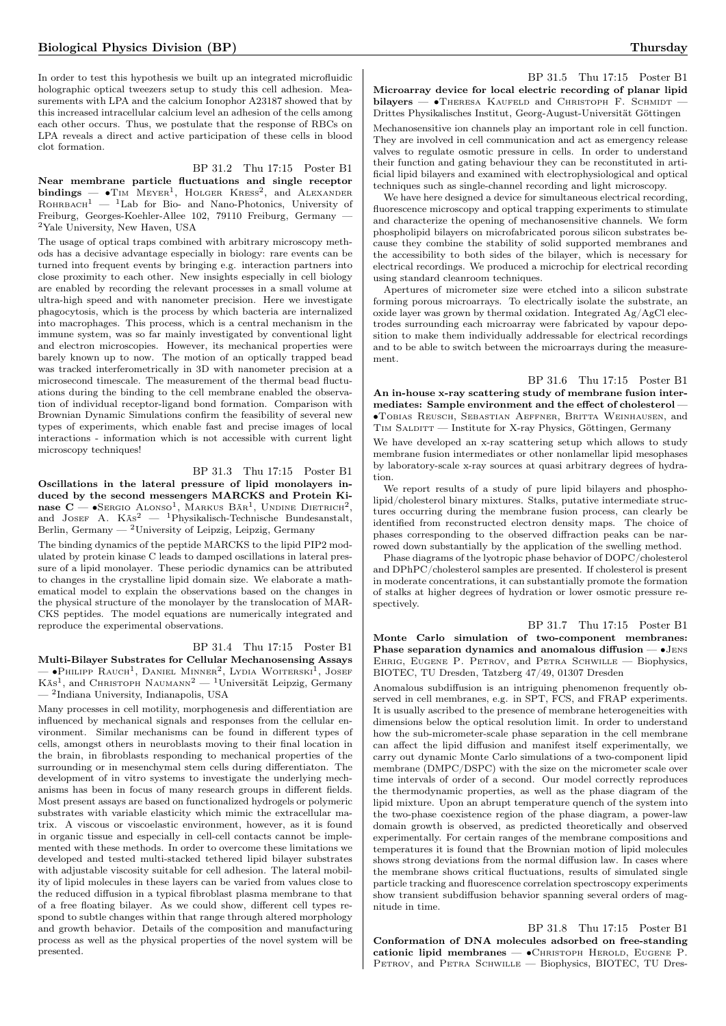In order to test this hypothesis we built up an integrated microfluidic holographic optical tweezers setup to study this cell adhesion. Measurements with LPA and the calcium Ionophor A23187 showed that by this increased intracellular calcium level an adhesion of the cells among each other occurs. Thus, we postulate that the response of RBCs on LPA reveals a direct and active participation of these cells in blood clot formation.

## BP 31.2 Thu 17:15 Poster B1

Near membrane particle fluctuations and single receptor  $\text{bindings}$  –  $\bullet$ Tim Meyer<sup>1</sup>, Holger Kress<sup>2</sup>, and Alexander  $R$ OHRBACH<sup>1</sup> — <sup>1</sup>Lab for Bio- and Nano-Photonics, University of Freiburg, Georges-Koehler-Allee 102, 79110 Freiburg, Germany — <sup>2</sup>Yale University, New Haven, USA

The usage of optical traps combined with arbitrary microscopy methods has a decisive advantage especially in biology: rare events can be turned into frequent events by bringing e.g. interaction partners into close proximity to each other. New insights especially in cell biology are enabled by recording the relevant processes in a small volume at ultra-high speed and with nanometer precision. Here we investigate phagocytosis, which is the process by which bacteria are internalized into macrophages. This process, which is a central mechanism in the immune system, was so far mainly investigated by conventional light and electron microscopies. However, its mechanical properties were barely known up to now. The motion of an optically trapped bead was tracked interferometrically in 3D with nanometer precision at a microsecond timescale. The measurement of the thermal bead fluctuations during the binding to the cell membrane enabled the observation of individual receptor-ligand bond formation. Comparison with Brownian Dynamic Simulations confirm the feasibility of several new types of experiments, which enable fast and precise images of local interactions - information which is not accessible with current light microscopy techniques!

### BP 31.3 Thu 17:15 Poster B1

Oscillations in the lateral pressure of lipid monolayers induced by the second messengers MARCKS and Protein Kinase  $C = \bullet$ Sergio Alonso<sup>1</sup>, Markus Bär<sup>1</sup>, Undine Dietrich<sup>2</sup>, and Josef A.  $K\ddot{s}^2$  — <sup>1</sup>Physikalisch-Technische Bundesanstalt, Berlin, Germany — <sup>2</sup>University of Leipzig, Leipzig, Germany

The binding dynamics of the peptide MARCKS to the lipid PIP2 modulated by protein kinase C leads to damped oscillations in lateral pressure of a lipid monolayer. These periodic dynamics can be attributed to changes in the crystalline lipid domain size. We elaborate a mathematical model to explain the observations based on the changes in the physical structure of the monolayer by the translocation of MAR-CKS peptides. The model equations are numerically integrated and reproduce the experimental observations.

## BP 31.4 Thu 17:15 Poster B1

Multi-Bilayer Substrates for Cellular Mechanosensing Assays  $-$  •Philipp Rauch<sup>1</sup>, Daniel Minner<sup>2</sup>, Lydia Woiterski<sup>1</sup>, Josef Käs<sup>1</sup>, and CHRISTOPH NAUMANN<sup>2</sup> — <sup>1</sup>Universität Leipzig, Germany — <sup>2</sup> Indiana University, Indianapolis, USA

Many processes in cell motility, morphogenesis and differentiation are influenced by mechanical signals and responses from the cellular environment. Similar mechanisms can be found in different types of cells, amongst others in neuroblasts moving to their final location in the brain, in fibroblasts responding to mechanical properties of the surrounding or in mesenchymal stem cells during differentiaton. The development of in vitro systems to investigate the underlying mechanisms has been in focus of many research groups in different fields. Most present assays are based on functionalized hydrogels or polymeric substrates with variable elasticity which mimic the extracellular matrix. A viscous or viscoelastic environment, however, as it is found in organic tissue and especially in cell-cell contacts cannot be implemented with these methods. In order to overcome these limitations we developed and tested multi-stacked tethered lipid bilayer substrates with adjustable viscosity suitable for cell adhesion. The lateral mobility of lipid molecules in these layers can be varied from values close to the reduced diffusion in a typical fibroblast plasma membrane to that of a free floating bilayer. As we could show, different cell types respond to subtle changes within that range through altered morphology and growth behavior. Details of the composition and manufacturing process as well as the physical properties of the novel system will be presented.

#### BP 31.5 Thu 17:15 Poster B1 Microarray device for local electric recording of planar lipid  $bilayers$   $\bullet$  Theresa Kaufeld and Christoph F. Schmidt —

Drittes Physikalisches Institut, Georg-August-Universität Göttingen Mechanosensitive ion channels play an important role in cell function. They are involved in cell communication and act as emergency release valves to regulate osmotic pressure in cells. In order to understand their function and gating behaviour they can be reconstituted in artificial lipid bilayers and examined with electrophysiological and optical techniques such as single-channel recording and light microscopy.

We have here designed a device for simultaneous electrical recording, fluorescence microscopy and optical trapping experiments to stimulate and characterize the opening of mechanosensitive channels. We form phospholipid bilayers on microfabricated porous silicon substrates because they combine the stability of solid supported membranes and the accessibility to both sides of the bilayer, which is necessary for electrical recordings. We produced a microchip for electrical recording using standard cleanroom techniques.

Apertures of micrometer size were etched into a silicon substrate forming porous microarrays. To electrically isolate the substrate, an oxide layer was grown by thermal oxidation. Integrated Ag/AgCl electrodes surrounding each microarray were fabricated by vapour deposition to make them individually addressable for electrical recordings and to be able to switch between the microarrays during the measurement.

BP 31.6 Thu 17:15 Poster B1 An in-house x-ray scattering study of membrane fusion intermediates: Sample environment and the effect of cholesterol — ∙Tobias Reusch, Sebastian Aeffner, Britta Weinhausen, and  $T_{IM}$  SALDITT — Institute for X-ray Physics, Göttingen, Germany We have developed an x-ray scattering setup which allows to study membrane fusion intermediates or other nonlamellar lipid mesophases by laboratory-scale x-ray sources at quasi arbitrary degrees of hydration.

We report results of a study of pure lipid bilayers and phospholipid/cholesterol binary mixtures. Stalks, putative intermediate structures occurring during the membrane fusion process, can clearly be identified from reconstructed electron density maps. The choice of phases corresponding to the observed diffraction peaks can be narrowed down substantially by the application of the swelling method.

Phase diagrams of the lyotropic phase behavior of DOPC/cholesterol and DPhPC/cholesterol samples are presented. If cholesterol is present in moderate concentrations, it can substantially promote the formation of stalks at higher degrees of hydration or lower osmotic pressure respectively.

BP 31.7 Thu 17:15 Poster B1

Monte Carlo simulation of two-component membranes: Phase separation dynamics and anomalous diffusion — ∙Jens Ehrig, Eugene P. Petrov, and Petra Schwille — Biophysics, BIOTEC, TU Dresden, Tatzberg 47/49, 01307 Dresden

Anomalous subdiffusion is an intriguing phenomenon frequently observed in cell membranes, e.g. in SPT, FCS, and FRAP experiments. It is usually ascribed to the presence of membrane heterogeneities with dimensions below the optical resolution limit. In order to understand how the sub-micrometer-scale phase separation in the cell membrane can affect the lipid diffusion and manifest itself experimentally, we carry out dynamic Monte Carlo simulations of a two-component lipid membrane (DMPC/DSPC) with the size on the micrometer scale over time intervals of order of a second. Our model correctly reproduces the thermodynamic properties, as well as the phase diagram of the lipid mixture. Upon an abrupt temperature quench of the system into the two-phase coexistence region of the phase diagram, a power-law domain growth is observed, as predicted theoretically and observed experimentally. For certain ranges of the membrane compositions and temperatures it is found that the Brownian motion of lipid molecules shows strong deviations from the normal diffusion law. In cases where the membrane shows critical fluctuations, results of simulated single particle tracking and fluorescence correlation spectroscopy experiments show transient subdiffusion behavior spanning several orders of magnitude in time.

BP 31.8 Thu 17:15 Poster B1 Conformation of DNA molecules adsorbed on free-standing cationic lipid membranes — • CHRISTOPH HEROLD, EUGENE P. PETROV, and PETRA SCHWILLE - Biophysics, BIOTEC, TU Dres-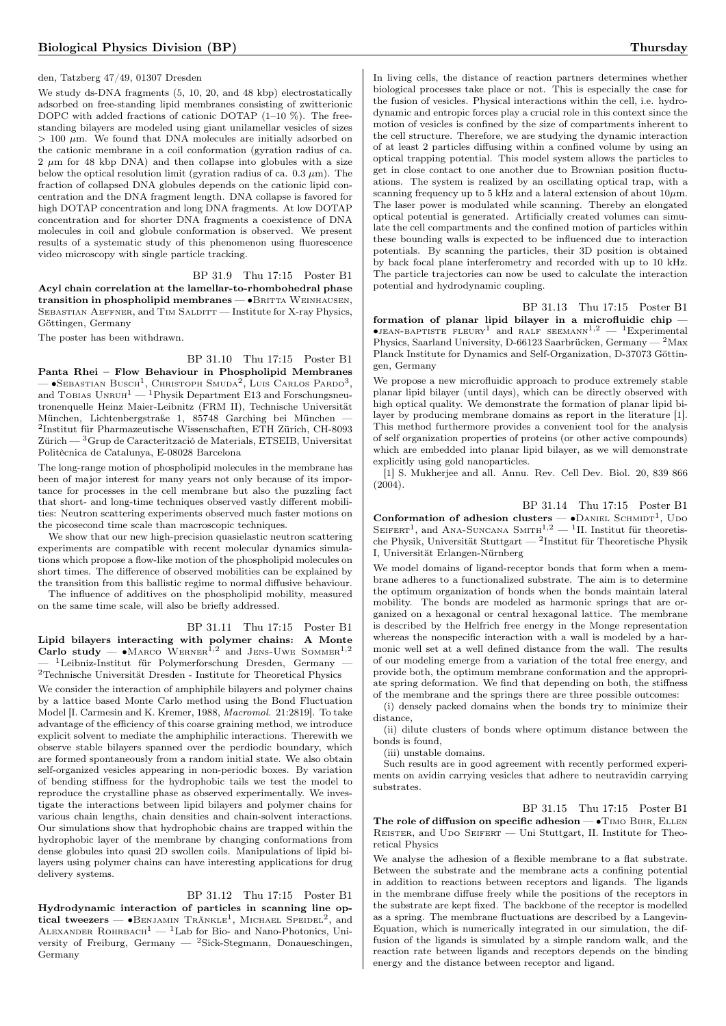#### den, Tatzberg 47/49, 01307 Dresden

We study ds-DNA fragments  $(5, 10, 20, \text{ and } 48 \text{ kbp})$  electrostatically adsorbed on free-standing lipid membranes consisting of zwitterionic DOPC with added fractions of cationic DOTAP  $(1-10\%)$ . The freestanding bilayers are modeled using giant unilamellar vesicles of sizes  $> 100 \mu$ m. We found that DNA molecules are initially adsorbed on the cationic membrane in a coil conformation (gyration radius of ca.  $2 \mu m$  for 48 kbp DNA) and then collapse into globules with a size below the optical resolution limit (gyration radius of ca.  $0.3 \mu m$ ). The fraction of collapsed DNA globules depends on the cationic lipid concentration and the DNA fragment length. DNA collapse is favored for high DOTAP concentration and long DNA fragments. At low DOTAP concentration and for shorter DNA fragments a coexistence of DNA molecules in coil and globule conformation is observed. We present results of a systematic study of this phenomenon using fluorescence video microscopy with single particle tracking.

BP 31.9 Thu 17:15 Poster B1 Acyl chain correlation at the lamellar-to-rhombohedral phase transition in phospholipid membranes — • BRITTA WEINHAUSEN, SEBASTIAN AEFFNER, and TIM SALDITT — Institute for X-ray Physics, Göttingen, Germany

The poster has been withdrawn.

## BP 31.10 Thu 17:15 Poster B1

Panta Rhei – Flow Behaviour in Phospholipid Membranes —  $\bullet$ Sebastian Busch<sup>1</sup>, Christoph Smuda<sup>2</sup>, Luis Carlos Pardo<sup>3</sup>, and Tobias  $UNRUH^1$  — <sup>1</sup>Physik Department E13 and Forschungsneutronenquelle Heinz Maier-Leibnitz (FRM II), Technische Universität München, Lichtenbergstraße 1, 85748 Garching bei München — 2 Institut für Pharmazeutische Wissenschaften, ETH Zürich, CH-8093 Zürich — <sup>3</sup>Grup de Caracterització de Materials, ETSEIB, Universitat Politècnica de Catalunya, E-08028 Barcelona

The long-range motion of phospholipid molecules in the membrane has been of major interest for many years not only because of its importance for processes in the cell membrane but also the puzzling fact that short- and long-time techniques observed vastly different mobilities: Neutron scattering experiments observed much faster motions on the picosecond time scale than macroscopic techniques.

We show that our new high-precision quasielastic neutron scattering experiments are compatible with recent molecular dynamics simulations which propose a flow-like motion of the phospholipid molecules on short times. The difference of observed mobilities can be explained by the transition from this ballistic regime to normal diffusive behaviour.

The influence of additives on the phospholipid mobility, measured on the same time scale, will also be briefly addressed.

#### BP 31.11 Thu 17:15 Poster B1

Lipid bilayers interacting with polymer chains: A Monte Carlo study —  $\bullet$ MARCO WERNER<sup>1,2</sup> and JENS-UWE SOMMER<sup>1,2</sup> <sup>1</sup>Leibniz-Institut für Polymerforschung Dresden, Germany —  $^2\mbox{Technische Universität Dresden - Institute for Theoretical Physics}$ 

We consider the interaction of amphiphile bilayers and polymer chains by a lattice based Monte Carlo method using the Bond Fluctuation Model [I. Carmesin and K. Kremer, 1988, Macromol. 21:2819]. To take advantage of the efficiency of this coarse graining method, we introduce explicit solvent to mediate the amphiphilic interactions. Therewith we observe stable bilayers spanned over the perdiodic boundary, which are formed spontaneously from a random initial state. We also obtain self-organized vesicles appearing in non-periodic boxes. By variation of bending stiffness for the hydrophobic tails we test the model to reproduce the crystalline phase as observed experimentally. We investigate the interactions between lipid bilayers and polymer chains for various chain lengths, chain densities and chain-solvent interactions. Our simulations show that hydrophobic chains are trapped within the hydrophobic layer of the membrane by changing conformations from dense globules into quasi 2D swollen coils. Manipulations of lipid bilayers using polymer chains can have interesting applications for drug delivery systems.

#### BP 31.12 Thu 17:15 Poster B1

Hydrodynamic interaction of particles in scanning line optical tweezers —  $\bullet$ Benjamin Tränkle<sup>1</sup>, Michael Speidel<sup>2</sup>, and ALEXANDER ROHRBACH<sup>1</sup> — <sup>1</sup>Lab for Bio- and Nano-Photonics, University of Freiburg, Germany — <sup>2</sup>Sick-Stegmann, Donaueschingen, Germany

In living cells, the distance of reaction partners determines whether biological processes take place or not. This is especially the case for the fusion of vesicles. Physical interactions within the cell, i.e. hydrodynamic and entropic forces play a crucial role in this context since the motion of vesicles is confined by the size of compartments inherent to the cell structure. Therefore, we are studying the dynamic interaction of at least 2 particles diffusing within a confined volume by using an optical trapping potential. This model system allows the particles to get in close contact to one another due to Brownian position fluctuations. The system is realized by an oscillating optical trap, with a scanning frequency up to 5 kHz and a lateral extension of about 10 $\mu$ m. The laser power is modulated while scanning. Thereby an elongated optical potential is generated. Artificially created volumes can simulate the cell compartments and the confined motion of particles within these bounding walls is expected to be influenced due to interaction potentials. By scanning the particles, their 3D position is obtained by back focal plane interferometry and recorded with up to 10 kHz. The particle trajectories can now be used to calculate the interaction potential and hydrodynamic coupling.

BP 31.13 Thu 17:15 Poster B1

formation of planar lipid bilayer in a microfluidic chip —  $\bullet$ JEAN-BAPTISTE FLEURY<sup>1</sup> and RALF SEEMANN<sup>1,2</sup> — <sup>1</sup>Experimental Physics, Saarland University, D-66123 Saarbrücken, Germany — <sup>2</sup>Max Planck Institute for Dynamics and Self-Organization, D-37073 Göttingen, Germany

We propose a new microfluidic approach to produce extremely stable planar lipid bilayer (until days), which can be directly observed with high optical quality. We demonstrate the formation of planar lipid bilayer by producing membrane domains as report in the literature [1]. This method furthermore provides a convenient tool for the analysis of self organization properties of proteins (or other active compounds) which are embedded into planar lipid bilayer, as we will demonstrate explicitly using gold nanoparticles.

[1] S. Mukherjee and all. Annu. Rev. Cell Dev. Biol. 20, 839 866 (2004).

BP 31.14 Thu 17:15 Poster B1

Conformation of adhesion clusters  $-$  • DANIEL SCHMIDT<sup>1</sup>, UDO SEIFERT<sup>1</sup>, and ANA-SUNCANA SMITH<sup>1,2</sup> — <sup>1</sup>II. Institut für theoretische Physik, Universität Stuttgart —  $^2$ Institut für Theoretische Physik I, Universität Erlangen-Nürnberg

We model domains of ligand-receptor bonds that form when a membrane adheres to a functionalized substrate. The aim is to determine the optimum organization of bonds when the bonds maintain lateral mobility. The bonds are modeled as harmonic springs that are organized on a hexagonal or central hexagonal lattice. The membrane is described by the Helfrich free energy in the Monge representation whereas the nonspecific interaction with a wall is modeled by a harmonic well set at a well defined distance from the wall. The results of our modeling emerge from a variation of the total free energy, and provide both, the optimum membrane conformation and the appropriate spring deformation. We find that depending on both, the stiffness of the membrane and the springs there are three possible outcomes:

(i) densely packed domains when the bonds try to minimize their distance.

(ii) dilute clusters of bonds where optimum distance between the bonds is found,

(iii) unstable domains.

Such results are in good agreement with recently performed experiments on avidin carrying vesicles that adhere to neutravidin carrying substrates.

BP 31.15 Thu 17:15 Poster B1

The role of diffusion on specific adhesion — •TIMO BIHR, ELLEN REISTER, and UDO SEIFERT — Uni Stuttgart, II. Institute for Theoretical Physics

We analyse the adhesion of a flexible membrane to a flat substrate. Between the substrate and the membrane acts a confining potential in addition to reactions between receptors and ligands. The ligands in the membrane diffuse freely while the positions of the receptors in the substrate are kept fixed. The backbone of the receptor is modelled as a spring. The membrane fluctuations are described by a Langevin-Equation, which is numerically integrated in our simulation, the diffusion of the ligands is simulated by a simple random walk, and the reaction rate between ligands and receptors depends on the binding energy and the distance between receptor and ligand.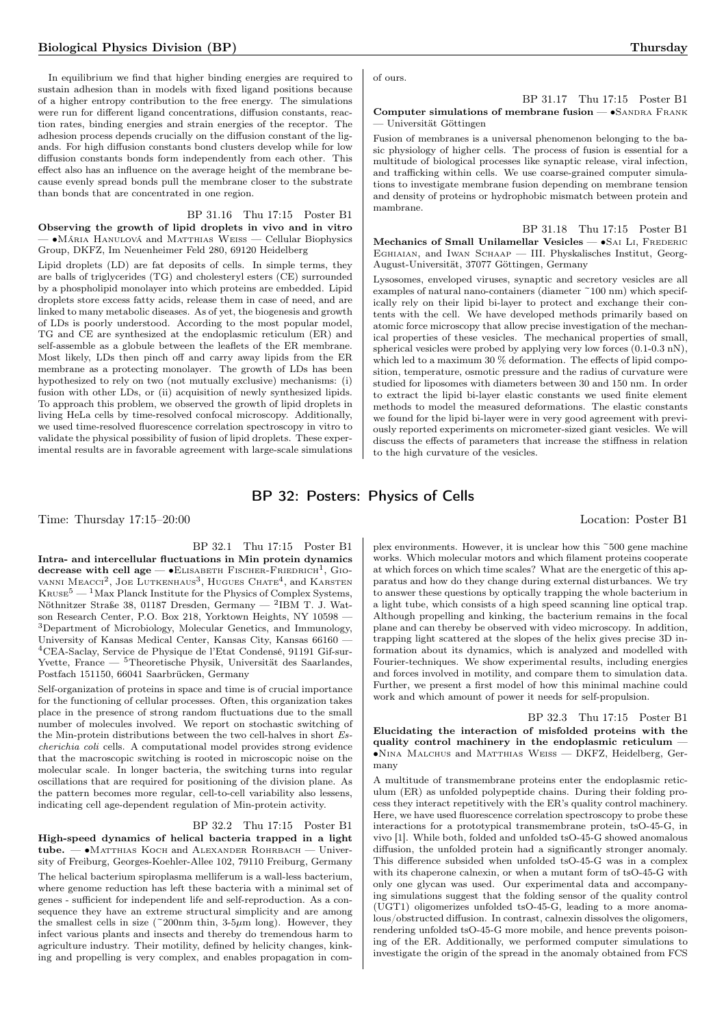In equilibrium we find that higher binding energies are required to sustain adhesion than in models with fixed ligand positions because of a higher entropy contribution to the free energy. The simulations were run for different ligand concentrations, diffusion constants, reaction rates, binding energies and strain energies of the receptor. The adhesion process depends crucially on the diffusion constant of the ligands. For high diffusion constants bond clusters develop while for low diffusion constants bonds form independently from each other. This effect also has an influence on the average height of the membrane because evenly spread bonds pull the membrane closer to the substrate than bonds that are concentrated in one region.

## BP 31.16 Thu 17:15 Poster B1

Observing the growth of lipid droplets in vivo and in vitro — ∙Mária Hanulová and Matthias Weiss — Cellular Biophysics Group, DKFZ, Im Neuenheimer Feld 280, 69120 Heidelberg

Lipid droplets (LD) are fat deposits of cells. In simple terms, they are balls of triglycerides (TG) and cholesteryl esters (CE) surrounded by a phospholipid monolayer into which proteins are embedded. Lipid droplets store excess fatty acids, release them in case of need, and are linked to many metabolic diseases. As of yet, the biogenesis and growth of LDs is poorly understood. According to the most popular model, TG and CE are synthesized at the endoplasmic reticulum (ER) and self-assemble as a globule between the leaflets of the ER membrane. Most likely, LDs then pinch off and carry away lipids from the ER membrane as a protecting monolayer. The growth of LDs has been hypothesized to rely on two (not mutually exclusive) mechanisms: (i) fusion with other LDs, or (ii) acquisition of newly synthesized lipids. To approach this problem, we observed the growth of lipid droplets in living HeLa cells by time-resolved confocal microscopy. Additionally, we used time-resolved fluorescence correlation spectroscopy in vitro to validate the physical possibility of fusion of lipid droplets. These experimental results are in favorable agreement with large-scale simulations of ours.

BP 31.17 Thu 17:15 Poster B1 Computer simulations of membrane fusion — •SANDRA FRANK — Universität Göttingen

Fusion of membranes is a universal phenomenon belonging to the basic physiology of higher cells. The process of fusion is essential for a multitude of biological processes like synaptic release, viral infection, and trafficking within cells. We use coarse-grained computer simulations to investigate membrane fusion depending on membrane tension and density of proteins or hydrophobic mismatch between protein and mambrane.

BP 31.18 Thu 17:15 Poster B1 Mechanics of Small Unilamellar Vesicles — •SAI LI, FREDERIC Eghiaian, and Iwan Schaap — III. Physkalisches Institut, Georg-August-Universität, 37077 Göttingen, Germany

Lysosomes, enveloped viruses, synaptic and secretory vesicles are all examples of natural nano-containers (diameter ~100 nm) which specifically rely on their lipid bi-layer to protect and exchange their contents with the cell. We have developed methods primarily based on atomic force microscopy that allow precise investigation of the mechanical properties of these vesicles. The mechanical properties of small, spherical vesicles were probed by applying very low forces (0.1-0.3 nN), which led to a maximum 30  $\%$  deformation. The effects of lipid composition, temperature, osmotic pressure and the radius of curvature were studied for liposomes with diameters between 30 and 150 nm. In order to extract the lipid bi-layer elastic constants we used finite element methods to model the measured deformations. The elastic constants we found for the lipid bi-layer were in very good agreement with previously reported experiments on micrometer-sized giant vesicles. We will discuss the effects of parameters that increase the stiffness in relation to the high curvature of the vesicles.

## BP 32: Posters: Physics of Cells

Time: Thursday 17:15–20:00 Location: Poster B1

BP 32.1 Thu 17:15 Poster B1 Intra- and intercellular fluctuations in Min protein dynamics decrease with cell age —  $\bullet$ Elisabeth Fischer-Friedrich<sup>1</sup>, Giovanni Meacci<sup>2</sup>, Joe Lutkenhaus<sup>3</sup>, Hugues Chate<sup>4</sup>, and Karsten  $K_{\text{RUSE}}^5$  — <sup>1</sup>Max Planck Institute for the Physics of Complex Systems, Nöthnitzer Straße 38, 01187 Dresden, Germany —  $^2$ IBM T. J. Watson Research Center, P.O. Box 218, Yorktown Heights, NY 10598 — <sup>3</sup>Department of Microbiology, Molecular Genetics, and Immunology, University of Kansas Medical Center, Kansas City, Kansas 66160 — <sup>4</sup>CEA-Saclay, Service de Physique de l'Etat Condensé, 91191 Gif-sur-Yvette, France — <sup>5</sup>Theoretische Physik, Universität des Saarlandes, Postfach 151150, 66041 Saarbrücken, Germany

Self-organization of proteins in space and time is of crucial importance for the functioning of cellular processes. Often, this organization takes place in the presence of strong random fluctuations due to the small number of molecules involved. We report on stochastic switching of the Min-protein distributions between the two cell-halves in short Escherichia coli cells. A computational model provides strong evidence that the macroscopic switching is rooted in microscopic noise on the molecular scale. In longer bacteria, the switching turns into regular oscillations that are required for positioning of the division plane. As the pattern becomes more regular, cell-to-cell variability also lessens, indicating cell age-dependent regulation of Min-protein activity.

#### BP 32.2 Thu 17:15 Poster B1

High-speed dynamics of helical bacteria trapped in a light tube. — ∙Matthias Koch and Alexander Rohrbach — University of Freiburg, Georges-Koehler-Allee 102, 79110 Freiburg, Germany The helical bacterium spiroplasma melliferum is a wall-less bacterium, where genome reduction has left these bacteria with a minimal set of genes - sufficient for independent life and self-reproduction. As a consequence they have an extreme structural simplicity and are among the smallest cells in size (~200nm thin,  $3-5\mu$ m long). However, they infect various plants and insects and thereby do tremendous harm to agriculture industry. Their motility, defined by helicity changes, kinking and propelling is very complex, and enables propagation in complex environments. However, it is unclear how this ~500 gene machine works. Which molecular motors and which filament proteins cooperate at which forces on which time scales? What are the energetic of this apparatus and how do they change during external disturbances. We try to answer these questions by optically trapping the whole bacterium in a light tube, which consists of a high speed scanning line optical trap. Although propelling and kinking, the bacterium remains in the focal plane and can thereby be observed with video microscopy. In addition, trapping light scattered at the slopes of the helix gives precise 3D information about its dynamics, which is analyzed and modelled with Fourier-techniques. We show experimental results, including energies and forces involved in motility, and compare them to simulation data. Further, we present a first model of how this minimal machine could work and which amount of power it needs for self-propulsion.

BP 32.3 Thu 17:15 Poster B1 Elucidating the interaction of misfolded proteins with the quality control machinery in the endoplasmic reticulum — ∙Nina Malchus and Matthias Weiss — DKFZ, Heidelberg, Germany

A multitude of transmembrane proteins enter the endoplasmic reticulum (ER) as unfolded polypeptide chains. During their folding process they interact repetitively with the ER's quality control machinery. Here, we have used fluorescence correlation spectroscopy to probe these interactions for a prototypical transmembrane protein, tsO-45-G, in vivo [1]. While both, folded and unfolded tsO-45-G showed anomalous diffusion, the unfolded protein had a significantly stronger anomaly. This difference subsided when unfolded tsO-45-G was in a complex with its chaperone calnexin, or when a mutant form of tsO-45-G with only one glycan was used. Our experimental data and accompanying simulations suggest that the folding sensor of the quality control (UGT1) oligomerizes unfolded tsO-45-G, leading to a more anomalous/obstructed diffusion. In contrast, calnexin dissolves the oligomers, rendering unfolded tsO-45-G more mobile, and hence prevents poisoning of the ER. Additionally, we performed computer simulations to investigate the origin of the spread in the anomaly obtained from FCS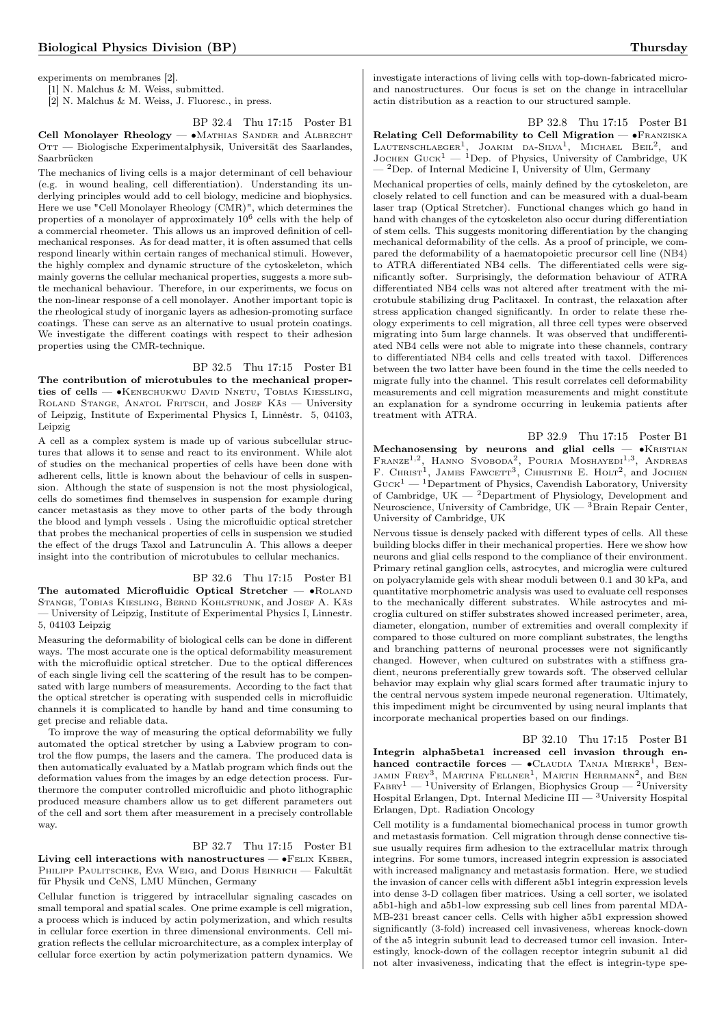experiments on membranes [2].

[1] N. Malchus & M. Weiss, submitted.

[2] N. Malchus & M. Weiss, J. Fluoresc., in press.

BP 32.4 Thu 17:15 Poster B1

Cell Monolayer Rheology — •MATHIAS SANDER and ALBRECHT OTT — Biologische Experimentalphysik, Universität des Saarlandes, Saarbrücken

The mechanics of living cells is a major determinant of cell behaviour (e.g. in wound healing, cell differentiation). Understanding its underlying principles would add to cell biology, medicine and biophysics. Here we use "Cell Monolayer Rheology (CMR)", which determines the properties of a monolayer of approximately  $10^6$  cells with the help of a commercial rheometer. This allows us an improved definition of cellmechanical responses. As for dead matter, it is often assumed that cells respond linearly within certain ranges of mechanical stimuli. However, the highly complex and dynamic structure of the cytoskeleton, which mainly governs the cellular mechanical properties, suggests a more subtle mechanical behaviour. Therefore, in our experiments, we focus on the non-linear response of a cell monolayer. Another important topic is the rheological study of inorganic layers as adhesion-promoting surface coatings. These can serve as an alternative to usual protein coatings. We investigate the different coatings with respect to their adhesion properties using the CMR-technique.

### BP 32.5 Thu 17:15 Poster B1

The contribution of microtubules to the mechanical properties of cells — • KENECHUKWU DAVID NNETU, TOBIAS KIESSLING, ROLAND STANGE, ANATOL FRITSCH, and JOSEF KÄS - University of Leipzig, Institute of Experimental Physics I, Linnéstr. 5, 04103, Leipzig

A cell as a complex system is made up of various subcellular structures that allows it to sense and react to its environment. While alot of studies on the mechanical properties of cells have been done with adherent cells, little is known about the behaviour of cells in suspension. Although the state of suspension is not the most physiological, cells do sometimes find themselves in suspension for example during cancer metastasis as they move to other parts of the body through the blood and lymph vessels . Using the microfluidic optical stretcher that probes the mechanical properties of cells in suspension we studied the effect of the drugs Taxol and Latrunculin A. This allows a deeper insight into the contribution of microtubules to cellular mechanics.

BP 32.6 Thu 17:15 Poster B1 The automated Microfluidic Optical Stretcher — • ROLAND Stange, Tobias Kiesling, Bernd Kohlstrunk, and Josef A. Käs — University of Leipzig, Institute of Experimental Physics I, Linnestr. 5, 04103 Leipzig

Measuring the deformability of biological cells can be done in different ways. The most accurate one is the optical deformability measurement with the microfluidic optical stretcher. Due to the optical differences of each single living cell the scattering of the result has to be compensated with large numbers of measurements. According to the fact that the optical stretcher is operating with suspended cells in microfluidic channels it is complicated to handle by hand and time consuming to get precise and reliable data.

To improve the way of measuring the optical deformability we fully automated the optical stretcher by using a Labview program to control the flow pumps, the lasers and the camera. The produced data is then automatically evaluated by a Matlab program which finds out the deformation values from the images by an edge detection process. Furthermore the computer controlled microfluidic and photo lithographic produced measure chambers allow us to get different parameters out of the cell and sort them after measurement in a precisely controllable way.

## BP 32.7 Thu 17:15 Poster B1

Living cell interactions with nanostructures —  $\bullet$ FELIX KEBER, PHILIPP PAULITSCHKE, EVA WEIG, and DORIS HEINRICH - Fakultät für Physik und CeNS, LMU München, Germany

Cellular function is triggered by intracellular signaling cascades on small temporal and spatial scales. One prime example is cell migration, a process which is induced by actin polymerization, and which results in cellular force exertion in three dimensional environments. Cell migration reflects the cellular microarchitecture, as a complex interplay of cellular force exertion by actin polymerization pattern dynamics. We investigate interactions of living cells with top-down-fabricated microand nanostructures. Our focus is set on the change in intracellular actin distribution as a reaction to our structured sample.

BP 32.8 Thu 17:15 Poster B1 Relating Cell Deformability to Cell Migration — ∙Franziska LAUTENSCHLAEGER<sup>1</sup>, JOAKIM DA-SILVA<sup>1</sup>, MICHAEL BEIL<sup>2</sup>, and JOCHEN GUCK<sup>1</sup> — <sup>1</sup>Dep. of Physics, University of Cambridge, UK  $-{}^{2}$ Dep. of Internal Medicine I, University of Ulm, Germany

Mechanical properties of cells, mainly defined by the cytoskeleton, are closely related to cell function and can be measured with a dual-beam laser trap (Optical Stretcher). Functional changes which go hand in hand with changes of the cytoskeleton also occur during differentiation of stem cells. This suggests monitoring differentiation by the changing mechanical deformability of the cells. As a proof of principle, we compared the deformability of a haematopoietic precursor cell line (NB4) to ATRA differentiated NB4 cells. The differentiated cells were significantly softer. Surprisingly, the deformation behaviour of ATRA differentiated NB4 cells was not altered after treatment with the microtubule stabilizing drug Paclitaxel. In contrast, the relaxation after stress application changed significantly. In order to relate these rheology experiments to cell migration, all three cell types were observed migrating into 5um large channels. It was observed that undifferentiated NB4 cells were not able to migrate into these channels, contrary to differentiated NB4 cells and cells treated with taxol. Differences between the two latter have been found in the time the cells needed to migrate fully into the channel. This result correlates cell deformability measurements and cell migration measurements and might constitute an explanation for a syndrome occurring in leukemia patients after treatment with ATRA.

BP 32.9 Thu 17:15 Poster B1 Mechanosensing by neurons and glial cells — •KRISTIAN FRANZE<sup>1,2</sup>, HANNO SVOBODA<sup>2</sup>, POURIA MOSHAYEDI<sup>1,3</sup>, ANDREAS<br>F. CHRIST<sup>1</sup>, JAMES FAWCETT<sup>3</sup>, CHRISTINE E. HOLT<sup>2</sup>, and JOCHEN  $\text{Guck}^1$  —  $^1$  Department of Physics, Cavendish Laboratory, University of Cambridge,  $UK = 2$ Department of Physiology, Development and Neuroscience, University of Cambridge,  $UK - 3B$ rain Repair Center, University of Cambridge, UK

Nervous tissue is densely packed with different types of cells. All these building blocks differ in their mechanical properties. Here we show how neurons and glial cells respond to the compliance of their environment. Primary retinal ganglion cells, astrocytes, and microglia were cultured on polyacrylamide gels with shear moduli between 0.1 and 30 kPa, and quantitative morphometric analysis was used to evaluate cell responses to the mechanically different substrates. While astrocytes and microglia cultured on stiffer substrates showed increased perimeter, area, diameter, elongation, number of extremities and overall complexity if compared to those cultured on more compliant substrates, the lengths and branching patterns of neuronal processes were not significantly changed. However, when cultured on substrates with a stiffness gradient, neurons preferentially grew towards soft. The observed cellular behavior may explain why glial scars formed after traumatic injury to the central nervous system impede neuronal regeneration. Ultimately, this impediment might be circumvented by using neural implants that incorporate mechanical properties based on our findings.

BP 32.10 Thu 17:15 Poster B1 Integrin alpha5beta1 increased cell invasion through enhanced contractile forces  $-$  •CLAUDIA TANJA MIERKE<sup>I</sup>, BEN-JAMIN FREY<sup>3</sup>, MARTINA FELLNER<sup>1</sup>, MARTIN HERRMANN<sup>2</sup>, and BEN  $FABRY<sup>1</sup>$  — <sup>1</sup>University of Erlangen, Biophysics Group — <sup>2</sup>University Hospital Erlangen, Dpt. Internal Medicine III — <sup>3</sup>University Hospital Erlangen, Dpt. Radiation Oncology

Cell motility is a fundamental biomechanical process in tumor growth and metastasis formation. Cell migration through dense connective tissue usually requires firm adhesion to the extracellular matrix through integrins. For some tumors, increased integrin expression is associated with increased malignancy and metastasis formation. Here, we studied the invasion of cancer cells with different a5b1 integrin expression levels into dense 3-D collagen fiber matrices. Using a cell sorter, we isolated a5b1-high and a5b1-low expressing sub cell lines from parental MDA-MB-231 breast cancer cells. Cells with higher a5b1 expression showed significantly (3-fold) increased cell invasiveness, whereas knock-down of the a5 integrin subunit lead to decreased tumor cell invasion. Interestingly, knock-down of the collagen receptor integrin subunit a1 did not alter invasiveness, indicating that the effect is integrin-type spe-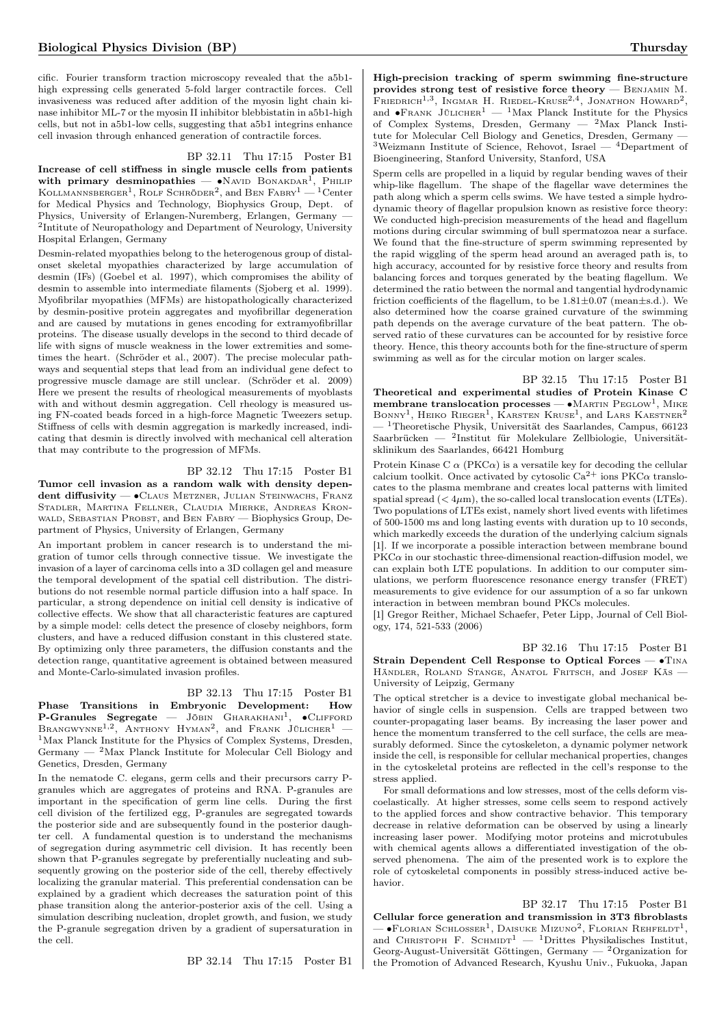cific. Fourier transform traction microscopy revealed that the a5b1 high expressing cells generated 5-fold larger contractile forces. Cell invasiveness was reduced after addition of the myosin light chain kinase inhibitor ML-7 or the myosin II inhibitor blebbistatin in a5b1-high cells, but not in a5b1-low cells, suggesting that a5b1 integrins enhance cell invasion through enhanced generation of contractile forces.

#### BP 32.11 Thu 17:15 Poster B1

Increase of cell stiffness in single muscle cells from patients with primary desminopathies —  $\bullet$ NAVID BONAKDAR<sup>1</sup>, PHILIP Kollmannsberger<sup>1</sup>, Rolf Schröder<sup>2</sup>, and Ben Fabry<sup>1</sup> — <sup>1</sup>Center for Medical Physics and Technology, Biophysics Group, Dept. of Physics, University of Erlangen-Nuremberg, Erlangen, Germany — <sup>2</sup>Intitute of Neuropathology and Department of Neurology, University Hospital Erlangen, Germany

Desmin-related myopathies belong to the heterogenous group of distalonset skeletal myopathies characterized by large accumulation of desmin (IFs) (Goebel et al. 1997), which compromises the ability of desmin to assemble into intermediate filaments (Sjoberg et al. 1999). Myofibrilar myopathies (MFMs) are histopathologically characterized by desmin-positive protein aggregates and myofibrillar degeneration and are caused by mutations in genes encoding for extramyofibrillar proteins. The disease usually develops in the second to third decade of life with signs of muscle weakness in the lower extremities and sometimes the heart. (Schröder et al., 2007). The precise molecular pathways and sequential steps that lead from an individual gene defect to progressive muscle damage are still unclear. (Schröder et al. 2009) Here we present the results of rheological measurements of myoblasts with and without desmin aggregation. Cell rheology is measured using FN-coated beads forced in a high-force Magnetic Tweezers setup. Stiffness of cells with desmin aggregation is markedly increased, indicating that desmin is directly involved with mechanical cell alteration that may contribute to the progression of MFMs.

### BP 32.12 Thu 17:15 Poster B1

Tumor cell invasion as a random walk with density dependent diffusivity — • CLAUS METZNER, JULIAN STEINWACHS, FRANZ Stadler, Martina Fellner, Claudia Mierke, Andreas Kronwald, Sebastian Probst, and Ben Fabry — Biophysics Group, Department of Physics, University of Erlangen, Germany

An important problem in cancer research is to understand the migration of tumor cells through connective tissue. We investigate the invasion of a layer of carcinoma cells into a 3D collagen gel and measure the temporal development of the spatial cell distribution. The distributions do not resemble normal particle diffusion into a half space. In particular, a strong dependence on initial cell density is indicative of collective effects. We show that all characteristic features are captured by a simple model: cells detect the presence of closeby neighbors, form clusters, and have a reduced diffusion constant in this clustered state. By optimizing only three parameters, the diffusion constants and the detection range, quantitative agreement is obtained between measured and Monte-Carlo-simulated invasion profiles.

## BP 32.13 Thu 17:15 Poster B1

Phase Transitions in Embryonic Development: How  $P$ -Granules Segregate — JÖBIN GHARAKHANI<sup>1</sup>,  $\bullet$ CLIFFORD BRANGWYNNE<sup>1,2</sup>, ANTHONY HYMAN<sup>2</sup>, and FRANK JÜLICHER<sup>1</sup> -<sup>1</sup>Max Planck Institute for the Physics of Complex Systems, Dresden, Germany  $-$  <sup>2</sup>Max Planck Institute for Molecular Cell Biology and Genetics, Dresden, Germany

In the nematode C. elegans, germ cells and their precursors carry Pgranules which are aggregates of proteins and RNA. P-granules are important in the specification of germ line cells. During the first cell division of the fertilized egg, P-granules are segregated towards the posterior side and are subsequently found in the posterior daughter cell. A fundamental question is to understand the mechanisms of segregation during asymmetric cell division. It has recently been shown that P-granules segregate by preferentially nucleating and subsequently growing on the posterior side of the cell, thereby effectively localizing the granular material. This preferential condensation can be explained by a gradient which decreases the saturation point of this phase transition along the anterior-posterior axis of the cell. Using a simulation describing nucleation, droplet growth, and fusion, we study the P-granule segregation driven by a gradient of supersaturation in the cell.

BP 32.14 Thu 17:15 Poster B1

High-precision tracking of sperm swimming fine-structure provides strong test of resistive force theory — Benjamin M. FRIEDRICH<sup>1,3</sup>, INGMAR H. RIEDEL-KRUSE<sup>2,4</sup>, JONATHON HOWARD<sup>2</sup>, and •FRANK JÜLICHER<sup>1</sup> — <sup>1</sup>Max Planck Institute for the Physics of Complex Systems, Dresden, Germany — <sup>2</sup>Max Planck Institute for Molecular Cell Biology and Genetics, Dresden, Germany -<sup>3</sup>Weizmann Institute of Science, Rehovot, Israel — <sup>4</sup>Department of Bioengineering, Stanford University, Stanford, USA

Sperm cells are propelled in a liquid by regular bending waves of their whip-like flagellum. The shape of the flagellar wave determines the path along which a sperm cells swims. We have tested a simple hydrodynamic theory of flagellar propulsion known as resistive force theory: We conducted high-precision measurements of the head and flagellum motions during circular swimming of bull spermatozoa near a surface. We found that the fine-structure of sperm swimming represented by the rapid wiggling of the sperm head around an averaged path is, to high accuracy, accounted for by resistive force theory and results from balancing forces and torques generated by the beating flagellum. We determined the ratio between the normal and tangential hydrodynamic friction coefficients of the flagellum, to be  $1.81\pm0.07$  (mean $\pm$ s.d.). We also determined how the coarse grained curvature of the swimming path depends on the average curvature of the beat pattern. The observed ratio of these curvatures can be accounted for by resistive force theory. Hence, this theory accounts both for the fine-structure of sperm swimming as well as for the circular motion on larger scales.

BP 32.15 Thu 17:15 Poster B1 Theoretical and experimental studies of Protein Kinase C membrane translocation processes — • MARTIN PEGLOW<sup>1</sup>, MIKE BONNY<sup>1</sup>, HEIKO RIEGER<sup>1</sup>, KARSTEN KRUSE<sup>1</sup>, and LARS KAESTNER<sup>2</sup> <sup>1</sup>Theoretische Physik, Universität des Saarlandes, Campus, 66123 Saarbrücken — <sup>2</sup> Institut für Molekulare Zellbiologie, Universitätsklinikum des Saarlandes, 66421 Homburg

Protein Kinase C  $\alpha$  (PKC $\alpha$ ) is a versatile key for decoding the cellular calcium toolkit. Once activated by cytosolic  $Ca^{2+}$  ions PKC $\alpha$  translocates to the plasma membrane and creates local patterns with limited spatial spread  $( $4\mu$ m), the so-called local translocation events (LTEs).$ Two populations of LTEs exist, namely short lived events with lifetimes of 500-1500 ms and long lasting events with duration up to 10 seconds, which markedly exceeds the duration of the underlying calcium signals [1]. If we incorporate a possible interaction between membrane bound  $PKC\alpha$  in our stochastic three-dimensional reaction-diffusion model, we can explain both LTE populations. In addition to our computer simulations, we perform fluorescence resonance energy transfer (FRET) measurements to give evidence for our assumption of a so far unkown interaction in between membran bound PKCs molecules.

[1] Gregor Reither, Michael Schaefer, Peter Lipp, Journal of Cell Biology, 174, 521-533 (2006)

BP 32.16 Thu 17:15 Poster B1 Strain Dependent Cell Response to Optical Forces — ∙Tina Händler, ROLAND STANGE, ANATOL FRITSCH, and JOSEF KÄS -University of Leipzig, Germany

The optical stretcher is a device to investigate global mechanical behavior of single cells in suspension. Cells are trapped between two counter-propagating laser beams. By increasing the laser power and hence the momentum transferred to the cell surface, the cells are measurably deformed. Since the cytoskeleton, a dynamic polymer network inside the cell, is responsible for cellular mechanical properties, changes in the cytoskeletal proteins are reflected in the cell's response to the stress applied.

For small deformations and low stresses, most of the cells deform viscoelastically. At higher stresses, some cells seem to respond actively to the applied forces and show contractive behavior. This temporary decrease in relative deformation can be observed by using a linearly increasing laser power. Modifying motor proteins and microtubules with chemical agents allows a differentiated investigation of the observed phenomena. The aim of the presented work is to explore the role of cytoskeletal components in possibly stress-induced active behavior.

BP 32.17 Thu 17:15 Poster B1 Cellular force generation and transmission in 3T3 fibroblasts  $-$  •Florian Schlosser<sup>1</sup>, Daisuke Mizuno<sup>2</sup>, Florian Rehfeldt<sup>1</sup>, and CHRISTOPH F. SCHMIDT<sup>1</sup> — <sup>1</sup>Drittes Physikalisches Institut, Georg-August-Universität Göttingen, Germany — <sup>2</sup>Organization for the Promotion of Advanced Research, Kyushu Univ., Fukuoka, Japan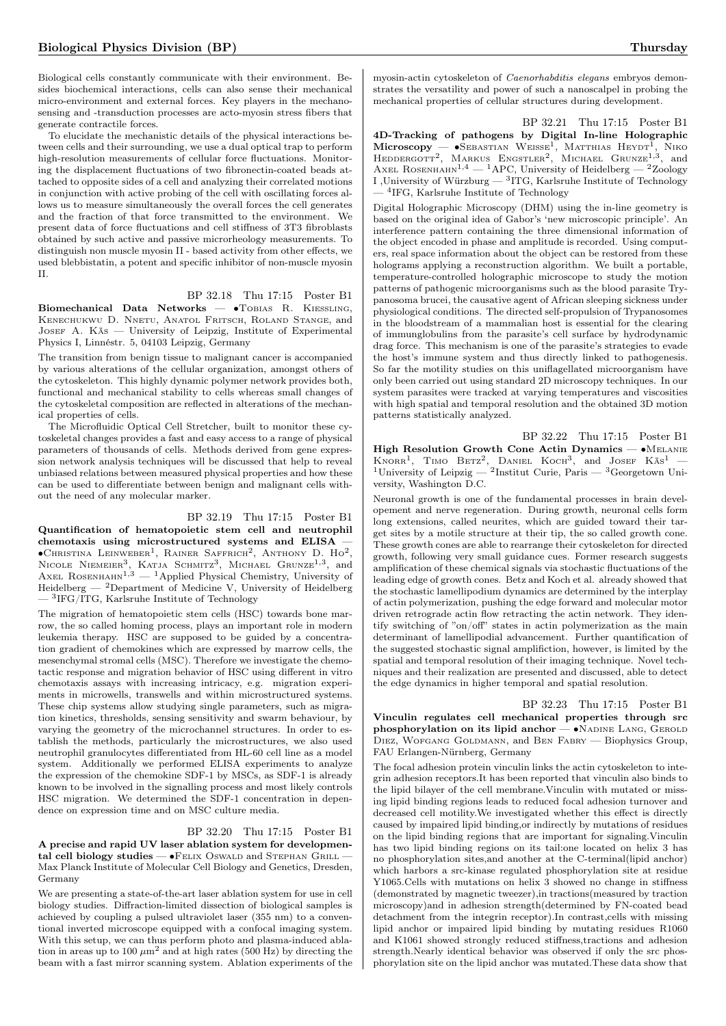Biological cells constantly communicate with their environment. Besides biochemical interactions, cells can also sense their mechanical micro-environment and external forces. Key players in the mechanosensing and -transduction processes are acto-myosin stress fibers that generate contractile forces.

To elucidate the mechanistic details of the physical interactions between cells and their surrounding, we use a dual optical trap to perform high-resolution measurements of cellular force fluctuations. Monitoring the displacement fluctuations of two fibronectin-coated beads attached to opposite sides of a cell and analyzing their correlated motions in conjunction with active probing of the cell with oscillating forces allows us to measure simultaneously the overall forces the cell generates and the fraction of that force transmitted to the environment. We present data of force fluctuations and cell stiffness of 3T3 fibroblasts obtained by such active and passive microrheology measurements. To distinguish non muscle myosin II - based activity from other effects, we used blebbistatin, a potent and specific inhibitor of non-muscle myosin II.

## BP 32.18 Thu 17:15 Poster B1

Biomechanical Data Networks — •TOBIAS R. KIESSLING, Kenechukwu D. Nnetu, Anatol Fritsch, Roland Stange, and JOSEF A. Käs — University of Leipzig, Institute of Experimental Physics I, Linnéstr. 5, 04103 Leipzig, Germany

The transition from benign tissue to malignant cancer is accompanied by various alterations of the cellular organization, amongst others of the cytoskeleton. This highly dynamic polymer network provides both, functional and mechanical stability to cells whereas small changes of the cytoskeletal composition are reflected in alterations of the mechanical properties of cells.

The Microfluidic Optical Cell Stretcher, built to monitor these cytoskeletal changes provides a fast and easy access to a range of physical parameters of thousands of cells. Methods derived from gene expression network analysis techniques will be discussed that help to reveal unbiased relations between measured physical properties and how these can be used to differentiate between benign and malignant cells without the need of any molecular marker.

BP 32.19 Thu 17:15 Poster B1 Quantification of hematopoietic stem cell and neutrophil chemotaxis using microstructured systems and ELISA — ∙Christina Leinweber<sup>1</sup> , Rainer Saffrich<sup>2</sup> , Anthony D. Ho<sup>2</sup> , NICOLE NIEMEIER<sup>3</sup>, KATJA SCHMITZ<sup>3</sup>, MICHAEL GRUNZE<sup>1,3</sup>, and AXEL ROSENHAHN<sup>1,3</sup> — <sup>1</sup>Applied Physical Chemistry, University of Heidelberg  $-$  <sup>2</sup>Department of Medicine V, University of Heidelberg — <sup>3</sup> IFG/ITG, Karlsruhe Institute of Technology

The migration of hematopoietic stem cells (HSC) towards bone marrow, the so called homing process, plays an important role in modern leukemia therapy. HSC are supposed to be guided by a concentration gradient of chemokines which are expressed by marrow cells, the mesenchymal stromal cells (MSC). Therefore we investigate the chemotactic response and migration behavior of HSC using different in vitro chemotaxis assays with increasing intricacy, e.g. migration experiments in microwells, transwells and within microstructured systems. These chip systems allow studying single parameters, such as migration kinetics, thresholds, sensing sensitivity and swarm behaviour, by varying the geometry of the microchannel structures. In order to establish the methods, particularly the microstructures, we also used neutrophil granulocytes differentiated from HL-60 cell line as a model system. Additionally we performed ELISA experiments to analyze the expression of the chemokine SDF-1 by MSCs, as SDF-1 is already known to be involved in the signalling process and most likely controls HSC migration. We determined the SDF-1 concentration in dependence on expression time and on MSC culture media.

#### BP 32.20 Thu 17:15 Poster B1

A precise and rapid UV laser ablation system for developmental cell biology studies —  $\bullet$ FELIX Oswald and Stephan Grill — Max Planck Institute of Molecular Cell Biology and Genetics, Dresden, Germany

We are presenting a state-of-the-art laser ablation system for use in cell biology studies. Diffraction-limited dissection of biological samples is achieved by coupling a pulsed ultraviolet laser (355 nm) to a conventional inverted microscope equipped with a confocal imaging system. With this setup, we can thus perform photo and plasma-induced ablation in areas up to 100  $\mu$ m<sup>2</sup> and at high rates (500 Hz) by directing the beam with a fast mirror scanning system. Ablation experiments of the myosin-actin cytoskeleton of Caenorhabditis elegans embryos demonstrates the versatility and power of such a nanoscalpel in probing the mechanical properties of cellular structures during development.

BP 32.21 Thu 17:15 Poster B1 4D-Tracking of pathogens by Digital In-line Holographic Microscopy — •SEBASTIAN WEISSE<sup>1</sup>, MATTHIAS HEYDT<sup>1</sup>, NIKO<br>HEDDERGOTT<sup>2</sup>, MARKUS ENGSTLER<sup>2</sup>, MICHAEL GRUNZE<sup>1,3</sup>, and AXEL ROSENHAHN<sup>1,4</sup>  $-$ <sup>1</sup>APC, University of Heidelberg  $-$ <sup>2</sup>Zoology I ,University of Würzburg  $-$  <sup>3</sup>ITG, Karlsruhe Institute of Technology — <sup>4</sup> IFG, Karlsruhe Institute of Technology

Digital Holographic Microscopy (DHM) using the in-line geometry is based on the original idea of Gabor's 'new microscopic principle'. An interference pattern containing the three dimensional information of the object encoded in phase and amplitude is recorded. Using computers, real space information about the object can be restored from these holograms applying a reconstruction algorithm. We built a portable, temperature-controlled holographic microscope to study the motion patterns of pathogenic microorganisms such as the blood parasite Trypanosoma brucei, the causative agent of African sleeping sickness under physiological conditions. The directed self-propulsion of Trypanosomes in the bloodstream of a mammalian host is essential for the clearing of immunglobulins from the parasite's cell surface by hydrodynamic drag force. This mechanism is one of the parasite's strategies to evade the host's immune system and thus directly linked to pathogenesis. So far the motility studies on this uniflagellated microorganism have only been carried out using standard 2D microscopy techniques. In our system parasites were tracked at varying temperatures and viscosities with high spatial and temporal resolution and the obtained 3D motion patterns statistically analyzed.

BP 32.22 Thu 17:15 Poster B1 High Resolution Growth Cone Actin Dynamics — ∙Melanie  $KNORR<sup>1</sup>$ , TIMO BETZ<sup>2</sup>, DANIEL KOCH<sup>3</sup>, and JOSEF KÄS<sup>1</sup> -<sup>1</sup>University of Leipzig — <sup>2</sup>Institut Curie, Paris — <sup>3</sup>Georgetown University, Washington D.C.

Neuronal growth is one of the fundamental processes in brain developement and nerve regeneration. During growth, neuronal cells form long extensions, called neurites, which are guided toward their target sites by a motile structure at their tip, the so called growth cone. These growth cones are able to rearrange their cytoskeleton for directed growth, following very small guidance cues. Former research suggests amplification of these chemical signals via stochastic fluctuations of the leading edge of growth cones. Betz and Koch et al. already showed that the stochastic lamellipodium dynamics are determined by the interplay of actin polymerization, pushing the edge forward and molecular motor driven retrograde actin flow retracting the actin network. They identify switching of "on/off" states in actin polymerization as the main determinant of lamellipodial advancement. Further quantification of the suggested stochastic signal amplifiction, however, is limited by the spatial and temporal resolution of their imaging technique. Novel techniques and their realization are presented and discussed, able to detect the edge dynamics in higher temporal and spatial resolution.

BP 32.23 Thu 17:15 Poster B1 Vinculin regulates cell mechanical properties through src phosphorylation on its lipid anchor  $- \bullet$ Nadine Lang, Gerold Diez, Wofgang Goldmann, and Ben Fabry — Biophysics Group, FAU Erlangen-Nürnberg, Germany

The focal adhesion protein vinculin links the actin cytoskeleton to integrin adhesion receptors.It has been reported that vinculin also binds to the lipid bilayer of the cell membrane.Vinculin with mutated or missing lipid binding regions leads to reduced focal adhesion turnover and decreased cell motility.We investigated whether this effect is directly caused by impaired lipid binding,or indirectly by mutations of residues on the lipid binding regions that are important for signaling.Vinculin has two lipid binding regions on its tail:one located on helix 3 has no phosphorylation sites,and another at the C-terminal(lipid anchor) which harbors a src-kinase regulated phosphorylation site at residue Y1065.Cells with mutations on helix 3 showed no change in stiffness (demonstrated by magnetic tweezer),in tractions(measured by traction microscopy)and in adhesion strength(determined by FN-coated bead detachment from the integrin receptor).In contrast,cells with missing lipid anchor or impaired lipid binding by mutating residues R1060 and K1061 showed strongly reduced stiffness,tractions and adhesion strength.Nearly identical behavior was observed if only the src phosphorylation site on the lipid anchor was mutated.These data show that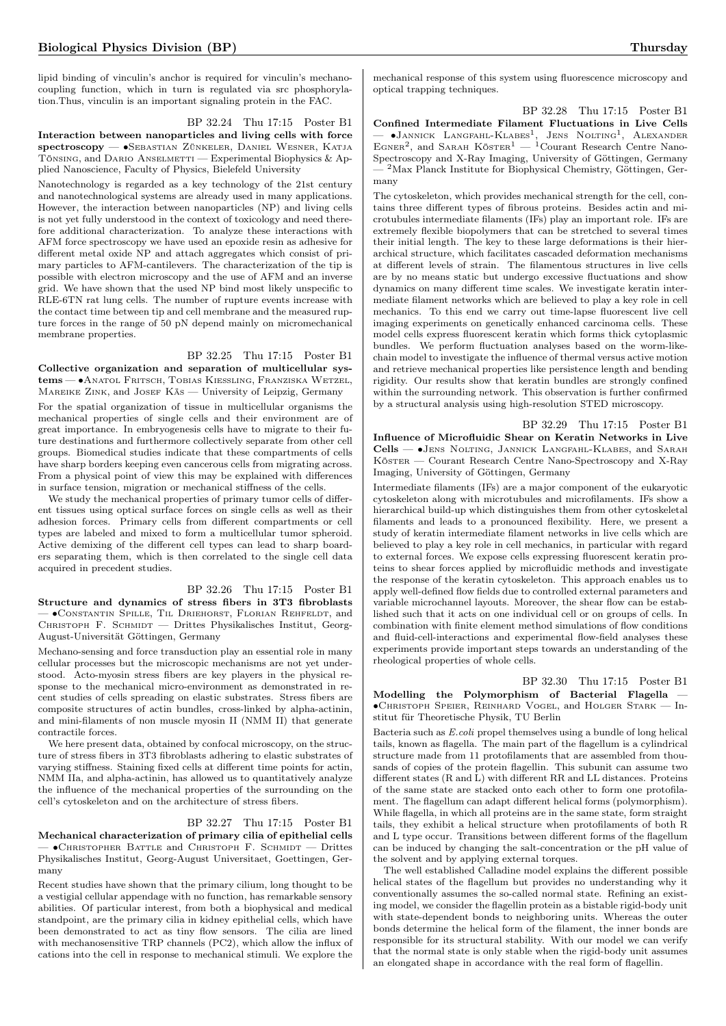lipid binding of vinculin's anchor is required for vinculin's mechanocoupling function, which in turn is regulated via src phosphorylation.Thus, vinculin is an important signaling protein in the FAC.

BP 32.24 Thu 17:15 Poster B1

Interaction between nanoparticles and living cells with force spectroscopy — ∙Sebastian Zünkeler, Daniel Wesner, Katja TÖNSING, and DARIO ANSELMETTI — Experimental Biophysics & Applied Nanoscience, Faculty of Physics, Bielefeld University

Nanotechnology is regarded as a key technology of the 21st century and nanotechnological systems are already used in many applications. However, the interaction between nanoparticles (NP) and living cells is not yet fully understood in the context of toxicology and need therefore additional characterization. To analyze these interactions with AFM force spectroscopy we have used an epoxide resin as adhesive for different metal oxide NP and attach aggregates which consist of primary particles to AFM-cantilevers. The characterization of the tip is possible with electron microscopy and the use of AFM and an inverse grid. We have shown that the used NP bind most likely unspecific to RLE-6TN rat lung cells. The number of rupture events increase with the contact time between tip and cell membrane and the measured rupture forces in the range of 50 pN depend mainly on micromechanical membrane properties.

#### BP 32.25 Thu 17:15 Poster B1

Collective organization and separation of multicellular systems — • Anatol Fritsch, Tobias Kiessling, Franziska Wetzel, MAREIKE ZINK, and JOSEF KÄS - University of Leipzig, Germany

For the spatial organization of tissue in multicellular organisms the mechanical properties of single cells and their environment are of great importance. In embryogenesis cells have to migrate to their future destinations and furthermore collectively separate from other cell groups. Biomedical studies indicate that these compartments of cells have sharp borders keeping even cancerous cells from migrating across. From a physical point of view this may be explained with differences in surface tension, migration or mechanical stiffness of the cells.

We study the mechanical properties of primary tumor cells of different tissues using optical surface forces on single cells as well as their adhesion forces. Primary cells from different compartments or cell types are labeled and mixed to form a multicellular tumor spheroid. Active demixing of the different cell types can lead to sharp boarders separating them, which is then correlated to the single cell data acquired in precedent studies.

BP 32.26 Thu 17:15 Poster B1 Structure and dynamics of stress fibers in 3T3 fibroblasts — ∙Constantin Spille, Til Driehorst, Florian Rehfeldt, and CHRISTOPH F. SCHMIDT — Drittes Physikalisches Institut, Georg-August-Universität Göttingen, Germany

Mechano-sensing and force transduction play an essential role in many cellular processes but the microscopic mechanisms are not yet understood. Acto-myosin stress fibers are key players in the physical response to the mechanical micro-environment as demonstrated in recent studies of cells spreading on elastic substrates. Stress fibers are composite structures of actin bundles, cross-linked by alpha-actinin, and mini-filaments of non muscle myosin II (NMM II) that generate contractile forces.

We here present data, obtained by confocal microscopy, on the structure of stress fibers in 3T3 fibroblasts adhering to elastic substrates of varying stiffness. Staining fixed cells at different time points for actin, NMM IIa, and alpha-actinin, has allowed us to quantitatively analyze the influence of the mechanical properties of the surrounding on the cell's cytoskeleton and on the architecture of stress fibers.

#### BP 32.27 Thu 17:15 Poster B1

Mechanical characterization of primary cilia of epithelial cells — ∙Christopher Battle and Christoph F. Schmidt — Drittes Physikalisches Institut, Georg-August Universitaet, Goettingen, Germany

Recent studies have shown that the primary cilium, long thought to be a vestigial cellular appendage with no function, has remarkable sensory abilities. Of particular interest, from both a biophysical and medical standpoint, are the primary cilia in kidney epithelial cells, which have been demonstrated to act as tiny flow sensors. The cilia are lined with mechanosensitive TRP channels (PC2), which allow the influx of cations into the cell in response to mechanical stimuli. We explore the

mechanical response of this system using fluorescence microscopy and optical trapping techniques.

BP 32.28 Thu 17:15 Poster B1 Confined Intermediate Filament Fluctuations in Live Cells — ∙Jannick Langfahl-Klabes<sup>1</sup> , Jens Nolting<sup>1</sup> , Alexander EGNER<sup>2</sup>, and SARAH KÖSTER<sup>1</sup> — <sup>1</sup>Courant Research Centre Nano-Spectroscopy and X-Ray Imaging, University of Göttingen, Germany — <sup>2</sup>Max Planck Institute for Biophysical Chemistry, Göttingen, Germany

The cytoskeleton, which provides mechanical strength for the cell, contains three different types of fibrous proteins. Besides actin and microtubules intermediate filaments (IFs) play an important role. IFs are extremely flexible biopolymers that can be stretched to several times their initial length. The key to these large deformations is their hierarchical structure, which facilitates cascaded deformation mechanisms at different levels of strain. The filamentous structures in live cells are by no means static but undergo excessive fluctuations and show dynamics on many different time scales. We investigate keratin intermediate filament networks which are believed to play a key role in cell mechanics. To this end we carry out time-lapse fluorescent live cell imaging experiments on genetically enhanced carcinoma cells. These model cells express fluorescent keratin which forms thick cytoplasmic bundles. We perform fluctuation analyses based on the worm-likechain model to investigate the influence of thermal versus active motion and retrieve mechanical properties like persistence length and bending rigidity. Our results show that keratin bundles are strongly confined within the surrounding network. This observation is further confirmed by a structural analysis using high-resolution STED microscopy.

BP 32.29 Thu 17:15 Poster B1 Influence of Microfluidic Shear on Keratin Networks in Live Cells — ∙Jens Nolting, Jannick Langfahl-Klabes, and Sarah Köster — Courant Research Centre Nano-Spectroscopy and X-Ray

Imaging, University of Göttingen, Germany Intermediate filaments (IFs) are a major component of the eukaryotic cytoskeleton along with microtubules and microfilaments. IFs show a hierarchical build-up which distinguishes them from other cytoskeletal filaments and leads to a pronounced flexibility. Here, we present a study of keratin intermediate filament networks in live cells which are believed to play a key role in cell mechanics, in particular with regard to external forces. We expose cells expressing fluorescent keratin proteins to shear forces applied by microfluidic methods and investigate the response of the keratin cytoskeleton. This approach enables us to apply well-defined flow fields due to controlled external parameters and variable microchannel layouts. Moreover, the shear flow can be established such that it acts on one individual cell or on groups of cells. In combination with finite element method simulations of flow conditions and fluid-cell-interactions and experimental flow-field analyses these experiments provide important steps towards an understanding of the rheological properties of whole cells.

BP 32.30 Thu 17:15 Poster B1 Modelling the Polymorphism of Bacterial Flagella — ∙Christoph Speier, Reinhard Vogel, and Holger Stark — Institut für Theoretische Physik, TU Berlin

Bacteria such as E.coli propel themselves using a bundle of long helical tails, known as flagella. The main part of the flagellum is a cylindrical structure made from 11 protofilaments that are assembled from thousands of copies of the protein flagellin. This subunit can assume two different states (R and L) with different RR and LL distances. Proteins of the same state are stacked onto each other to form one protofilament. The flagellum can adapt different helical forms (polymorphism). While flagella, in which all proteins are in the same state, form straight tails, they exhibit a helical structure when protofilaments of both R and L type occur. Transitions between different forms of the flagellum can be induced by changing the salt-concentration or the pH value of the solvent and by applying external torques.

The well established Calladine model explains the different possible helical states of the flagellum but provides no understanding why it conventionally assumes the so-called normal state. Refining an existing model, we consider the flagellin protein as a bistable rigid-body unit with state-dependent bonds to neighboring units. Whereas the outer bonds determine the helical form of the filament, the inner bonds are responsible for its structural stability. With our model we can verify that the normal state is only stable when the rigid-body unit assumes an elongated shape in accordance with the real form of flagellin.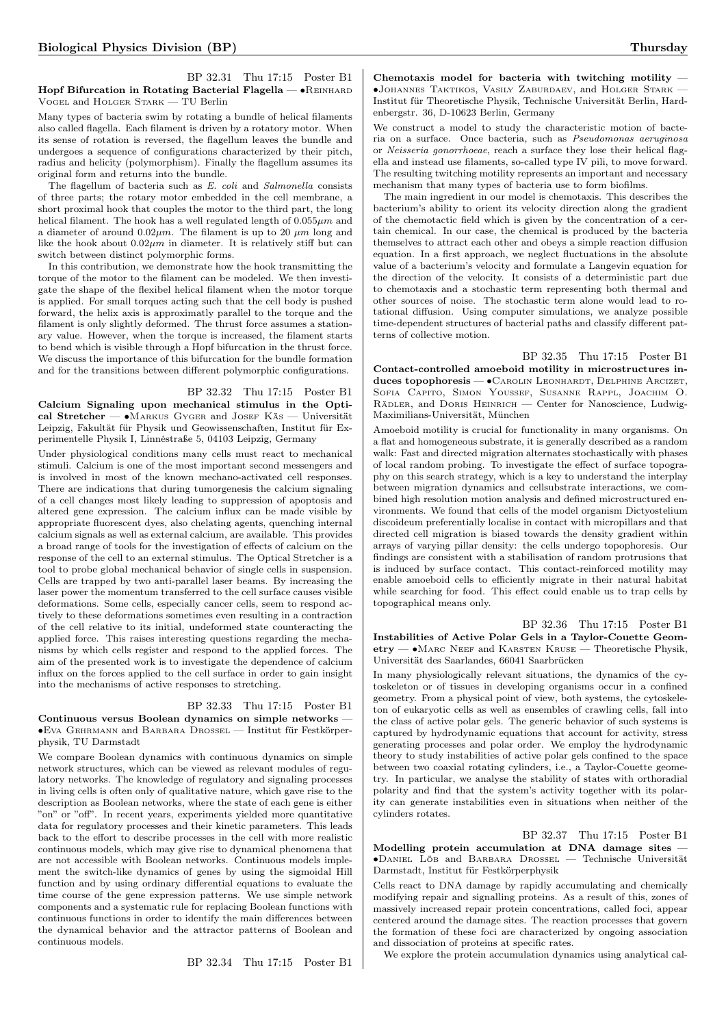#### BP 32.31 Thu 17:15 Poster B1 Hopf Bifurcation in Rotating Bacterial Flagella — • REINHARD Vogel and Holger Stark — TU Berlin

Many types of bacteria swim by rotating a bundle of helical filaments also called flagella. Each filament is driven by a rotatory motor. When its sense of rotation is reversed, the flagellum leaves the bundle and undergoes a sequence of configurations characterized by their pitch, radius and helicity (polymorphism). Finally the flagellum assumes its original form and returns into the bundle.

The flagellum of bacteria such as E. coli and Salmonella consists of three parts; the rotary motor embedded in the cell membrane, a short proximal hook that couples the motor to the third part, the long helical filament. The hook has a well regulated length of  $0.055 \mu m$  and a diameter of around  $0.02 \mu m$ . The filament is up to 20  $\mu m$  long and like the hook about  $0.02 \mu m$  in diameter. It is relatively stiff but can switch between distinct polymorphic forms.

In this contribution, we demonstrate how the hook transmitting the torque of the motor to the filament can be modeled. We then investigate the shape of the flexibel helical filament when the motor torque is applied. For small torques acting such that the cell body is pushed forward, the helix axis is approximatly parallel to the torque and the filament is only slightly deformed. The thrust force assumes a stationary value. However, when the torque is increased, the filament starts to bend which is visible through a Hopf bifurcation in the thrust force. We discuss the importance of this bifurcation for the bundle formation and for the transitions between different polymorphic configurations.

#### BP 32.32 Thu 17:15 Poster B1

Calcium Signaling upon mechanical stimulus in the Optical Stretcher — ∙Markus Gyger and Josef Käs — Universität Leipzig, Fakultät für Physik und Geowissenschaften, Institut für Experimentelle Physik I, Linnéstraße 5, 04103 Leipzig, Germany

Under physiological conditions many cells must react to mechanical stimuli. Calcium is one of the most important second messengers and is involved in most of the known mechano-activated cell responses. There are indications that during tumorgenesis the calcium signaling of a cell changes most likely leading to suppression of apoptosis and altered gene expression. The calcium influx can be made visible by appropriate fluorescent dyes, also chelating agents, quenching internal calcium signals as well as external calcium, are available. This provides a broad range of tools for the investigation of effects of calcium on the response of the cell to an external stimulus. The Optical Stretcher is a tool to probe global mechanical behavior of single cells in suspension. Cells are trapped by two anti-parallel laser beams. By increasing the laser power the momentum transferred to the cell surface causes visible deformations. Some cells, especially cancer cells, seem to respond actively to these deformations sometimes even resulting in a contraction of the cell relative to its initial, undeformed state counteracting the applied force. This raises interesting questions regarding the mechanisms by which cells register and respond to the applied forces. The aim of the presented work is to investigate the dependence of calcium influx on the forces applied to the cell surface in order to gain insight into the mechanisms of active responses to stretching.

#### BP 32.33 Thu 17:15 Poster B1 Continuous versus Boolean dynamics on simple networks — ∙Eva Gehrmann and Barbara Drossel — Institut für Festkörperphysik, TU Darmstadt

We compare Boolean dynamics with continuous dynamics on simple network structures, which can be viewed as relevant modules of regulatory networks. The knowledge of regulatory and signaling processes in living cells is often only of qualitative nature, which gave rise to the description as Boolean networks, where the state of each gene is either "on" or "off". In recent years, experiments yielded more quantitative data for regulatory processes and their kinetic parameters. This leads back to the effort to describe processes in the cell with more realistic continuous models, which may give rise to dynamical phenomena that are not accessible with Boolean networks. Continuous models implement the switch-like dynamics of genes by using the sigmoidal Hill function and by using ordinary differential equations to evaluate the time course of the gene expression patterns. We use simple network components and a systematic rule for replacing Boolean functions with continuous functions in order to identify the main differences between the dynamical behavior and the attractor patterns of Boolean and continuous models.

BP 32.34 Thu 17:15 Poster B1

Chemotaxis model for bacteria with twitching motility — ∙Johannes Taktikos, Vasily Zaburdaev, and Holger Stark — Institut für Theoretische Physik, Technische Universität Berlin, Hardenbergstr. 36, D-10623 Berlin, Germany

We construct a model to study the characteristic motion of bacteria on a surface. Once bacteria, such as Pseudomonas aeruginosa or Neisseria gonorrhoeae, reach a surface they lose their helical flagella and instead use filaments, so-called type IV pili, to move forward. The resulting twitching motility represents an important and necessary mechanism that many types of bacteria use to form biofilms.

The main ingredient in our model is chemotaxis. This describes the bacterium's ability to orient its velocity direction along the gradient of the chemotactic field which is given by the concentration of a certain chemical. In our case, the chemical is produced by the bacteria themselves to attract each other and obeys a simple reaction diffusion equation. In a first approach, we neglect fluctuations in the absolute value of a bacterium's velocity and formulate a Langevin equation for the direction of the velocity. It consists of a deterministic part due to chemotaxis and a stochastic term representing both thermal and other sources of noise. The stochastic term alone would lead to rotational diffusion. Using computer simulations, we analyze possible time-dependent structures of bacterial paths and classify different patterns of collective motion.

BP 32.35 Thu 17:15 Poster B1 Contact-controlled amoeboid motility in microstructures induces topophoresis — ∙Carolin Leonhardt, Delphine Arcizet, Sofia Capito, Simon Youssef, Susanne Rappl, Joachim O. Rädler, and Doris Heinrich — Center for Nanoscience, Ludwig-Maximilians-Universität, München

Amoeboid motility is crucial for functionality in many organisms. On a flat and homogeneous substrate, it is generally described as a random walk: Fast and directed migration alternates stochastically with phases of local random probing. To investigate the effect of surface topography on this search strategy, which is a key to understand the interplay between migration dynamics and cellsubstrate interactions, we combined high resolution motion analysis and defined microstructured environments. We found that cells of the model organism Dictyostelium discoideum preferentially localise in contact with micropillars and that directed cell migration is biased towards the density gradient within arrays of varying pillar density: the cells undergo topophoresis. Our findings are consistent with a stabilisation of random protrusions that is induced by surface contact. This contact-reinforced motility may enable amoeboid cells to efficiently migrate in their natural habitat while searching for food. This effect could enable us to trap cells by topographical means only.

BP 32.36 Thu 17:15 Poster B1 Instabilities of Active Polar Gels in a Taylor-Couette Geometry — ∙Marc Neef and Karsten Kruse — Theoretische Physik, Universität des Saarlandes, 66041 Saarbrücken

In many physiologically relevant situations, the dynamics of the cytoskeleton or of tissues in developing organisms occur in a confined geometry. From a physical point of view, both systems, the cytoskeleton of eukaryotic cells as well as ensembles of crawling cells, fall into the class of active polar gels. The generic behavior of such systems is captured by hydrodynamic equations that account for activity, stress generating processes and polar order. We employ the hydrodynamic theory to study instabilities of active polar gels confined to the space between two coaxial rotating cylinders, i.e., a Taylor-Couette geometry. In particular, we analyse the stability of states with orthoradial polarity and find that the system's activity together with its polarity can generate instabilities even in situations when neither of the cylinders rotates.

BP 32.37 Thu 17:15 Poster B1 Modelling protein accumulation at DNA damage sites — ∙Daniel Löb and Barbara Drossel — Technische Universität Darmstadt, Institut für Festkörperphysik

Cells react to DNA damage by rapidly accumulating and chemically modifying repair and signalling proteins. As a result of this, zones of massively increased repair protein concentrations, called foci, appear centered around the damage sites. The reaction processes that govern the formation of these foci are characterized by ongoing association and dissociation of proteins at specific rates.

We explore the protein accumulation dynamics using analytical cal-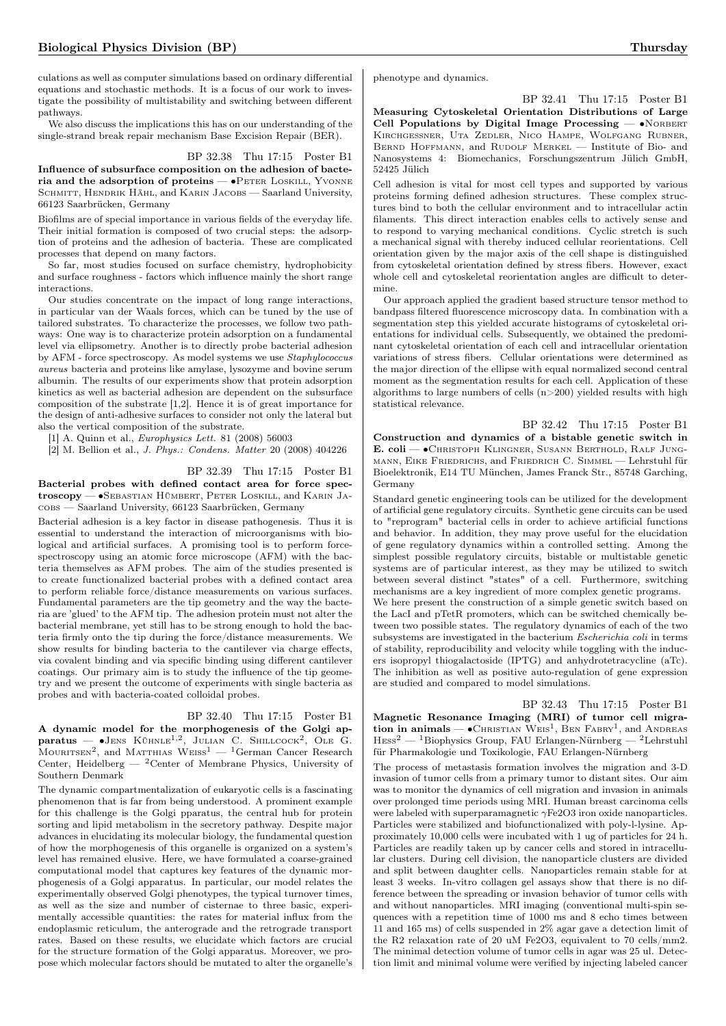culations as well as computer simulations based on ordinary differential equations and stochastic methods. It is a focus of our work to investigate the possibility of multistability and switching between different pathways.

We also discuss the implications this has on our understanding of the single-strand break repair mechanism Base Excision Repair (BER).

#### BP 32.38 Thu 17:15 Poster B1

Influence of subsurface composition on the adhesion of bacteria and the adsorption of proteins — •PETER LOSKILL, YVONNE SCHMITT, HENDRIK HÄHL, and KARIN JACOBS - Saarland University, 66123 Saarbrücken, Germany

Biofilms are of special importance in various fields of the everyday life. Their initial formation is composed of two crucial steps: the adsorption of proteins and the adhesion of bacteria. These are complicated processes that depend on many factors.

So far, most studies focused on surface chemistry, hydrophobicity and surface roughness - factors which influence mainly the short range interactions.

Our studies concentrate on the impact of long range interactions, in particular van der Waals forces, which can be tuned by the use of tailored substrates. To characterize the processes, we follow two pathways: One way is to characterize protein adsorption on a fundamental level via ellipsometry. Another is to directly probe bacterial adhesion by AFM - force spectroscopy. As model systems we use Staphylococcus aureus bacteria and proteins like amylase, lysozyme and bovine serum albumin. The results of our experiments show that protein adsorption kinetics as well as bacterial adhesion are dependent on the subsurface composition of the substrate [1,2]. Hence it is of great importance for the design of anti-adhesive surfaces to consider not only the lateral but also the vertical composition of the substrate.

[1] A. Quinn et al., Europhysics Lett. 81 (2008) 56003

[2] M. Bellion et al., J. Phys.: Condens. Matter 20 (2008) 404226

### BP 32.39 Thu 17:15 Poster B1

Bacterial probes with defined contact area for force spectroscopy — ∙Sebastian Hümbert, Peter Loskill, and Karin Jacobs — Saarland University, 66123 Saarbrücken, Germany

Bacterial adhesion is a key factor in disease pathogenesis. Thus it is essential to understand the interaction of microorganisms with biological and artificial surfaces. A promising tool is to perform forcespectroscopy using an atomic force microscope (AFM) with the bacteria themselves as AFM probes. The aim of the studies presented is to create functionalized bacterial probes with a defined contact area to perform reliable force/distance measurements on various surfaces. Fundamental parameters are the tip geometry and the way the bacteria are 'glued' to the AFM tip. The adhesion protein must not alter the bacterial membrane, yet still has to be strong enough to hold the bacteria firmly onto the tip during the force/distance measurements. We show results for binding bacteria to the cantilever via charge effects, via covalent binding and via specific binding using different cantilever coatings. Our primary aim is to study the influence of the tip geometry and we present the outcome of experiments with single bacteria as probes and with bacteria-coated colloidal probes.

#### BP 32.40 Thu 17:15 Poster B1

A dynamic model for the morphogenesis of the Golgi ap- $\mathbf{paratus} = \bullet \mathbf{J}\text{ENS KÜHNLE}^{1,2}$ , JULIAN C. SHILLCOCK<sup>2</sup>, OLE G. MOURITSEN<sup>2</sup>, and MATTHIAS  $Wers^1 - {^{1}}$ German Cancer Research Center, Heidelberg —  ${}^{2}$ Center of Membrane Physics, University of Southern Denmark

The dynamic compartmentalization of eukaryotic cells is a fascinating phenomenon that is far from being understood. A prominent example for this challenge is the Golgi pparatus, the central hub for protein sorting and lipid metabolism in the secretory pathway. Despite major advances in elucidating its molecular biology, the fundamental question of how the morphogenesis of this organelle is organized on a system's level has remained elusive. Here, we have formulated a coarse-grained computational model that captures key features of the dynamic morphogenesis of a Golgi apparatus. In particular, our model relates the experimentally observed Golgi phenotypes, the typical turnover times, as well as the size and number of cisternae to three basic, experimentally accessible quantities: the rates for material influx from the endoplasmic reticulum, the anterograde and the retrograde transport rates. Based on these results, we elucidate which factors are crucial for the structure formation of the Golgi apparatus. Moreover, we propose which molecular factors should be mutated to alter the organelle's phenotype and dynamics.

## BP 32.41 Thu 17:15 Poster B1

Measuring Cytoskeletal Orientation Distributions of Large Cell Populations by Digital Image Processing —  $\bullet$ NORBERT Kirchgeßner, Uta Zedler, Nico Hampe, Wolfgang Rubner, BERND HOFFMANN, and RUDOLF MERKEL - Institute of Bio- and Nanosystems 4: Biomechanics, Forschungszentrum Jülich GmbH, 52425 Jülich

Cell adhesion is vital for most cell types and supported by various proteins forming defined adhesion structures. These complex structures bind to both the cellular environment and to intracellular actin filaments. This direct interaction enables cells to actively sense and to respond to varying mechanical conditions. Cyclic stretch is such a mechanical signal with thereby induced cellular reorientations. Cell orientation given by the major axis of the cell shape is distinguished from cytoskeletal orientation defined by stress fibers. However, exact whole cell and cytoskeletal reorientation angles are difficult to determine.

Our approach applied the gradient based structure tensor method to bandpass filtered fluorescence microscopy data. In combination with a segmentation step this yielded accurate histograms of cytoskeletal orientations for individual cells. Subsequently, we obtained the predominant cytoskeletal orientation of each cell and intracellular orientation variations of stress fibers. Cellular orientations were determined as the major direction of the ellipse with equal normalized second central moment as the segmentation results for each cell. Application of these algorithms to large numbers of cells  $(n>200)$  yielded results with high statistical relevance.

BP 32.42 Thu 17:15 Poster B1 Construction and dynamics of a bistable genetic switch in E. coli — ∙Christoph Klingner, Susann Berthold, Ralf Jungmann, Eike Friedrichs, and Friedrich C. Simmel — Lehrstuhl für Bioelektronik, E14 TU München, James Franck Str., 85748 Garching, Germany

Standard genetic engineering tools can be utilized for the development of artificial gene regulatory circuits. Synthetic gene circuits can be used to "reprogram" bacterial cells in order to achieve artificial functions and behavior. In addition, they may prove useful for the elucidation of gene regulatory dynamics within a controlled setting. Among the simplest possible regulatory circuits, bistable or multistable genetic systems are of particular interest, as they may be utilized to switch between several distinct "states" of a cell. Furthermore, switching mechanisms are a key ingredient of more complex genetic programs. We here present the construction of a simple genetic switch based on the LacI and pTetR promoters, which can be switched chemically between two possible states. The regulatory dynamics of each of the two subsystems are investigated in the bacterium Escherichia coli in terms of stability, reproducibility and velocity while toggling with the inducers isopropyl thiogalactoside (IPTG) and anhydrotetracycline (aTc). The inhibition as well as positive auto-regulation of gene expression are studied and compared to model simulations.

BP 32.43 Thu 17:15 Poster B1 Magnetic Resonance Imaging (MRI) of tumor cell migration in animals —  $\bullet$ CHRISTIAN WEIS<sup>1</sup>, BEN FABRY<sup>1</sup>, and ANDREAS  $\mathrm{Hess^2} - \mathrm{^1B}$ iophysics Group, FAU Erlangen-Nürnberg —  $\mathrm{^2L}$ ehrstuhl für Pharmakologie und Toxikologie, FAU Erlangen-Nürnberg

The process of metastasis formation involves the migration and 3-D invasion of tumor cells from a primary tumor to distant sites. Our aim was to monitor the dynamics of cell migration and invasion in animals over prolonged time periods using MRI. Human breast carcinoma cells were labeled with superparamagnetic  $\gamma$ Fe2O3 iron oxide nanoparticles. Particles were stabilized and biofunctionalized with poly-l-lysine. Approximately 10,000 cells were incubated with 1 ug of particles for 24 h. Particles are readily taken up by cancer cells and stored in intracellular clusters. During cell division, the nanoparticle clusters are divided and split between daughter cells. Nanoparticles remain stable for at least 3 weeks. In-vitro collagen gel assays show that there is no difference between the spreading or invasion behavior of tumor cells with and without nanoparticles. MRI imaging (conventional multi-spin sequences with a repetition time of 1000 ms and 8 echo times between 11 and 165 ms) of cells suspended in 2% agar gave a detection limit of the R2 relaxation rate of 20 uM Fe2O3, equivalent to 70 cells/mm2. The minimal detection volume of tumor cells in agar was 25 ul. Detection limit and minimal volume were verified by injecting labeled cancer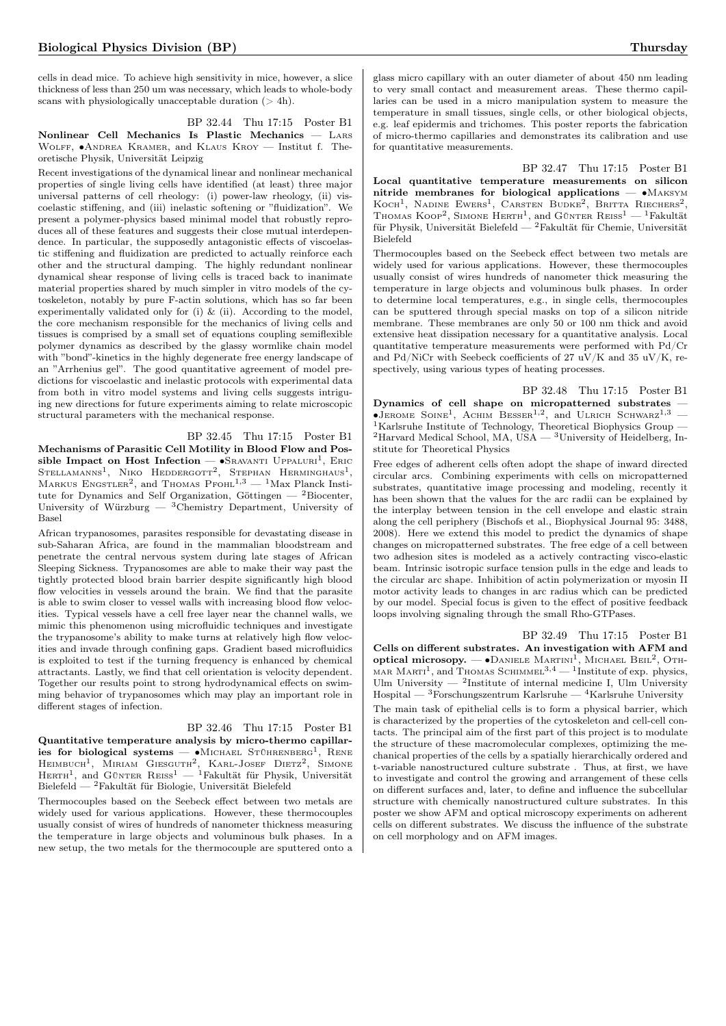cells in dead mice. To achieve high sensitivity in mice, however, a slice thickness of less than 250 um was necessary, which leads to whole-body scans with physiologically unacceptable duration  $(> 4h)$ .

BP 32.44 Thu 17:15 Poster B1 Nonlinear Cell Mechanics Is Plastic Mechanics — Lars Wolff, ∙Andrea Kramer, and Klaus Kroy — Institut f. Theoretische Physik, Universität Leipzig

Recent investigations of the dynamical linear and nonlinear mechanical properties of single living cells have identified (at least) three major universal patterns of cell rheology: (i) power-law rheology, (ii) viscoelastic stiffening, and (iii) inelastic softening or "fluidization". We present a polymer-physics based minimal model that robustly reproduces all of these features and suggests their close mutual interdependence. In particular, the supposedly antagonistic effects of viscoelastic stiffening and fluidization are predicted to actually reinforce each other and the structural damping. The highly redundant nonlinear dynamical shear response of living cells is traced back to inanimate material properties shared by much simpler in vitro models of the cytoskeleton, notably by pure F-actin solutions, which has so far been experimentally validated only for (i) & (ii). According to the model, the core mechanism responsible for the mechanics of living cells and tissues is comprised by a small set of equations coupling semiflexible polymer dynamics as described by the glassy wormlike chain model with "bond"-kinetics in the highly degenerate free energy landscape of an "Arrhenius gel". The good quantitative agreement of model predictions for viscoelastic and inelastic protocols with experimental data from both in vitro model systems and living cells suggests intriguing new directions for future experiments aiming to relate microscopic structural parameters with the mechanical response.

BP 32.45 Thu 17:15 Poster B1

Mechanisms of Parasitic Cell Motility in Blood Flow and Possible Impact on Host Infection — •Sravanti Uppaluri<sup>1</sup>, Eric<br>Stellamanns<sup>1</sup>, Niko Heddergott<sup>2</sup>, Stephan Herminghaus<sup>1</sup>, MARKUS ENGSTLER<sup>2</sup>, and THOMAS  $\text{Pf}\text{OH}^{1,3} = \frac{1}{1}M$ ax Planck Institute for Dynamics and Self Organization, Göttingen  $-$  <sup>2</sup>Biocenter, University of Würzburg — <sup>3</sup>Chemistry Department, University of Basel

African trypanosomes, parasites responsible for devastating disease in sub-Saharan Africa, are found in the mammalian bloodstream and penetrate the central nervous system during late stages of African Sleeping Sickness. Trypanosomes are able to make their way past the tightly protected blood brain barrier despite significantly high blood flow velocities in vessels around the brain. We find that the parasite is able to swim closer to vessel walls with increasing blood flow velocities. Typical vessels have a cell free layer near the channel walls, we mimic this phenomenon using microfluidic techniques and investigate the trypanosome's ability to make turns at relatively high flow velocities and invade through confining gaps. Gradient based microfluidics is exploited to test if the turning frequency is enhanced by chemical attractants. Lastly, we find that cell orientation is velocity dependent. Together our results point to strong hydrodynamical effects on swimming behavior of trypanosomes which may play an important role in different stages of infection.

## BP 32.46 Thu 17:15 Poster B1

Quantitative temperature analysis by micro-thermo capillaries for biological systems — • MICHAEL STÜHRENBERG<sup>1</sup>, RENE HEIMBUCH<sup>1</sup>, MIRIAM GIESGUTH<sup>2</sup>, KARL-JOSEF DIETZ<sup>2</sup>, SIMONE HERTH<sup>1</sup>, and Günter Reiss<sup>1</sup> - <sup>1</sup>Fakultät für Physik, Universität Bielefeld — <sup>2</sup>Fakultät für Biologie, Universität Bielefeld

Thermocouples based on the Seebeck effect between two metals are widely used for various applications. However, these thermocouples usually consist of wires of hundreds of nanometer thickness measuring the temperature in large objects and voluminous bulk phases. In a new setup, the two metals for the thermocouple are sputtered onto a

glass micro capillary with an outer diameter of about 450 nm leading to very small contact and measurement areas. These thermo capillaries can be used in a micro manipulation system to measure the temperature in small tissues, single cells, or other biological objects, e.g. leaf epidermis and trichomes. This poster reports the fabrication of micro-thermo capillaries and demonstrates its calibration and use for quantitative measurements.

BP 32.47 Thu 17:15 Poster B1 Local quantitative temperature measurements on silicon nitride membranes for biological applications — ∙Maksym KOCH<sup>1</sup>, NADINE EWERS<sup>1</sup>, CARSTEN BUDKE<sup>2</sup>, BRITTA RIECHERS<sup>2</sup>, THOMAS KOOP<sup>2</sup>, SIMONE HERTH<sup>1</sup>, and GÜNTER REISS<sup>1</sup> - <sup>1</sup>Fakultät für Physik, Universität Bielefeld — <sup>2</sup>Fakultät für Chemie, Universität Bielefeld

Thermocouples based on the Seebeck effect between two metals are widely used for various applications. However, these thermocouples usually consist of wires hundreds of nanometer thick measuring the temperature in large objects and voluminous bulk phases. In order to determine local temperatures, e.g., in single cells, thermocouples can be sputtered through special masks on top of a silicon nitride membrane. These membranes are only 50 or 100 nm thick and avoid extensive heat dissipation necessary for a quantitative analysis. Local quantitative temperature measurements were performed with Pd/Cr and Pd/NiCr with Seebeck coefficients of 27 uV/K and 35 uV/K, respectively, using various types of heating processes.

BP 32.48 Thu 17:15 Poster B1 Dynamics of cell shape on micropatterned substrates  $\bullet$ Jerome Soine<sup>1</sup>, Achim Besser<sup>1,2</sup>, and Ulrich Schwarz<sup>1,3</sup> – <sup>1</sup>Karlsruhe Institute of Technology, Theoretical Biophysics Group — <sup>2</sup>Harvard Medical School, MA, USA  $-$ <sup>3</sup>University of Heidelberg, Institute for Theoretical Physics

Free edges of adherent cells often adopt the shape of inward directed circular arcs. Combining experiments with cells on micropatterned substrates, quantitative image processing and modeling, recently it has been shown that the values for the arc radii can be explained by the interplay between tension in the cell envelope and elastic strain along the cell periphery (Bischofs et al., Biophysical Journal 95: 3488, 2008). Here we extend this model to predict the dynamics of shape changes on micropatterned substrates. The free edge of a cell between two adhesion sites is modeled as a actively contracting visco-elastic beam. Intrinsic isotropic surface tension pulls in the edge and leads to the circular arc shape. Inhibition of actin polymerization or myosin II motor activity leads to changes in arc radius which can be predicted by our model. Special focus is given to the effect of positive feedback loops involving signaling through the small Rho-GTPases.

BP 32.49 Thu 17:15 Poster B1 Cells on different substrates. An investigation with AFM and optical microsopy. —  $\bullet$ Daniele Martini<sup>1</sup>, Michael Beil<sup>2</sup>, Oth-MAR MARTI<sup>1</sup>, and THOMAS SCHIMMEL<sup>3,4</sup> - <sup>1</sup>Institute of exp. physics, Ulm University  $-$  <sup>2</sup>Institute of internal medicine I, Ulm University Hospital —  $3$ Forschungszentrum Karlsruhe —  $4$ Karlsruhe University The main task of epithelial cells is to form a physical barrier, which is characterized by the properties of the cytoskeleton and cell-cell contacts. The principal aim of the first part of this project is to modulate the structure of these macromolecular complexes, optimizing the mechanical properties of the cells by a spatially hierarchically ordered and t-variable nanostructured culture substrate . Thus, at first, we have to investigate and control the growing and arrangement of these cells on different surfaces and, later, to define and influence the subcellular structure with chemically nanostructured culture substrates. In this poster we show AFM and optical microscopy experiments on adherent cells on different substrates. We discuss the influence of the substrate on cell morphology and on AFM images.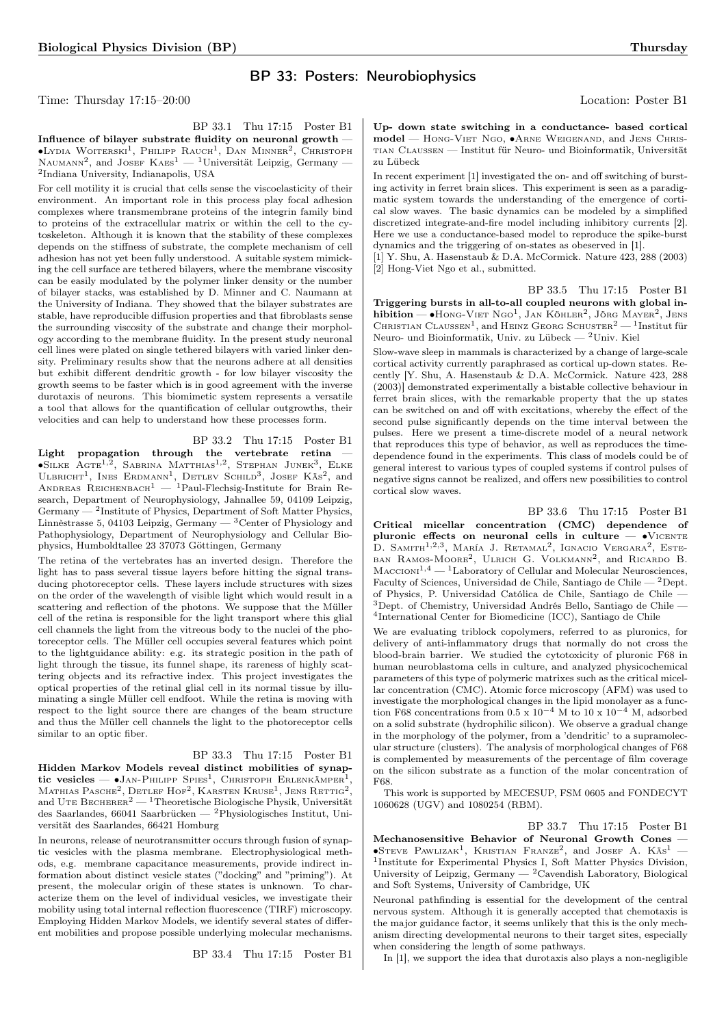## BP 33: Posters: Neurobiophysics

Time: Thursday 17:15–20:00 Location: Poster B1

BP 33.1 Thu 17:15 Poster B1 Influence of bilayer substrate fluidity on neuronal growth — ∙Lydia Woiterski<sup>1</sup> , Philipp Rauch<sup>1</sup> , Dan Minner<sup>2</sup> , Christoph NAUMANN<sup>2</sup>, and JOSEF  $K$ AES<sup>1</sup> — <sup>1</sup>Universität Leipzig, Germany — 2 Indiana University, Indianapolis, USA

For cell motility it is crucial that cells sense the viscoelasticity of their environment. An important role in this process play focal adhesion complexes where transmembrane proteins of the integrin family bind to proteins of the extracellular matrix or within the cell to the cytoskeleton. Although it is known that the stability of these complexes depends on the stiffness of substrate, the complete mechanism of cell adhesion has not yet been fully understood. A suitable system mimicking the cell surface are tethered bilayers, where the membrane viscosity can be easily modulated by the polymer linker density or the number of bilayer stacks, was established by D. Minner and C. Naumann at the University of Indiana. They showed that the bilayer substrates are stable, have reproducible diffusion properties and that fibroblasts sense the surrounding viscosity of the substrate and change their morphology according to the membrane fluidity. In the present study neuronal cell lines were plated on single tethered bilayers with varied linker density. Preliminary results show that the neurons adhere at all densities but exhibit different dendritic growth - for low bilayer viscosity the growth seems to be faster which is in good agreement with the inverse durotaxis of neurons. This biomimetic system represents a versatile a tool that allows for the quantification of cellular outgrowths, their velocities and can help to understand how these processes form.

BP 33.2 Thu 17:15 Poster B1

Light propagation through the vertebrate retina —<br>•Silke Agte<sup>1,2</sup>, SABRINA MATTHIAS<sup>1,2</sup>, STEPHAN JUNEK<sup>3</sup>, ELKE ULBRICHT<sup>1</sup>, INES ERDMANN<sup>1</sup>, DETLEV SCHILD<sup>3</sup>, JOSEF KÄS<sup>2</sup>, and<br>ANDREAS REICHENBACH<sup>1</sup> — <sup>1</sup>Paul-Flechsig-Institute for Brain Research, Department of Neurophysiology, Jahnallee 59, 04109 Leipzig, Germany — <sup>2</sup>Institute of Physics, Department of Soft Matter Physics, Linnèstrasse 5, 04103 Leipzig, Germany  $-$  <sup>3</sup>Center of Physiology and Pathophysiology, Department of Neurophysiology and Cellular Biophysics, Humboldtallee 23 37073 Göttingen, Germany

The retina of the vertebrates has an inverted design. Therefore the light has to pass several tissue layers before hitting the signal transducing photoreceptor cells. These layers include structures with sizes on the order of the wavelength of visible light which would result in a scattering and reflection of the photons. We suppose that the Müller cell of the retina is responsible for the light transport where this glial cell channels the light from the vitreous body to the nuclei of the photoreceptor cells. The Müller cell occupies several features which point to the lightguidance ability: e.g. its strategic position in the path of light through the tissue, its funnel shape, its rareness of highly scattering objects and its refractive index. This project investigates the optical properties of the retinal glial cell in its normal tissue by illuminating a single Müller cell endfoot. While the retina is moving with respect to the light source there are changes of the beam structure and thus the Müller cell channels the light to the photoreceptor cells similar to an optic fiber.

## BP 33.3 Thu 17:15 Poster B1

Hidden Markov Models reveal distinct mobilities of synaptic vesicles —  $\bullet$ Jan-Philipp Spies<sup>1</sup>, Christoph Erlenkämper<sup>1</sup>, Mathias Pasche<sup>2</sup>, Detlef Hof<sup>2</sup>, Karsten Kruse<sup>1</sup>, Jens Rettig<sup>2</sup>, and UTE BECHERER<sup>2</sup> — <sup>1</sup>Theoretische Biologische Physik, Universität des Saarlandes, 66041 Saarbrücken — <sup>2</sup>Physiologisches Institut, Universität des Saarlandes, 66421 Homburg

In neurons, release of neurotransmitter occurs through fusion of synaptic vesicles with the plasma membrane. Electrophysiological methods, e.g. membrane capacitance measurements, provide indirect information about distinct vesicle states ("docking" and "priming"). At present, the molecular origin of these states is unknown. To characterize them on the level of individual vesicles, we investigate their mobility using total internal reflection fluorescence (TIRF) microscopy. Employing Hidden Markov Models, we identify several states of different mobilities and propose possible underlying molecular mechanisms.

BP 33.4 Thu 17:15 Poster B1

Up- down state switching in a conductance- based cortical model — Hong-Viet Ngo, ∙Arne Weigenand, and Jens Christian Claussen — Institut für Neuro- und Bioinformatik, Universität zu Lübeck

In recent experiment [1] investigated the on- and off switching of bursting activity in ferret brain slices. This experiment is seen as a paradigmatic system towards the understanding of the emergence of cortical slow waves. The basic dynamics can be modeled by a simplified discretized integrate-and-fire model including inhibitory currents [2]. Here we use a conductance-based model to reproduce the spike-burst dynamics and the triggering of on-states as obeserved in [1].

[1] Y. Shu, A. Hasenstaub & D.A. McCormick. Nature 423, 288 (2003) [2] Hong-Viet Ngo et al., submitted.

BP 33.5 Thu 17:15 Poster B1 Triggering bursts in all-to-all coupled neurons with global inhibition — • Hong-Viet Ngo<sup>1</sup>, Jan Köhler<sup>2</sup>, Jörg Mayer<sup>2</sup>, Jens CHRISTIAN CLAUSSEN<sup>1</sup>, and HEINZ GEORG SCHUSTER<sup>2</sup> - <sup>1</sup>Institut für Neuro- und Bioinformatik, Univ. zu Lübeck — <sup>2</sup>Univ. Kiel

Slow-wave sleep in mammals is characterized by a change of large-scale cortical activity currently paraphrased as cortical up-down states. Recently [Y. Shu, A. Hasenstaub & D.A. McCormick. Nature 423, 288 (2003)] demonstrated experimentally a bistable collective behaviour in ferret brain slices, with the remarkable property that the up states can be switched on and off with excitations, whereby the effect of the second pulse significantly depends on the time interval between the pulses. Here we present a time-discrete model of a neural network that reproduces this type of behavior, as well as reproduces the timedependence found in the experiments. This class of models could be of general interest to various types of coupled systems if control pulses of negative signs cannot be realized, and offers new possibilities to control cortical slow waves.

BP 33.6 Thu 17:15 Poster B1

Critical micellar concentration (CMC) dependence of pluronic effects on neuronal cells in culture —  $\bullet$ VICENTE D. SAMITH<sup>1,2,3</sup>, María J. Retamal<sup>2</sup>, Ignacio Vergara<sup>2</sup>, Este-BAN RAMOS-MOORE<sup>2</sup>, ULRICH G. VOLKMANN<sup>2</sup>, and RICARDO B.  $M_{\text{ACCIONI}}^{1,4}$  — <sup>1</sup>Laboratory of Cellular and Molecular Neurosciences, Faculty of Sciences, Universidad de Chile, Santiago de Chile — <sup>2</sup>Dept. of Physics, P. Universidad Católica de Chile, Santiago de Chile — <sup>3</sup>Dept. of Chemistry, Universidad Andrés Bello, Santiago de Chile — 4 International Center for Biomedicine (ICC), Santiago de Chile

We are evaluating triblock copolymers, referred to as pluronics, for delivery of anti-inflammatory drugs that normally do not cross the blood-brain barrier. We studied the cytotoxicity of pluronic F68 in human neuroblastoma cells in culture, and analyzed physicochemical parameters of this type of polymeric matrixes such as the critical micellar concentration (CMC). Atomic force microscopy (AFM) was used to investigate the morphological changes in the lipid monolayer as a function F68 concentrations from 0.5 x 10<sup>-4</sup> M to 10 x 10<sup>-4</sup> M, adsorbed on a solid substrate (hydrophilic silicon). We observe a gradual change in the morphology of the polymer, from a 'dendritic' to a supramolecular structure (clusters). The analysis of morphological changes of F68 is complemented by measurements of the percentage of film coverage on the silicon substrate as a function of the molar concentration of F68.

This work is supported by MECESUP, FSM 0605 and FONDECYT 1060628 (UGV) and 1080254 (RBM).

BP 33.7 Thu 17:15 Poster B1

Mechanosensitive Behavior of Neuronal Growth Cones —  $\bullet$ Steve Pawlizak<sup>1</sup>, Kristian Franze<sup>2</sup>, and Josef A. Käs<sup>1</sup> – 1 Institute for Experimental Physics I, Soft Matter Physics Division, University of Leipzig, Germany — <sup>2</sup>Cavendish Laboratory, Biological and Soft Systems, University of Cambridge, UK

Neuronal pathfinding is essential for the development of the central nervous system. Although it is generally accepted that chemotaxis is the major guidance factor, it seems unlikely that this is the only mechanism directing developmental neurons to their target sites, especially when considering the length of some pathways.

In [1], we support the idea that durotaxis also plays a non-negligible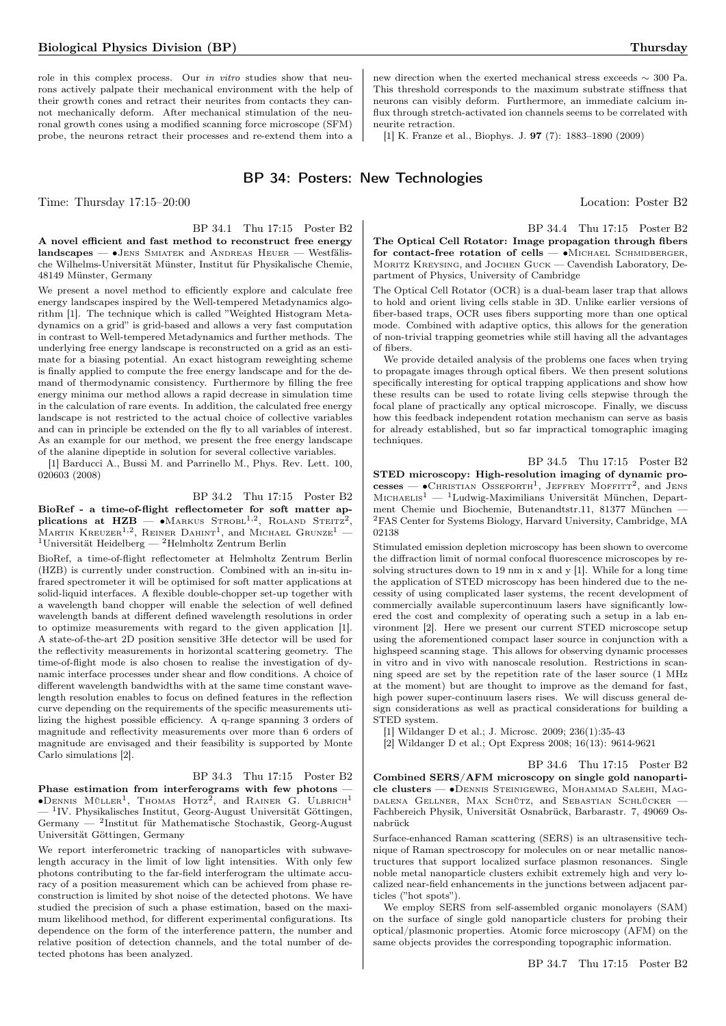role in this complex process. Our in vitro studies show that neurons actively palpate their mechanical environment with the help of their growth cones and retract their neurites from contacts they cannot mechanically deform. After mechanical stimulation of the neuronal growth cones using a modified scanning force microscope (SFM) probe, the neurons retract their processes and re-extend them into a

new direction when the exerted mechanical stress exceeds ∼ 300 Pa. This threshold corresponds to the maximum substrate stiffness that neurons can visibly deform. Furthermore, an immediate calcium influx through stretch-activated ion channels seems to be correlated with neurite retraction.

[1] K. Franze et al., Biophys. J. 97 (7): 1883–1890 (2009)

## BP 34: Posters: New Technologies

Time: Thursday 17:15–20:00 Location: Poster B2

## BP 34.1 Thu 17:15 Poster B2

A novel efficient and fast method to reconstruct free energy landscapes — ∙Jens Smiatek and Andreas Heuer — Westfälische Wilhelms-Universität Münster, Institut für Physikalische Chemie, 48149 Münster, Germany

We present a novel method to efficiently explore and calculate free energy landscapes inspired by the Well-tempered Metadynamics algorithm [1]. The technique which is called "Weighted Histogram Metadynamics on a grid" is grid-based and allows a very fast computation in contrast to Well-tempered Metadynamics and further methods. The underlying free energy landscape is reconstructed on a grid as an estimate for a biasing potential. An exact histogram reweighting scheme is finally applied to compute the free energy landscape and for the demand of thermodynamic consistency. Furthermore by filling the free energy minima our method allows a rapid decrease in simulation time in the calculation of rare events. In addition, the calculated free energy landscape is not restricted to the actual choice of collective variables and can in principle be extended on the fly to all variables of interest. As an example for our method, we present the free energy landscape of the alanine dipeptide in solution for several collective variables.

[1] Barducci A., Bussi M. and Parrinello M., Phys. Rev. Lett. 100, 020603 (2008)

#### BP 34.2 Thu 17:15 Poster B2

BioRef - a time-of-flight reflectometer for soft matter applications at  $HZB$  — •Markus Strobl<sup>1,2</sup>, Roland Steitz<sup>2</sup>, MARTIN KREUZER<sup>1,2</sup>, REINER DAHINT<sup>1</sup>, and MICHAEL GRUNZE<sup>1</sup> – <sup>1</sup>Universität Heidelberg — <sup>2</sup>Helmholtz Zentrum Berlin

BioRef, a time-of-flight reflectometer at Helmholtz Zentrum Berlin (HZB) is currently under construction. Combined with an in-situ infrared spectrometer it will be optimised for soft matter applications at solid-liquid interfaces. A flexible double-chopper set-up together with a wavelength band chopper will enable the selection of well defined wavelength bands at different defined wavelength resolutions in order to optimize measurements with regard to the given application [1]. A state-of-the-art 2D position sensitive 3He detector will be used for the reflectivity measurements in horizontal scattering geometry. The time-of-flight mode is also chosen to realise the investigation of dynamic interface processes under shear and flow conditions. A choice of different wavelength bandwidths with at the same time constant wavelength resolution enables to focus on defined features in the reflection curve depending on the requirements of the specific measurements utilizing the highest possible efficiency. A q-range spanning 3 orders of magnitude and reflectivity measurements over more than 6 orders of magnitude are envisaged and their feasibility is supported by Monte Carlo simulations [2].

#### BP 34.3 Thu 17:15 Poster B2

Phase estimation from interferograms with few photons —  $\bullet$ Dennis Müller<sup>1</sup>, Thomas Hotz<sup>2</sup>, and Rainer G. Ulbrich<sup>1</sup> — <sup>1</sup> IV. Physikalisches Institut, Georg-August Universität Göttingen, Germany — <sup>2</sup> Institut für Mathematische Stochastik, Georg-August Universität Göttingen, Germany

We report interferometric tracking of nanoparticles with subwavelength accuracy in the limit of low light intensities. With only few photons contributing to the far-field interferogram the ultimate accuracy of a position measurement which can be achieved from phase reconstruction is limited by shot noise of the detected photons. We have studied the precision of such a phase estimation, based on the maximum likelihood method, for different experimental configurations. Its dependence on the form of the interference pattern, the number and relative position of detection channels, and the total number of detected photons has been analyzed.

BP 34.4 Thu 17:15 Poster B2 The Optical Cell Rotator: Image propagation through fibers for contact-free rotation of cells — ∙Michael Schmidberger, MORITZ KREYSING, and JOCHEN GUCK — Cavendish Laboratory, Department of Physics, University of Cambridge

The Optical Cell Rotator (OCR) is a dual-beam laser trap that allows to hold and orient living cells stable in 3D. Unlike earlier versions of fiber-based traps, OCR uses fibers supporting more than one optical mode. Combined with adaptive optics, this allows for the generation of non-trivial trapping geometries while still having all the advantages of fibers.

We provide detailed analysis of the problems one faces when trying to propagate images through optical fibers. We then present solutions specifically interesting for optical trapping applications and show how these results can be used to rotate living cells stepwise through the focal plane of practically any optical microscope. Finally, we discuss how this feedback independent rotation mechanism can serve as basis for already established, but so far impractical tomographic imaging techniques.

BP 34.5 Thu 17:15 Poster B2 STED microscopy: High-resolution imaging of dynamic pro $cesses$   $\rightarrow$  CHRISTIAN OSSEFORTH<sup>1</sup>, JEFFREY MOFFITT<sup>2</sup>, and JENS  $\text{Michaeus}^1$  —  $^1\text{Ludwig-Maximilians}$  Universität München, Department Chemie und Biochemie, Butenandtstr.11, 81377 München — <sup>2</sup>FAS Center for Systems Biology, Harvard University, Cambridge, MA 02138

Stimulated emission depletion microscopy has been shown to overcome the diffraction limit of normal confocal fluorescence microscopes by resolving structures down to 19 nm in x and y [1]. While for a long time the application of STED microscopy has been hindered due to the necessity of using complicated laser systems, the recent development of commercially available supercontinuum lasers have significantly lowered the cost and complexity of operating such a setup in a lab environment [2]. Here we present our current STED microscope setup using the aforementioned compact laser source in conjunction with a highspeed scanning stage. This allows for observing dynamic processes in vitro and in vivo with nanoscale resolution. Restrictions in scanning speed are set by the repetition rate of the laser source (1 MHz at the moment) but are thought to improve as the demand for fast, high power super-continuum lasers rises. We will discuss general design considerations as well as practical considerations for building a STED system.

[1] Wildanger D et al.; J. Microsc. 2009; 236(1):35-43

[2] Wildanger D et al.; Opt Express 2008; 16(13): 9614-9621

BP 34.6 Thu 17:15 Poster B2 Combined SERS/AFM microscopy on single gold nanoparticle clusters — ∙Dennis Steinigeweg, Mohammad Salehi, Magdalena Gellner, Max Schütz, and Sebastian Schlücker — Fachbereich Physik, Universität Osnabrück, Barbarastr. 7, 49069 Osnabrück

Surface-enhanced Raman scattering (SERS) is an ultrasensitive technique of Raman spectroscopy for molecules on or near metallic nanostructures that support localized surface plasmon resonances. Single noble metal nanoparticle clusters exhibit extremely high and very localized near-field enhancements in the junctions between adjacent particles ("hot spots").

We employ SERS from self-assembled organic monolayers (SAM) on the surface of single gold nanoparticle clusters for probing their optical/plasmonic properties. Atomic force microscopy (AFM) on the same objects provides the corresponding topographic information.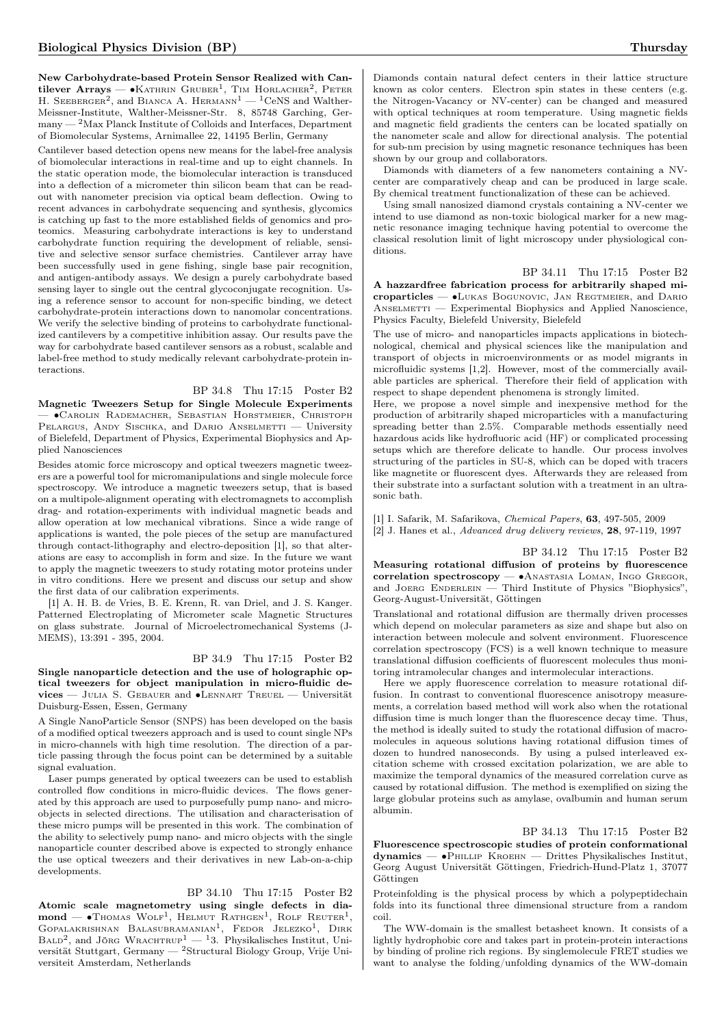New Carbohydrate-based Protein Sensor Realized with Cantilever Arrays —  $\bullet$ Kathrin Gruber<sup>1</sup>, Tim Horlacher<sup>2</sup>, Peter H. SEEBERGER<sup>2</sup>, and BIANCA A. HERMANN<sup>1</sup> — <sup>1</sup>CeNS and Walther-Meissner-Institute, Walther-Meissner-Str. 8, 85748 Garching, Germany — <sup>2</sup>Max Planck Institute of Colloids and Interfaces, Department of Biomolecular Systems, Arnimallee 22, 14195 Berlin, Germany

Cantilever based detection opens new means for the label-free analysis of biomolecular interactions in real-time and up to eight channels. In the static operation mode, the biomolecular interaction is transduced into a deflection of a micrometer thin silicon beam that can be readout with nanometer precision via optical beam deflection. Owing to recent advances in carbohydrate sequencing and synthesis, glycomics is catching up fast to the more established fields of genomics and proteomics. Measuring carbohydrate interactions is key to understand carbohydrate function requiring the development of reliable, sensitive and selective sensor surface chemistries. Cantilever array have been successfully used in gene fishing, single base pair recognition, and antigen-antibody assays. We design a purely carbohydrate based sensing layer to single out the central glycoconjugate recognition. Using a reference sensor to account for non-specific binding, we detect carbohydrate-protein interactions down to nanomolar concentrations. We verify the selective binding of proteins to carbohydrate functionalized cantilevers by a competitive inhibition assay. Our results pave the way for carbohydrate based cantilever sensors as a robust, scalable and label-free method to study medically relevant carbohydrate-protein interactions.

### BP 34.8 Thu 17:15 Poster B2

Magnetic Tweezers Setup for Single Molecule Experiments — ∙Carolin Rademacher, Sebastian Horstmeier, Christoph PELARGUS, ANDY SISCHKA, and DARIO ANSELMETTI - University of Bielefeld, Department of Physics, Experimental Biophysics and Applied Nanosciences

Besides atomic force microscopy and optical tweezers magnetic tweezers are a powerful tool for micromanipulations and single molecule force spectroscopy. We introduce a magnetic tweezers setup, that is based on a multipole-alignment operating with electromagnets to accomplish drag- and rotation-experiments with individual magnetic beads and allow operation at low mechanical vibrations. Since a wide range of applications is wanted, the pole pieces of the setup are manufactured through contact-lithography and electro-deposition [1], so that alterations are easy to accomplish in form and size. In the future we want to apply the magnetic tweezers to study rotating motor proteins under in vitro conditions. Here we present and discuss our setup and show the first data of our calibration experiments.

[1] A. H. B. de Vries, B. E. Krenn, R. van Driel, and J. S. Kanger. Patterned Electroplating of Micrometer scale Magnetic Structures on glass substrate. Journal of Microelectromechanical Systems (J-MEMS), 13:391 - 395, 2004.

#### BP 34.9 Thu 17:15 Poster B2

Single nanoparticle detection and the use of holographic optical tweezers for object manipulation in micro-fluidic devices — Julia S. Gebauer and ∙Lennart Treuel — Universität Duisburg-Essen, Essen, Germany

A Single NanoParticle Sensor (SNPS) has been developed on the basis of a modified optical tweezers approach and is used to count single NPs in micro-channels with high time resolution. The direction of a particle passing through the focus point can be determined by a suitable signal evaluation.

Laser pumps generated by optical tweezers can be used to establish controlled flow conditions in micro-fluidic devices. The flows generated by this approach are used to purposefully pump nano- and microobjects in selected directions. The utilisation and characterisation of these micro pumps will be presented in this work. The combination of the ability to selectively pump nano- and micro objects with the single nanoparticle counter described above is expected to strongly enhance the use optical tweezers and their derivatives in new Lab-on-a-chip developments.

#### BP 34.10 Thu 17:15 Poster B2

Atomic scale magnetometry using single defects in diamond — •Thomas Wolf<sup>1</sup>, Helmut Rathgen<sup>1</sup>, Rolf Reuter<sup>1</sup>, Gopalakrishnan Balasubramanian<sup>1</sup>, Fedor Jelezko<sup>1</sup>, Dirk  $\text{BAD}^2$ , and Jörg Wrachtrup<sup>1</sup> — <sup>1</sup>3. Physikalisches Institut, Universität Stuttgart, Germany — <sup>2</sup>Structural Biology Group, Vrije Universiteit Amsterdam, Netherlands

Diamonds contain natural defect centers in their lattice structure known as color centers. Electron spin states in these centers (e.g. the Nitrogen-Vacancy or NV-center) can be changed and measured with optical techniques at room temperature. Using magnetic fields and magnetic field gradients the centers can be located spatially on the nanometer scale and allow for directional analysis. The potential for sub-nm precision by using magnetic resonance techniques has been shown by our group and collaborators.

Diamonds with diameters of a few nanometers containing a NVcenter are comparatively cheap and can be produced in large scale. By chemical treatment functionalization of these can be achieved.

Using small nanosized diamond crystals containing a NV-center we intend to use diamond as non-toxic biological marker for a new magnetic resonance imaging technique having potential to overcome the classical resolution limit of light microscopy under physiological conditions.

BP 34.11 Thu 17:15 Poster B2

A hazzardfree fabrication process for arbitrarily shaped microparticles — ∙Lukas Bogunovic, Jan Regtmeier, and Dario ANSELMETTI — Experimental Biophysics and Applied Nanoscience, Physics Faculty, Bielefeld University, Bielefeld

The use of micro- and nanoparticles impacts applications in biotechnological, chemical and physical sciences like the manipulation and transport of objects in microenvironments or as model migrants in microfluidic systems [1,2]. However, most of the commercially available particles are spherical. Therefore their field of application with respect to shape dependent phenomena is strongly limited.

Here, we propose a novel simple and inexpensive method for the production of arbitrarily shaped microparticles with a manufacturing spreading better than 2.5%. Comparable methods essentially need hazardous acids like hydrofluoric acid (HF) or complicated processing setups which are therefore delicate to handle. Our process involves structuring of the particles in SU-8, which can be doped with tracers like magnetite or fluorescent dyes. Afterwards they are released from their substrate into a surfactant solution with a treatment in an ultrasonic bath.

[1] I. Safarik, M. Safarikova, Chemical Papers, 63, 497-505, 2009 [2] J. Hanes et al., Advanced drug delivery reviews, 28, 97-119, 1997

BP 34.12 Thu 17:15 Poster B2 Measuring rotational diffusion of proteins by fluorescence correlation spectroscopy — ∙Anastasia Loman, Ingo Gregor, and JOERG ENDERLEIN — Third Institute of Physics "Biophysics", Georg-August-Universität, Göttingen

Translational and rotational diffusion are thermally driven processes which depend on molecular parameters as size and shape but also on interaction between molecule and solvent environment. Fluorescence correlation spectroscopy (FCS) is a well known technique to measure translational diffusion coefficients of fluorescent molecules thus monitoring intramolecular changes and intermolecular interactions.

Here we apply fluorescence correlation to measure rotational diffusion. In contrast to conventional fluorescence anisotropy measurements, a correlation based method will work also when the rotational diffusion time is much longer than the fluorescence decay time. Thus, the method is ideally suited to study the rotational diffusion of macromolecules in aqueous solutions having rotational diffusion times of dozen to hundred nanoseconds. By using a pulsed interleaved excitation scheme with crossed excitation polarization, we are able to maximize the temporal dynamics of the measured correlation curve as caused by rotational diffusion. The method is exemplified on sizing the large globular proteins such as amylase, ovalbumin and human serum albumin.

BP 34.13 Thu 17:15 Poster B2

Fluorescence spectroscopic studies of protein conformational dynamics — ∙Phillip Kroehn — Drittes Physikalisches Institut, Georg August Universität Göttingen, Friedrich-Hund-Platz 1, 37077 Göttingen

Proteinfolding is the physical process by which a polypeptidechain folds into its functional three dimensional structure from a random coil.

The WW-domain is the smallest betasheet known. It consists of a lightly hydrophobic core and takes part in protein-protein interactions by binding of proline rich regions. By singlemolecule FRET studies we want to analyse the folding/unfolding dynamics of the WW-domain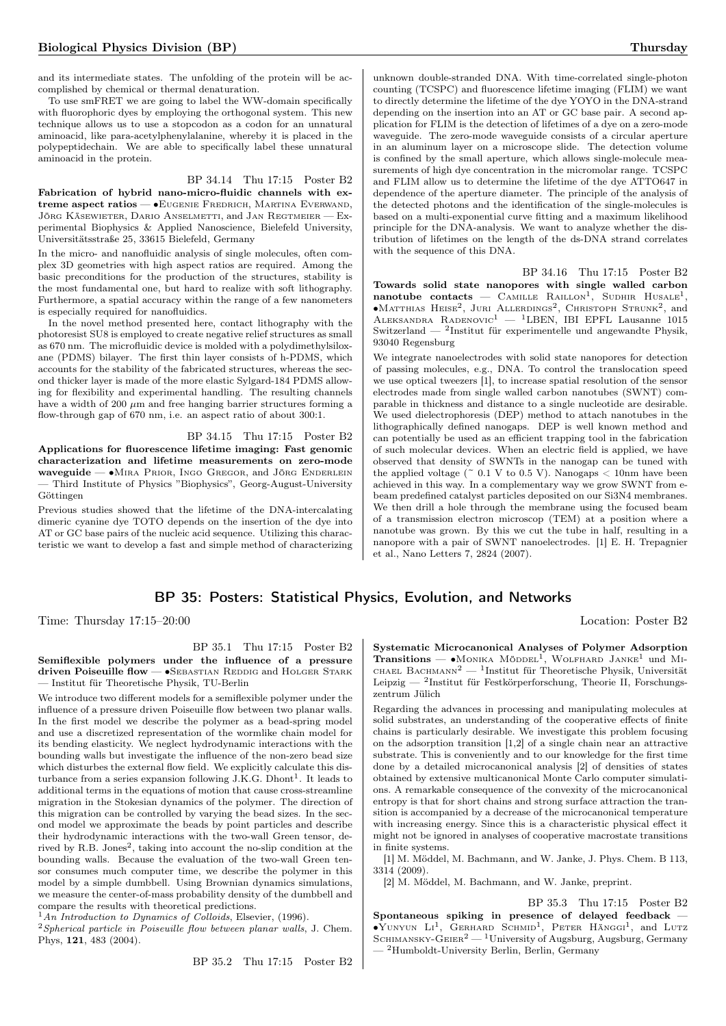complished by chemical or thermal denaturation. To use smFRET we are going to label the WW-domain specifically with fluorophoric dyes by employing the orthogonal system. This new technique allows us to use a stopcodon as a codon for an unnatural aminoacid, like para-acetylphenylalanine, whereby it is placed in the polypeptidechain. We are able to specifically label these unnatural aminoacid in the protein.

#### BP 34.14 Thu 17:15 Poster B2

Fabrication of hybrid nano-micro-fluidic channels with extreme aspect ratios — ∙Eugenie Fredrich, Martina Everwand, Jörg Käsewieter, Dario Anselmetti, and Jan Regtmeier — Experimental Biophysics & Applied Nanoscience, Bielefeld University, Universitätsstraße 25, 33615 Bielefeld, Germany

In the micro- and nanofluidic analysis of single molecules, often complex 3D geometries with high aspect ratios are required. Among the basic preconditions for the production of the structures, stability is the most fundamental one, but hard to realize with soft lithography. Furthermore, a spatial accuracy within the range of a few nanometers is especially required for nanofluidics.

In the novel method presented here, contact lithography with the photoresist SU8 is employed to create negative relief structures as small as 670 nm. The microfluidic device is molded with a polydimethylsiloxane (PDMS) bilayer. The first thin layer consists of h-PDMS, which accounts for the stability of the fabricated structures, whereas the second thicker layer is made of the more elastic Sylgard-184 PDMS allowing for flexibility and experimental handling. The resulting channels have a width of 200  $\mu$ m and free hanging barrier structures forming a flow-through gap of 670 nm, i.e. an aspect ratio of about 300:1.

#### BP 34.15 Thu 17:15 Poster B2

Applications for fluorescence lifetime imaging: Fast genomic characterization and lifetime measurements on zero-mode waveguide — ∙Mira Prior, Ingo Gregor, and Jörg Enderlein — Third Institute of Physics "Biophysics", Georg-August-University Göttingen

Previous studies showed that the lifetime of the DNA-intercalating dimeric cyanine dye TOTO depends on the insertion of the dye into AT or GC base pairs of the nucleic acid sequence. Utilizing this characteristic we want to develop a fast and simple method of characterizing unknown double-stranded DNA. With time-correlated single-photon counting (TCSPC) and fluorescence lifetime imaging (FLIM) we want to directly determine the lifetime of the dye YOYO in the DNA-strand depending on the insertion into an AT or GC base pair. A second application for FLIM is the detection of lifetimes of a dye on a zero-mode waveguide. The zero-mode waveguide consists of a circular aperture in an aluminum layer on a microscope slide. The detection volume is confined by the small aperture, which allows single-molecule measurements of high dye concentration in the micromolar range. TCSPC and FLIM allow us to determine the lifetime of the dye ATTO647 in dependence of the aperture diameter. The principle of the analysis of the detected photons and the identification of the single-molecules is based on a multi-exponential curve fitting and a maximum likelihood principle for the DNA-analysis. We want to analyze whether the distribution of lifetimes on the length of the ds-DNA strand correlates with the sequence of this DNA.

BP 34.16 Thu 17:15 Poster B2 Towards solid state nanopores with single walled carbon  $nanotube$  contacts — CAMILLE RAILLON<sup>1</sup>, SUDHIR HUSALE<sup>1</sup>, ∙Matthias Heise<sup>2</sup> , Juri Allerdings<sup>2</sup> , Christoph Strunk<sup>2</sup> , and Aleksandra Radenovic<sup>1</sup> — <sup>1</sup>LBEN, IBI EPFL Lausanne 1015 Switzerland — <sup>2</sup> Institut für experimentelle und angewandte Physik, 93040 Regensburg

We integrate nanoelectrodes with solid state nanopores for detection of passing molecules, e.g., DNA. To control the translocation speed we use optical tweezers [1], to increase spatial resolution of the sensor electrodes made from single walled carbon nanotubes (SWNT) comparable in thickness and distance to a single nucleotide are desirable. We used dielectrophoresis (DEP) method to attach nanotubes in the lithographically defined nanogaps. DEP is well known method and can potentially be used as an efficient trapping tool in the fabrication of such molecular devices. When an electric field is applied, we have observed that density of SWNTs in the nanogap can be tuned with the applied voltage  $($   $\sim$  0.1 V to 0.5 V). Nanogaps  $<$  10nm have been achieved in this way. In a complementary way we grow SWNT from ebeam predefined catalyst particles deposited on our Si3N4 membranes. We then drill a hole through the membrane using the focused beam of a transmission electron microscop (TEM) at a position where a nanotube was grown. By this we cut the tube in half, resulting in a nanopore with a pair of SWNT nanoelectrodes. [1] E. H. Trepagnier et al., Nano Letters 7, 2824 (2007).

## BP 35: Posters: Statistical Physics, Evolution, and Networks

Time: Thursday 17:15–20:00 Location: Poster B2

#### BP 35.1 Thu 17:15 Poster B2 Semiflexible polymers under the influence of a pressure driven Poiseuille flow — •SEBASTIAN REDDIG and HOLGER STARK — Institut für Theoretische Physik, TU-Berlin

We introduce two different models for a semiflexible polymer under the influence of a pressure driven Poiseuille flow between two planar walls. In the first model we describe the polymer as a bead-spring model and use a discretized representation of the wormlike chain model for its bending elasticity. We neglect hydrodynamic interactions with the bounding walls but investigate the influence of the non-zero bead size which disturbes the external flow field. We explicitly calculate this disturbance from a series expansion following J.K.G. Dhont<sup>1</sup>. It leads to additional terms in the equations of motion that cause cross-streamline migration in the Stokesian dynamics of the polymer. The direction of this migration can be controlled by varying the bead sizes. In the second model we approximate the beads by point particles and describe their hydrodynamic interactions with the two-wall Green tensor, derived by R.B. Jones<sup>2</sup>, taking into account the no-slip condition at the bounding walls. Because the evaluation of the two-wall Green tensor consumes much computer time, we describe the polymer in this model by a simple dumbbell. Using Brownian dynamics simulations, we measure the center-of-mass probability density of the dumbbell and compare the results with theoretical predictions.

 $1 An Introduction to Dynamics of Colloids, Elsevier, (1996).$ 

 $2$ Spherical particle in Poiseuille flow between planar walls, J. Chem. Phys, 121, 483 (2004).

BP 35.2 Thu 17:15 Poster B2

Systematic Microcanonical Analyses of Polymer Adsorption Transitions —  $\bullet$ Monika Möddel<sup>1</sup>, Wolfhard Janke<sup>1</sup> und Mi-CHAEL BACHMANN<sup>2</sup> — <sup>1</sup>Institut für Theoretische Physik, Universität Leipzig — <sup>2</sup> Institut für Festkörperforschung, Theorie II, Forschungszentrum Jülich

Regarding the advances in processing and manipulating molecules at solid substrates, an understanding of the cooperative effects of finite chains is particularly desirable. We investigate this problem focusing on the adsorption transition [1,2] of a single chain near an attractive substrate. This is conveniently and to our knowledge for the first time done by a detailed microcanonical analysis [2] of densities of states obtained by extensive multicanonical Monte Carlo computer simulations. A remarkable consequence of the convexity of the microcanonical entropy is that for short chains and strong surface attraction the transition is accompanied by a decrease of the microcanonical temperature with increasing energy. Since this is a characteristic physical effect it might not be ignored in analyses of cooperative macrostate transitions in finite systems.

[1] M. Möddel, M. Bachmann, and W. Janke, J. Phys. Chem. B 113, 3314 (2009).

[2] M. Möddel, M. Bachmann, and W. Janke, preprint.

BP 35.3 Thu 17:15 Poster B2 Spontaneous spiking in presence of delayed feedback —  $\bullet$ Yunyun Li<sup>1</sup>, Gerhard Schmid<sup>1</sup>, Peter Hänggi<sup>1</sup>, and Lutz  ${\rm \bf SCHIMANSKY\mbox{-}G\mbox{-}E{\rm IER}^2}$  —  ${\rm \bf^1University}$  of Augsburg, Augsburg, Germany <sup>2</sup>Humboldt-University Berlin, Berlin, Germany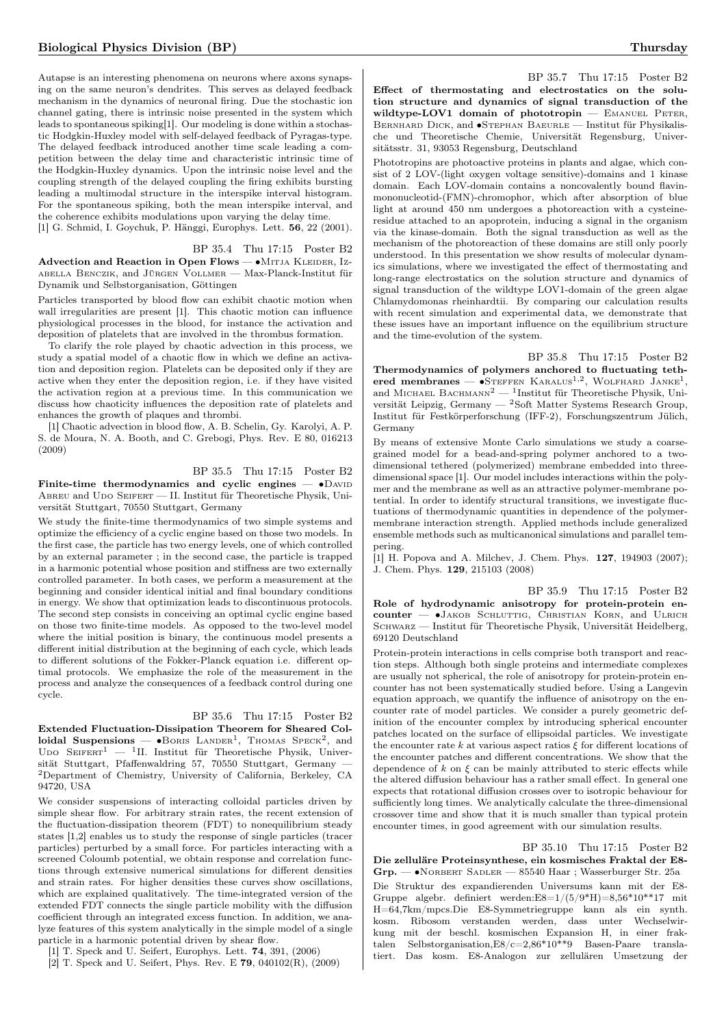Autapse is an interesting phenomena on neurons where axons synapsing on the same neuron's dendrites. This serves as delayed feedback mechanism in the dynamics of neuronal firing. Due the stochastic ion channel gating, there is intrinsic noise presented in the system which leads to spontaneous spiking[1]. Our modeling is done within a stochastic Hodgkin-Huxley model with self-delayed feedback of Pyragas-type. The delayed feedback introduced another time scale leading a competition between the delay time and characteristic intrinsic time of the Hodgkin-Huxley dynamics. Upon the intrinsic noise level and the coupling strength of the delayed coupling the firing exhibits bursting leading a multimodal structure in the interspike interval histogram. For the spontaneous spiking, both the mean interspike interval, and the coherence exhibits modulations upon varying the delay time. [1] G. Schmid, I. Goychuk, P. Hänggi, Europhys. Lett. 56, 22 (2001).

BP 35.4 Thu 17:15 Poster B2

Advection and Reaction in Open Flows — • MITJA KLEIDER, Izabella Benczik, and Jürgen Vollmer — Max-Planck-Institut für Dynamik und Selbstorganisation, Göttingen

Particles transported by blood flow can exhibit chaotic motion when wall irregularities are present [1]. This chaotic motion can influence physiological processes in the blood, for instance the activation and deposition of platelets that are involved in the thrombus formation.

To clarify the role played by chaotic advection in this process, we study a spatial model of a chaotic flow in which we define an activation and deposition region. Platelets can be deposited only if they are active when they enter the deposition region, i.e. if they have visited the activation region at a previous time. In this communication we discuss how chaoticity influences the deposition rate of platelets and enhances the growth of plaques and thrombi.

[1] Chaotic advection in blood flow, A. B. Schelin, Gy. Karolyi, A. P. S. de Moura, N. A. Booth, and C. Grebogi, Phys. Rev. E 80, 016213 (2009)

#### BP 35.5 Thu 17:15 Poster B2

Finite-time thermodynamics and cyclic engines —  $\bullet$ DAVID ABREU and UDO SEIFERT — II. Institut für Theoretische Physik, Universität Stuttgart, 70550 Stuttgart, Germany

We study the finite-time thermodynamics of two simple systems and optimize the efficiency of a cyclic engine based on those two models. In the first case, the particle has two energy levels, one of which controlled by an external parameter ; in the second case, the particle is trapped in a harmonic potential whose position and stiffness are two externally controlled parameter. In both cases, we perform a measurement at the beginning and consider identical initial and final boundary conditions in energy. We show that optimization leads to discontinuous protocols. The second step consists in conceiving an optimal cyclic engine based on those two finite-time models. As opposed to the two-level model where the initial position is binary, the continuous model presents a different initial distribution at the beginning of each cycle, which leads to different solutions of the Fokker-Planck equation i.e. different optimal protocols. We emphasize the role of the measurement in the process and analyze the consequences of a feedback control during one cycle.

#### BP 35.6 Thu 17:15 Poster B2

Extended Fluctuation-Dissipation Theorem for Sheared Colloidal Suspensions —  $\bullet$ Boris Lander<sup>1</sup>, Thomas Speck<sup>2</sup>, and UDO SEIFERT<sup>1</sup> — <sup>1</sup>II. Institut für Theoretische Physik, Universität Stuttgart, Pfaffenwaldring 57, 70550 Stuttgart, Germany — <sup>2</sup>Department of Chemistry, University of California, Berkeley, CA 94720, USA

We consider suspensions of interacting colloidal particles driven by simple shear flow. For arbitrary strain rates, the recent extension of the fluctuation-dissipation theorem (FDT) to nonequilibrium steady states [1,2] enables us to study the response of single particles (tracer particles) perturbed by a small force. For particles interacting with a screened Coloumb potential, we obtain response and correlation functions through extensive numerical simulations for different densities and strain rates. For higher densities these curves show oscillations, which are explained qualitatively. The time-integrated version of the extended FDT connects the single particle mobility with the diffusion coefficient through an integrated excess function. In addition, we analyze features of this system analytically in the simple model of a single particle in a harmonic potential driven by shear flow.

[1] T. Speck and U. Seifert, Europhys. Lett. 74, 391, (2006)

[2] T. Speck and U. Seifert, Phys. Rev. E 79, 040102(R), (2009)

BP 35.7 Thu 17:15 Poster B2 Effect of thermostating and electrostatics on the solution structure and dynamics of signal transduction of the wildtype-LOV1 domain of phototropin  $-$  EMANUEL PETER, Bernhard Dick, and ∙Stephan Baeurle — Institut für Physikalische und Theoretische Chemie, Universität Regensburg, Universitätsstr. 31, 93053 Regensburg, Deutschland

Phototropins are photoactive proteins in plants and algae, which consist of 2 LOV-(light oxygen voltage sensitive)-domains and 1 kinase domain. Each LOV-domain contains a noncovalently bound flavinmononucleotid-(FMN)-chromophor, which after absorption of blue light at around 450 nm undergoes a photoreaction with a cysteineresidue attached to an apoprotein, inducing a signal in the organism via the kinase-domain. Both the signal transduction as well as the mechanism of the photoreaction of these domains are still only poorly understood. In this presentation we show results of molecular dynamics simulations, where we investigated the effect of thermostating and long-range electrostatics on the solution structure and dynamics of signal transduction of the wildtype LOV1-domain of the green algae Chlamydomonas rheinhardtii. By comparing our calculation results with recent simulation and experimental data, we demonstrate that these issues have an important influence on the equilibrium structure and the time-evolution of the system.

BP 35.8 Thu 17:15 Poster B2 Thermodynamics of polymers anchored to fluctuating tethered membranes —  $\bullet$ Steffen Karalus<sup>1,2</sup>, Wolfhard Janke<sup>1</sup>, and MICHAEL BACHMANN<sup>2</sup> — <sup>1</sup>Institut für Theoretische Physik, Universität Leipzig, Germany — <sup>2</sup>Soft Matter Systems Research Group, Institut für Festkörperforschung (IFF-2), Forschungszentrum Jülich, Germany

By means of extensive Monte Carlo simulations we study a coarsegrained model for a bead-and-spring polymer anchored to a twodimensional tethered (polymerized) membrane embedded into threedimensional space [1]. Our model includes interactions within the polymer and the membrane as well as an attractive polymer-membrane potential. In order to identify structural transitions, we investigate fluctuations of thermodynamic quantities in dependence of the polymermembrane interaction strength. Applied methods include generalized ensemble methods such as multicanonical simulations and parallel tempering.

[1] H. Popova and A. Milchev, J. Chem. Phys. 127, 194903 (2007); J. Chem. Phys. 129, 215103 (2008)

BP 35.9 Thu 17:15 Poster B2 Role of hydrodynamic anisotropy for protein-protein encounter — ∙Jakob Schluttig, Christian Korn, and Ulrich Schwarz — Institut für Theoretische Physik, Universität Heidelberg, 69120 Deutschland

Protein-protein interactions in cells comprise both transport and reaction steps. Although both single proteins and intermediate complexes are usually not spherical, the role of anisotropy for protein-protein encounter has not been systematically studied before. Using a Langevin equation approach, we quantify the influence of anisotropy on the encounter rate of model particles. We consider a purely geometric definition of the encounter complex by introducing spherical encounter patches located on the surface of ellipsoidal particles. We investigate the encounter rate  $k$  at various aspect ratios  $\xi$  for different locations of the encounter patches and different concentrations. We show that the dependence of  $k$  on  $\xi$  can be mainly attributed to steric effects while the altered diffusion behaviour has a rather small effect. In general one expects that rotational diffusion crosses over to isotropic behaviour for sufficiently long times. We analytically calculate the three-dimensional crossover time and show that it is much smaller than typical protein encounter times, in good agreement with our simulation results.

BP 35.10 Thu 17:15 Poster B2 Die zelluläre Proteinsynthese, ein kosmisches Fraktal der E8- Grp. — ∙Norbert Sadler — 85540 Haar ; Wasserburger Str. 25a

Die Struktur des expandierenden Universums kann mit der E8- Gruppe algebr. definiert werden:E8=1/(5/9\*H)=8,56\*10\*\*17 mit H=64,7km/mpcs.Die E8-Symmetriegruppe kann als ein synth. kosm. Ribosom verstanden werden, dass unter Wechselwirkung mit der beschl. kosmischen Expansion H, in einer fraktalen Selbstorganisation,E8/c=2,86\*10\*\*9 Basen-Paare translatiert. Das kosm. E8-Analogon zur zellulären Umsetzung der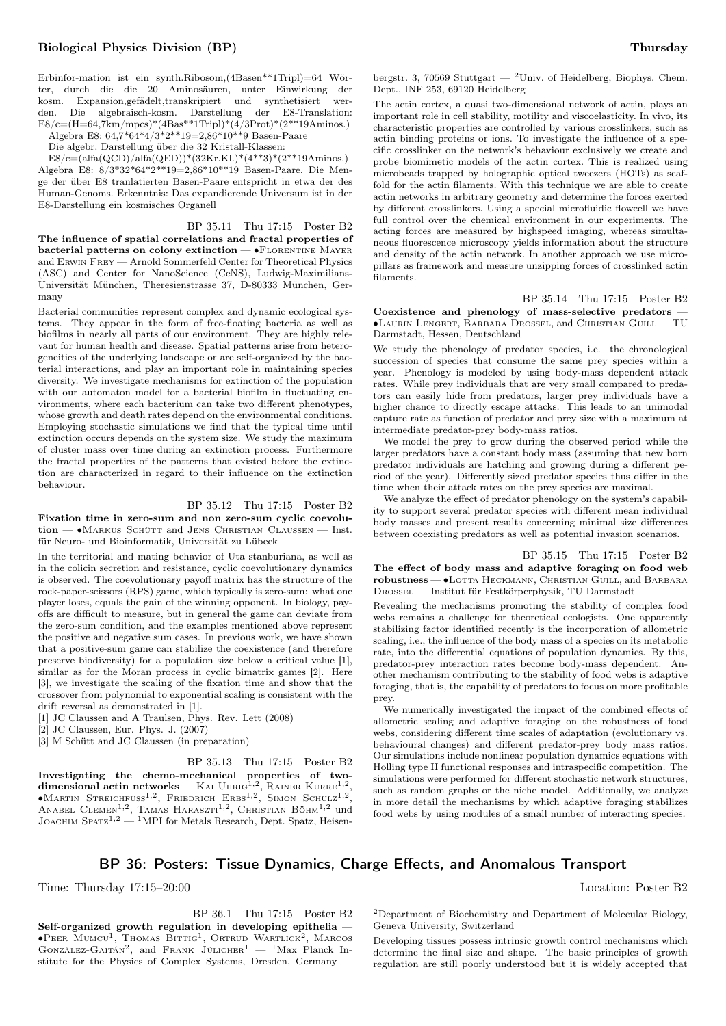Erbinfor-mation ist ein synth.Ribosom,(4Basen\*\*1Tripl)=64 Wörter, durch die die 20 Aminosäuren, unter Einwirkung der kosm. Expansion,gefädelt,transkripiert und synthetisiert werden. Die algebraisch-kosm. Darstellung der E8-Translation:  $E8/c=(H=64.7km/mpcs)*(4Bas**1Tripl)*(4/3Prot)*(2**19Aminos.)$ Algebra E8: 64,7\*64\*4/3\*2\*\*19=2,86\*10\*\*9 Basen-Paare

Die algebr. Darstellung über die 32 Kristall-Klassen:

 $E8/c=(a\text{lfa}(QCD)/a\text{lfa}(QED))^*(32Kr.Kl.)*(4**3)*(2**19Aminos.)$ Algebra E8: 8/3\*32\*64\*2\*\*19=2,86\*10\*\*19 Basen-Paare. Die Menge der über E8 tranlatierten Basen-Paare entspricht in etwa der des Human-Genoms. Erkenntnis: Das expandierende Universum ist in der E8-Darstellung ein kosmisches Organell

BP 35.11 Thu 17:15 Poster B2 The influence of spatial correlations and fractal properties of bacterial patterns on colony extinction  $- \cdot$ FLORENTINE MAYER and Erwin Frey — Arnold Sommerfeld Center for Theoretical Physics (ASC) and Center for NanoScience (CeNS), Ludwig-Maximilians-Universität München, Theresienstrasse 37, D-80333 München, Germany

Bacterial communities represent complex and dynamic ecological systems. They appear in the form of free-floating bacteria as well as biofilms in nearly all parts of our environment. They are highly relevant for human health and disease. Spatial patterns arise from heterogeneities of the underlying landscape or are self-organized by the bacterial interactions, and play an important role in maintaining species diversity. We investigate mechanisms for extinction of the population with our automaton model for a bacterial biofilm in fluctuating environments, where each bacterium can take two different phenotypes, whose growth and death rates depend on the environmental conditions. Employing stochastic simulations we find that the typical time until extinction occurs depends on the system size. We study the maximum of cluster mass over time during an extinction process. Furthermore the fractal properties of the patterns that existed before the extinction are characterized in regard to their influence on the extinction behaviour.

#### BP 35.12 Thu 17:15 Poster B2

Fixation time in zero-sum and non zero-sum cyclic coevolution — • MARKUS SCHÜTT and JENS CHRISTIAN CLAUSSEN — Inst. für Neuro- und Bioinformatik, Universität zu Lübeck

In the territorial and mating behavior of Uta stanburiana, as well as in the colicin secretion and resistance, cyclic coevolutionary dynamics is observed. The coevolutionary payoff matrix has the structure of the rock-paper-scissors (RPS) game, which typically is zero-sum: what one player loses, equals the gain of the winning opponent. In biology, payoffs are difficult to measure, but in general the game can deviate from the zero-sum condition, and the examples mentioned above represent the positive and negative sum cases. In previous work, we have shown that a positive-sum game can stabilize the coexistence (and therefore preserve biodiversity) for a population size below a critical value [1], similar as for the Moran process in cyclic bimatrix games [2]. Here [3], we investigate the scaling of the fixation time and show that the crossover from polynomial to exponential scaling is consistent with the drift reversal as demonstrated in [1].

- [1] JC Claussen and A Traulsen, Phys. Rev. Lett (2008)
- [2] JC Claussen, Eur. Phys. J. (2007)
- [3] M Schütt and JC Claussen (in preparation)

BP 35.13 Thu 17:15 Poster B2 Investigating the chemo-mechanical properties of twodimensional actin networks — KAI UHRIG<sup>1,2</sup>, RAINER KURRE<sup>1,2</sup>, ∙Martin Streichfuss1,<sup>2</sup> , Friedrich Erbs1,<sup>2</sup> , Simon Schulz1,<sup>2</sup> , ANABEL CLEMEN<sup>1,2</sup>, TAMAS HARASZTI<sup>1,2</sup>, CHRISTIAN BÖHM<sup>1,2</sup> und JOACHIM SPATZ<sup>1,2</sup> — <sup>1</sup>MPI for Metals Research, Dept. Spatz, Heisen-

bergstr. 3, 70569 Stuttgart — <sup>2</sup>Univ. of Heidelberg, Biophys. Chem. Dept., INF 253, 69120 Heidelberg

The actin cortex, a quasi two-dimensional network of actin, plays an important role in cell stability, motility and viscoelasticity. In vivo, its characteristic properties are controlled by various crosslinkers, such as actin binding proteins or ions. To investigate the influence of a specific crosslinker on the network's behaviour exclusively we create and probe biomimetic models of the actin cortex. This is realized using microbeads trapped by holographic optical tweezers (HOTs) as scaffold for the actin filaments. With this technique we are able to create actin networks in arbitrary geometry and determine the forces exerted by different crosslinkers. Using a special microfluidic flowcell we have full control over the chemical environment in our experiments. The acting forces are measured by highspeed imaging, whereas simultaneous fluorescence microscopy yields information about the structure and density of the actin network. In another approach we use micropillars as framework and measure unzipping forces of crosslinked actin filaments.

BP 35.14 Thu 17:15 Poster B2

Coexistence and phenology of mass-selective predators — ∙Laurin Lengert, Barbara Drossel, and Christian Guill — TU Darmstadt, Hessen, Deutschland

We study the phenology of predator species, i.e. the chronological succession of species that consume the same prey species within a year. Phenology is modeled by using body-mass dependent attack rates. While prey individuals that are very small compared to predators can easily hide from predators, larger prey individuals have a higher chance to directly escape attacks. This leads to an unimodal capture rate as function of predator and prey size with a maximum at intermediate predator-prey body-mass ratios.

We model the prey to grow during the observed period while the larger predators have a constant body mass (assuming that new born predator individuals are hatching and growing during a different period of the year). Differently sized predator species thus differ in the time when their attack rates on the prey species are maximal.

We analyze the effect of predator phenology on the system's capability to support several predator species with different mean individual body masses and present results concerning minimal size differences between coexisting predators as well as potential invasion scenarios.

BP 35.15 Thu 17:15 Poster B2 The effect of body mass and adaptive foraging on food web robustness — •Lotta Heckmann, Christian Guill, and Barbara Drossel — Institut für Festkörperphysik, TU Darmstadt

Revealing the mechanisms promoting the stability of complex food webs remains a challenge for theoretical ecologists. One apparently stabilizing factor identified recently is the incorporation of allometric scaling, i.e., the influence of the body mass of a species on its metabolic rate, into the differential equations of population dynamics. By this, predator-prey interaction rates become body-mass dependent. Another mechanism contributing to the stability of food webs is adaptive foraging, that is, the capability of predators to focus on more profitable prey.

We numerically investigated the impact of the combined effects of allometric scaling and adaptive foraging on the robustness of food webs, considering different time scales of adaptation (evolutionary vs. behavioural changes) and different predator-prey body mass ratios. Our simulations include nonlinear population dynamics equations with Holling type II functional responses and intraspecific competition. The simulations were performed for different stochastic network structures, such as random graphs or the niche model. Additionally, we analyze in more detail the mechanisms by which adaptive foraging stabilizes food webs by using modules of a small number of interacting species.

## BP 36: Posters: Tissue Dynamics, Charge Effects, and Anomalous Transport

Time: Thursday 17:15–20:00 Location: Poster B2

BP 36.1 Thu 17:15 Poster B2 Self-organized growth regulation in developing epithelia -•Peer Mumcu<sup>1</sup>, Thomas Bittig<sup>1</sup>, Ortrud Wartlick<sup>2</sup>, Marcos<br>González-Gaitán<sup>2</sup>, and Frank Jülicher<sup>1</sup> — <sup>1</sup>Max Planck Institute for the Physics of Complex Systems, Dresden, Germany —

<sup>2</sup>Department of Biochemistry and Department of Molecular Biology, Geneva University, Switzerland

Developing tissues possess intrinsic growth control mechanisms which determine the final size and shape. The basic principles of growth regulation are still poorly understood but it is widely accepted that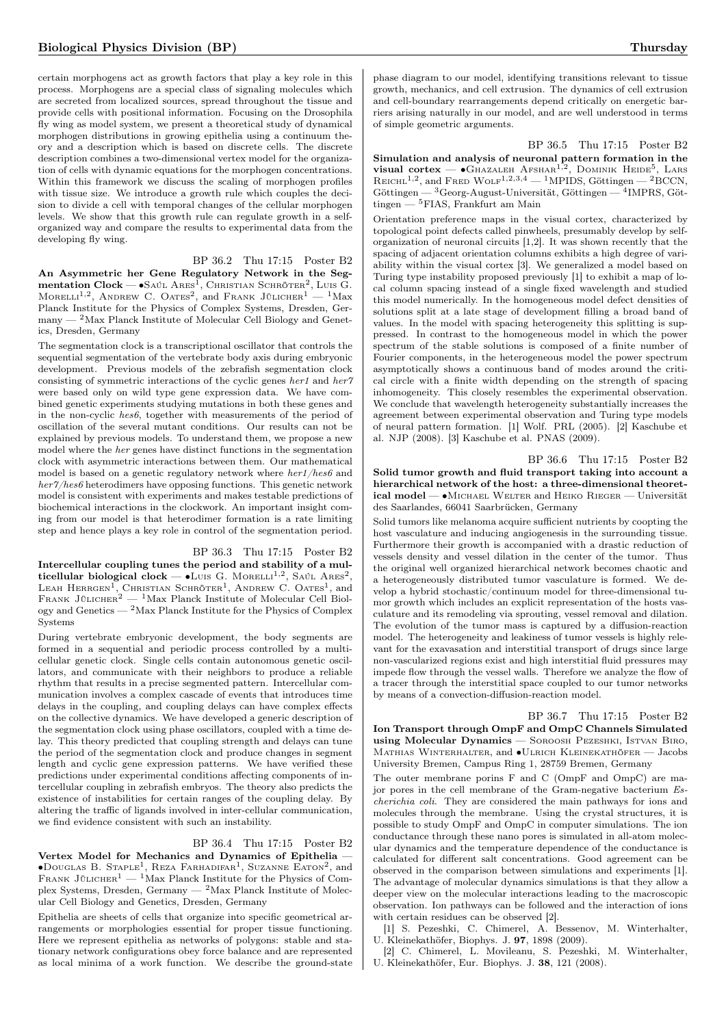certain morphogens act as growth factors that play a key role in this process. Morphogens are a special class of signaling molecules which are secreted from localized sources, spread throughout the tissue and provide cells with positional information. Focusing on the Drosophila fly wing as model system, we present a theoretical study of dynamical morphogen distributions in growing epithelia using a continuum theory and a description which is based on discrete cells. The discrete description combines a two-dimensional vertex model for the organization of cells with dynamic equations for the morphogen concentrations. Within this framework we discuss the scaling of morphogen profiles with tissue size. We introduce a growth rule which couples the decision to divide a cell with temporal changes of the cellular morphogen levels. We show that this growth rule can regulate growth in a selforganized way and compare the results to experimental data from the developing fly wing.

## BP 36.2 Thu 17:15 Poster B2

An Asymmetric her Gene Regulatory Network in the Segmentation  $\text{Clock} \longrightarrow \text{SA\'uL} \text{ Ares}^1,$  Christian Schröter<sup>2</sup>, Luis G. Morelli<sup>1,2</sup>, Andrew C. Oates<sup>2</sup>, and Frank Jülicher<sup>1</sup> — <sup>1</sup>Max Planck Institute for the Physics of Complex Systems, Dresden, Ger- $\,$  many  $^2$  Max Planck Institute of Molecular Cell Biology and Genetics, Dresden, Germany

The segmentation clock is a transcriptional oscillator that controls the sequential segmentation of the vertebrate body axis during embryonic development. Previous models of the zebrafish segmentation clock consisting of symmetric interactions of the cyclic genes her1 and her7 were based only on wild type gene expression data. We have combined genetic experiments studying mutations in both these genes and in the non-cyclic hes6, together with measurements of the period of oscillation of the several mutant conditions. Our results can not be explained by previous models. To understand them, we propose a new model where the her genes have distinct functions in the segmentation clock with asymmetric interactions between them. Our mathematical model is based on a genetic regulatory network where  $her1/hes6$  and her7/hes6 heterodimers have opposing functions. This genetic network model is consistent with experiments and makes testable predictions of biochemical interactions in the clockwork. An important insight coming from our model is that heterodimer formation is a rate limiting step and hence plays a key role in control of the segmentation period.

#### BP 36.3 Thu 17:15 Poster B2

Intercellular coupling tunes the period and stability of a multicellular biological clock —  $\bullet$ Luis G. Morelli<sup>1,2</sup>, Saúl Ares<sup>2</sup>, LEAH HERRGEN<sup>1</sup>, CHRISTIAN SCHRÖTER<sup>1</sup>, ANDREW C. OATES<sup>1</sup>, and FRANK JÜLICHER<sup>2</sup> — <sup>1</sup>Max Planck Institute of Molecular Cell Biology and Genetics — <sup>2</sup>Max Planck Institute for the Physics of Complex Systems

During vertebrate embryonic development, the body segments are formed in a sequential and periodic process controlled by a multicellular genetic clock. Single cells contain autonomous genetic oscillators, and communicate with their neighbors to produce a reliable rhythm that results in a precise segmented pattern. Intercellular communication involves a complex cascade of events that introduces time delays in the coupling, and coupling delays can have complex effects on the collective dynamics. We have developed a generic description of the segmentation clock using phase oscillators, coupled with a time delay. This theory predicted that coupling strength and delays can tune the period of the segmentation clock and produce changes in segment length and cyclic gene expression patterns. We have verified these predictions under experimental conditions affecting components of intercellular coupling in zebrafish embryos. The theory also predicts the existence of instabilities for certain ranges of the coupling delay. By altering the traffic of ligands involved in inter-cellular communication, we find evidence consistent with such an instability.

#### BP 36.4 Thu 17:15 Poster B2

Vertex Model for Mechanics and Dynamics of Epithelia — ∙Douglas B. Staple<sup>1</sup> , Reza Farhadifar<sup>1</sup> , Suzanne Eaton<sup>2</sup> , and FRANK JÜLICHER<sup>1</sup> — <sup>1</sup>Max Planck Institute for the Physics of Complex Systems, Dresden, Germany — <sup>2</sup>Max Planck Institute of Molecular Cell Biology and Genetics, Dresden, Germany

Epithelia are sheets of cells that organize into specific geometrical arrangements or morphologies essential for proper tissue functioning. Here we represent epithelia as networks of polygons: stable and stationary network configurations obey force balance and are represented as local minima of a work function. We describe the ground-state phase diagram to our model, identifying transitions relevant to tissue growth, mechanics, and cell extrusion. The dynamics of cell extrusion and cell-boundary rearrangements depend critically on energetic barriers arising naturally in our model, and are well understood in terms of simple geometric arguments.

BP 36.5 Thu 17:15 Poster B2 Simulation and analysis of neuronal pattern formation in the visual cortex —  $\bullet$  Ghazaleh Afshar<sup>1,2</sup>, Dominik Heide<sup>5</sup>, Lars REICHL<sup>1,2</sup>, and FRED WOLF<sup>1,2,3,4</sup> - <sup>1</sup>MPIDS, Göttingen - <sup>2</sup>BCCN, Göttingen — <sup>3</sup>Georg-August-Universität, Göttingen — <sup>4</sup> IMPRS, Göttingen — <sup>5</sup>FIAS, Frankfurt am Main

Orientation preference maps in the visual cortex, characterized by topological point defects called pinwheels, presumably develop by selforganization of neuronal circuits [1,2]. It was shown recently that the spacing of adjacent orientation columns exhibits a high degree of variability within the visual cortex [3]. We generalized a model based on Turing type instability proposed previously [1] to exhibit a map of local column spacing instead of a single fixed wavelength and studied this model numerically. In the homogeneous model defect densities of solutions split at a late stage of development filling a broad band of values. In the model with spacing heterogeneity this splitting is suppressed. In contrast to the homogeneous model in which the power spectrum of the stable solutions is composed of a finite number of Fourier components, in the heterogeneous model the power spectrum asymptotically shows a continuous band of modes around the critical circle with a finite width depending on the strength of spacing inhomogeneity. This closely resembles the experimental observation. We conclude that wavelength heterogeneity substantially increases the agreement between experimental observation and Turing type models of neural pattern formation. [1] Wolf. PRL (2005). [2] Kaschube et al. NJP (2008). [3] Kaschube et al. PNAS (2009).

BP 36.6 Thu 17:15 Poster B2 Solid tumor growth and fluid transport taking into account a hierarchical network of the host: a three-dimensional theoretical model — ∙Michael Welter and Heiko Rieger — Universität des Saarlandes, 66041 Saarbrücken, Germany

Solid tumors like melanoma acquire sufficient nutrients by coopting the host vasculature and inducing angiogenesis in the surrounding tissue. Furthermore their growth is accompanied with a drastic reduction of vessels density and vessel dilation in the center of the tumor. Thus the original well organized hierarchical network becomes chaotic and a heterogeneously distributed tumor vasculature is formed. We develop a hybrid stochastic/continuum model for three-dimensional tumor growth which includes an explicit representation of the hosts vasculature and its remodeling via sprouting, vessel removal and dilation. The evolution of the tumor mass is captured by a diffusion-reaction model. The heterogeneity and leakiness of tumor vessels is highly relevant for the exavasation and interstitial transport of drugs since large non-vascularized regions exist and high interstitial fluid pressures may impede flow through the vessel walls. Therefore we analyze the flow of a tracer through the interstitial space coupled to our tumor networks by means of a convection-diffusion-reaction model.

BP 36.7 Thu 17:15 Poster B2 Ion Transport through OmpF and OmpC Channels Simulated using Molecular Dynamics — SOROOSH PEZESHKI, ISTVAN BIRO, Mathias Winterhalter, and ∙Ulrich Kleinekathöfer — Jacobs University Bremen, Campus Ring 1, 28759 Bremen, Germany

The outer membrane porins F and C (OmpF and OmpC) are major pores in the cell membrane of the Gram-negative bacterium Escherichia coli. They are considered the main pathways for ions and molecules through the membrane. Using the crystal structures, it is possible to study OmpF and OmpC in computer simulations. The ion conductance through these nano pores is simulated in all-atom molecular dynamics and the temperature dependence of the conductance is calculated for different salt concentrations. Good agreement can be observed in the comparison between simulations and experiments [1]. The advantage of molecular dynamics simulations is that they allow a deeper view on the molecular interactions leading to the macroscopic observation. Ion pathways can be followed and the interaction of ions with certain residues can be observed [2].

[1] S. Pezeshki, C. Chimerel, A. Bessenov, M. Winterhalter, U. Kleinekathöfer, Biophys. J. 97, 1898 (2009).

[2] C. Chimerel, L. Movileanu, S. Pezeshki, M. Winterhalter, U. Kleinekathöfer, Eur. Biophys. J. 38, 121 (2008).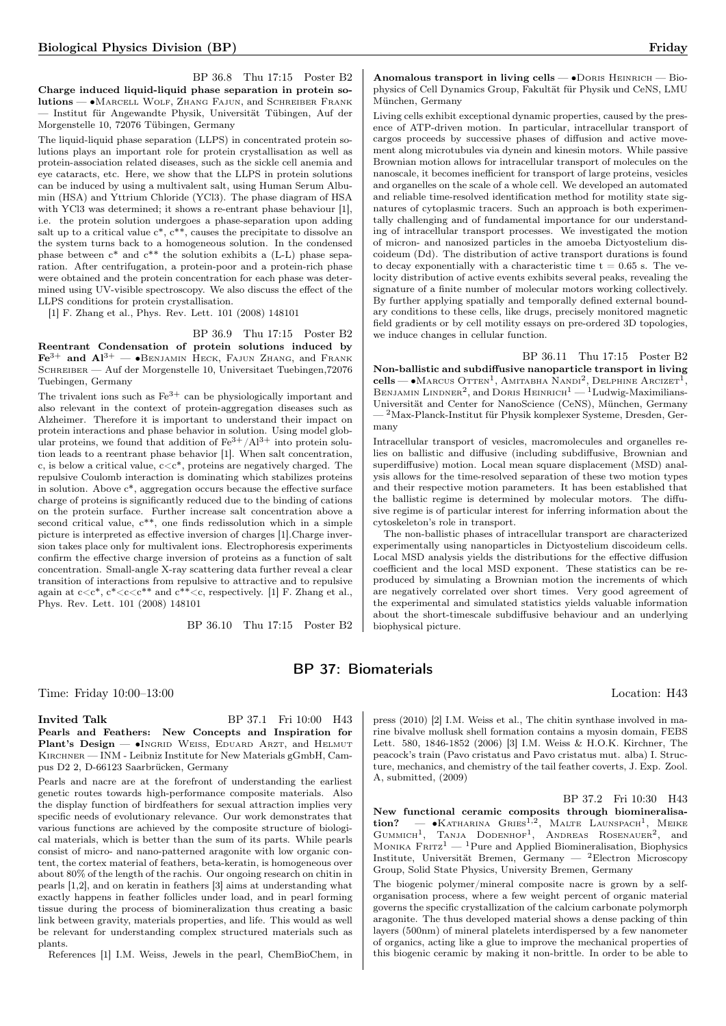BP 36.8 Thu 17:15 Poster B2 Charge induced liquid-liquid phase separation in protein solutions — ∙Marcell Wolf, Zhang Fajun, and Schreiber Frank — Institut für Angewandte Physik, Universität Tübingen, Auf der Morgenstelle 10, 72076 Tübingen, Germany

The liquid-liquid phase separation (LLPS) in concentrated protein solutions plays an important role for protein crystallisation as well as protein-association related diseases, such as the sickle cell anemia and eye cataracts, etc. Here, we show that the LLPS in protein solutions can be induced by using a multivalent salt, using Human Serum Albumin (HSA) and Yttrium Chloride (YCl3). The phase diagram of HSA with YCl3 was determined; it shows a re-entrant phase behaviour [1], i.e. the protein solution undergoes a phase-separation upon adding salt up to a critical value  $c^*$ ,  $c^{**}$ , causes the precipitate to dissolve an the system turns back to a homogeneous solution. In the condensed phase between  $c^*$  and  $c^{**}$  the solution exhibits a (L-L) phase separation. After centrifugation, a protein-poor and a protein-rich phase were obtained and the protein concentration for each phase was determined using UV-visible spectroscopy. We also discuss the effect of the LLPS conditions for protein crystallisation.

[1] F. Zhang et al., Phys. Rev. Lett. 101 (2008) 148101

BP 36.9 Thu 17:15 Poster B2 Reentrant Condensation of protein solutions induced by  $\text{Fe}^{3+}$  and  $\text{Al}^{3+}$  — • BENJAMIN HECK, FAJUN ZHANG, and FRANK Schreiber — Auf der Morgenstelle 10, Universitaet Tuebingen,72076

Tuebingen, Germany The trivalent ions such as  $Fe^{3+}$  can be physiologically important and also relevant in the context of protein-aggregation diseases such as Alzheimer. Therefore it is important to understand their impact on protein interactions and phase behavior in solution. Using model globproteins, we found that addition of  $\text{Fe}^{3+}/\text{Al}^{3+}$  into protein solution leads to a reentrant phase behavior [1]. When salt concentration, c, is below a critical value,  $c\hspace{-0.1pt}<\hspace{-0.1pt}c^*$  proteins are negatively charged. The repulsive Coulomb interaction is dominating which stabilizes proteins in solution. Above c\*, aggregation occurs because the effective surface charge of proteins is significantly reduced due to the binding of cations on the protein surface. Further increase salt concentration above a second critical value,  $c^{**}$ , one finds redissolution which in a simple picture is interpreted as effective inversion of charges [1].Charge inversion takes place only for multivalent ions. Electrophoresis experiments confirm the effective charge inversion of proteins as a function of salt concentration. Small-angle X-ray scattering data further reveal a clear transition of interactions from repulsive to attractive and to repulsive again at  $c < c^*$ ,  $c^* < c < c^{**}$  and  $c^{**} < c$ , respectively. [1] F. Zhang et al., Phys. Rev. Lett. 101 (2008) 148101

BP 36.10 Thu 17:15 Poster B2

Anomalous transport in living cells — ∙Doris Heinrich — Biophysics of Cell Dynamics Group, Fakultät für Physik und CeNS, LMU

Living cells exhibit exceptional dynamic properties, caused by the presence of ATP-driven motion. In particular, intracellular transport of cargos proceeds by successive phases of diffusion and active movement along microtubules via dynein and kinesin motors. While passive Brownian motion allows for intracellular transport of molecules on the nanoscale, it becomes inefficient for transport of large proteins, vesicles and organelles on the scale of a whole cell. We developed an automated and reliable time-resolved identification method for motility state signatures of cytoplasmic tracers. Such an approach is both experimentally challenging and of fundamental importance for our understanding of intracellular transport processes. We investigated the motion of micron- and nanosized particles in the amoeba Dictyostelium discoideum (Dd). The distribution of active transport durations is found to decay exponentially with a characteristic time  $t = 0.65$  s. The velocity distribution of active events exhibits several peaks, revealing the signature of a finite number of molecular motors working collectively. By further applying spatially and temporally defined external boundary conditions to these cells, like drugs, precisely monitored magnetic field gradients or by cell motility essays on pre-ordered 3D topologies, we induce changes in cellular function.

München, Germany

BP 36.11 Thu 17:15 Poster B2 Non-ballistic and subdiffusive nanoparticle transport in living  $\text{cells}$  → Маrcus Оттем<sup>1</sup>, Амітавна Nandi<sup>2</sup>, Delphine Arcizet<sup>1</sup>, BENJAMIN LINDNER<sup>2</sup>, and DORIS HEINRICH<sup>1</sup>  $-$ <sup>1</sup>Ludwig-Maximilians-Universität and Center for NanoScience (CeNS), München, Germany — <sup>2</sup>Max-Planck-Institut für Physik komplexer Systeme, Dresden, Germany

Intracellular transport of vesicles, macromolecules and organelles relies on ballistic and diffusive (including subdiffusive, Brownian and superdiffusive) motion. Local mean square displacement (MSD) analysis allows for the time-resolved separation of these two motion types and their respective motion parameters. It has been established that the ballistic regime is determined by molecular motors. The diffusive regime is of particular interest for inferring information about the cytoskeleton's role in transport.

The non-ballistic phases of intracellular transport are characterized experimentally using nanoparticles in Dictyostelium discoideum cells. Local MSD analysis yields the distributions for the effective diffusion coefficient and the local MSD exponent. These statistics can be reproduced by simulating a Brownian motion the increments of which are negatively correlated over short times. Very good agreement of the experimental and simulated statistics yields valuable information about the short-timescale subdiffusive behaviour and an underlying biophysical picture.

## BP 37: Biomaterials

Time: Friday 10:00–13:00 Location: H43

**Invited Talk** BP 37.1 Fri 10:00 H43 Pearls and Feathers: New Concepts and Inspiration for Plant's Design — •Ingrid Weiss, Eduard Arzt, and Helmut Kirchner — INM - Leibniz Institute for New Materials gGmbH, Campus D2 2, D-66123 Saarbrücken, Germany

Pearls and nacre are at the forefront of understanding the earliest genetic routes towards high-performance composite materials. Also the display function of birdfeathers for sexual attraction implies very specific needs of evolutionary relevance. Our work demonstrates that various functions are achieved by the composite structure of biological materials, which is better than the sum of its parts. While pearls consist of micro- and nano-patterned aragonite with low organic content, the cortex material of feathers, beta-keratin, is homogeneous over about 80% of the length of the rachis. Our ongoing research on chitin in pearls [1,2], and on keratin in feathers [3] aims at understanding what exactly happens in feather follicles under load, and in pearl forming tissue during the process of biomineralization thus creating a basic link between gravity, materials properties, and life. This would as well be relevant for understanding complex structured materials such as plants.

References [1] I.M. Weiss, Jewels in the pearl, ChemBioChem, in

press (2010) [2] I.M. Weiss et al., The chitin synthase involved in marine bivalve mollusk shell formation contains a myosin domain, FEBS Lett. 580, 1846-1852 (2006) [3] I.M. Weiss & H.O.K. Kirchner, The peacock's train (Pavo cristatus and Pavo cristatus mut. alba) I. Structure, mechanics, and chemistry of the tail feather coverts, J. Exp. Zool. A, submitted, (2009)

BP 37.2 Fri 10:30 H43

New functional ceramic composits through biomineralisation? — •Katharina Gries<sup>1,2</sup>, Malte Launspach<sup>1</sup>, Meike<br>Gummich<sup>1</sup>, Tanja Dodenhof<sup>1</sup>, Andreas Rosenauer<sup>2</sup>, and MONIKA  $\text{FRTZ}^1$  — <sup>1</sup>Pure and Applied Biomineralisation, Biophysics Institute, Universität Bremen, Germany — <sup>2</sup>Electron Microscopy Group, Solid State Physics, University Bremen, Germany

The biogenic polymer/mineral composite nacre is grown by a selforganisation process, where a few weight percent of organic material governs the specific crystallization of the calcium carbonate polymorph aragonite. The thus developed material shows a dense packing of thin layers (500nm) of mineral platelets interdispersed by a few nanometer of organics, acting like a glue to improve the mechanical properties of this biogenic ceramic by making it non-brittle. In order to be able to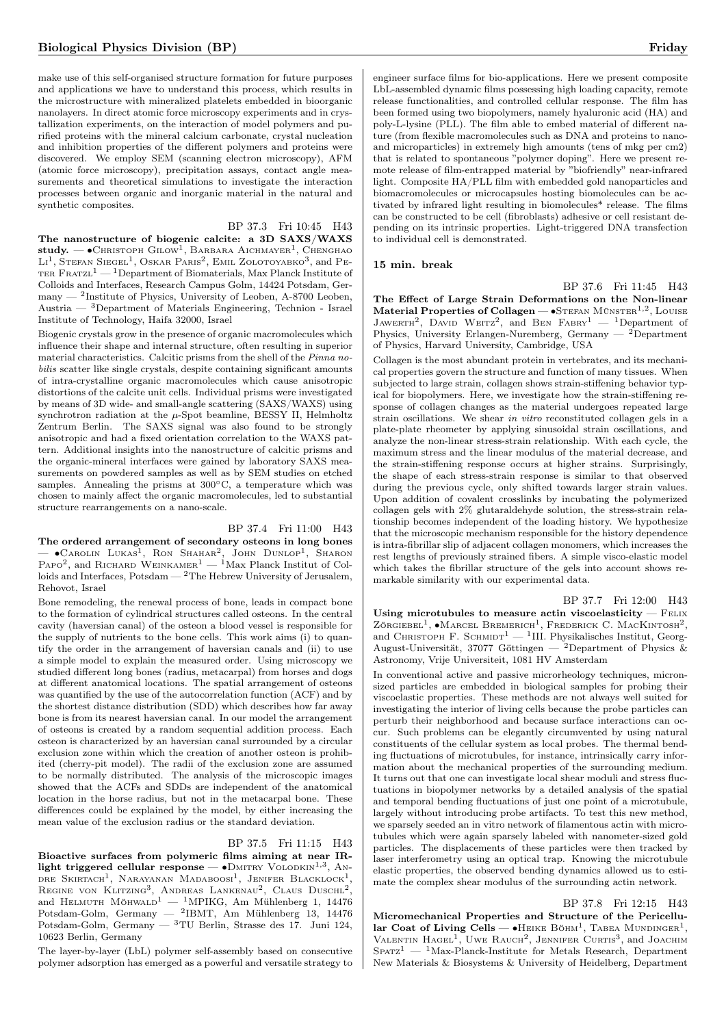make use of this self-organised structure formation for future purposes and applications we have to understand this process, which results in the microstructure with mineralized platelets embedded in bioorganic nanolayers. In direct atomic force microscopy experiments and in crystallization experiments, on the interaction of model polymers and purified proteins with the mineral calcium carbonate, crystal nucleation and inhibition properties of the different polymers and proteins were discovered. We employ SEM (scanning electron microscopy), AFM (atomic force microscopy), precipitation assays, contact angle measurements and theoretical simulations to investigate the interaction processes between organic and inorganic material in the natural and synthetic composites.

#### BP 37.3 Fri 10:45 H43

The nanostructure of biogenic calcite: a 3D SAXS/WAXS  $\boldsymbol{\mathrm{study.}}=\bullet$ Снristoph Gilow $^1,$  Barbara Aichmayer $^1,$  Chenghao Li<sup>1</sup>, Stefan Siegel<sup>1</sup>, Oskar Paris<sup>2</sup>, Emil Zolotoyabko<sup>3</sup>, and Pe-TER  $\text{F} \text{R} \text{ATZL}^1$  — <sup>1</sup>Department of Biomaterials, Max Planck Institute of Colloids and Interfaces, Research Campus Golm, 14424 Potsdam, Germany — <sup>2</sup> Institute of Physics, University of Leoben, A-8700 Leoben, Austria — <sup>3</sup>Department of Materials Engineering, Technion - Israel Institute of Technology, Haifa 32000, Israel

Biogenic crystals grow in the presence of organic macromolecules which influence their shape and internal structure, often resulting in superior material characteristics. Calcitic prisms from the shell of the Pinna nobilis scatter like single crystals, despite containing significant amounts of intra-crystalline organic macromolecules which cause anisotropic distortions of the calcite unit cells. Individual prisms were investigated by means of 3D wide- and small-angle scattering (SAXS/WAXS) using synchrotron radiation at the  $\mu$ -Spot beamline, BESSY II, Helmholtz Zentrum Berlin. The SAXS signal was also found to be strongly anisotropic and had a fixed orientation correlation to the WAXS pattern. Additional insights into the nanostructure of calcitic prisms and the organic-mineral interfaces were gained by laboratory SAXS measurements on powdered samples as well as by SEM studies on etched samples. Annealing the prisms at 300∘C, a temperature which was chosen to mainly affect the organic macromolecules, led to substantial structure rearrangements on a nano-scale.

### BP 37.4 Fri 11:00 H43

The ordered arrangement of secondary osteons in long bones — •Савоlім Lukas<sup>1</sup>, Ron Shahar<sup>2</sup>, John Dunlop<sup>1</sup>, Sharon Papo<sup>2</sup>, and Richard Weinkamer<sup>1</sup> — <sup>1</sup>Max Planck Institut of Colloids and Interfaces,  $Potsdam - {}^{2}The Hebrew University of Jerusalem,$ Rehovot, Israel

Bone remodeling, the renewal process of bone, leads in compact bone to the formation of cylindrical structures called osteons. In the central cavity (haversian canal) of the osteon a blood vessel is responsible for the supply of nutrients to the bone cells. This work aims (i) to quantify the order in the arrangement of haversian canals and (ii) to use a simple model to explain the measured order. Using microscopy we studied different long bones (radius, metacarpal) from horses and dogs at different anatomical locations. The spatial arrangement of osteons was quantified by the use of the autocorrelation function (ACF) and by the shortest distance distribution (SDD) which describes how far away bone is from its nearest haversian canal. In our model the arrangement of osteons is created by a random sequential addition process. Each osteon is characterized by an haversian canal surrounded by a circular exclusion zone within which the creation of another osteon is prohibited (cherry-pit model). The radii of the exclusion zone are assumed to be normally distributed. The analysis of the microscopic images showed that the ACFs and SDDs are independent of the anatomical location in the horse radius, but not in the metacarpal bone. These differences could be explained by the model, by either increasing the mean value of the exclusion radius or the standard deviation.

#### BP 37.5 Fri 11:15 H43

Bioactive surfaces from polymeric films aiming at near IRlight triggered cellular response —  $\bullet$ DMITRY VOLODKIN<sup>1,3</sup>, ANdre Skirtach<sup>1</sup>, Narayanan Madaboosi<sup>1</sup>, Jenifer Blacklock<sup>1</sup>, REGINE VON KLITZING<sup>3</sup>, ANDREAS LANKENAU<sup>2</sup>, CLAUS DUSCHL<sup>2</sup>, and HELMUTH MÖHWALD<sup>1</sup> — <sup>1</sup>MPIKG, Am Mühlenberg 1, 14476 Potsdam-Golm, Germany — <sup>2</sup>IBMT, Am Mühlenberg 13, 14476 Potsdam-Golm, Germany — <sup>3</sup>TU Berlin, Strasse des 17. Juni 124, 10623 Berlin, Germany

The layer-by-layer (LbL) polymer self-assembly based on consecutive polymer adsorption has emerged as a powerful and versatile strategy to engineer surface films for bio-applications. Here we present composite LbL-assembled dynamic films possessing high loading capacity, remote release functionalities, and controlled cellular response. The film has been formed using two biopolymers, namely hyaluronic acid (HA) and poly-L-lysine (PLL). The film able to embed material of different nature (from flexible macromolecules such as DNA and proteins to nanoand microparticles) in extremely high amounts (tens of mkg per cm2) that is related to spontaneous "polymer doping". Here we present remote release of film-entrapped material by "biofriendly" near-infrared light. Composite HA/PLL film with embedded gold nanoparticles and biomacromolecules or microcapsules hosting biomolecules can be activated by infrared light resulting in biomolecules\* release. The films can be constructed to be cell (fibroblasts) adhesive or cell resistant depending on its intrinsic properties. Light-triggered DNA transfection to individual cell is demonstrated.

#### 15 min. break

BP 37.6 Fri 11:45 H43

The Effect of Large Strain Deformations on the Non-linear Material Properties of Collagen — • STEFAN MÜNSTER<sup>1,2</sup>, LOUISE JAWERTH<sup>2</sup>, DAVID WEITZ<sup>2</sup>, and BEN FABRY<sup>1</sup> - <sup>1</sup>Department of Physics, University Erlangen-Nuremberg, Germany — <sup>2</sup>Department of Physics, Harvard University, Cambridge, USA

Collagen is the most abundant protein in vertebrates, and its mechanical properties govern the structure and function of many tissues. When subjected to large strain, collagen shows strain-stiffening behavior typical for biopolymers. Here, we investigate how the strain-stiffening response of collagen changes as the material undergoes repeated large strain oscillations. We shear in vitro reconstituted collagen gels in a plate-plate rheometer by applying sinusoidal strain oscillations, and analyze the non-linear stress-strain relationship. With each cycle, the maximum stress and the linear modulus of the material decrease, and the strain-stiffening response occurs at higher strains. Surprisingly, the shape of each stress-strain response is similar to that observed during the previous cycle, only shifted towards larger strain values. Upon addition of covalent crosslinks by incubating the polymerized collagen gels with 2% glutaraldehyde solution, the stress-strain relationship becomes independent of the loading history. We hypothesize that the microscopic mechanism responsible for the history dependence is intra-fibrillar slip of adjacent collagen monomers, which increases the rest lengths of previously strained fibers. A simple visco-elastic model which takes the fibrillar structure of the gels into account shows remarkable similarity with our experimental data.

BP 37.7 Fri 12:00 H43

Using microtubules to measure actin viscoelasticity  $-$  FELIX ZÖRGIEBEL<sup>1</sup>,  $\bullet$ MARCEL BREMERICH<sup>1</sup>, FREDERICK C. MACKINTOSH<sup>2</sup>, and CHRISTOPH F. SCHMIDT<sup>1</sup> - <sup>1</sup>III. Physikalisches Institut, Georg-August-Universität, 37077 Göttingen — <sup>2</sup>Department of Physics & Astronomy, Vrije Universiteit, 1081 HV Amsterdam

In conventional active and passive microrheology techniques, micronsized particles are embedded in biological samples for probing their viscoelastic properties. These methods are not always well suited for investigating the interior of living cells because the probe particles can perturb their neighborhood and because surface interactions can occur. Such problems can be elegantly circumvented by using natural constituents of the cellular system as local probes. The thermal bending fluctuations of microtubules, for instance, intrinsically carry information about the mechanical properties of the surrounding medium. It turns out that one can investigate local shear moduli and stress fluctuations in biopolymer networks by a detailed analysis of the spatial and temporal bending fluctuations of just one point of a microtubule, largely without introducing probe artifacts. To test this new method, we sparsely seeded an in vitro network of filamentous actin with microtubules which were again sparsely labeled with nanometer-sized gold particles. The displacements of these particles were then tracked by laser interferometry using an optical trap. Knowing the microtubule elastic properties, the observed bending dynamics allowed us to estimate the complex shear modulus of the surrounding actin network.

#### BP 37.8 Fri 12:15 H43

Micromechanical Properties and Structure of the Pericellular Coat of Living Cells —  $\bullet$ Heike Böhm<sup>1</sup>, Tabea Mundinger<sup>1</sup>, VALENTIN  $H$ AGEL<sup>1</sup>, UWE RAUCH<sup>2</sup>, JENNIFER CURTIS<sup>3</sup>, and JOACHIM  $Sparz<sup>1</sup>$  — <sup>1</sup>Max-Planck-Institute for Metals Research, Department New Materials & Biosystems & University of Heidelberg, Department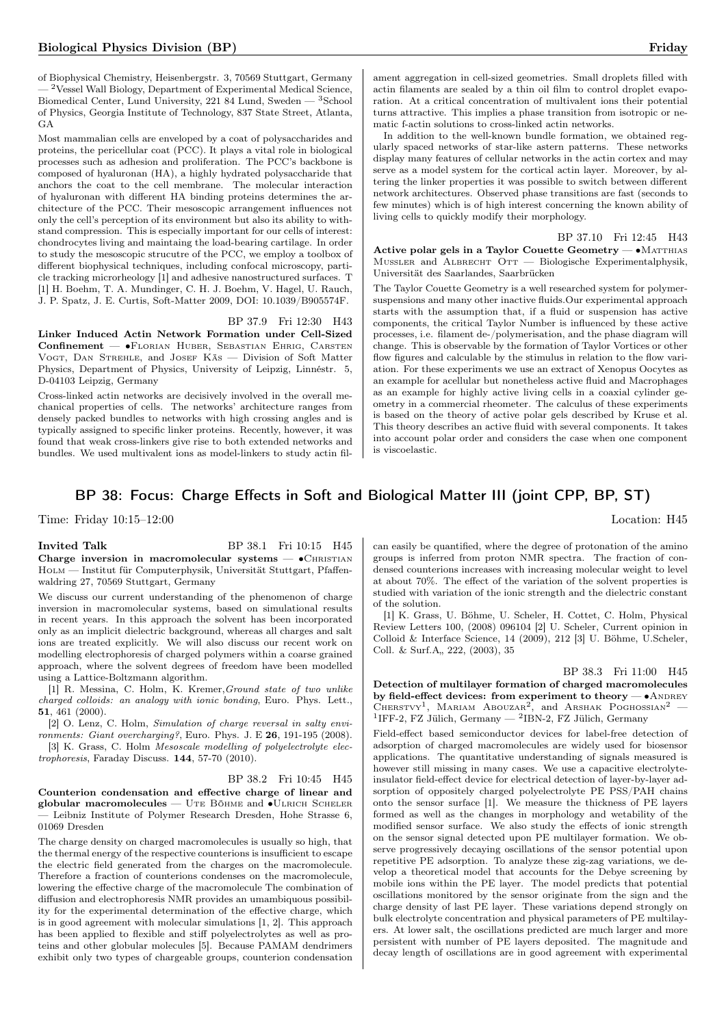of Biophysical Chemistry, Heisenbergstr. 3, 70569 Stuttgart, Germany - <sup>2</sup>Vessel Wall Biology, Department of Experimental Medical Science, Biomedical Center, Lund University, 221 84 Lund, Sweden — <sup>3</sup>School of Physics, Georgia Institute of Technology, 837 State Street, Atlanta, GA

Most mammalian cells are enveloped by a coat of polysaccharides and proteins, the pericellular coat (PCC). It plays a vital role in biological processes such as adhesion and proliferation. The PCC's backbone is composed of hyaluronan (HA), a highly hydrated polysaccharide that anchors the coat to the cell membrane. The molecular interaction of hyaluronan with different HA binding proteins determines the architecture of the PCC. Their mesoscopic arrangement influences not only the cell's perception of its environment but also its ability to withstand compression. This is especially important for our cells of interest: chondrocytes living and maintaing the load-bearing cartilage. In order to study the mesoscopic strucutre of the PCC, we employ a toolbox of different biophysical techniques, including confocal microscopy, particle tracking microrheology [1] and adhesive nanostructured surfaces. T [1] H. Boehm, T. A. Mundinger, C. H. J. Boehm, V. Hagel, U. Rauch, J. P. Spatz, J. E. Curtis, Soft-Matter 2009, DOI: 10.1039/B905574F.

#### BP 37.9 Fri 12:30 H43

Linker Induced Actin Network Formation under Cell-Sized Confinement — ∙Florian Huber, Sebastian Ehrig, Carsten VOGT, DAN STREHLE, and JOSEF KÄS — Division of Soft Matter Physics, Department of Physics, University of Leipzig, Linnéstr. 5, D-04103 Leipzig, Germany

Cross-linked actin networks are decisively involved in the overall mechanical properties of cells. The networks' architecture ranges from densely packed bundles to networks with high crossing angles and is typically assigned to specific linker proteins. Recently, however, it was found that weak cross-linkers give rise to both extended networks and bundles. We used multivalent ions as model-linkers to study actin fil-

ament aggregation in cell-sized geometries. Small droplets filled with actin filaments are sealed by a thin oil film to control droplet evaporation. At a critical concentration of multivalent ions their potential turns attractive. This implies a phase transition from isotropic or nematic f-actin solutions to cross-linked actin networks.

In addition to the well-known bundle formation, we obtained regularly spaced networks of star-like astern patterns. These networks display many features of cellular networks in the actin cortex and may serve as a model system for the cortical actin layer. Moreover, by altering the linker properties it was possible to switch between different network architectures. Observed phase transitions are fast (seconds to few minutes) which is of high interest concerning the known ability of living cells to quickly modify their morphology.

#### BP 37.10 Fri 12:45 H43

Active polar gels in a Taylor Couette Geometry —  $\bullet$ MATTHIAS MUSSLER and ALBRECHT OTT — Biologische Experimentalphysik, Universität des Saarlandes, Saarbrücken

The Taylor Couette Geometry is a well researched system for polymersuspensions and many other inactive fluids.Our experimental approach starts with the assumption that, if a fluid or suspension has active components, the critical Taylor Number is influenced by these active processes, i.e. filament de-/polymerisation, and the phase diagram will change. This is observable by the formation of Taylor Vortices or other flow figures and calculable by the stimulus in relation to the flow variation. For these experiments we use an extract of Xenopus Oocytes as an example for acellular but nonetheless active fluid and Macrophages as an example for highly active living cells in a coaxial cylinder geometry in a commercial rheometer. The calculus of these experiments is based on the theory of active polar gels described by Kruse et al. This theory describes an active fluid with several components. It takes into account polar order and considers the case when one component is viscoelastic.

## BP 38: Focus: Charge Effects in Soft and Biological Matter III (joint CPP, BP, ST)

Time: Friday 10:15–12:00 Location: H45

**Invited Talk** BP 38.1 Fri 10:15 H45 Charge inversion in macromolecular systems —  $\bullet$ CHRISTIAN Holm — Institut für Computerphysik, Universität Stuttgart, Pfaffenwaldring 27, 70569 Stuttgart, Germany

We discuss our current understanding of the phenomenon of charge inversion in macromolecular systems, based on simulational results in recent years. In this approach the solvent has been incorporated only as an implicit dielectric background, whereas all charges and salt ions are treated explicitly. We will also discuss our recent work on modelling electrophoresis of charged polymers within a coarse grained approach, where the solvent degrees of freedom have been modelled using a Lattice-Boltzmann algorithm.

[1] R. Messina, C. Holm, K. Kremer,Ground state of two unlike charged colloids: an analogy with ionic bonding, Euro. Phys. Lett., 51, 461 (2000).

[2] O. Lenz, C. Holm, Simulation of charge reversal in salty environments: Giant overcharging?, Euro. Phys. J. E 26, 191-195 (2008).

[3] K. Grass, C. Holm Mesoscale modelling of polyelectrolyte electrophoresis, Faraday Discuss. 144, 57-70 (2010).

#### BP 38.2 Fri 10:45 H45

Counterion condensation and effective charge of linear and globular macromolecules — UTE BÖHME and •ULRICH SCHELER — Leibniz Institute of Polymer Research Dresden, Hohe Strasse 6, 01069 Dresden

The charge density on charged macromolecules is usually so high, that the thermal energy of the respective counterions is insufficient to escape the electric field generated from the charges on the macromolecule. Therefore a fraction of counterions condenses on the macromolecule, lowering the effective charge of the macromolecule The combination of diffusion and electrophoresis NMR provides an umambiquous possibility for the experimental determination of the effective charge, which is in good agreement with molecular simulations [1, 2]. This approach has been applied to flexible and stiff polyelectrolytes as well as proteins and other globular molecules [5]. Because PAMAM dendrimers exhibit only two types of chargeable groups, counterion condensation

can easily be quantified, where the degree of protonation of the amino groups is inferred from proton NMR spectra. The fraction of condensed counterions increases with increasing molecular weight to level at about 70%. The effect of the variation of the solvent properties is studied with variation of the ionic strength and the dielectric constant of the solution.

[1] K. Grass, U. Böhme, U. Scheler, H. Cottet, C. Holm, Physical Review Letters 100, (2008) 096104 [2] U. Scheler, Current opinion in Colloid & Interface Science, 14 (2009), 212 [3] U. Böhme, U.Scheler, Coll. & Surf.A., 222, (2003), 35

## BP 38.3 Fri 11:00 H45

Detection of multilayer formation of charged macromolecules by field-effect devices: from experiment to theory — • ANDREY CHERSTVY<sup>1</sup>, MARIAM ABOUZAR<sup>2</sup>, and ARSHAK POGHOSSIAN<sup>2</sup> -<sup>1</sup>IFF-2, FZ Jülich, Germany — <sup>2</sup>IBN-2, FZ Jülich, Germany

Field-effect based semiconductor devices for label-free detection of adsorption of charged macromolecules are widely used for biosensor applications. The quantitative understanding of signals measured is however still missing in many cases. We use a capacitive electrolyteinsulator field-effect device for electrical detection of layer-by-layer adsorption of oppositely charged polyelectrolyte PE PSS/PAH chains onto the sensor surface [1]. We measure the thickness of PE layers formed as well as the changes in morphology and wetability of the modified sensor surface. We also study the effects of ionic strength on the sensor signal detected upon PE multilayer formation. We observe progressively decaying oscillations of the sensor potential upon repetitive PE adsorption. To analyze these zig-zag variations, we develop a theoretical model that accounts for the Debye screening by mobile ions within the PE layer. The model predicts that potential oscillations monitored by the sensor originate from the sign and the charge density of last PE layer. These variations depend strongly on bulk electrolyte concentration and physical parameters of PE multilayers. At lower salt, the oscillations predicted are much larger and more persistent with number of PE layers deposited. The magnitude and decay length of oscillations are in good agreement with experimental